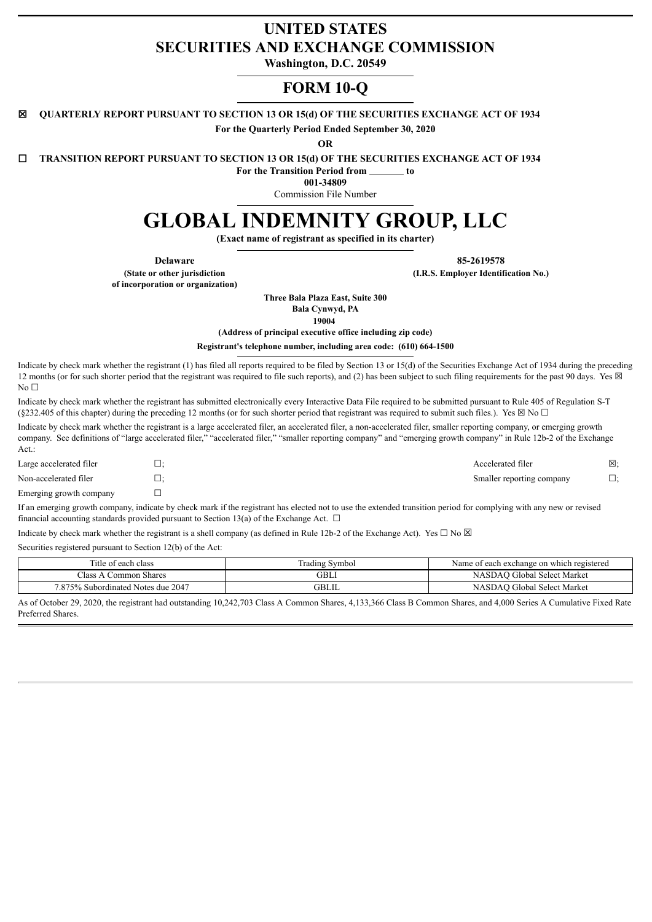# **UNITED STATES SECURITIES AND EXCHANGE COMMISSION**

**Washington, D.C. 20549**

## **FORM 10-Q**

## ☒ **QUARTERLY REPORT PURSUANT TO SECTION 13 OR 15(d) OF THE SECURITIES EXCHANGE ACT OF 1934**

**For the Quarterly Period Ended September 30, 2020**

**OR**

☐ **TRANSITION REPORT PURSUANT TO SECTION 13 OR 15(d) OF THE SECURITIES EXCHANGE ACT OF 1934**

**For the Transition Period from to**

**001-34809**

Commission File Number

# **GLOBAL INDEMNITY GROUP, LLC**

**(Exact name of registrant as specified in its charter)**

**Delaware 85-2619578 (State or other jurisdiction of incorporation or organization)**

**(I.R.S. Employer Identification No.)**

**Three Bala Plaza East, Suite 300**

**Bala Cynwyd, PA 19004**

**(Address of principal executive office including zip code)**

**Registrant's telephone number, including area code: (610) 664-1500**

Indicate by check mark whether the registrant (1) has filed all reports required to be filed by Section 13 or 15(d) of the Securities Exchange Act of 1934 during the preceding 12 months (or for such shorter period that the registrant was required to file such reports), and (2) has been subject to such filing requirements for the past 90 days. Yes  $\boxtimes$  $No<sub>1</sub>$ 

Indicate by check mark whether the registrant has submitted electronically every Interactive Data File required to be submitted pursuant to Rule 405 of Regulation S-T (§232.405 of this chapter) during the preceding 12 months (or for such shorter period that registrant was required to submit such files.). Yes ⊠ No □

Indicate by check mark whether the registrant is a large accelerated filer, an accelerated filer, a non-accelerated filer, smaller reporting company, or emerging growth company. See definitions of "large accelerated filer," "accelerated filer," "smaller reporting company" and "emerging growth company" in Rule 12b-2 of the Exchange  $Act.$ 

| Large accelerated filer |               |   |  |  |   | Accelerated filer         | ⊠: |
|-------------------------|---------------|---|--|--|---|---------------------------|----|
| Non-accelerated filer   |               |   |  |  |   | Smaller reporting company |    |
| Emerging growth company |               |   |  |  |   |                           |    |
| $ -$                    | $\sim$ $\sim$ | . |  |  | . | . .                       |    |

If an emerging growth company, indicate by check mark if the registrant has elected not to use the extended transition period for complying with any new or revised financial accounting standards provided pursuant to Section 13(a) of the Exchange Act.  $\Box$ 

Indicate by check mark whether the registrant is a shell company (as defined in Rule 12b-2 of the Exchange Act). Yes  $\Box$  No  $\boxtimes$ 

Securities registered pursuant to Section 12(b) of the Act:

| $\sim$<br>each class<br>- OT<br>itle               | m<br>rading Symbol | Name of each exchange on which registered |
|----------------------------------------------------|--------------------|-------------------------------------------|
| Common Shares<br>lass                              | GBLI               | Global Select Market<br>NASDAC            |
| 2047<br>' 0750/<br>Subordinated<br>Notes due<br>70 | GBLIL              | Global Select Market<br>- NASDAC          |

As of October 29, 2020, the registrant had outstanding 10,242,703 Class A Common Shares, 4,133,366 Class B Common Shares, and 4,000 Series A Cumulative Fixed Rate Preferred Shares.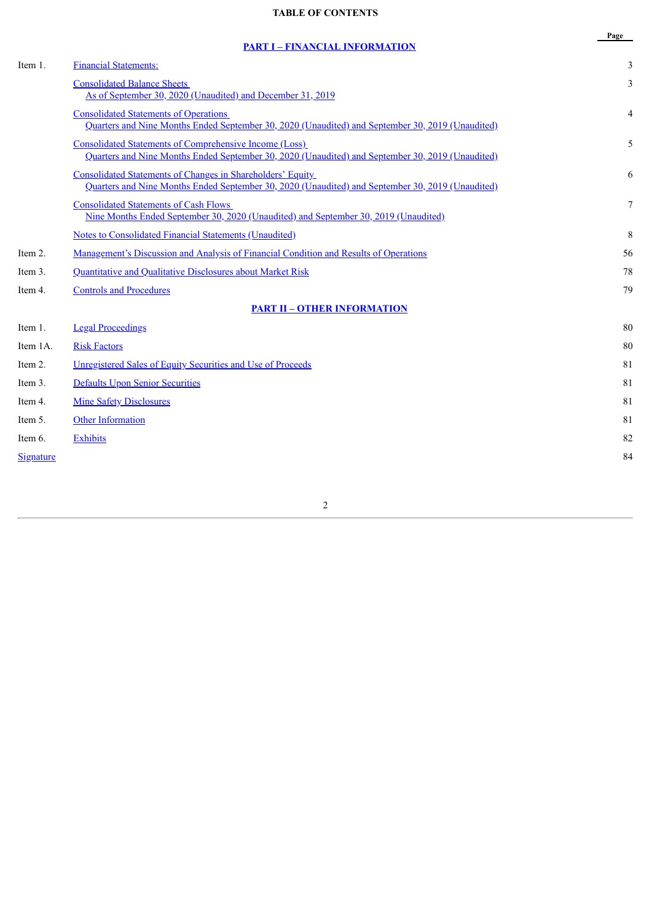## **TABLE OF CONTENTS**

## **PART I – FINANCIAL [INFORMATION](#page-2-0)**

**Page**

|                  | <u>IANI 1 – FINANCIAL INFONMATION</u>                                                                                                                             |                |
|------------------|-------------------------------------------------------------------------------------------------------------------------------------------------------------------|----------------|
| Item 1.          | <b>Financial Statements:</b>                                                                                                                                      | 3              |
|                  | <b>Consolidated Balance Sheets</b><br>As of September 30, 2020 (Unaudited) and December 31, 2019                                                                  | 3              |
|                  | <b>Consolidated Statements of Operations</b><br>Quarters and Nine Months Ended September 30, 2020 (Unaudited) and September 30, 2019 (Unaudited)                  | $\overline{4}$ |
|                  | <b>Consolidated Statements of Comprehensive Income (Loss)</b><br>Quarters and Nine Months Ended September 30, 2020 (Unaudited) and September 30, 2019 (Unaudited) | 5              |
|                  | Consolidated Statements of Changes in Shareholders' Equity<br>Quarters and Nine Months Ended September 30, 2020 (Unaudited) and September 30, 2019 (Unaudited)    | 6              |
|                  | <b>Consolidated Statements of Cash Flows</b><br>Nine Months Ended September 30, 2020 (Unaudited) and September 30, 2019 (Unaudited)                               | $\tau$         |
|                  | <b>Notes to Consolidated Financial Statements (Unaudited)</b>                                                                                                     | 8              |
| Item 2.          | <u>Management's Discussion and Analysis of Financial Condition and Results of Operations</u>                                                                      | 56             |
| Item 3.          | Quantitative and Qualitative Disclosures about Market Risk                                                                                                        | 78             |
| Item 4.          | <b>Controls and Procedures</b>                                                                                                                                    | 79             |
|                  | <b>PART II - OTHER INFORMATION</b>                                                                                                                                |                |
| Item 1.          | <b>Legal Proceedings</b>                                                                                                                                          | 80             |
| Item 1A.         | <b>Risk Factors</b>                                                                                                                                               | 80             |
| Item 2.          | Unregistered Sales of Equity Securities and Use of Proceeds                                                                                                       | 81             |
| Item 3.          | <b>Defaults Upon Senior Securities</b>                                                                                                                            | 81             |
| Item 4.          | <b>Mine Safety Disclosures</b>                                                                                                                                    | 81             |
| Item 5.          | <b>Other Information</b>                                                                                                                                          | 81             |
| Item 6.          | <b>Exhibits</b>                                                                                                                                                   | 82             |
| <b>Signature</b> |                                                                                                                                                                   | 84             |
|                  |                                                                                                                                                                   |                |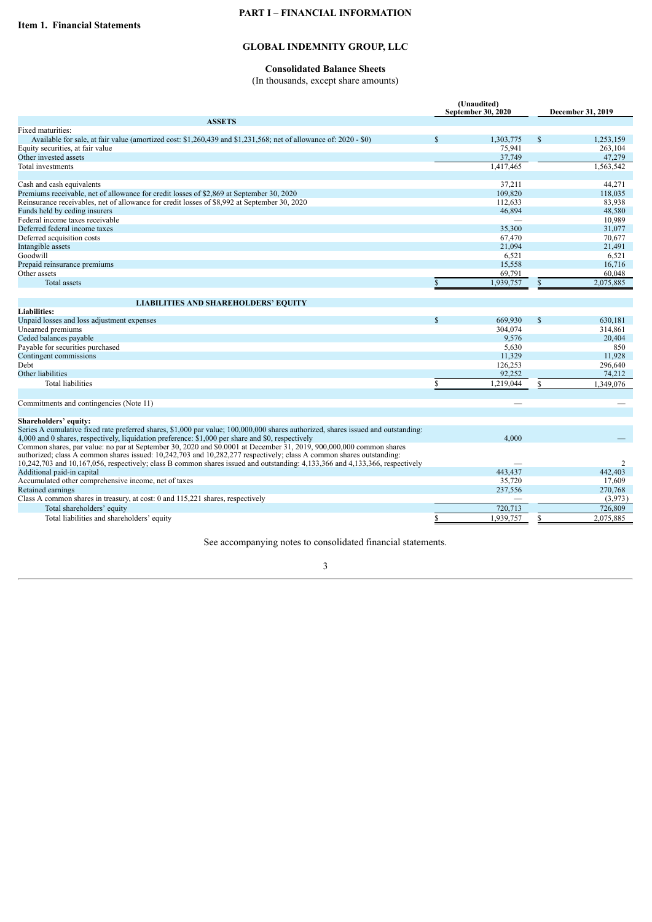## **PART I – FINANCIAL INFORMATION**

## **GLOBAL INDEMNITY GROUP, LLC**

## **Consolidated Balance Sheets**

(In thousands, except share amounts)

<span id="page-2-2"></span><span id="page-2-1"></span><span id="page-2-0"></span>

|                                                                                                                                        | (Unaudited)<br><b>September 30, 2020</b><br>December 31, 2019 |           |               |           |  |
|----------------------------------------------------------------------------------------------------------------------------------------|---------------------------------------------------------------|-----------|---------------|-----------|--|
| <b>ASSETS</b>                                                                                                                          |                                                               |           |               |           |  |
| Fixed maturities:                                                                                                                      |                                                               |           |               |           |  |
| Available for sale, at fair value (amortized cost: \$1,260,439 and \$1,231,568; net of allowance of: 2020 - \$0)                       | $\mathbf S$                                                   | 1.303.775 | <sup>\$</sup> | 1,253,159 |  |
| Equity securities, at fair value                                                                                                       |                                                               | 75.941    |               | 263.104   |  |
| Other invested assets                                                                                                                  |                                                               | 37,749    |               | 47,279    |  |
| Total investments                                                                                                                      |                                                               | 1,417,465 |               | 1,563,542 |  |
|                                                                                                                                        |                                                               |           |               |           |  |
| Cash and cash equivalents                                                                                                              |                                                               | 37,211    |               | 44,271    |  |
| Premiums receivable, net of allowance for credit losses of \$2,869 at September 30, 2020                                               |                                                               | 109.820   |               | 118,035   |  |
| Reinsurance receivables, net of allowance for credit losses of \$8,992 at September 30, 2020                                           |                                                               | 112,633   |               | 83,938    |  |
| Funds held by ceding insurers                                                                                                          |                                                               | 46.894    |               | 48.580    |  |
| Federal income taxes receivable                                                                                                        |                                                               |           |               | 10,989    |  |
| Deferred federal income taxes                                                                                                          |                                                               | 35,300    |               | 31,077    |  |
| Deferred acquisition costs                                                                                                             |                                                               | 67.470    |               | 70.677    |  |
| Intangible assets                                                                                                                      |                                                               | 21.094    |               | 21,491    |  |
| Goodwill                                                                                                                               |                                                               | 6,521     |               | 6,521     |  |
| Prepaid reinsurance premiums                                                                                                           |                                                               | 15,558    |               | 16,716    |  |
| Other assets                                                                                                                           |                                                               | 69,791    |               | 60,048    |  |
|                                                                                                                                        |                                                               |           |               |           |  |
| Total assets                                                                                                                           |                                                               | 1,939,757 | \$            | 2,075,885 |  |
| <b>LIABILITIES AND SHAREHOLDERS' EQUITY</b>                                                                                            |                                                               |           |               |           |  |
| <b>Liabilities:</b>                                                                                                                    |                                                               |           |               |           |  |
| Unpaid losses and loss adjustment expenses                                                                                             | <sup>\$</sup>                                                 | 669.930   | $\mathbf{s}$  | 630.181   |  |
| Unearned premiums                                                                                                                      |                                                               | 304,074   |               | 314,861   |  |
| Ceded balances payable                                                                                                                 |                                                               | 9,576     |               | 20,404    |  |
| Payable for securities purchased                                                                                                       |                                                               | 5,630     |               | 850       |  |
| Contingent commissions                                                                                                                 |                                                               | 11,329    |               | 11,928    |  |
| Debt                                                                                                                                   |                                                               | 126,253   |               | 296,640   |  |
| Other liabilities                                                                                                                      |                                                               | 92,252    |               | 74,212    |  |
| <b>Total liabilities</b>                                                                                                               |                                                               | 1,219,044 | S             | 1,349,076 |  |
|                                                                                                                                        |                                                               |           |               |           |  |
| Commitments and contingencies (Note 11)                                                                                                |                                                               |           |               |           |  |
|                                                                                                                                        |                                                               |           |               |           |  |
| Shareholders' equity:                                                                                                                  |                                                               |           |               |           |  |
| Series A cumulative fixed rate preferred shares, \$1,000 par value; 100,000,000 shares authorized, shares issued and outstanding:      |                                                               |           |               |           |  |
| 4,000 and 0 shares, respectively, liquidation preference: \$1,000 per share and \$0, respectively                                      |                                                               | 4.000     |               |           |  |
| Common shares, par value: no par at September 30, 2020 and \$0,0001 at December 31, 2019, 900,000,000 common shares                    |                                                               |           |               |           |  |
| authorized; class A common shares issued: 10,242,703 and 10,282,277 respectively; class A common shares outstanding:                   |                                                               |           |               |           |  |
| $10,242,703$ and $10,167,056$ , respectively; class B common shares issued and outstanding: $4,133,366$ and $4,133,366$ , respectively |                                                               |           |               | 2         |  |
| Additional paid-in capital                                                                                                             |                                                               | 443,437   |               | 442,403   |  |
| Accumulated other comprehensive income, net of taxes                                                                                   |                                                               | 35,720    |               | 17,609    |  |
| Retained earnings                                                                                                                      |                                                               | 237,556   |               | 270,768   |  |
| Class A common shares in treasury, at cost: 0 and 115,221 shares, respectively                                                         |                                                               |           |               | (3,973)   |  |
| Total shareholders' equity                                                                                                             |                                                               | 720.713   |               | 726.809   |  |
| Total liabilities and shareholders' equity                                                                                             | \$                                                            | 1,939,757 | \$            | 2.075.885 |  |

See accompanying notes to consolidated financial statements.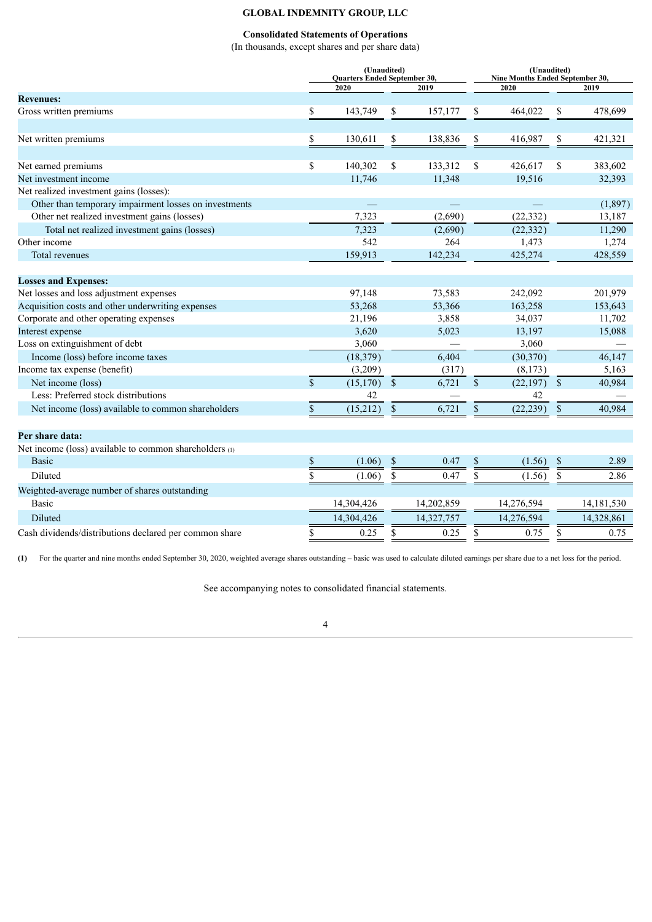## **Consolidated Statements of Operations**

(In thousands, except shares and per share data)

<span id="page-3-0"></span>

|                                                        |             | (Unaudited) | Quarters Ended September 30, |            |              | (Unaudited) | Nine Months Ended September 30, |            |  |
|--------------------------------------------------------|-------------|-------------|------------------------------|------------|--------------|-------------|---------------------------------|------------|--|
|                                                        |             | 2020        |                              | 2019       |              | 2020        |                                 | 2019       |  |
| <b>Revenues:</b>                                       |             |             |                              |            |              |             |                                 |            |  |
| Gross written premiums                                 | \$          | 143,749     | \$                           | 157,177    | \$           | 464,022     | \$                              | 478,699    |  |
|                                                        |             |             |                              |            |              |             |                                 |            |  |
| Net written premiums                                   | \$          | 130,611     | \$                           | 138,836    | S            | 416,987     | \$                              | 421,321    |  |
|                                                        |             |             |                              |            |              |             |                                 |            |  |
| Net earned premiums                                    | \$          | 140,302     | \$                           | 133,312    | \$           | 426,617     | \$                              | 383,602    |  |
| Net investment income                                  |             | 11,746      |                              | 11,348     |              | 19,516      |                                 | 32,393     |  |
| Net realized investment gains (losses):                |             |             |                              |            |              |             |                                 |            |  |
| Other than temporary impairment losses on investments  |             |             |                              |            |              |             |                                 | (1, 897)   |  |
| Other net realized investment gains (losses)           |             | 7,323       |                              | (2,690)    |              | (22, 332)   |                                 | 13,187     |  |
| Total net realized investment gains (losses)           |             | 7.323       |                              | (2,690)    |              | (22, 332)   |                                 | 11,290     |  |
| Other income                                           |             | 542         |                              | 264        |              | 1,473       |                                 | 1,274      |  |
| Total revenues                                         |             | 159,913     |                              | 142,234    |              | 425,274     |                                 | 428,559    |  |
|                                                        |             |             |                              |            |              |             |                                 |            |  |
| <b>Losses and Expenses:</b>                            |             |             |                              |            |              |             |                                 |            |  |
| Net losses and loss adjustment expenses                |             | 97,148      |                              | 73,583     |              | 242,092     |                                 | 201,979    |  |
| Acquisition costs and other underwriting expenses      |             | 53,268      |                              | 53,366     |              | 163,258     |                                 | 153,643    |  |
| Corporate and other operating expenses                 |             | 21,196      |                              | 3,858      |              | 34,037      |                                 | 11,702     |  |
| Interest expense                                       |             | 3,620       |                              | 5,023      |              | 13,197      |                                 | 15,088     |  |
| Loss on extinguishment of debt                         |             | 3,060       |                              |            |              | 3,060       |                                 |            |  |
| Income (loss) before income taxes                      |             | (18, 379)   |                              | 6,404      |              | (30, 370)   |                                 | 46,147     |  |
| Income tax expense (benefit)                           |             | (3,209)     |                              | (317)      |              | (8,173)     |                                 | 5,163      |  |
| Net income (loss)                                      | $\mathbf S$ | (15, 170)   | $\mathcal{S}$                | 6,721      | \$           | (22, 197)   | $\sqrt{\ }$                     | 40,984     |  |
| Less: Preferred stock distributions                    |             | 42          |                              |            |              | 42          |                                 |            |  |
| Net income (loss) available to common shareholders     | $\$$        | (15,212)    | $\mathbb{S}$                 | 6,721      | $\mathbb{S}$ | (22, 239)   | $\mathbb{S}$                    | 40,984     |  |
|                                                        |             |             |                              |            |              |             |                                 |            |  |
| Per share data:                                        |             |             |                              |            |              |             |                                 |            |  |
| Net income (loss) available to common shareholders (1) |             |             |                              |            |              |             |                                 |            |  |
| <b>Basic</b>                                           | \$          | (1.06)      | \$                           | 0.47       | \$           | (1.56)      | $\mathbb{S}$                    | 2.89       |  |
| Diluted                                                | \$          | (1.06)      | $\mathbf S$                  | 0.47       | \$           | (1.56)      | \$                              | 2.86       |  |
| Weighted-average number of shares outstanding          |             |             |                              |            |              |             |                                 |            |  |
| <b>Basic</b>                                           |             | 14,304,426  |                              | 14,202,859 |              | 14,276,594  |                                 | 14,181,530 |  |
| Diluted                                                |             | 14,304,426  |                              | 14,327,757 |              | 14,276,594  |                                 | 14,328,861 |  |
| Cash dividends/distributions declared per common share | \$          | 0.25        | \$                           | 0.25       | \$           | 0.75        | \$                              | 0.75       |  |
|                                                        |             |             |                              |            |              |             |                                 |            |  |

**(1)** For the quarter and nine months ended September 30, 2020, weighted average shares outstanding – basic was used to calculate diluted earnings per share due to a net loss for the period.

See accompanying notes to consolidated financial statements.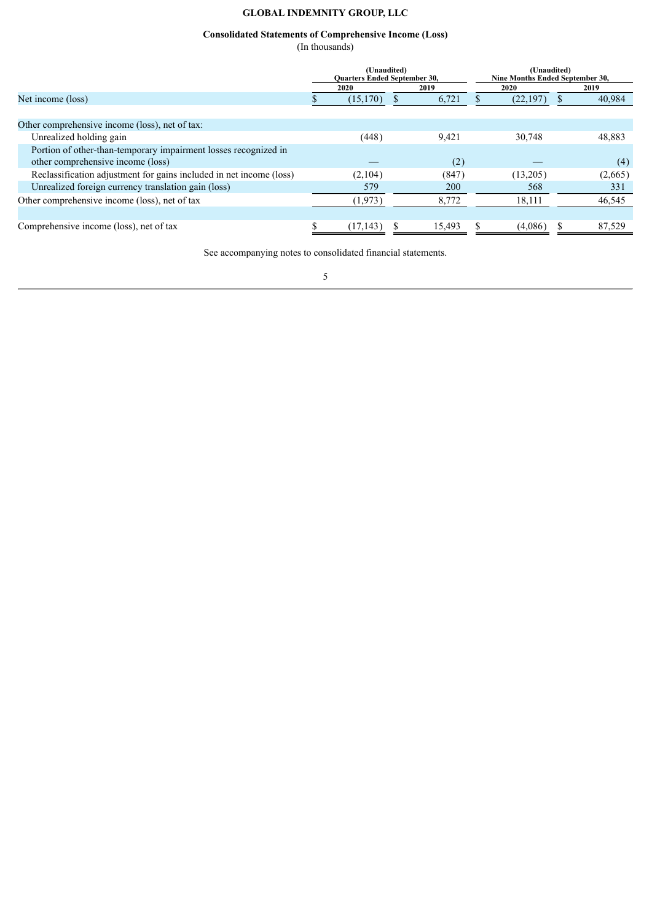## **Consolidated Statements of Comprehensive Income (Loss)**

(In thousands)

<span id="page-4-0"></span>

|                                                                     | (Unaudited)<br><b>Ouarters Ended September 30,</b> |  |        | (Unaudited)<br>Nine Months Ended September 30, |           |     |         |
|---------------------------------------------------------------------|----------------------------------------------------|--|--------|------------------------------------------------|-----------|-----|---------|
|                                                                     | 2020                                               |  | 2019   |                                                | 2020      |     | 2019    |
| Net income (loss)                                                   | (15, 170)                                          |  | 6,721  |                                                | (22, 197) | .Ъ. | 40,984  |
|                                                                     |                                                    |  |        |                                                |           |     |         |
| Other comprehensive income (loss), net of tax:                      |                                                    |  |        |                                                |           |     |         |
| Unrealized holding gain                                             | (448)                                              |  | 9,421  |                                                | 30,748    |     | 48,883  |
| Portion of other-than-temporary impairment losses recognized in     |                                                    |  |        |                                                |           |     |         |
| other comprehensive income (loss)                                   |                                                    |  | (2)    |                                                |           |     | (4)     |
| Reclassification adjustment for gains included in net income (loss) | (2,104)                                            |  | (847)  |                                                | (13,205)  |     | (2,665) |
| Unrealized foreign currency translation gain (loss)                 | 579                                                |  | 200    |                                                | 568       |     | 331     |
| Other comprehensive income (loss), net of tax                       | (1,973)                                            |  | 8,772  |                                                | 18,111    |     | 46,545  |
|                                                                     |                                                    |  |        |                                                |           |     |         |
| Comprehensive income (loss), net of tax                             | (17, 143)                                          |  | 15,493 |                                                | (4,086)   |     | 87,529  |
|                                                                     |                                                    |  |        |                                                |           |     |         |

See accompanying notes to consolidated financial statements.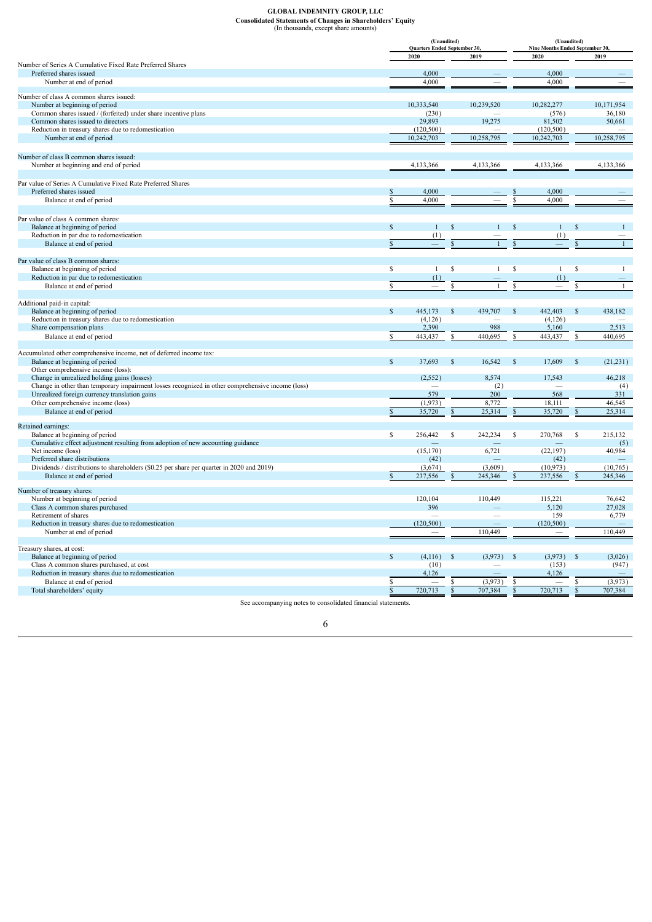#### **GLOBAL INDEMNITY GROUP, LLC Consolidated Statements of Changes in Shareholders' Equity** (In thousands, except share amounts)

<span id="page-5-0"></span>

|                                                                                                                                                 |                         | (Unaudited)<br><b>Quarters Ended September 30,</b> |                         |              |                         | (Unaudited)<br>Nine Months Ended September 30, |                         |              |  |
|-------------------------------------------------------------------------------------------------------------------------------------------------|-------------------------|----------------------------------------------------|-------------------------|--------------|-------------------------|------------------------------------------------|-------------------------|--------------|--|
|                                                                                                                                                 |                         | 2020                                               |                         | 2019         |                         | 2020                                           |                         | 2019         |  |
| Number of Series A Cumulative Fixed Rate Preferred Shares                                                                                       |                         |                                                    |                         |              |                         |                                                |                         |              |  |
| Preferred shares issued                                                                                                                         |                         | 4,000                                              |                         |              |                         | 4,000                                          |                         |              |  |
| Number at end of period                                                                                                                         |                         | 4.000                                              |                         |              |                         | 4,000                                          |                         |              |  |
| Number of class A common shares issued:                                                                                                         |                         |                                                    |                         |              |                         |                                                |                         |              |  |
| Number at beginning of period                                                                                                                   |                         | 10,333,540                                         |                         | 10,239,520   |                         | 10,282,277                                     |                         | 10,171,954   |  |
| Common shares issued / (forfeited) under share incentive plans                                                                                  |                         | (230)                                              |                         |              |                         | (576)                                          |                         | 36,180       |  |
| Common shares issued to directors                                                                                                               |                         | 29,893                                             |                         | 19,275       |                         | 81,502                                         |                         | 50,661       |  |
| Reduction in treasury shares due to redomestication                                                                                             |                         | (120, 500)                                         |                         |              |                         | (120, 500)                                     |                         |              |  |
| Number at end of period                                                                                                                         |                         | 10,242,703                                         |                         | 10,258,795   |                         | 10,242,703                                     |                         | 10.258.795   |  |
|                                                                                                                                                 |                         |                                                    |                         |              |                         |                                                |                         |              |  |
| Number of class B common shares issued:                                                                                                         |                         |                                                    |                         |              |                         |                                                |                         |              |  |
| Number at beginning and end of period                                                                                                           |                         | 4,133,366                                          |                         | 4,133,366    |                         | 4,133,366                                      |                         | 4,133,366    |  |
|                                                                                                                                                 |                         |                                                    |                         |              |                         |                                                |                         |              |  |
| Par value of Series A Cumulative Fixed Rate Preferred Shares                                                                                    |                         |                                                    |                         |              |                         | 4,000                                          |                         |              |  |
| Preferred shares issued                                                                                                                         |                         | 4,000                                              |                         |              |                         |                                                |                         |              |  |
| Balance at end of period                                                                                                                        | \$                      | 4.000                                              |                         |              | Ś                       | 4.000                                          |                         |              |  |
| Par value of class A common shares:                                                                                                             |                         |                                                    |                         |              |                         |                                                |                         |              |  |
| Balance at beginning of period                                                                                                                  | $\mathbf{\hat{S}}$      | $\overline{1}$                                     |                         |              | -S                      | $\mathbf{1}$                                   | S                       |              |  |
| Reduction in par due to redomestication                                                                                                         |                         | (1)                                                |                         |              |                         | (1)                                            |                         |              |  |
| Balance at end of period                                                                                                                        | \$                      |                                                    |                         | $\mathbf{1}$ |                         |                                                |                         | $\mathbf{1}$ |  |
|                                                                                                                                                 |                         |                                                    |                         |              |                         |                                                |                         |              |  |
| Par value of class B common shares:                                                                                                             |                         |                                                    |                         |              |                         |                                                |                         |              |  |
| Balance at beginning of period                                                                                                                  | $\mathbb{S}$            | $\mathbf{1}$                                       | $\mathbf S$             | $\mathbf{1}$ | S                       | $\mathbf{1}$                                   | s                       | $\mathbf{1}$ |  |
| Reduction in par due to redomestication                                                                                                         |                         | (1)                                                |                         |              |                         | (1)                                            |                         |              |  |
| Balance at end of period                                                                                                                        |                         |                                                    |                         |              |                         |                                                |                         | $\mathbf{1}$ |  |
| Additional paid-in capital:                                                                                                                     |                         |                                                    |                         |              |                         |                                                |                         |              |  |
| Balance at beginning of period                                                                                                                  | $\mathbf S$             | 445,173                                            | <sup>\$</sup>           | 439,707      | $\mathcal{S}$           | 442,403                                        | S                       | 438,182      |  |
| Reduction in treasury shares due to redomestication                                                                                             |                         | (4,126)                                            |                         |              |                         | (4,126)                                        |                         |              |  |
| Share compensation plans                                                                                                                        |                         | 2,390                                              |                         | 988          |                         | 5,160                                          |                         | 2,513        |  |
| Balance at end of period                                                                                                                        |                         | 443,437                                            |                         | 440,695      | S                       | 443,437                                        | S                       | 440,695      |  |
|                                                                                                                                                 |                         |                                                    |                         |              |                         |                                                |                         |              |  |
| Accumulated other comprehensive income, net of deferred income tax:                                                                             |                         |                                                    |                         |              |                         |                                                |                         |              |  |
| Balance at beginning of period                                                                                                                  | $\mathbb{S}$            | 37,693                                             | $\mathcal{S}$           | 16,542       | S                       | 17,609                                         | S                       | (21, 231)    |  |
| Other comprehensive income (loss):                                                                                                              |                         |                                                    |                         |              |                         |                                                |                         |              |  |
| Change in unrealized holding gains (losses)<br>Change in other than temporary impairment losses recognized in other comprehensive income (loss) |                         | (2, 552)                                           |                         | 8,574<br>(2) |                         | 17,543                                         |                         | 46,218       |  |
|                                                                                                                                                 |                         | 579                                                |                         | 200          |                         | 568                                            |                         | (4)<br>331   |  |
| Unrealized foreign currency translation gains<br>Other comprehensive income (loss)                                                              |                         | (1,973)                                            |                         | 8,772        |                         | 18,111                                         |                         | 46,545       |  |
|                                                                                                                                                 |                         |                                                    |                         |              |                         |                                                |                         |              |  |
| Balance at end of period                                                                                                                        | \$                      | 35,720                                             |                         | 25,314       |                         | 35,720                                         |                         | 25,314       |  |
| Retained earnings:                                                                                                                              |                         |                                                    |                         |              |                         |                                                |                         |              |  |
| Balance at beginning of period                                                                                                                  | $\mathbb{S}$            | 256,442                                            | \$                      | 242,234      | s                       | 270,768                                        | s                       | 215,132      |  |
| Cumulative effect adjustment resulting from adoption of new accounting guidance                                                                 |                         |                                                    |                         |              |                         |                                                |                         | (5)          |  |
| Net income (loss)                                                                                                                               |                         | (15, 170)                                          |                         | 6,721        |                         | (22, 197)                                      |                         | 40,984       |  |
| Preferred share distributions                                                                                                                   |                         | (42)                                               |                         |              |                         | (42)                                           |                         |              |  |
| Dividends / distributions to shareholders (\$0.25 per share per quarter in 2020 and 2019)                                                       |                         | (3,674)                                            |                         | (3,609)      |                         | (10, 973)                                      |                         | (10, 765)    |  |
| Balance at end of period                                                                                                                        |                         | 237,556                                            |                         | 245,346      |                         | 237,556                                        |                         | 245,346      |  |
| Number of treasury shares:                                                                                                                      |                         |                                                    |                         |              |                         |                                                |                         |              |  |
| Number at beginning of period                                                                                                                   |                         | 120,104                                            |                         | 110,449      |                         | 115,221                                        |                         | 76.642       |  |
| Class A common shares purchased                                                                                                                 |                         | 396                                                |                         |              |                         | 5,120                                          |                         | 27,028       |  |
| Retirement of shares                                                                                                                            |                         |                                                    |                         |              |                         | 159                                            |                         | 6,779        |  |
| Reduction in treasury shares due to redomestication                                                                                             |                         | (120, 500)                                         |                         |              |                         | (120.500)                                      |                         |              |  |
| Number at end of period                                                                                                                         |                         |                                                    |                         | 110,449      |                         |                                                |                         | 110,449      |  |
| Treasury shares, at cost:                                                                                                                       |                         |                                                    |                         |              |                         |                                                |                         |              |  |
| Balance at beginning of period                                                                                                                  | $\mathbf S$             | (4,116)                                            | -S                      | (3.973)      | <b>S</b>                | (3,973)                                        | <b>S</b>                | (3,026)      |  |
| Class A common shares purchased, at cost                                                                                                        |                         | (10)                                               |                         |              |                         | (153)                                          |                         | (947)        |  |
| Reduction in treasury shares due to redomestication                                                                                             |                         | 4,126                                              |                         |              |                         | 4,126                                          |                         |              |  |
| Balance at end of period                                                                                                                        | \$                      |                                                    | \$                      | (3,973)      | S                       |                                                | \$                      | (3,973)      |  |
| Total shareholders' equity                                                                                                                      | $\overline{\mathbb{S}}$ | 720,713                                            | $\overline{\mathbb{S}}$ | 707.384      | $\overline{\mathbb{S}}$ | 720,713                                        | $\overline{\mathbb{S}}$ | 707.384      |  |

See accompanying notes to consolidated financial statements.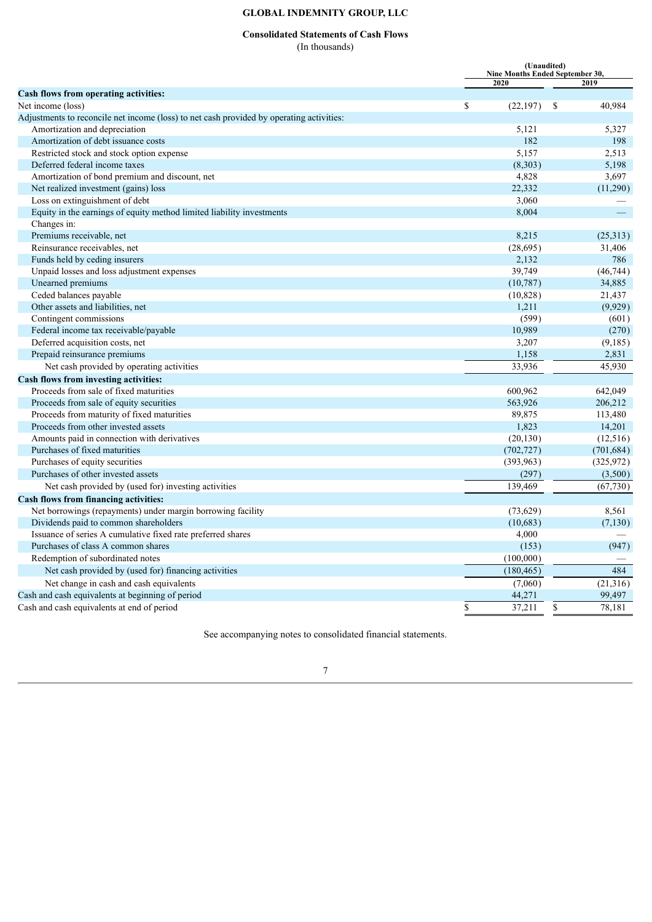## **Consolidated Statements of Cash Flows**

(In thousands)

<span id="page-6-0"></span>

|                                                                                          | (Unaudited)<br>Nine Months Ended September 30, |            |                 |            |
|------------------------------------------------------------------------------------------|------------------------------------------------|------------|-----------------|------------|
|                                                                                          |                                                | 2020       |                 | 2019       |
| <b>Cash flows from operating activities:</b>                                             |                                                |            |                 |            |
| Net income (loss)                                                                        | S                                              | (22, 197)  | <sup>\$</sup>   | 40,984     |
| Adjustments to reconcile net income (loss) to net cash provided by operating activities: |                                                |            |                 |            |
| Amortization and depreciation                                                            |                                                | 5,121      |                 | 5,327      |
| Amortization of debt issuance costs                                                      |                                                | 182        |                 | 198        |
| Restricted stock and stock option expense                                                |                                                | 5,157      |                 | 2,513      |
| Deferred federal income taxes                                                            |                                                | (8,303)    |                 | 5,198      |
| Amortization of bond premium and discount, net                                           |                                                | 4,828      |                 | 3,697      |
| Net realized investment (gains) loss                                                     |                                                | 22,332     |                 | (11,290)   |
| Loss on extinguishment of debt                                                           |                                                | 3,060      |                 |            |
| Equity in the earnings of equity method limited liability investments                    |                                                | 8,004      |                 |            |
| Changes in:                                                                              |                                                |            |                 |            |
| Premiums receivable, net                                                                 |                                                | 8,215      |                 | (25,313)   |
| Reinsurance receivables, net                                                             |                                                | (28, 695)  |                 | 31,406     |
| Funds held by ceding insurers                                                            |                                                | 2,132      |                 | 786        |
| Unpaid losses and loss adjustment expenses                                               |                                                | 39,749     |                 | (46, 744)  |
| Unearned premiums                                                                        |                                                | (10, 787)  |                 | 34,885     |
| Ceded balances payable                                                                   |                                                | (10, 828)  |                 | 21,437     |
| Other assets and liabilities, net                                                        |                                                | 1,211      |                 | (9,929)    |
| Contingent commissions                                                                   |                                                | (599)      |                 | (601)      |
| Federal income tax receivable/payable                                                    |                                                | 10,989     |                 | (270)      |
| Deferred acquisition costs, net                                                          |                                                | 3,207      |                 | (9,185)    |
| Prepaid reinsurance premiums                                                             |                                                | 1,158      |                 | 2,831      |
| Net cash provided by operating activities                                                |                                                | 33,936     |                 | 45,930     |
| <b>Cash flows from investing activities:</b>                                             |                                                |            |                 |            |
| Proceeds from sale of fixed maturities                                                   |                                                | 600,962    |                 | 642,049    |
| Proceeds from sale of equity securities                                                  |                                                | 563,926    |                 | 206,212    |
| Proceeds from maturity of fixed maturities                                               |                                                | 89,875     |                 | 113,480    |
| Proceeds from other invested assets                                                      |                                                | 1,823      |                 | 14,201     |
| Amounts paid in connection with derivatives                                              |                                                | (20, 130)  |                 | (12, 516)  |
| Purchases of fixed maturities                                                            |                                                | (702, 727) |                 | (701, 684) |
| Purchases of equity securities                                                           |                                                | (393, 963) |                 | (325, 972) |
| Purchases of other invested assets                                                       |                                                | (297)      |                 | (3,500)    |
| Net cash provided by (used for) investing activities                                     |                                                | 139,469    |                 | (67, 730)  |
| <b>Cash flows from financing activities:</b>                                             |                                                |            |                 |            |
| Net borrowings (repayments) under margin borrowing facility                              |                                                | (73,629)   |                 | 8,561      |
| Dividends paid to common shareholders                                                    |                                                | (10,683)   |                 | (7, 130)   |
| Issuance of series A cumulative fixed rate preferred shares                              |                                                | 4,000      |                 |            |
| Purchases of class A common shares                                                       |                                                | (153)      |                 | (947)      |
| Redemption of subordinated notes                                                         |                                                | (100,000)  |                 |            |
| Net cash provided by (used for) financing activities                                     |                                                | (180, 465) |                 | 484        |
| Net change in cash and cash equivalents                                                  |                                                | (7,060)    |                 | (21, 316)  |
| Cash and cash equivalents at beginning of period                                         |                                                | 44,271     |                 | 99,497     |
| Cash and cash equivalents at end of period                                               | $\overline{\$}$                                | 37,211     | $\overline{\$}$ | 78,181     |

See accompanying notes to consolidated financial statements.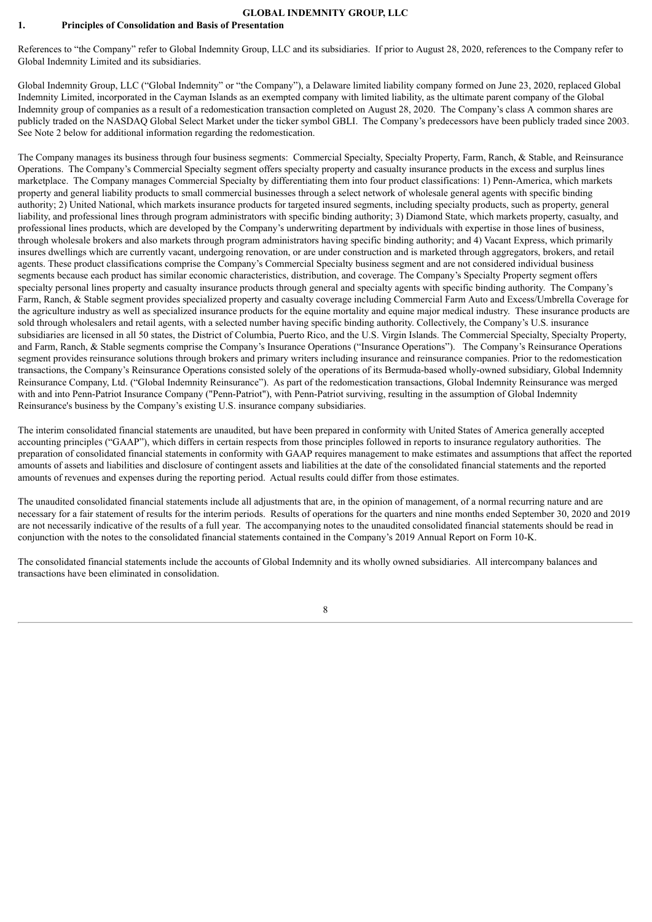#### <span id="page-7-0"></span>**1. Principles of Consolidation and Basis of Presentation**

References to "the Company" refer to Global Indemnity Group, LLC and its subsidiaries. If prior to August 28, 2020, references to the Company refer to Global Indemnity Limited and its subsidiaries.

Global Indemnity Group, LLC ("Global Indemnity" or "the Company"), a Delaware limited liability company formed on June 23, 2020, replaced Global Indemnity Limited, incorporated in the Cayman Islands as an exempted company with limited liability, as the ultimate parent company of the Global Indemnity group of companies as a result of a redomestication transaction completed on August 28, 2020. The Company's class A common shares are publicly traded on the NASDAQ Global Select Market under the ticker symbol GBLI. The Company's predecessors have been publicly traded since 2003. See Note 2 below for additional information regarding the redomestication.

The Company manages its business through four business segments: Commercial Specialty, Specialty Property, Farm, Ranch, & Stable, and Reinsurance Operations. The Company's Commercial Specialty segment offers specialty property and casualty insurance products in the excess and surplus lines marketplace. The Company manages Commercial Specialty by differentiating them into four product classifications: 1) Penn-America, which markets property and general liability products to small commercial businesses through a select network of wholesale general agents with specific binding authority; 2) United National, which markets insurance products for targeted insured segments, including specialty products, such as property, general liability, and professional lines through program administrators with specific binding authority; 3) Diamond State, which markets property, casualty, and professional lines products, which are developed by the Company's underwriting department by individuals with expertise in those lines of business, through wholesale brokers and also markets through program administrators having specific binding authority; and 4) Vacant Express, which primarily insures dwellings which are currently vacant, undergoing renovation, or are under construction and is marketed through aggregators, brokers, and retail agents. These product classifications comprise the Company's Commercial Specialty business segment and are not considered individual business segments because each product has similar economic characteristics, distribution, and coverage. The Company's Specialty Property segment offers specialty personal lines property and casualty insurance products through general and specialty agents with specific binding authority. The Company's Farm, Ranch, & Stable segment provides specialized property and casualty coverage including Commercial Farm Auto and Excess/Umbrella Coverage for the agriculture industry as well as specialized insurance products for the equine mortality and equine major medical industry. These insurance products are sold through wholesalers and retail agents, with a selected number having specific binding authority. Collectively, the Company's U.S. insurance subsidiaries are licensed in all 50 states, the District of Columbia, Puerto Rico, and the U.S. Virgin Islands. The Commercial Specialty, Specialty Property, and Farm, Ranch, & Stable segments comprise the Company's Insurance Operations ("Insurance Operations"). The Company's Reinsurance Operations segment provides reinsurance solutions through brokers and primary writers including insurance and reinsurance companies. Prior to the redomestication transactions, the Company's Reinsurance Operations consisted solely of the operations of its Bermuda-based wholly-owned subsidiary, Global Indemnity Reinsurance Company, Ltd. ("Global Indemnity Reinsurance"). As part of the redomestication transactions, Global Indemnity Reinsurance was merged with and into Penn-Patriot Insurance Company ("Penn-Patriot"), with Penn-Patriot surviving, resulting in the assumption of Global Indemnity Reinsurance's business by the Company's existing U.S. insurance company subsidiaries.

The interim consolidated financial statements are unaudited, but have been prepared in conformity with United States of America generally accepted accounting principles ("GAAP"), which differs in certain respects from those principles followed in reports to insurance regulatory authorities. The preparation of consolidated financial statements in conformity with GAAP requires management to make estimates and assumptions that affect the reported amounts of assets and liabilities and disclosure of contingent assets and liabilities at the date of the consolidated financial statements and the reported amounts of revenues and expenses during the reporting period. Actual results could differ from those estimates.

The unaudited consolidated financial statements include all adjustments that are, in the opinion of management, of a normal recurring nature and are necessary for a fair statement of results for the interim periods. Results of operations for the quarters and nine months ended September 30, 2020 and 2019 are not necessarily indicative of the results of a full year. The accompanying notes to the unaudited consolidated financial statements should be read in conjunction with the notes to the consolidated financial statements contained in the Company's 2019 Annual Report on Form 10-K.

The consolidated financial statements include the accounts of Global Indemnity and its wholly owned subsidiaries. All intercompany balances and transactions have been eliminated in consolidation.

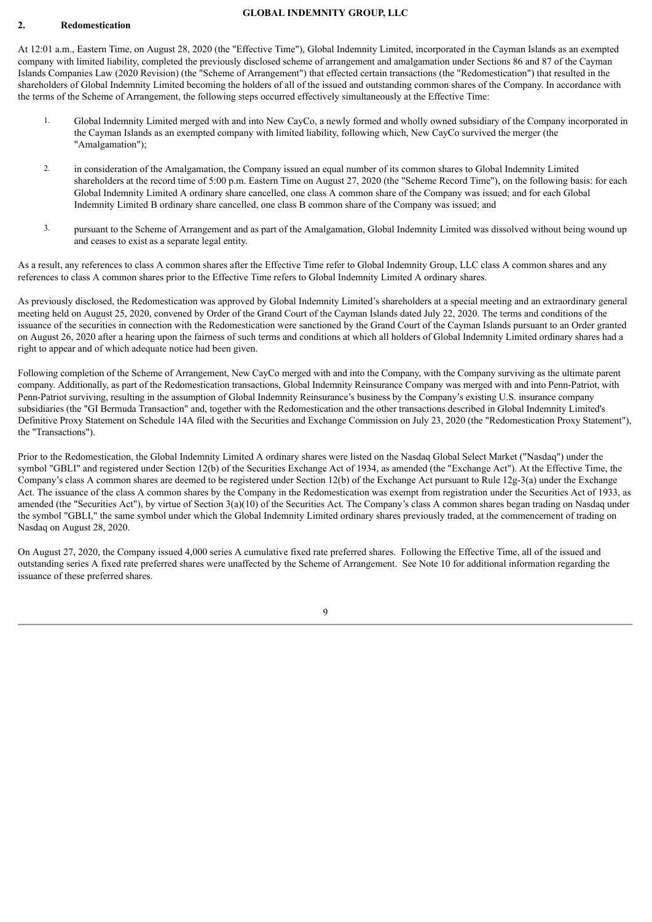#### **2. Redomestication**

#### **GLOBAL INDEMNITY GROUP, LLC**

At 12:01 a.m., Eastern Time, on August 28, 2020 (the "Effective Time"), Global Indemnity Limited, incorporated in the Cayman Islands as an exempted company with limited liability, completed the previously disclosed scheme of arrangement and amalgamation under Sections 86 and 87 of the Cayman Islands Companies Law (2020 Revision) (the "Scheme of Arrangement") that effected certain transactions (the "Redomestication") that resulted in the shareholders of Global Indemnity Limited becoming the holders of all of the issued and outstanding common shares of the Company. In accordance with the terms of the Scheme of Arrangement, the following steps occurred effectively simultaneously at the Effective Time:

- 1. Global Indemnity Limited merged with and into New CayCo, a newly formed and wholly owned subsidiary of the Company incorporated in the Cayman Islands as an exempted company with limited liability, following which, New CayCo survived the merger (the "Amalgamation");
- 2. in consideration of the Amalgamation, the Company issued an equal number of its common shares to Global Indemnity Limited shareholders at the record time of 5:00 p.m. Eastern Time on August 27, 2020 (the "Scheme Record Time"), on the following basis: for each Global Indemnity Limited A ordinary share cancelled, one class A common share of the Company was issued; and for each Global Indemnity Limited B ordinary share cancelled, one class B common share of the Company was issued; and
- 3. pursuant to the Scheme of Arrangement and as part of the Amalgamation, Global Indemnity Limited was dissolved without being wound up and ceases to exist as a separate legal entity.

As a result, any references to class A common shares after the Effective Time refer to Global Indemnity Group, LLC class A common shares and any references to class A common shares prior to the Effective Time refers to Global Indemnity Limited A ordinary shares.

As previously disclosed, the Redomestication was approved by Global Indemnity Limited's shareholders at a special meeting and an extraordinary general meeting held on August 25, 2020, convened by Order of the Grand Court of the Cayman Islands dated July 22, 2020. The terms and conditions of the issuance of the securities in connection with the Redomestication were sanctioned by the Grand Court of the Cayman Islands pursuant to an Order granted on August 26, 2020 after a hearing upon the fairness of such terms and conditions at which all holders of Global Indemnity Limited ordinary shares had a right to appear and of which adequate notice had been given.

Following completion of the Scheme of Arrangement, New CayCo merged with and into the Company, with the Company surviving as the ultimate parent company. Additionally, as part of the Redomestication transactions, Global Indemnity Reinsurance Company was merged with and into Penn-Patriot, with Penn-Patriot surviving, resulting in the assumption of Global Indemnity Reinsurance's business by the Company's existing U.S. insurance company subsidiaries (the "GI Bermuda Transaction" and, together with the Redomestication and the other transactions described in Global Indemnity Limited's Definitive Proxy Statement on Schedule 14A filed with the Securities and Exchange Commission on July 23, 2020 (the "Redomestication Proxy Statement"), the "Transactions").

Prior to the Redomestication, the Global Indemnity Limited A ordinary shares were listed on the Nasdaq Global Select Market ("Nasdaq") under the symbol "GBLI" and registered under Section 12(b) of the Securities Exchange Act of 1934, as amended (the "Exchange Act"). At the Effective Time, the Company's class A common shares are deemed to be registered under Section 12(b) of the Exchange Act pursuant to Rule 12g-3(a) under the Exchange Act. The issuance of the class A common shares by the Company in the Redomestication was exempt from registration under the Securities Act of 1933, as amended (the "Securities Act"), by virtue of Section 3(a)(10) of the Securities Act. The Company's class A common shares began trading on Nasdaq under the symbol "GBLI," the same symbol under which the Global Indemnity Limited ordinary shares previously traded, at the commencement of trading on Nasdaq on August 28, 2020.

On August 27, 2020, the Company issued 4,000 series A cumulative fixed rate preferred shares. Following the Effective Time, all of the issued and outstanding series A fixed rate preferred shares were unaffected by the Scheme of Arrangement. See Note 10 for additional information regarding the issuance of these preferred shares.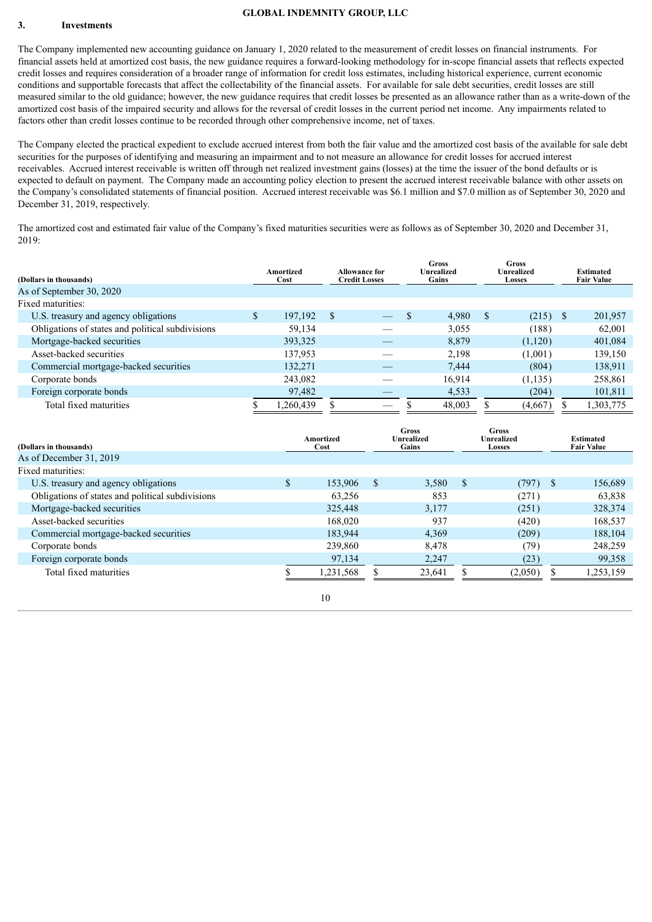#### **3. Investments**

#### **GLOBAL INDEMNITY GROUP, LLC**

The Company implemented new accounting guidance on January 1, 2020 related to the measurement of credit losses on financial instruments. For financial assets held at amortized cost basis, the new guidance requires a forward-looking methodology for in-scope financial assets that reflects expected credit losses and requires consideration of a broader range of information for credit loss estimates, including historical experience, current economic conditions and supportable forecasts that affect the collectability of the financial assets. For available for sale debt securities, credit losses are still measured similar to the old guidance; however, the new guidance requires that credit losses be presented as an allowance rather than as a write-down of the amortized cost basis of the impaired security and allows for the reversal of credit losses in the current period net income. Any impairments related to factors other than credit losses continue to be recorded through other comprehensive income, net of taxes.

The Company elected the practical expedient to exclude accrued interest from both the fair value and the amortized cost basis of the available for sale debt securities for the purposes of identifying and measuring an impairment and to not measure an allowance for credit losses for accrued interest receivables. Accrued interest receivable is written off through net realized investment gains (losses) at the time the issuer of the bond defaults or is expected to default on payment. The Company made an accounting policy election to present the accrued interest receivable balance with other assets on the Company's consolidated statements of financial position. Accrued interest receivable was \$6.1 million and \$7.0 million as of September 30, 2020 and December 31, 2019, respectively.

The amortized cost and estimated fair value of the Company's fixed maturities securities were as follows as of September 30, 2020 and December 31, 2019:

| (Dollars in thousands)                           |     | Amortized<br>Cost |              | <b>Allowance for</b><br><b>Credit Losses</b> | <b>Gross</b><br><b>Unrealized</b><br>Gains |              | <b>Gross</b><br><b>Unrealized</b><br><b>Losses</b> |              | <b>Estimated</b><br><b>Fair Value</b> |
|--------------------------------------------------|-----|-------------------|--------------|----------------------------------------------|--------------------------------------------|--------------|----------------------------------------------------|--------------|---------------------------------------|
| As of September 30, 2020                         |     |                   |              |                                              |                                            |              |                                                    |              |                                       |
| Fixed maturities:                                |     |                   |              |                                              |                                            |              |                                                    |              |                                       |
| U.S. treasury and agency obligations             | \$. | 197,192           | <sup>S</sup> |                                              | 4,980                                      | <sup>S</sup> | (215)                                              | <sup>S</sup> | 201,957                               |
| Obligations of states and political subdivisions |     | 59,134            |              |                                              | 3,055                                      |              | (188)                                              |              | 62,001                                |
| Mortgage-backed securities                       |     | 393,325           |              |                                              | 8,879                                      |              | (1,120)                                            |              | 401,084                               |
| Asset-backed securities                          |     | 137,953           |              |                                              | 2.198                                      |              | (1,001)                                            |              | 139,150                               |
| Commercial mortgage-backed securities            |     | 132,271           |              |                                              | 7,444                                      |              | (804)                                              |              | 138,911                               |
| Corporate bonds                                  |     | 243,082           |              |                                              | 16,914                                     |              | (1, 135)                                           |              | 258,861                               |
| Foreign corporate bonds                          |     | 97,482            |              |                                              | 4,533                                      |              | (204)                                              |              | 101,811                               |
| Total fixed maturities                           |     | 1,260,439         |              |                                              | 48,003                                     |              | (4,667)                                            |              | 1,303,775                             |

| (Dollars in thousands)                           |    | Amortized<br>Cost |   | Gross<br>Unrealized<br>Gains |               | <b>Gross</b><br>Unrealized<br><b>Losses</b> | <b>Estimated</b><br><b>Fair Value</b> |
|--------------------------------------------------|----|-------------------|---|------------------------------|---------------|---------------------------------------------|---------------------------------------|
| As of December 31, 2019                          |    |                   |   |                              |               |                                             |                                       |
| Fixed maturities:                                |    |                   |   |                              |               |                                             |                                       |
| U.S. treasury and agency obligations             | S. | 153,906           | S | 3,580                        | <sup>\$</sup> | $(797)$ \$                                  | 156,689                               |
| Obligations of states and political subdivisions |    | 63,256            |   | 853                          |               | (271)                                       | 63,838                                |
| Mortgage-backed securities                       |    | 325,448           |   | 3,177                        |               | (251)                                       | 328,374                               |
| Asset-backed securities                          |    | 168,020           |   | 937                          |               | (420)                                       | 168,537                               |
| Commercial mortgage-backed securities            |    | 183,944           |   | 4,369                        |               | (209)                                       | 188,104                               |
| Corporate bonds                                  |    | 239,860           |   | 8,478                        |               | (79)                                        | 248,259                               |
| Foreign corporate bonds                          |    | 97,134            |   | 2,247                        |               | (23)                                        | 99,358                                |
| Total fixed maturities                           |    | 1,231,568         |   | 23,641                       |               | (2,050)                                     | 1,253,159                             |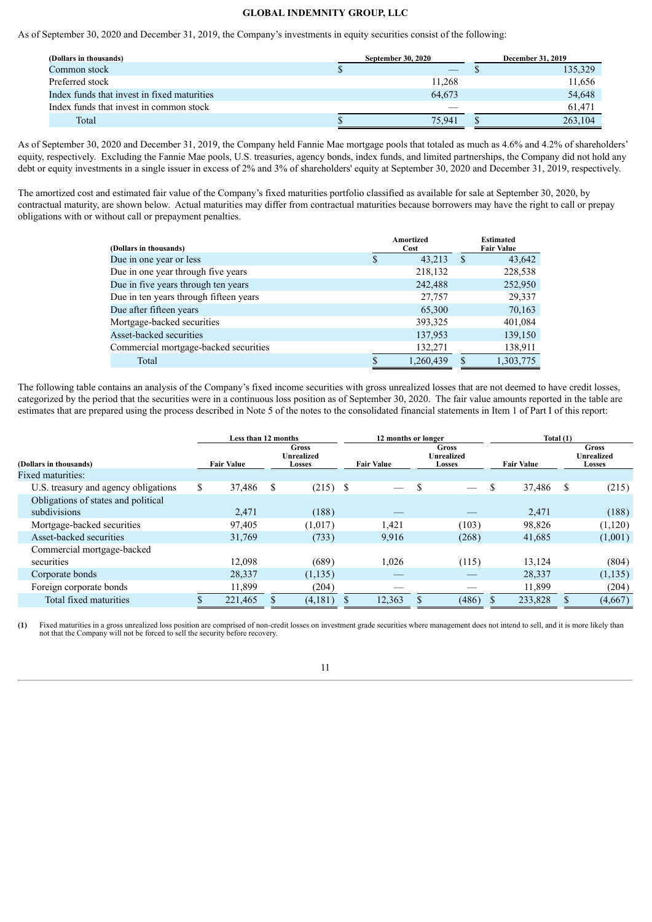As of September 30, 2020 and December 31, 2019, the Company's investments in equity securities consist of the following:

| (Dollars in thousands)                      | <b>September 30, 2020</b> | <b>December 31, 2019</b> |
|---------------------------------------------|---------------------------|--------------------------|
| Common stock                                |                           | 135,329                  |
| Preferred stock                             | 11,268                    | 11,656                   |
| Index funds that invest in fixed maturities | 64.673                    | 54,648                   |
| Index funds that invest in common stock     |                           | 61.471                   |
| Total                                       | 75.941                    | 263,104                  |

As of September 30, 2020 and December 31, 2019, the Company held Fannie Mae mortgage pools that totaled as much as 4.6% and 4.2% of shareholders' equity, respectively. Excluding the Fannie Mae pools, U.S. treasuries, agency bonds, index funds, and limited partnerships, the Company did not hold any debt or equity investments in a single issuer in excess of 2% and 3% of shareholders' equity at September 30, 2020 and December 31, 2019, respectively.

The amortized cost and estimated fair value of the Company's fixed maturities portfolio classified as available for sale at September 30, 2020, by contractual maturity, are shown below. Actual maturities may differ from contractual maturities because borrowers may have the right to call or prepay obligations with or without call or prepayment penalties.

| (Dollars in thousands)                 | Amortized<br>Cost |           |   | <b>Estimated</b><br><b>Fair Value</b> |
|----------------------------------------|-------------------|-----------|---|---------------------------------------|
| Due in one year or less                | \$                | 43,213    | S | 43,642                                |
| Due in one year through five years     |                   | 218,132   |   | 228,538                               |
| Due in five years through ten years    |                   | 242,488   |   | 252,950                               |
| Due in ten years through fifteen years |                   | 27,757    |   | 29,337                                |
| Due after fifteen years                |                   | 65,300    |   | 70,163                                |
| Mortgage-backed securities             |                   | 393,325   |   | 401,084                               |
| Asset-backed securities                |                   | 137,953   |   | 139,150                               |
| Commercial mortgage-backed securities  |                   | 132,271   |   | 138,911                               |
| Total                                  | \$                | 1,260,439 | S | 1,303,775                             |

The following table contains an analysis of the Company's fixed income securities with gross unrealized losses that are not deemed to have credit losses, categorized by the period that the securities were in a continuous loss position as of September 30, 2020. The fair value amounts reported in the table are estimates that are prepared using the process described in Note 5 of the notes to the consolidated financial statements in Item 1 of Part I of this report:

|                                      | Less than 12 months |                                      | 12 months or longer |        |                                      |       | Total $(1)$       |         |    |                                      |
|--------------------------------------|---------------------|--------------------------------------|---------------------|--------|--------------------------------------|-------|-------------------|---------|----|--------------------------------------|
| (Dollars in thousands)               | <b>Fair Value</b>   | Gross<br><b>Unrealized</b><br>Losses | <b>Fair Value</b>   |        | Gross<br>Unrealized<br><b>Losses</b> |       | <b>Fair Value</b> |         |    | <b>Gross</b><br>Unrealized<br>Losses |
| Fixed maturities:                    |                     |                                      |                     |        |                                      |       |                   |         |    |                                      |
| U.S. treasury and agency obligations | \$<br>37,486        | \$<br>$(215)$ \$                     |                     |        |                                      |       | <sup>\$</sup>     | 37,486  | -S | (215)                                |
| Obligations of states and political  |                     |                                      |                     |        |                                      |       |                   |         |    |                                      |
| subdivisions                         | 2,471               | (188)                                |                     |        |                                      |       |                   | 2,471   |    | (188)                                |
| Mortgage-backed securities           | 97,405              | (1,017)                              |                     | 1.421  |                                      | (103) |                   | 98,826  |    | (1,120)                              |
| Asset-backed securities              | 31,769              | (733)                                |                     | 9.916  |                                      | (268) |                   | 41,685  |    | (1,001)                              |
| Commercial mortgage-backed           |                     |                                      |                     |        |                                      |       |                   |         |    |                                      |
| securities                           | 12.098              | (689)                                |                     | 1,026  |                                      | (115) |                   | 13,124  |    | (804)                                |
| Corporate bonds                      | 28,337              | (1,135)                              |                     |        |                                      |       |                   | 28,337  |    | (1,135)                              |
| Foreign corporate bonds              | 11,899              | (204)                                |                     |        |                                      |       |                   | 11,899  |    | (204)                                |
| Total fixed maturities               | 221,465             | (4,181)                              |                     | 12,363 |                                      | (486) |                   | 233,828 |    | (4,667)                              |

**(1)** Fixed maturities in a gross unrealized loss position are comprised of non-credit losses on investment grade securities where management does not intend to sell, and it is more likely than not that the Company will not be forced to sell the security before recovery.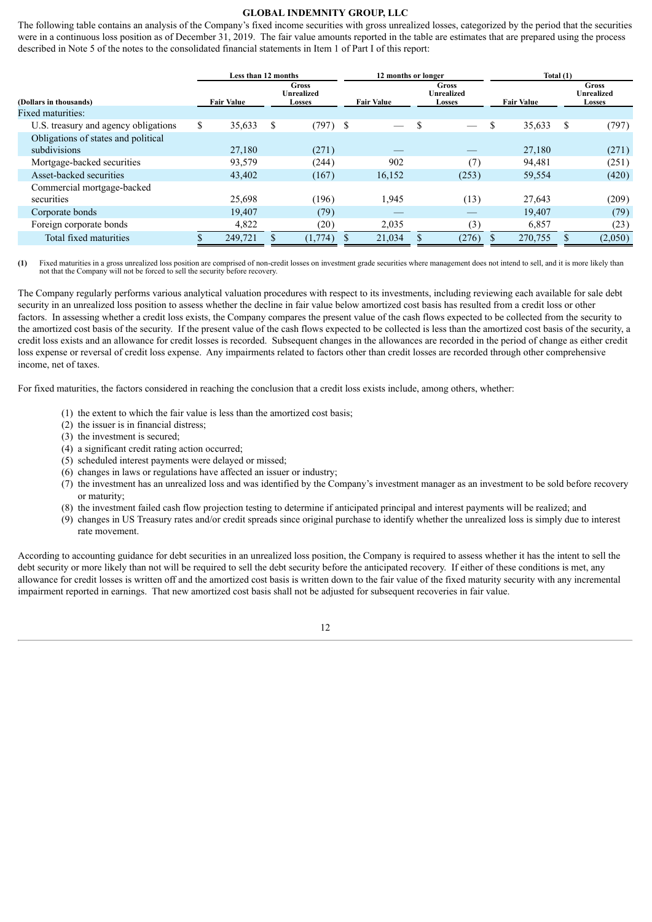The following table contains an analysis of the Company's fixed income securities with gross unrealized losses, categorized by the period that the securities were in a continuous loss position as of December 31, 2019. The fair value amounts reported in the table are estimates that are prepared using the process described in Note 5 of the notes to the consolidated financial statements in Item 1 of Part I of this report:

|                                      | Less than 12 months<br>12 months or longer |   |                                             |                   | Total $(1)$              |                                             |                   |         |   |                                             |
|--------------------------------------|--------------------------------------------|---|---------------------------------------------|-------------------|--------------------------|---------------------------------------------|-------------------|---------|---|---------------------------------------------|
| (Dollars in thousands)               | Fair Value                                 |   | Gross<br><b>Unrealized</b><br><b>Losses</b> | <b>Fair Value</b> |                          | Gross<br><b>Unrealized</b><br><b>Losses</b> | <b>Fair Value</b> |         |   | Gross<br><b>Unrealized</b><br><b>Losses</b> |
| Fixed maturities:                    |                                            |   |                                             |                   |                          |                                             |                   |         |   |                                             |
| U.S. treasury and agency obligations | \$<br>35,633                               | S | $(797)$ \$                                  |                   | $\overline{\phantom{0}}$ |                                             | S                 | 35,633  | S | (797)                                       |
| Obligations of states and political  |                                            |   |                                             |                   |                          |                                             |                   |         |   |                                             |
| subdivisions                         | 27.180                                     |   | (271)                                       |                   |                          |                                             |                   | 27,180  |   | (271)                                       |
| Mortgage-backed securities           | 93,579                                     |   | (244)                                       |                   | 902                      | (7)                                         |                   | 94,481  |   | (251)                                       |
| Asset-backed securities              | 43,402                                     |   | (167)                                       |                   | 16,152                   | (253)                                       |                   | 59,554  |   | (420)                                       |
| Commercial mortgage-backed           |                                            |   |                                             |                   |                          |                                             |                   |         |   |                                             |
| securities                           | 25.698                                     |   | (196)                                       |                   | 1,945                    | (13)                                        |                   | 27,643  |   | (209)                                       |
| Corporate bonds                      | 19.407                                     |   | (79)                                        |                   |                          |                                             |                   | 19,407  |   | (79)                                        |
| Foreign corporate bonds              | 4,822                                      |   | (20)                                        |                   | 2,035                    | (3)                                         |                   | 6,857   |   | (23)                                        |
| Total fixed maturities               | 249,721                                    |   | (1, 774)                                    |                   | 21,034                   | (276)                                       |                   | 270,755 |   | (2,050)                                     |

(1) Fixed maturities in a gross unrealized loss position are comprised of non-credit losses on investment grade securities where management does not intend to sell, and it is more likely than not that the Company will not

The Company regularly performs various analytical valuation procedures with respect to its investments, including reviewing each available for sale debt security in an unrealized loss position to assess whether the decline in fair value below amortized cost basis has resulted from a credit loss or other factors. In assessing whether a credit loss exists, the Company compares the present value of the cash flows expected to be collected from the security to the amortized cost basis of the security. If the present value of the cash flows expected to be collected is less than the amortized cost basis of the security, a credit loss exists and an allowance for credit losses is recorded. Subsequent changes in the allowances are recorded in the period of change as either credit loss expense or reversal of credit loss expense. Any impairments related to factors other than credit losses are recorded through other comprehensive income, net of taxes.

For fixed maturities, the factors considered in reaching the conclusion that a credit loss exists include, among others, whether:

- (1) the extent to which the fair value is less than the amortized cost basis;
- (2) the issuer is in financial distress;
- (3) the investment is secured;
- (4) a significant credit rating action occurred;
- (5) scheduled interest payments were delayed or missed;
- (6) changes in laws or regulations have affected an issuer or industry;
- (7) the investment has an unrealized loss and was identified by the Company's investment manager as an investment to be sold before recovery or maturity;
- (8) the investment failed cash flow projection testing to determine if anticipated principal and interest payments will be realized; and
- (9) changes in US Treasury rates and/or credit spreads since original purchase to identify whether the unrealized loss is simply due to interest rate movement.

According to accounting guidance for debt securities in an unrealized loss position, the Company is required to assess whether it has the intent to sell the debt security or more likely than not will be required to sell the debt security before the anticipated recovery. If either of these conditions is met, any allowance for credit losses is written off and the amortized cost basis is written down to the fair value of the fixed maturity security with any incremental impairment reported in earnings. That new amortized cost basis shall not be adjusted for subsequent recoveries in fair value.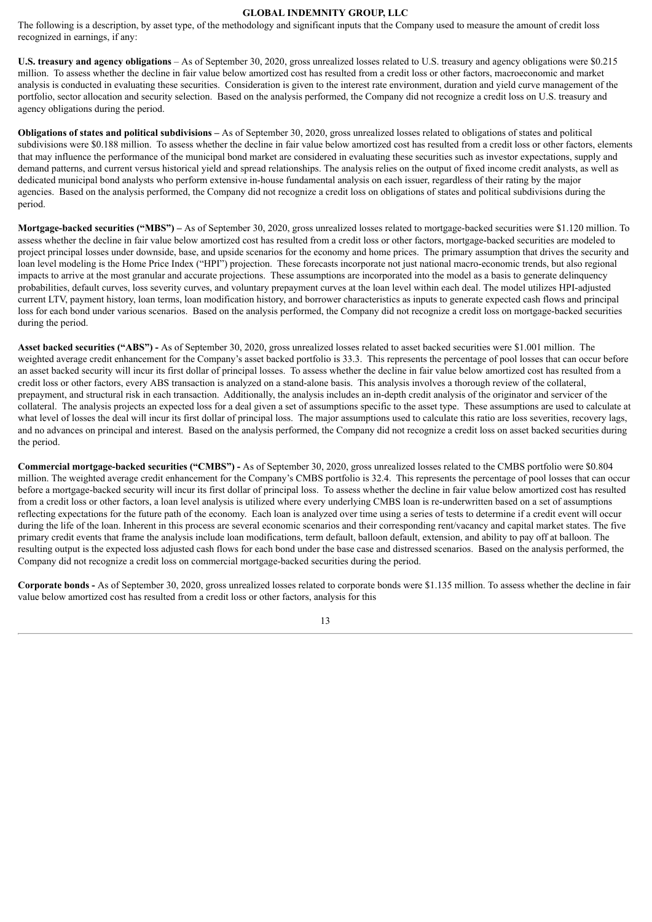The following is a description, by asset type, of the methodology and significant inputs that the Company used to measure the amount of credit loss recognized in earnings, if any:

**U.S. treasury and agency obligations** – As of September 30, 2020, gross unrealized losses related to U.S. treasury and agency obligations were \$0.215 million. To assess whether the decline in fair value below amortized cost has resulted from a credit loss or other factors, macroeconomic and market analysis is conducted in evaluating these securities. Consideration is given to the interest rate environment, duration and yield curve management of the portfolio, sector allocation and security selection. Based on the analysis performed, the Company did not recognize a credit loss on U.S. treasury and agency obligations during the period.

**Obligations of states and political subdivisions –** As of September 30, 2020, gross unrealized losses related to obligations of states and political subdivisions were \$0.188 million. To assess whether the decline in fair value below amortized cost has resulted from a credit loss or other factors, elements that may influence the performance of the municipal bond market are considered in evaluating these securities such as investor expectations, supply and demand patterns, and current versus historical yield and spread relationships. The analysis relies on the output of fixed income credit analysts, as well as dedicated municipal bond analysts who perform extensive in-house fundamental analysis on each issuer, regardless of their rating by the major agencies. Based on the analysis performed, the Company did not recognize a credit loss on obligations of states and political subdivisions during the period.

**Mortgage-backed securities ("MBS") –** As of September 30, 2020, gross unrealized losses related to mortgage-backed securities were \$1.120 million. To assess whether the decline in fair value below amortized cost has resulted from a credit loss or other factors, mortgage-backed securities are modeled to project principal losses under downside, base, and upside scenarios for the economy and home prices. The primary assumption that drives the security and loan level modeling is the Home Price Index ("HPI") projection. These forecasts incorporate not just national macro-economic trends, but also regional impacts to arrive at the most granular and accurate projections. These assumptions are incorporated into the model as a basis to generate delinquency probabilities, default curves, loss severity curves, and voluntary prepayment curves at the loan level within each deal. The model utilizes HPI-adjusted current LTV, payment history, loan terms, loan modification history, and borrower characteristics as inputs to generate expected cash flows and principal loss for each bond under various scenarios. Based on the analysis performed, the Company did not recognize a credit loss on mortgage-backed securities during the period.

**Asset backed securities ("ABS") -** As of September 30, 2020, gross unrealized losses related to asset backed securities were \$1.001 million. The weighted average credit enhancement for the Company's asset backed portfolio is 33.3. This represents the percentage of pool losses that can occur before an asset backed security will incur its first dollar of principal losses. To assess whether the decline in fair value below amortized cost has resulted from a credit loss or other factors, every ABS transaction is analyzed on a stand-alone basis. This analysis involves a thorough review of the collateral, prepayment, and structural risk in each transaction. Additionally, the analysis includes an in-depth credit analysis of the originator and servicer of the collateral. The analysis projects an expected loss for a deal given a set of assumptions specific to the asset type. These assumptions are used to calculate at what level of losses the deal will incur its first dollar of principal loss. The major assumptions used to calculate this ratio are loss severities, recovery lags, and no advances on principal and interest. Based on the analysis performed, the Company did not recognize a credit loss on asset backed securities during the period.

**Commercial mortgage-backed securities ("CMBS") -** As of September 30, 2020, gross unrealized losses related to the CMBS portfolio were \$0.804 million. The weighted average credit enhancement for the Company's CMBS portfolio is 32.4. This represents the percentage of pool losses that can occur before a mortgage-backed security will incur its first dollar of principal loss. To assess whether the decline in fair value below amortized cost has resulted from a credit loss or other factors, a loan level analysis is utilized where every underlying CMBS loan is re-underwritten based on a set of assumptions reflecting expectations for the future path of the economy. Each loan is analyzed over time using a series of tests to determine if a credit event will occur during the life of the loan. Inherent in this process are several economic scenarios and their corresponding rent/vacancy and capital market states. The five primary credit events that frame the analysis include loan modifications, term default, balloon default, extension, and ability to pay off at balloon. The resulting output is the expected loss adjusted cash flows for each bond under the base case and distressed scenarios. Based on the analysis performed, the Company did not recognize a credit loss on commercial mortgage-backed securities during the period.

**Corporate bonds -** As of September 30, 2020, gross unrealized losses related to corporate bonds were \$1.135 million. To assess whether the decline in fair value below amortized cost has resulted from a credit loss or other factors, analysis for this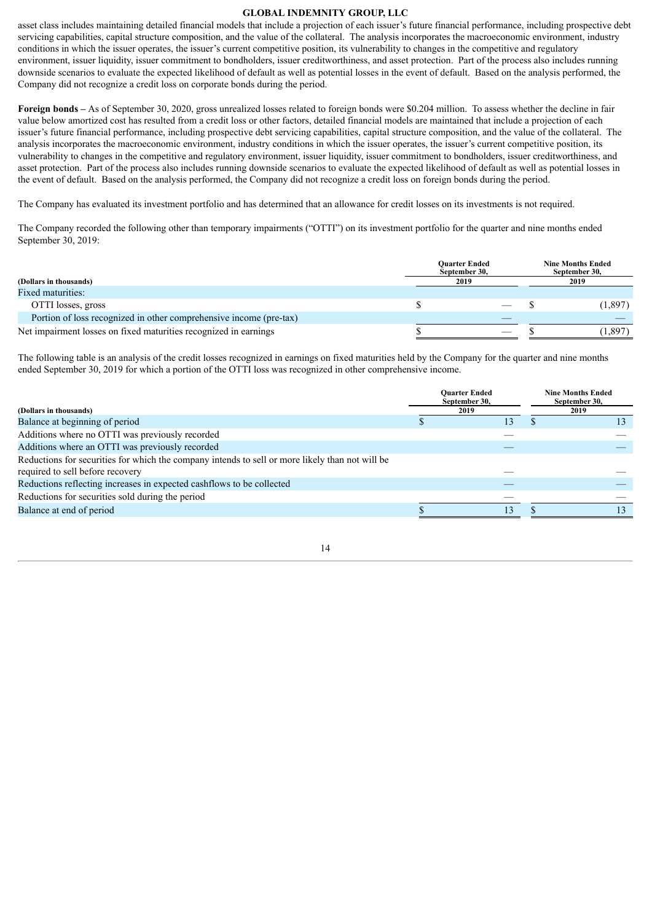asset class includes maintaining detailed financial models that include a projection of each issuer's future financial performance, including prospective debt servicing capabilities, capital structure composition, and the value of the collateral. The analysis incorporates the macroeconomic environment, industry conditions in which the issuer operates, the issuer's current competitive position, its vulnerability to changes in the competitive and regulatory environment, issuer liquidity, issuer commitment to bondholders, issuer creditworthiness, and asset protection. Part of the process also includes running downside scenarios to evaluate the expected likelihood of default as well as potential losses in the event of default. Based on the analysis performed, the Company did not recognize a credit loss on corporate bonds during the period.

**Foreign bonds** – As of September 30, 2020, gross unrealized losses related to foreign bonds were \$0.204 million. To assess whether the decline in fair value below amortized cost has resulted from a credit loss or other factors, detailed financial models are maintained that include a projection of each issuer's future financial performance, including prospective debt servicing capabilities, capital structure composition, and the value of the collateral. The analysis incorporates the macroeconomic environment, industry conditions in which the issuer operates, the issuer's current competitive position, its vulnerability to changes in the competitive and regulatory environment, issuer liquidity, issuer commitment to bondholders, issuer creditworthiness, and asset protection. Part of the process also includes running downside scenarios to evaluate the expected likelihood of default as well as potential losses in the event of default. Based on the analysis performed, the Company did not recognize a credit loss on foreign bonds during the period.

The Company has evaluated its investment portfolio and has determined that an allowance for credit losses on its investments is not required.

The Company recorded the following other than temporary impairments ("OTTI") on its investment portfolio for the quarter and nine months ended September 30, 2019:

|                                                                    | <b>Ouarter Ended</b><br>September 30, | <b>Nine Months Ended</b><br>September 30, |  |         |  |
|--------------------------------------------------------------------|---------------------------------------|-------------------------------------------|--|---------|--|
| (Dollars in thousands)                                             |                                       | 2019                                      |  | 2019    |  |
| Fixed maturities:                                                  |                                       |                                           |  |         |  |
| OTTI losses, gross                                                 |                                       |                                           |  | (1,897) |  |
| Portion of loss recognized in other comprehensive income (pre-tax) |                                       |                                           |  |         |  |
| Net impairment losses on fixed maturities recognized in earnings   |                                       |                                           |  | (1,897) |  |

The following table is an analysis of the credit losses recognized in earnings on fixed maturities held by the Company for the quarter and nine months ended September 30, 2019 for which a portion of the OTTI loss was recognized in other comprehensive income.

|                                                                                                 | <b>Ouarter Ended</b><br>September 30, | <b>Nine Months Ended</b><br>September 30, |      |  |
|-------------------------------------------------------------------------------------------------|---------------------------------------|-------------------------------------------|------|--|
| (Dollars in thousands)                                                                          | 2019                                  |                                           | 2019 |  |
| Balance at beginning of period                                                                  |                                       |                                           | 13   |  |
| Additions where no OTTI was previously recorded                                                 |                                       |                                           |      |  |
| Additions where an OTTI was previously recorded                                                 |                                       |                                           |      |  |
| Reductions for securities for which the company intends to sell or more likely than not will be |                                       |                                           |      |  |
| required to sell before recovery                                                                |                                       |                                           |      |  |
| Reductions reflecting increases in expected cashflows to be collected                           |                                       |                                           |      |  |
| Reductions for securities sold during the period                                                |                                       |                                           |      |  |
| Balance at end of period                                                                        |                                       |                                           | 13   |  |

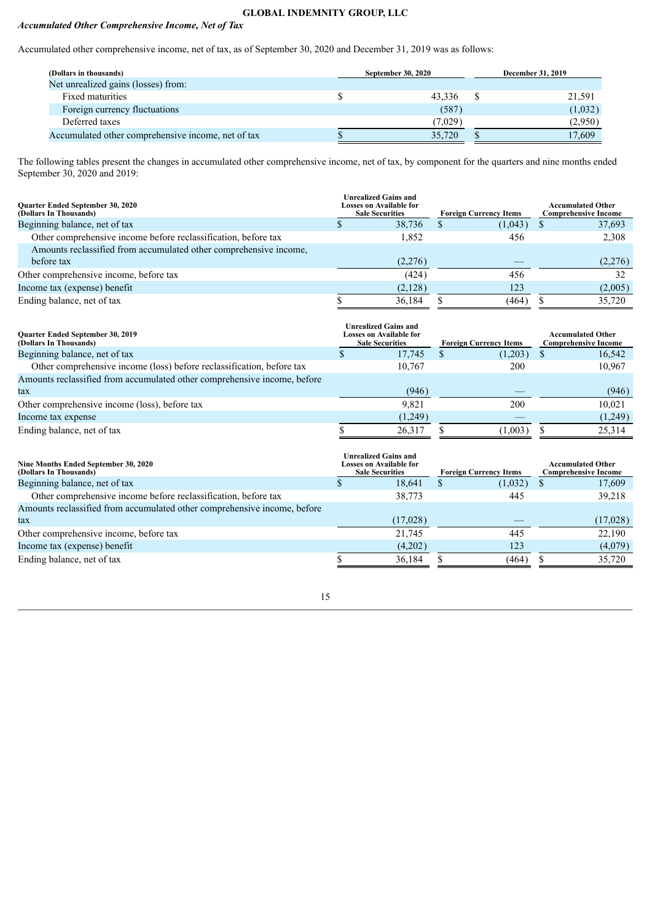#### *Accumulated Other Comprehensive Income, Net of Tax*

Accumulated other comprehensive income, net of tax, as of September 30, 2020 and December 31, 2019 was as follows:

| (Dollars in thousands)                             | <b>September 30, 2020</b> | <b>December 31, 2019</b> |
|----------------------------------------------------|---------------------------|--------------------------|
| Net unrealized gains (losses) from:                |                           |                          |
| Fixed maturities                                   | 43.336                    | 21,591                   |
| Foreign currency fluctuations                      | (587)                     | (1,032)                  |
| Deferred taxes                                     | (7.029)                   | (2,950)                  |
| Accumulated other comprehensive income, net of tax | 35,720                    | 17.609                   |

The following tables present the changes in accumulated other comprehensive income, net of tax, by component for the quarters and nine months ended September 30, 2020 and 2019:

| Quarter Ended September 30, 2020<br>(Dollars In Thousands)        |  | <b>Unrealized Gains and</b><br>Losses on Available for<br><b>Sale Securities</b> | <b>Foreign Currency Items</b> | <b>Accumulated Other</b><br><b>Comprehensive Income</b> |         |  |
|-------------------------------------------------------------------|--|----------------------------------------------------------------------------------|-------------------------------|---------------------------------------------------------|---------|--|
| Beginning balance, net of tax                                     |  | 38,736                                                                           | (1,043)                       |                                                         | 37,693  |  |
| Other comprehensive income before reclassification, before tax    |  | 1.852                                                                            | 456                           |                                                         | 2,308   |  |
| Amounts reclassified from accumulated other comprehensive income, |  |                                                                                  |                               |                                                         |         |  |
| before tax                                                        |  | (2,276)                                                                          |                               |                                                         | (2,276) |  |
| Other comprehensive income, before tax                            |  | (424)                                                                            | 456                           |                                                         | 32      |  |
| Income tax (expense) benefit                                      |  | (2,128)                                                                          | 123                           |                                                         | (2,005) |  |
| Ending balance, net of tax                                        |  | 36.184                                                                           | (464)                         |                                                         | 35.720  |  |
|                                                                   |  |                                                                                  |                               |                                                         |         |  |

| Quarter Ended September 30, 2019<br>(Dollars In Thousands)               |  | <b>Unrealized Gains and</b><br><b>Losses on Available for</b><br><b>Sale Securities</b> | <b>Foreign Currency Items</b> | <b>Accumulated Other</b><br><b>Comprehensive Income</b> |         |  |
|--------------------------------------------------------------------------|--|-----------------------------------------------------------------------------------------|-------------------------------|---------------------------------------------------------|---------|--|
| Beginning balance, net of tax                                            |  | 17,745                                                                                  | (1,203)                       |                                                         | 16,542  |  |
| Other comprehensive income (loss) before reclassification, before tax    |  | 10,767                                                                                  | 200                           |                                                         | 10.967  |  |
| Amounts reclassified from accumulated other comprehensive income, before |  |                                                                                         |                               |                                                         |         |  |
| tax                                                                      |  | (946)                                                                                   |                               |                                                         | (946)   |  |
| Other comprehensive income (loss), before tax                            |  | 9.821                                                                                   | 200                           |                                                         | 10.021  |  |
| Income tax expense                                                       |  | (1,249)                                                                                 |                               |                                                         | (1,249) |  |
| Ending balance, net of tax                                               |  | 26.317                                                                                  | (1,003)                       |                                                         | 25.314  |  |
|                                                                          |  |                                                                                         |                               |                                                         |         |  |

| Nine Months Ended September 30, 2020<br>(Dollars In Thousands)           | <b>Unrealized Gains and</b><br><b>Losses on Available for</b><br><b>Sale Securities</b> |          |    | <b>Foreign Currency Items</b> | <b>Accumulated Other</b><br><b>Comprehensive Income</b> |          |  |
|--------------------------------------------------------------------------|-----------------------------------------------------------------------------------------|----------|----|-------------------------------|---------------------------------------------------------|----------|--|
| Beginning balance, net of tax                                            |                                                                                         | 18,641   | Ъ. | (1,032)                       |                                                         | 17,609   |  |
| Other comprehensive income before reclassification, before tax           |                                                                                         | 38,773   |    | 445                           |                                                         | 39,218   |  |
| Amounts reclassified from accumulated other comprehensive income, before |                                                                                         |          |    |                               |                                                         |          |  |
| tax                                                                      |                                                                                         | (17,028) |    |                               |                                                         | (17,028) |  |
| Other comprehensive income, before tax                                   |                                                                                         | 21,745   |    | 445                           |                                                         | 22,190   |  |
| Income tax (expense) benefit                                             |                                                                                         | (4,202)  |    | 123                           |                                                         | (4,079)  |  |
| Ending balance, net of tax                                               |                                                                                         | 36,184   |    | (464)                         |                                                         | 35,720   |  |
|                                                                          |                                                                                         |          |    |                               |                                                         |          |  |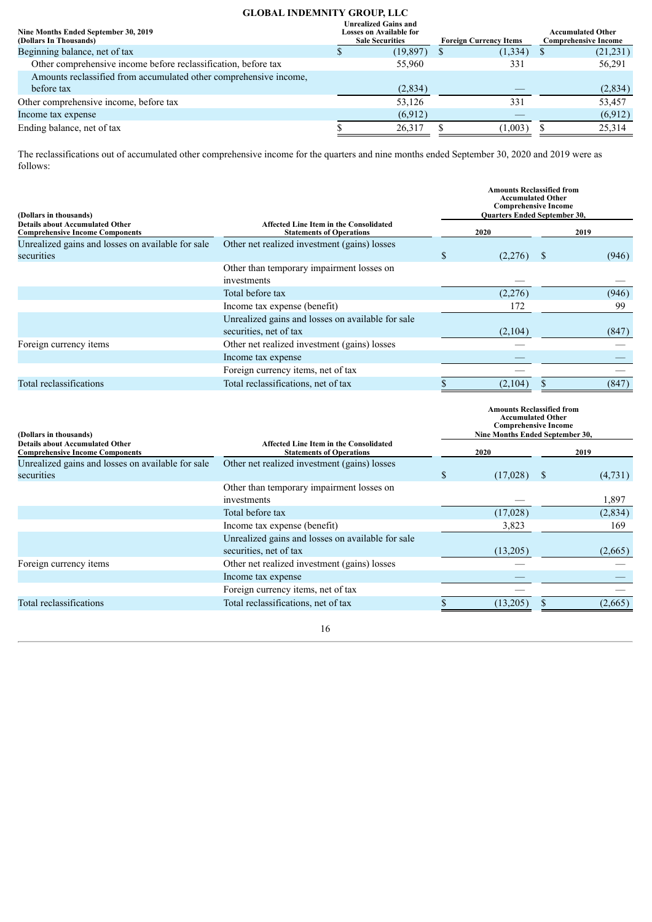| Nine Months Ended September 30, 2019<br>(Dollars In Thousands)    | Unrealized Gains and<br>Losses on Available for<br><b>Sale Securities</b> | <b>Foreign Currency Items</b> | <b>Accumulated Other</b><br><b>Comprehensive Income</b> |           |  |
|-------------------------------------------------------------------|---------------------------------------------------------------------------|-------------------------------|---------------------------------------------------------|-----------|--|
| Beginning balance, net of tax                                     | (19, 897)                                                                 | (1, 334)                      |                                                         | (21, 231) |  |
| Other comprehensive income before reclassification, before tax    | 55,960                                                                    | 331                           |                                                         | 56,291    |  |
| Amounts reclassified from accumulated other comprehensive income, |                                                                           |                               |                                                         |           |  |
| before tax                                                        | (2,834)                                                                   |                               |                                                         | (2,834)   |  |
| Other comprehensive income, before tax                            | 53,126                                                                    | 331                           |                                                         | 53,457    |  |
| Income tax expense                                                | (6.912)                                                                   |                               |                                                         | (6,912)   |  |
| Ending balance, net of tax                                        | 26.317                                                                    | (1,003)                       |                                                         | 25,314    |  |

The reclassifications out of accumulated other comprehensive income for the quarters and nine months ended September 30, 2020 and 2019 were as follows:

| (Dollars in thousands)                                                                                     |                                                                                  | <b>Amounts Reclassified from</b><br><b>Accumulated Other</b><br><b>Comprehensive Income</b><br><b>Ouarters Ended September 30,</b> |                                                                                                    |               |         |  |  |  |
|------------------------------------------------------------------------------------------------------------|----------------------------------------------------------------------------------|------------------------------------------------------------------------------------------------------------------------------------|----------------------------------------------------------------------------------------------------|---------------|---------|--|--|--|
| <b>Details about Accumulated Other</b><br><b>Comprehensive Income Components</b>                           | <b>Affected Line Item in the Consolidated</b><br><b>Statements of Operations</b> |                                                                                                                                    | 2020                                                                                               | 2019          |         |  |  |  |
| Unrealized gains and losses on available for sale                                                          | Other net realized investment (gains) losses                                     |                                                                                                                                    |                                                                                                    |               |         |  |  |  |
| securities                                                                                                 |                                                                                  | $\mathbf S$                                                                                                                        | (2,276)                                                                                            | -S            | (946)   |  |  |  |
|                                                                                                            | Other than temporary impairment losses on<br>investments                         |                                                                                                                                    |                                                                                                    |               |         |  |  |  |
|                                                                                                            | Total before tax                                                                 |                                                                                                                                    | (2,276)                                                                                            |               | (946)   |  |  |  |
|                                                                                                            | Income tax expense (benefit)                                                     |                                                                                                                                    | 172                                                                                                |               | 99      |  |  |  |
|                                                                                                            | Unrealized gains and losses on available for sale<br>securities, net of tax      |                                                                                                                                    | (2,104)                                                                                            |               | (847)   |  |  |  |
| Foreign currency items                                                                                     | Other net realized investment (gains) losses                                     |                                                                                                                                    |                                                                                                    |               |         |  |  |  |
|                                                                                                            | Income tax expense                                                               |                                                                                                                                    |                                                                                                    |               |         |  |  |  |
|                                                                                                            | Foreign currency items, net of tax                                               |                                                                                                                                    |                                                                                                    |               |         |  |  |  |
| Total reclassifications                                                                                    | Total reclassifications, net of tax                                              | \$                                                                                                                                 | (2,104)                                                                                            | <sup>\$</sup> | (847)   |  |  |  |
| (Dollars in thousands)<br><b>Details about Accumulated Other</b><br><b>Comprehensive Income Components</b> | <b>Affected Line Item in the Consolidated</b><br><b>Statements of Operations</b> |                                                                                                                                    | <b>Accumulated Other</b><br><b>Comprehensive Income</b><br>Nine Months Ended September 30,<br>2020 | 2019          |         |  |  |  |
| Unrealized gains and losses on available for sale                                                          | Other net realized investment (gains) losses                                     |                                                                                                                                    |                                                                                                    |               |         |  |  |  |
| securities                                                                                                 |                                                                                  | \$                                                                                                                                 | (17,028)                                                                                           | <sup>\$</sup> | (4,731) |  |  |  |
|                                                                                                            | Other than temporary impairment losses on<br>investments                         |                                                                                                                                    |                                                                                                    |               | 1,897   |  |  |  |
|                                                                                                            | Total before tax                                                                 |                                                                                                                                    | (17,028)                                                                                           |               | (2,834) |  |  |  |
|                                                                                                            | Income tax expense (benefit)                                                     |                                                                                                                                    | 3,823                                                                                              |               | 169     |  |  |  |
|                                                                                                            | Unrealized gains and losses on available for sale<br>securities, net of tax      |                                                                                                                                    | (13,205)                                                                                           |               | (2,665) |  |  |  |
| Foreign currency items                                                                                     |                                                                                  |                                                                                                                                    |                                                                                                    |               |         |  |  |  |
|                                                                                                            | Other net realized investment (gains) losses                                     |                                                                                                                                    |                                                                                                    |               |         |  |  |  |
|                                                                                                            | Income tax expense                                                               |                                                                                                                                    |                                                                                                    |               |         |  |  |  |
|                                                                                                            | Foreign currency items, net of tax                                               |                                                                                                                                    |                                                                                                    |               |         |  |  |  |
| <b>Total reclassifications</b>                                                                             | Total reclassifications, net of tax                                              | \$                                                                                                                                 | (13,205)                                                                                           | \$            | (2,665) |  |  |  |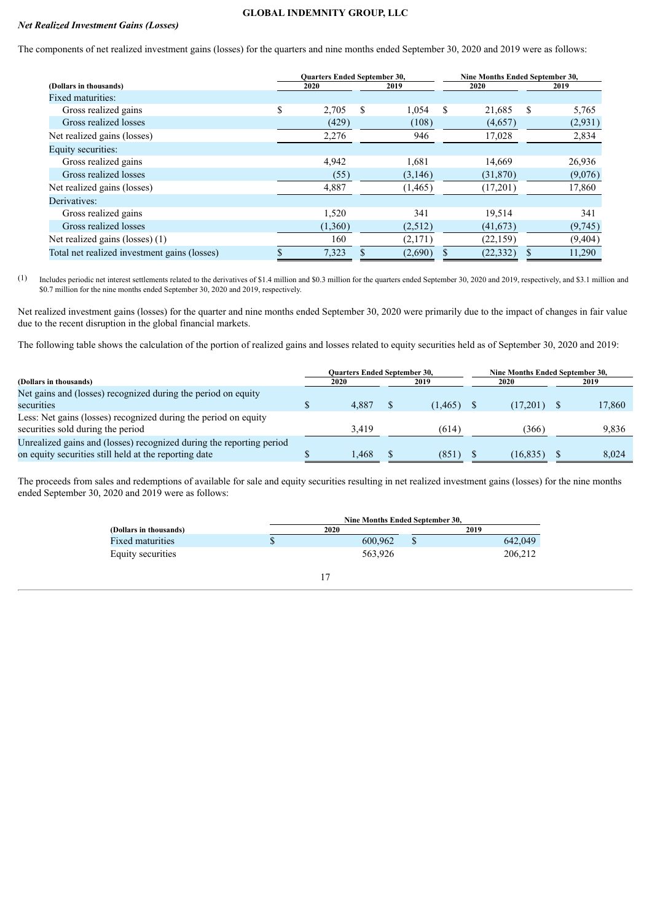#### *Net Realized Investment Gains (Losses)*

#### **GLOBAL INDEMNITY GROUP, LLC**

The components of net realized investment gains (losses) for the quarters and nine months ended September 30, 2020 and 2019 were as follows:

|                                              | <b>Ouarters Ended September 30,</b> |         |    |          |    | Nine Months Ended September 30, |   |          |  |
|----------------------------------------------|-------------------------------------|---------|----|----------|----|---------------------------------|---|----------|--|
| (Dollars in thousands)                       |                                     | 2020    |    | 2019     |    | 2020                            |   | 2019     |  |
| Fixed maturities:                            |                                     |         |    |          |    |                                 |   |          |  |
| Gross realized gains                         | \$                                  | 2,705   | \$ | 1.054    | \$ | 21,685                          | S | 5,765    |  |
| Gross realized losses                        |                                     | (429)   |    | (108)    |    | (4,657)                         |   | (2,931)  |  |
| Net realized gains (losses)                  |                                     | 2,276   |    | 946      |    | 17,028                          |   | 2,834    |  |
| Equity securities:                           |                                     |         |    |          |    |                                 |   |          |  |
| Gross realized gains                         |                                     | 4,942   |    | 1,681    |    | 14,669                          |   | 26,936   |  |
| Gross realized losses                        |                                     | (55)    |    | (3,146)  |    | (31,870)                        |   | (9,076)  |  |
| Net realized gains (losses)                  |                                     | 4,887   |    | (1, 465) |    | (17,201)                        |   | 17,860   |  |
| Derivatives:                                 |                                     |         |    |          |    |                                 |   |          |  |
| Gross realized gains                         |                                     | 1,520   |    | 341      |    | 19,514                          |   | 341      |  |
| Gross realized losses                        |                                     | (1,360) |    | (2,512)  |    | (41, 673)                       |   | (9,745)  |  |
| Net realized gains (losses) (1)              |                                     | 160     |    | (2,171)  |    | (22, 159)                       |   | (9, 404) |  |
| Total net realized investment gains (losses) |                                     | 7,323   |    | (2,690)  |    | (22, 332)                       |   | 11,290   |  |

(1) Includes periodic net interest settlements related to the derivatives of \$1.4 million and \$0.3 million for the quarters ended September 30, 2020 and 2019, respectively, and \$3.1 million and \$0.7 million for the nine months ended September 30, 2020 and 2019, respectively.

Net realized investment gains (losses) for the quarter and nine months ended September 30, 2020 were primarily due to the impact of changes in fair value due to the recent disruption in the global financial markets.

The following table shows the calculation of the portion of realized gains and losses related to equity securities held as of September 30, 2020 and 2019:

|                                                                      |       | <b>Ouarters Ended September 30,</b> | Nine Months Ended September 30, |        |  |  |
|----------------------------------------------------------------------|-------|-------------------------------------|---------------------------------|--------|--|--|
| (Dollars in thousands)                                               | 2020  | 2019                                | 2020                            | 2019   |  |  |
| Net gains and (losses) recognized during the period on equity        |       |                                     |                                 |        |  |  |
| securities                                                           | 4.887 | (1, 465)                            | (17.201)                        | 17,860 |  |  |
| Less: Net gains (losses) recognized during the period on equity      |       |                                     |                                 |        |  |  |
| securities sold during the period                                    | 3.419 | (614)                               | (366)                           | 9.836  |  |  |
| Unrealized gains and (losses) recognized during the reporting period |       |                                     |                                 |        |  |  |
| on equity securities still held at the reporting date                | .468  | (851)                               | (16, 835)                       | 8.024  |  |  |

The proceeds from sales and redemptions of available for sale and equity securities resulting in net realized investment gains (losses) for the nine months ended September 30, 2020 and 2019 were as follows:

|                         |   | Nine Months Ended September 30. |  |         |  |  |  |  |  |  |  |
|-------------------------|---|---------------------------------|--|---------|--|--|--|--|--|--|--|
| (Dollars in thousands)  |   | 2020                            |  | 2019    |  |  |  |  |  |  |  |
| <b>Fixed maturities</b> | ጦ | 600.962                         |  | 642,049 |  |  |  |  |  |  |  |
| Equity securities       |   | 563.926                         |  | 206.212 |  |  |  |  |  |  |  |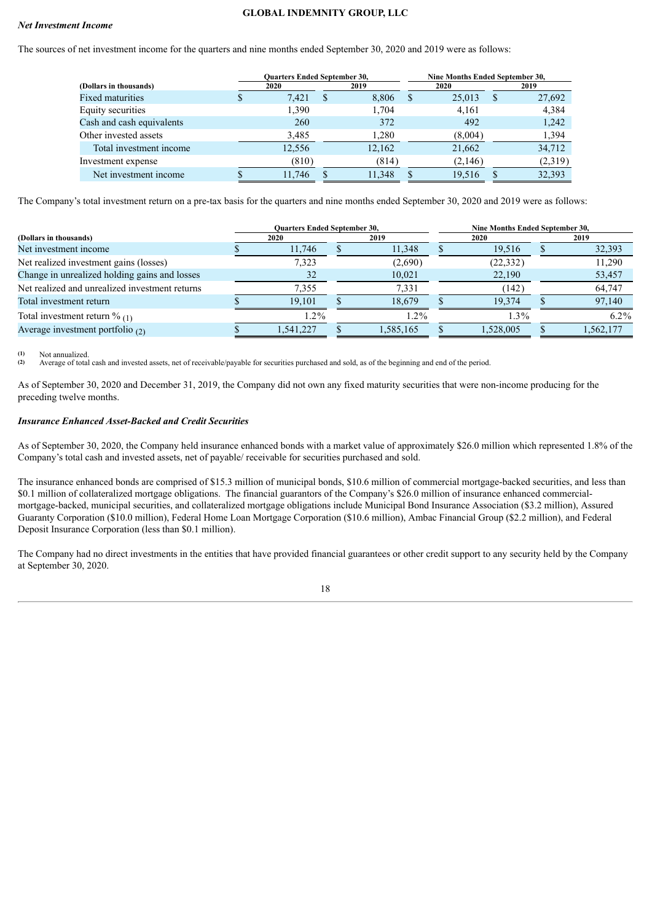#### *Net Investment Income*

The sources of net investment income for the quarters and nine months ended September 30, 2020 and 2019 were as follows:

|                           | <b>Ouarters Ended September 30,</b> |    |        |          |         | Nine Months Ended September 30, |         |  |  |  |  |
|---------------------------|-------------------------------------|----|--------|----------|---------|---------------------------------|---------|--|--|--|--|
| (Dollars in thousands)    | 2020                                |    | 2019   |          | 2020    |                                 | 2019    |  |  |  |  |
| <b>Fixed maturities</b>   | 7.421                               | -S | 8,806  | S        | 25,013  | S                               | 27,692  |  |  |  |  |
| Equity securities         | 1,390                               |    | 1,704  |          | 4,161   |                                 | 4,384   |  |  |  |  |
| Cash and cash equivalents | 260                                 |    | 372    |          | 492     |                                 | 1,242   |  |  |  |  |
| Other invested assets     | 3,485                               |    | 1,280  |          | (8,004) |                                 | 1,394   |  |  |  |  |
| Total investment income   | 12,556                              |    | 12,162 |          | 21,662  |                                 | 34,712  |  |  |  |  |
| Investment expense        | (810)                               |    | (814)  |          | (2,146) |                                 | (2,319) |  |  |  |  |
| Net investment income     | 11,746                              |    | 11,348 | <b>S</b> | 19,516  |                                 | 32,393  |  |  |  |  |

The Company's total investment return on a pre-tax basis for the quarters and nine months ended September 30, 2020 and 2019 were as follows:

|                                                |              | <b>Ouarters Ended September 30,</b> |  |           | Nine Months Ended September 30, |           |      |           |  |  |
|------------------------------------------------|--------------|-------------------------------------|--|-----------|---------------------------------|-----------|------|-----------|--|--|
| (Dollars in thousands)                         | 2019<br>2020 |                                     |  |           | 2020                            |           | 2019 |           |  |  |
| Net investment income                          |              | 11,746                              |  | 11,348    |                                 | 19,516    |      | 32,393    |  |  |
| Net realized investment gains (losses)         |              | 7,323                               |  | (2,690)   |                                 | (22, 332) |      | 11,290    |  |  |
| Change in unrealized holding gains and losses  |              | 32                                  |  | 10,021    |                                 | 22,190    |      | 53,457    |  |  |
| Net realized and unrealized investment returns |              | 7,355                               |  | 7.331     |                                 | (142)     |      | 64,747    |  |  |
| Total investment return                        |              | 19.101                              |  | 18.679    |                                 | 19.374    |      | 97,140    |  |  |
| Total investment return $\%$ (1)               |              | $1.2\%$                             |  | $1.2\%$   |                                 | $1.3\%$   |      | $6.2\%$   |  |  |
| Average investment portfolio $(2)$             |              | 1,541,227                           |  | 1,585,165 |                                 | 1,528,005 |      | 1,562,177 |  |  |

**(1)** Not annualized.

**(2)** Average of total cash and invested assets, net of receivable/payable for securities purchased and sold, as of the beginning and end of the period.

As of September 30, 2020 and December 31, 2019, the Company did not own any fixed maturity securities that were non-income producing for the preceding twelve months.

#### *Insurance Enhanced Asset-Backed and Credit Securities*

As of September 30, 2020, the Company held insurance enhanced bonds with a market value of approximately \$26.0 million which represented 1.8% of the Company's total cash and invested assets, net of payable/ receivable for securities purchased and sold.

The insurance enhanced bonds are comprised of \$15.3 million of municipal bonds, \$10.6 million of commercial mortgage-backed securities, and less than \$0.1 million of collateralized mortgage obligations. The financial guarantors of the Company's \$26.0 million of insurance enhanced commercialmortgage-backed, municipal securities, and collateralized mortgage obligations include Municipal Bond Insurance Association (\$3.2 million), Assured Guaranty Corporation (\$10.0 million), Federal Home Loan Mortgage Corporation (\$10.6 million), Ambac Financial Group (\$2.2 million), and Federal Deposit Insurance Corporation (less than \$0.1 million).

The Company had no direct investments in the entities that have provided financial guarantees or other credit support to any security held by the Company at September 30, 2020.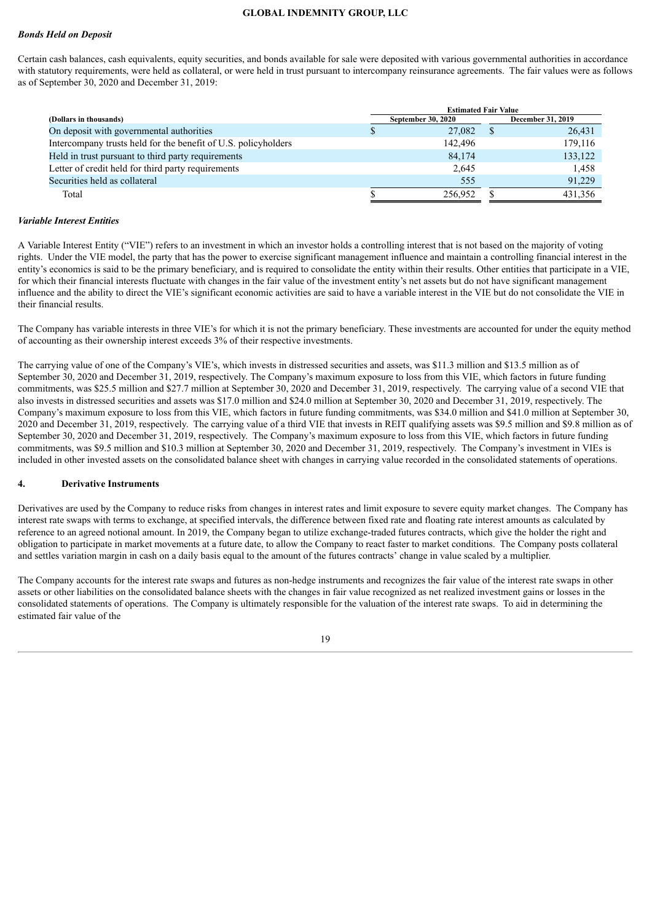#### *Bonds Held on Deposit*

Certain cash balances, cash equivalents, equity securities, and bonds available for sale were deposited with various governmental authorities in accordance with statutory requirements, were held as collateral, or were held in trust pursuant to intercompany reinsurance agreements. The fair values were as follows as of September 30, 2020 and December 31, 2019:

|                                                                | <b>Estimated Fair Value</b> |                   |  |         |  |  |  |  |  |  |
|----------------------------------------------------------------|-----------------------------|-------------------|--|---------|--|--|--|--|--|--|
| (Dollars in thousands)                                         | <b>September 30, 2020</b>   | December 31, 2019 |  |         |  |  |  |  |  |  |
| On deposit with governmental authorities                       |                             | 27,082            |  | 26,431  |  |  |  |  |  |  |
| Intercompany trusts held for the benefit of U.S. policyholders |                             | 142,496           |  | 179,116 |  |  |  |  |  |  |
| Held in trust pursuant to third party requirements             |                             | 84,174            |  | 133,122 |  |  |  |  |  |  |
| Letter of credit held for third party requirements             |                             | 2,645             |  | 1,458   |  |  |  |  |  |  |
| Securities held as collateral                                  |                             | 555               |  | 91.229  |  |  |  |  |  |  |
| Total                                                          |                             | 256,952           |  | 431.356 |  |  |  |  |  |  |

#### *Variable Interest Entities*

A Variable Interest Entity ("VIE") refers to an investment in which an investor holds a controlling interest that is not based on the majority of voting rights. Under the VIE model, the party that has the power to exercise significant management influence and maintain a controlling financial interest in the entity's economics is said to be the primary beneficiary, and is required to consolidate the entity within their results. Other entities that participate in a VIE, for which their financial interests fluctuate with changes in the fair value of the investment entity's net assets but do not have significant management influence and the ability to direct the VIE's significant economic activities are said to have a variable interest in the VIE but do not consolidate the VIE in their financial results.

The Company has variable interests in three VIE's for which it is not the primary beneficiary. These investments are accounted for under the equity method of accounting as their ownership interest exceeds 3% of their respective investments.

The carrying value of one of the Company's VIE's, which invests in distressed securities and assets, was \$11.3 million and \$13.5 million as of September 30, 2020 and December 31, 2019, respectively. The Company's maximum exposure to loss from this VIE, which factors in future funding commitments, was \$25.5 million and \$27.7 million at September 30, 2020 and December 31, 2019, respectively. The carrying value of a second VIE that also invests in distressed securities and assets was \$17.0 million and \$24.0 million at September 30, 2020 and December 31, 2019, respectively. The Company's maximum exposure to loss from this VIE, which factors in future funding commitments, was \$34.0 million and \$41.0 million at September 30, 2020 and December 31, 2019, respectively. The carrying value of a third VIE that invests in REIT qualifying assets was \$9.5 million and \$9.8 million as of September 30, 2020 and December 31, 2019, respectively. The Company's maximum exposure to loss from this VIE, which factors in future funding commitments, was \$9.5 million and \$10.3 million at September 30, 2020 and December 31, 2019, respectively. The Company's investment in VIEs is included in other invested assets on the consolidated balance sheet with changes in carrying value recorded in the consolidated statements of operations.

#### **4. Derivative Instruments**

Derivatives are used by the Company to reduce risks from changes in interest rates and limit exposure to severe equity market changes. The Company has interest rate swaps with terms to exchange, at specified intervals, the difference between fixed rate and floating rate interest amounts as calculated by reference to an agreed notional amount. In 2019, the Company began to utilize exchange-traded futures contracts, which give the holder the right and obligation to participate in market movements at a future date, to allow the Company to react faster to market conditions. The Company posts collateral and settles variation margin in cash on a daily basis equal to the amount of the futures contracts' change in value scaled by a multiplier.

The Company accounts for the interest rate swaps and futures as non-hedge instruments and recognizes the fair value of the interest rate swaps in other assets or other liabilities on the consolidated balance sheets with the changes in fair value recognized as net realized investment gains or losses in the consolidated statements of operations. The Company is ultimately responsible for the valuation of the interest rate swaps. To aid in determining the estimated fair value of the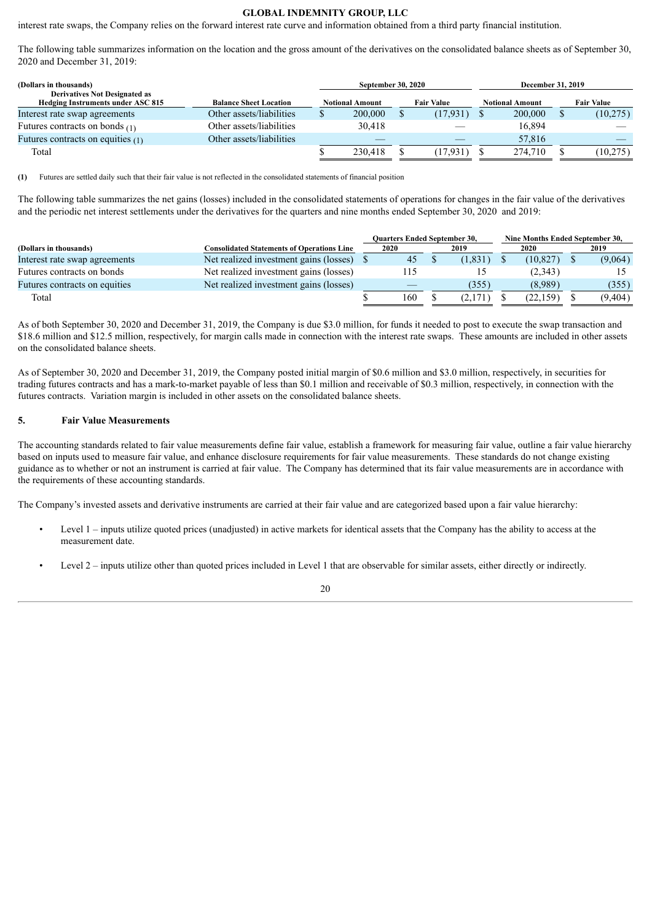interest rate swaps, the Company relies on the forward interest rate curve and information obtained from a third party financial institution.

The following table summarizes information on the location and the gross amount of the derivatives on the consolidated balance sheets as of September 30, 2020 and December 31, 2019:

| (Dollars in thousands)                                                           | <b>September 30, 2020</b>     |                        | December 31, 2019 |                        |  |                   |
|----------------------------------------------------------------------------------|-------------------------------|------------------------|-------------------|------------------------|--|-------------------|
| <b>Derivatives Not Designated as</b><br><b>Hedging Instruments under ASC 815</b> | <b>Balance Sheet Location</b> | <b>Notional Amount</b> | <b>Fair Value</b> | <b>Notional Amount</b> |  | <b>Fair Value</b> |
| Interest rate swap agreements                                                    | Other assets/liabilities      | 200,000                | (17.931)          | 200,000                |  | (10,275)          |
| Futures contracts on bonds $(1)$                                                 | Other assets/liabilities      | 30.418                 |                   | 16.894                 |  |                   |
| Futures contracts on equities $(1)$                                              | Other assets/liabilities      |                        |                   | 57.816                 |  |                   |
| Total                                                                            |                               | 230.418                | (17.931           | 274.710                |  | (10, 275)         |

**(1)** Futures are settled daily such that their fair value is not reflected in the consolidated statements of financial position

The following table summarizes the net gains (losses) included in the consolidated statements of operations for changes in the fair value of the derivatives and the periodic net interest settlements under the derivatives for the quarters and nine months ended September 30, 2020 and 2019:

|                               |                                                   | <b>Ouarters Ended September 30,</b> |          |          | Nine Months Ended September 30. |  |  |
|-------------------------------|---------------------------------------------------|-------------------------------------|----------|----------|---------------------------------|--|--|
| (Dollars in thousands)        | <b>Consolidated Statements of Operations Line</b> | 2020                                | 2019     | 2020     | 2019                            |  |  |
| Interest rate swap agreements | Net realized investment gains (losses)            | 45                                  | (1, 831) | (10.827) | (9,064)                         |  |  |
| Futures contracts on bonds    | Net realized investment gains (losses)            | 115                                 |          | (2,343)  |                                 |  |  |
| Futures contracts on equities | Net realized investment gains (losses)            |                                     | (355)    | (8.989)  | (355)                           |  |  |
| Total                         |                                                   | 160                                 | (2,171)  | (22.159) | (9,404)                         |  |  |

As of both September 30, 2020 and December 31, 2019, the Company is due \$3.0 million, for funds it needed to post to execute the swap transaction and \$18.6 million and \$12.5 million, respectively, for margin calls made in connection with the interest rate swaps. These amounts are included in other assets on the consolidated balance sheets.

As of September 30, 2020 and December 31, 2019, the Company posted initial margin of \$0.6 million and \$3.0 million, respectively, in securities for trading futures contracts and has a mark-to-market payable of less than \$0.1 million and receivable of \$0.3 million, respectively, in connection with the futures contracts. Variation margin is included in other assets on the consolidated balance sheets.

#### **5. Fair Value Measurements**

The accounting standards related to fair value measurements define fair value, establish a framework for measuring fair value, outline a fair value hierarchy based on inputs used to measure fair value, and enhance disclosure requirements for fair value measurements. These standards do not change existing guidance as to whether or not an instrument is carried at fair value. The Company has determined that its fair value measurements are in accordance with the requirements of these accounting standards.

The Company's invested assets and derivative instruments are carried at their fair value and are categorized based upon a fair value hierarchy:

- Level 1 inputs utilize quoted prices (unadjusted) in active markets for identical assets that the Company has the ability to access at the measurement date.
- Level 2 inputs utilize other than quoted prices included in Level 1 that are observable for similar assets, either directly or indirectly.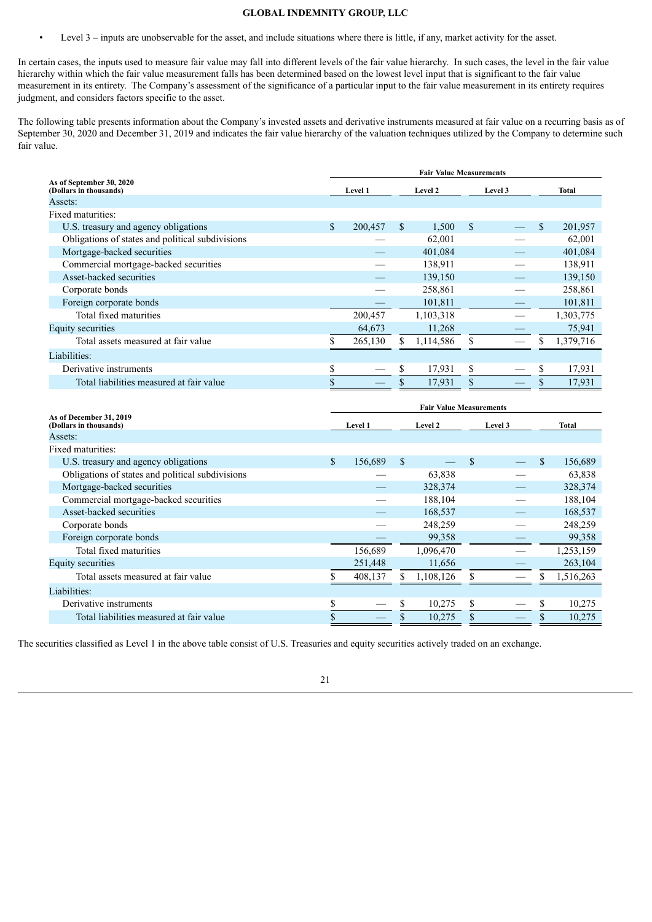• Level 3 – inputs are unobservable for the asset, and include situations where there is little, if any, market activity for the asset.

In certain cases, the inputs used to measure fair value may fall into different levels of the fair value hierarchy. In such cases, the level in the fair value hierarchy within which the fair value measurement falls has been determined based on the lowest level input that is significant to the fair value measurement in its entirety. The Company's assessment of the significance of a particular input to the fair value measurement in its entirety requires judgment, and considers factors specific to the asset.

The following table presents information about the Company's invested assets and derivative instruments measured at fair value on a recurring basis as of September 30, 2020 and December 31, 2019 and indicates the fair value hierarchy of the valuation techniques utilized by the Company to determine such fair value.

|                                                    | <b>Fair Value Measurements</b> |                    |                    |                                |               |         |    |              |
|----------------------------------------------------|--------------------------------|--------------------|--------------------|--------------------------------|---------------|---------|----|--------------|
| As of September 30, 2020<br>(Dollars in thousands) |                                | Level 1<br>Level 2 |                    |                                |               | Level 3 |    | <b>Total</b> |
| Assets:                                            |                                |                    |                    |                                |               |         |    |              |
| Fixed maturities:                                  |                                |                    |                    |                                |               |         |    |              |
| U.S. treasury and agency obligations               | $\mathcal{S}$                  | 200,457            | $\mathbf{\hat{S}}$ | 1,500                          | $\mathbf S$   |         | \$ | 201,957      |
| Obligations of states and political subdivisions   |                                |                    |                    | 62,001                         |               |         |    | 62,001       |
| Mortgage-backed securities                         |                                |                    |                    | 401,084                        |               |         |    | 401,084      |
| Commercial mortgage-backed securities              |                                |                    |                    | 138,911                        |               |         |    | 138,911      |
| Asset-backed securities                            |                                |                    |                    | 139,150                        |               |         |    | 139,150      |
| Corporate bonds                                    |                                |                    |                    | 258,861                        |               |         |    | 258,861      |
| Foreign corporate bonds                            |                                |                    |                    | 101,811                        |               |         |    | 101,811      |
| Total fixed maturities                             |                                | 200,457            |                    | 1,103,318                      |               |         |    | 1,303,775    |
| <b>Equity securities</b>                           |                                | 64,673             |                    | 11,268                         |               |         |    | 75,941       |
| Total assets measured at fair value                | \$                             | 265,130            | \$                 | 1,114,586                      | \$            |         | \$ | 1,379,716    |
| Liabilities:                                       |                                |                    |                    |                                |               |         |    |              |
| Derivative instruments                             | \$                             |                    | S                  | 17,931                         | \$            |         | \$ | 17,931       |
| Total liabilities measured at fair value           | \$                             |                    | \$                 | 17,931                         | \$            |         | \$ | 17,931       |
|                                                    |                                |                    |                    | <b>Fair Value Measurements</b> |               |         |    |              |
| As of December 31, 2019<br>(Dollars in thousands)  |                                | Level 1            |                    | Level 2                        |               | Level 3 |    | Total        |
| Assets:                                            |                                |                    |                    |                                |               |         |    |              |
| Fixed maturities:                                  |                                |                    |                    |                                |               |         |    |              |
| U.S. treasury and agency obligations               | $\mathcal{S}$                  | 156.689            | \$                 |                                | <sup>\$</sup> |         | \$ | 156,689      |
| Obligations of states and political subdivisions   |                                |                    |                    | 63,838                         |               |         |    | 63,838       |
| Mortgage-backed securities                         |                                |                    |                    | 328,374                        |               |         |    | 328,374      |
| Commercial mortgage-backed securities              |                                |                    |                    | 188,104                        |               |         |    | 188,104      |
| Asset-backed securities                            |                                |                    |                    | 168,537                        |               |         |    | 168,537      |
| Corporate bonds                                    |                                |                    |                    | 248,259                        |               |         |    | 248,259      |
| Foreign corporate bonds                            |                                |                    |                    | 99,358                         |               |         |    | 99,358       |
| Total fixed maturities                             |                                | 156,689            |                    | 1,096,470                      |               |         |    | 1,253,159    |
| <b>Equity securities</b>                           |                                | 251,448            |                    | 11,656                         |               |         |    | 263,104      |
| Total assets measured at fair value                | \$                             | 408,137            | \$                 | 1,108,126                      | \$            |         | \$ | 1,516,263    |
| Liabilities:                                       |                                |                    |                    |                                |               |         |    |              |

The securities classified as Level 1 in the above table consist of U.S. Treasuries and equity securities actively traded on an exchange.

Derivative instruments  $\qquad \qquad$  \$  $\qquad -$  \$ 10,275 \$  $\qquad -$  \$ 10,275 Total liabilities measured at fair value  $\overline{\text{S}}$   $\overline{\text{S}}$   $\overline{\text{S}}$   $\overline{\text{S}}$   $\overline{\text{S}}$   $\overline{\text{S}}$   $\overline{\text{S}}$   $\overline{\text{S}}$   $\overline{\text{S}}$   $\overline{\text{S}}$   $\overline{\text{S}}$   $\overline{\text{S}}$   $\overline{\text{S}}$   $\overline{\text{S}}$   $\overline{\text{S}}$   $\overline{\text{S}}$   $\overline$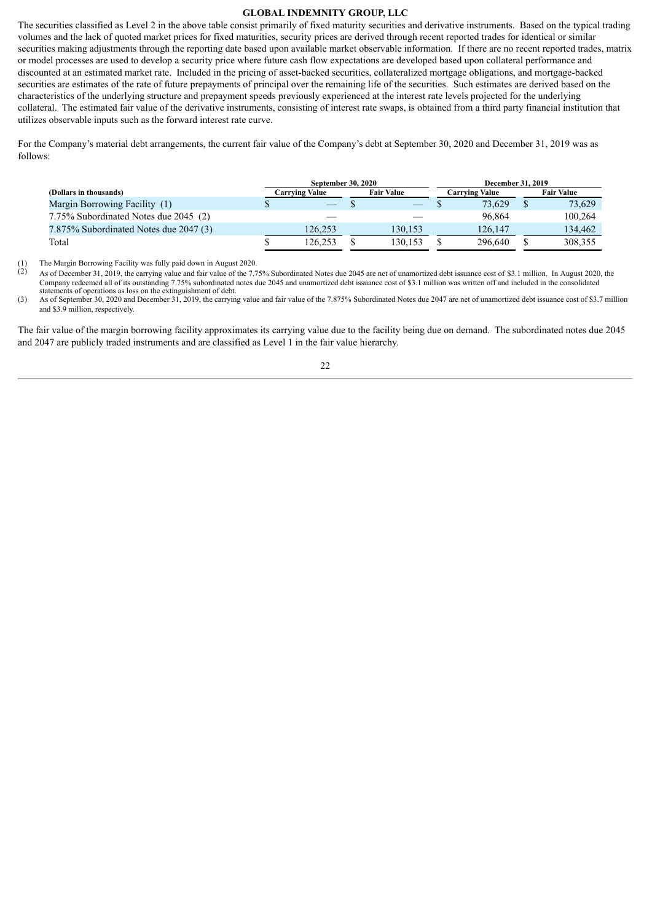The securities classified as Level 2 in the above table consist primarily of fixed maturity securities and derivative instruments. Based on the typical trading volumes and the lack of quoted market prices for fixed maturities, security prices are derived through recent reported trades for identical or similar securities making adjustments through the reporting date based upon available market observable information. If there are no recent reported trades, matrix or model processes are used to develop a security price where future cash flow expectations are developed based upon collateral performance and discounted at an estimated market rate. Included in the pricing of asset-backed securities, collateralized mortgage obligations, and mortgage-backed securities are estimates of the rate of future prepayments of principal over the remaining life of the securities. Such estimates are derived based on the characteristics of the underlying structure and prepayment speeds previously experienced at the interest rate levels projected for the underlying collateral. The estimated fair value of the derivative instruments, consisting of interest rate swaps, is obtained from a third party financial institution that utilizes observable inputs such as the forward interest rate curve.

For the Company's material debt arrangements, the current fair value of the Company's debt at September 30, 2020 and December 31, 2019 was as follows:

|                                        | <b>September 30, 2020</b> |                   | <b>December 31, 2019</b> |                   |  |  |  |
|----------------------------------------|---------------------------|-------------------|--------------------------|-------------------|--|--|--|
| (Dollars in thousands)                 | Carrving Value            | <b>Fair Value</b> | <b>Carrving Value</b>    | <b>Fair Value</b> |  |  |  |
| Margin Borrowing Facility (1)          |                           |                   | 73.629                   | 73,629            |  |  |  |
| 7.75% Subordinated Notes due 2045 (2)  |                           |                   | 96.864                   | 100,264           |  |  |  |
| 7.875% Subordinated Notes due 2047 (3) | 126.253                   | 130,153           | 126,147                  | 134,462           |  |  |  |
| Total                                  | 126.253                   | 130.153           | 296.640                  | 308,355           |  |  |  |

The Margin Borrowing Facility was fully paid down in August 2020.

As of December 31, 2019, the carrying value and fair value of the 7.75% Subordinated Notes due 2045 are net of unamortized debt issuance cost of \$3.1 million. In August 2020, the Company redeemed all of its outstanding 7.75% subordinated notes due 2045 and unamortized debt issuance cost of \$3.1 million was written off and included in the consolidated statements of operations as loss on the extinguishment of debt.

(3) As of September 30, 2020 and December 31, 2019, the carrying value and fair value of the 7.875% Subordinated Notes due 2047 are net of unamortized debt issuance cost of \$3.7 million and \$3.9 million, respectively.

The fair value of the margin borrowing facility approximates its carrying value due to the facility being due on demand. The subordinated notes due 2045 and 2047 are publicly traded instruments and are classified as Level 1 in the fair value hierarchy.

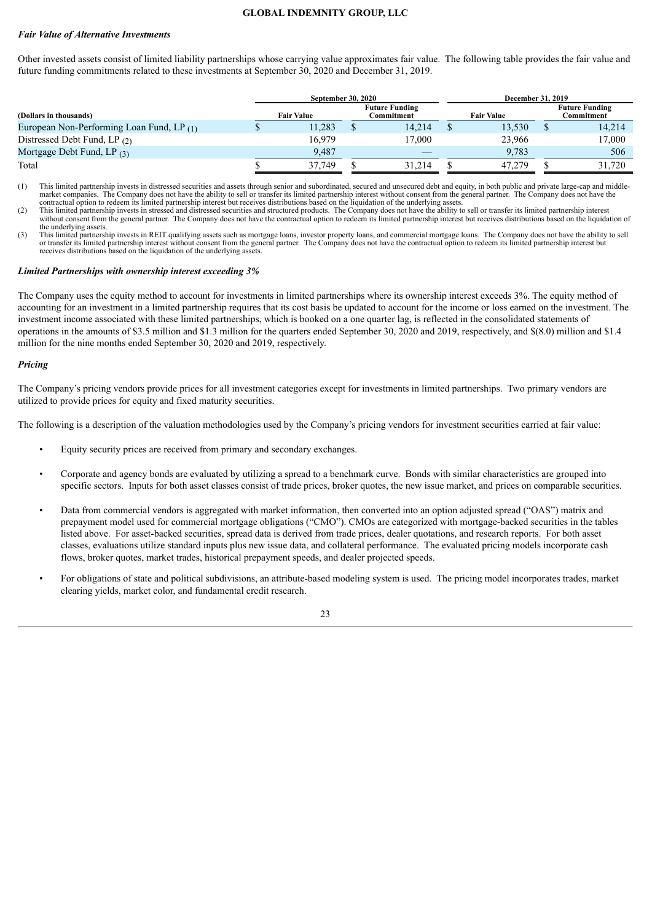#### *Fair Value of Alternative Investments*

Other invested assets consist of limited liability partnerships whose carrying value approximates fair value. The following table provides the fair value and future funding commitments related to these investments at September 30, 2020 and December 31, 2019.

|                                           | <b>September 30, 2020</b> |  |                                     | December 31, 2019 |        |  |                                     |  |  |
|-------------------------------------------|---------------------------|--|-------------------------------------|-------------------|--------|--|-------------------------------------|--|--|
| (Dollars in thousands)                    | <b>Fair Value</b>         |  | <b>Future Funding</b><br>Commitment | <b>Fair Value</b> |        |  | <b>Future Funding</b><br>Commitment |  |  |
| European Non-Performing Loan Fund, LP (1) | 11.283                    |  | 14.214                              |                   | 13,530 |  | 14,214                              |  |  |
| Distressed Debt Fund, LP $(2)$            | 16.979                    |  | 17.000                              |                   | 23,966 |  | 17,000                              |  |  |
| Mortgage Debt Fund, LP $(3)$              | 9.487                     |  |                                     |                   | 9.783  |  | 506                                 |  |  |
| Total                                     | 37.749                    |  | 31.214                              |                   | 47.279 |  | 31,720                              |  |  |

(1) This limited partnership invests in distressed securities and assets through senior and subordinated, secured and unsecured debt and equity, in both public and private large-cap and middlemarket companies. The Company does not have the ability to sell or transfer its limited partnership interest without consent from the general partner. The Company does not have the contractual option to redeem its limited

(2) This limited partnership invests in stressed and distressed securities and structured products. The Company does not have the ability to sell or transfer its limited partnership interest without consent from the general partner. The Company does not have the contractual option to redeem its limited partnership interest but receives distributions based on the liquidation of the underlying assets.

(3) This limited partnership invests in REIT qualifying assets such as mortgage loans, investor property loans, and commercial mortgage loans. The Company does not have the ability to sell or transfer its limited partnership interest without consent from the general partner. The Company does not have the contractual option to redeem its limited partnership interest but receives distributions based on the liquidation of the underlying assets.

#### *Limited Partnerships with ownership interest exceeding 3%*

The Company uses the equity method to account for investments in limited partnerships where its ownership interest exceeds 3%. The equity method of accounting for an investment in a limited partnership requires that its cost basis be updated to account for the income or loss earned on the investment. The investment income associated with these limited partnerships, which is booked on a one quarter lag, is reflected in the consolidated statements of operations in the amounts of \$3.5 million and \$1.3 million for the quarters ended September 30, 2020 and 2019, respectively, and \$(8.0) million and \$1.4 million for the nine months ended September 30, 2020 and 2019, respectively.

#### *Pricing*

The Company's pricing vendors provide prices for all investment categories except for investments in limited partnerships. Two primary vendors are utilized to provide prices for equity and fixed maturity securities.

The following is a description of the valuation methodologies used by the Company's pricing vendors for investment securities carried at fair value:

- Equity security prices are received from primary and secondary exchanges.
- Corporate and agency bonds are evaluated by utilizing a spread to a benchmark curve. Bonds with similar characteristics are grouped into specific sectors. Inputs for both asset classes consist of trade prices, broker quotes, the new issue market, and prices on comparable securities.
- Data from commercial vendors is aggregated with market information, then converted into an option adjusted spread ("OAS") matrix and prepayment model used for commercial mortgage obligations ("CMO"). CMOs are categorized with mortgage-backed securities in the tables listed above. For asset-backed securities, spread data is derived from trade prices, dealer quotations, and research reports. For both asset classes, evaluations utilize standard inputs plus new issue data, and collateral performance. The evaluated pricing models incorporate cash flows, broker quotes, market trades, historical prepayment speeds, and dealer projected speeds.
- For obligations of state and political subdivisions, an attribute-based modeling system is used. The pricing model incorporates trades, market clearing yields, market color, and fundamental credit research.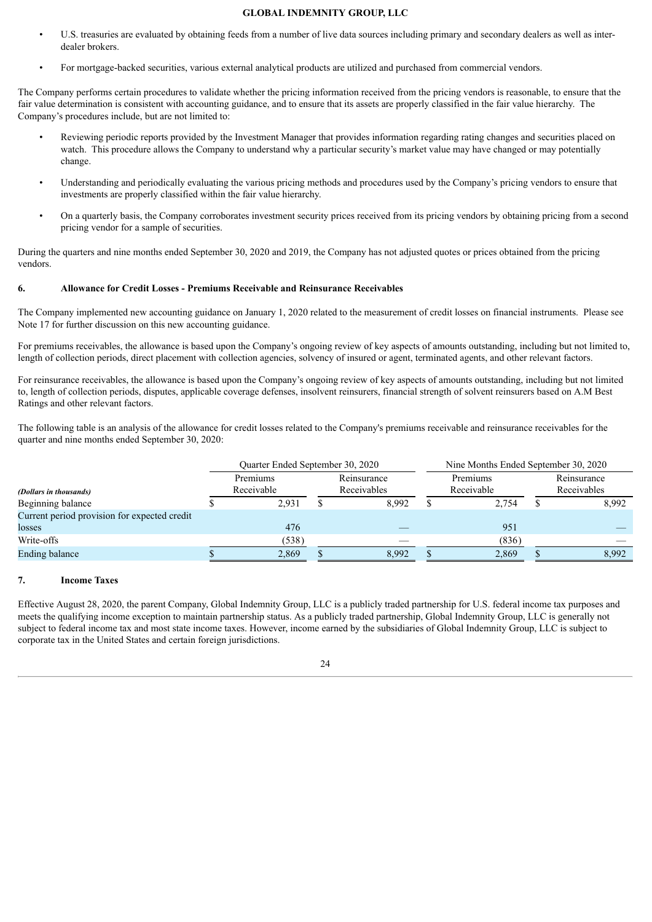- U.S. treasuries are evaluated by obtaining feeds from a number of live data sources including primary and secondary dealers as well as interdealer brokers.
- For mortgage-backed securities, various external analytical products are utilized and purchased from commercial vendors.

The Company performs certain procedures to validate whether the pricing information received from the pricing vendors is reasonable, to ensure that the fair value determination is consistent with accounting guidance, and to ensure that its assets are properly classified in the fair value hierarchy. The Company's procedures include, but are not limited to:

- Reviewing periodic reports provided by the Investment Manager that provides information regarding rating changes and securities placed on watch. This procedure allows the Company to understand why a particular security's market value may have changed or may potentially change.
- Understanding and periodically evaluating the various pricing methods and procedures used by the Company's pricing vendors to ensure that investments are properly classified within the fair value hierarchy.
- On a quarterly basis, the Company corroborates investment security prices received from its pricing vendors by obtaining pricing from a second pricing vendor for a sample of securities.

During the quarters and nine months ended September 30, 2020 and 2019, the Company has not adjusted quotes or prices obtained from the pricing vendors.

#### **6. Allowance for Credit Losses - Premiums Receivable and Reinsurance Receivables**

The Company implemented new accounting guidance on January 1, 2020 related to the measurement of credit losses on financial instruments. Please see Note 17 for further discussion on this new accounting guidance.

For premiums receivables, the allowance is based upon the Company's ongoing review of key aspects of amounts outstanding, including but not limited to, length of collection periods, direct placement with collection agencies, solvency of insured or agent, terminated agents, and other relevant factors.

For reinsurance receivables, the allowance is based upon the Company's ongoing review of key aspects of amounts outstanding, including but not limited to, length of collection periods, disputes, applicable coverage defenses, insolvent reinsurers, financial strength of solvent reinsurers based on A.M Best Ratings and other relevant factors.

The following table is an analysis of the allowance for credit losses related to the Company's premiums receivable and reinsurance receivables for the quarter and nine months ended September 30, 2020:

|                                              | Quarter Ended September 30, 2020 |             | Nine Months Ended September 30, 2020 |             |             |  |
|----------------------------------------------|----------------------------------|-------------|--------------------------------------|-------------|-------------|--|
|                                              | Premiums                         | Reinsurance | Premiums                             |             | Reinsurance |  |
| (Dollars in thousands)                       | Receivable                       | Receivables | Receivable                           | Receivables |             |  |
| Beginning balance                            | 2.931                            | 8.992       | 2.754                                |             | 8,992       |  |
| Current period provision for expected credit |                                  |             |                                      |             |             |  |
| losses                                       | 476                              |             | 951                                  |             |             |  |
| Write-offs                                   | (538)                            |             | (836)                                |             |             |  |
| Ending balance                               | 2,869                            | 8.992       | 2,869                                |             | 8.992       |  |

#### **7. Income Taxes**

Effective August 28, 2020, the parent Company, Global Indemnity Group, LLC is a publicly traded partnership for U.S. federal income tax purposes and meets the qualifying income exception to maintain partnership status. As a publicly traded partnership, Global Indemnity Group, LLC is generally not subject to federal income tax and most state income taxes. However, income earned by the subsidiaries of Global Indemnity Group, LLC is subject to corporate tax in the United States and certain foreign jurisdictions.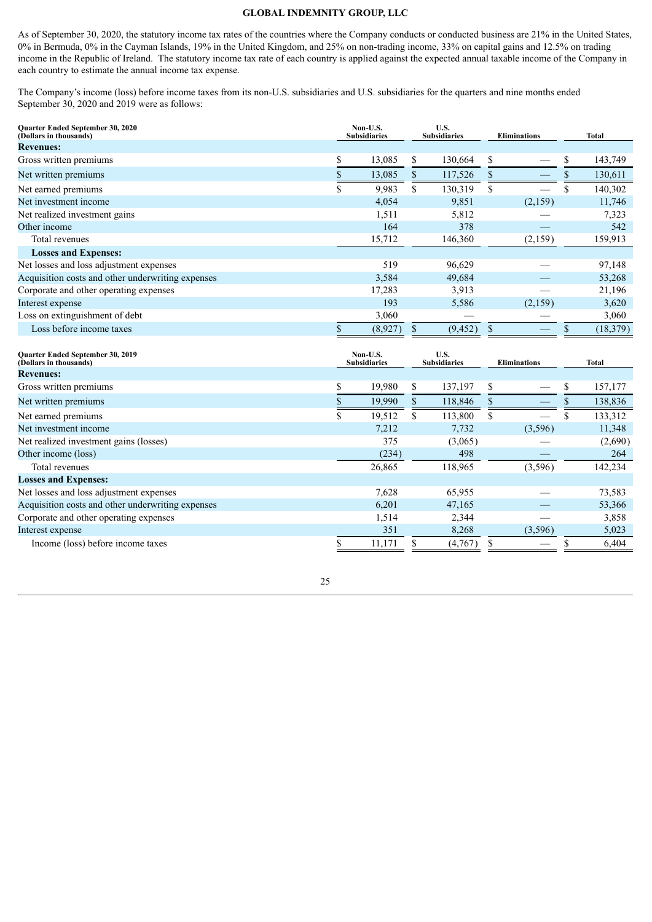As of September 30, 2020, the statutory income tax rates of the countries where the Company conducts or conducted business are 21% in the United States, 0% in Bermuda, 0% in the Cayman Islands, 19% in the United Kingdom, and 25% on non-trading income, 33% on capital gains and 12.5% on trading income in the Republic of Ireland. The statutory income tax rate of each country is applied against the expected annual taxable income of the Company in each country to estimate the annual income tax expense.

The Company's income (loss) before income taxes from its non-U.S. subsidiaries and U.S. subsidiaries for the quarters and nine months ended September 30, 2020 and 2019 were as follows:

| <b>Ouarter Ended September 30, 2020</b><br>(Dollars in thousands) | Non-U.S.<br><b>Subsidiaries</b> | U.S.<br><b>Subsidiaries</b> | <b>Eliminations</b> |         | Total     |
|-------------------------------------------------------------------|---------------------------------|-----------------------------|---------------------|---------|-----------|
| <b>Revenues:</b>                                                  |                                 |                             |                     |         |           |
| Gross written premiums                                            | 13,085                          | \$<br>130,664               |                     |         | 143,749   |
| Net written premiums                                              | 13,085                          | 117,526                     |                     |         | 130,611   |
| Net earned premiums                                               | 9,983                           | 130,319                     |                     |         | 140,302   |
| Net investment income                                             | 4,054                           | 9,851                       |                     | (2,159) | 11,746    |
| Net realized investment gains                                     | 1,511                           | 5,812                       |                     |         | 7,323     |
| Other income                                                      | 164                             | 378                         |                     |         | 542       |
| Total revenues                                                    | 15,712                          | 146,360                     |                     | (2,159) | 159,913   |
| <b>Losses and Expenses:</b>                                       |                                 |                             |                     |         |           |
| Net losses and loss adjustment expenses                           | 519                             | 96,629                      |                     |         | 97,148    |
| Acquisition costs and other underwriting expenses                 | 3,584                           | 49,684                      |                     |         | 53,268    |
| Corporate and other operating expenses                            | 17,283                          | 3,913                       |                     |         | 21,196    |
| Interest expense                                                  | 193                             | 5,586                       |                     | (2,159) | 3,620     |
| Loss on extinguishment of debt                                    | 3,060                           |                             |                     |         | 3,060     |
| Loss before income taxes                                          | (8,927)                         | (9, 452)                    |                     |         | (18, 379) |

| Quarter Ended September 30, 2019<br>(Dollars in thousands) | Non-U.S.<br><b>Subsidiaries</b> | U.S.<br><b>Subsidiaries</b> |    | <b>Eliminations</b> |  | Total   |
|------------------------------------------------------------|---------------------------------|-----------------------------|----|---------------------|--|---------|
| <b>Revenues:</b>                                           |                                 |                             |    |                     |  |         |
| Gross written premiums                                     | 19,980                          | 137,197                     | \$ |                     |  | 157,177 |
| Net written premiums                                       | 19,990                          | 118,846                     |    |                     |  | 138,836 |
| Net earned premiums                                        | 19,512                          | 113,800                     | S  |                     |  | 133,312 |
| Net investment income                                      | 7,212                           | 7,732                       |    | (3,596)             |  | 11,348  |
| Net realized investment gains (losses)                     | 375                             | (3,065)                     |    |                     |  | (2,690) |
| Other income (loss)                                        | (234)                           | 498                         |    |                     |  | 264     |
| Total revenues                                             | 26,865                          | 118,965                     |    | (3,596)             |  | 142,234 |
| <b>Losses and Expenses:</b>                                |                                 |                             |    |                     |  |         |
| Net losses and loss adjustment expenses                    | 7,628                           | 65,955                      |    |                     |  | 73,583  |
| Acquisition costs and other underwriting expenses          | 6,201                           | 47,165                      |    |                     |  | 53,366  |
| Corporate and other operating expenses                     | 1,514                           | 2,344                       |    |                     |  | 3,858   |
| Interest expense                                           | 351                             | 8,268                       |    | (3,596)             |  | 5,023   |
| Income (loss) before income taxes                          | 11,171                          | (4,767)                     |    |                     |  | 6,404   |

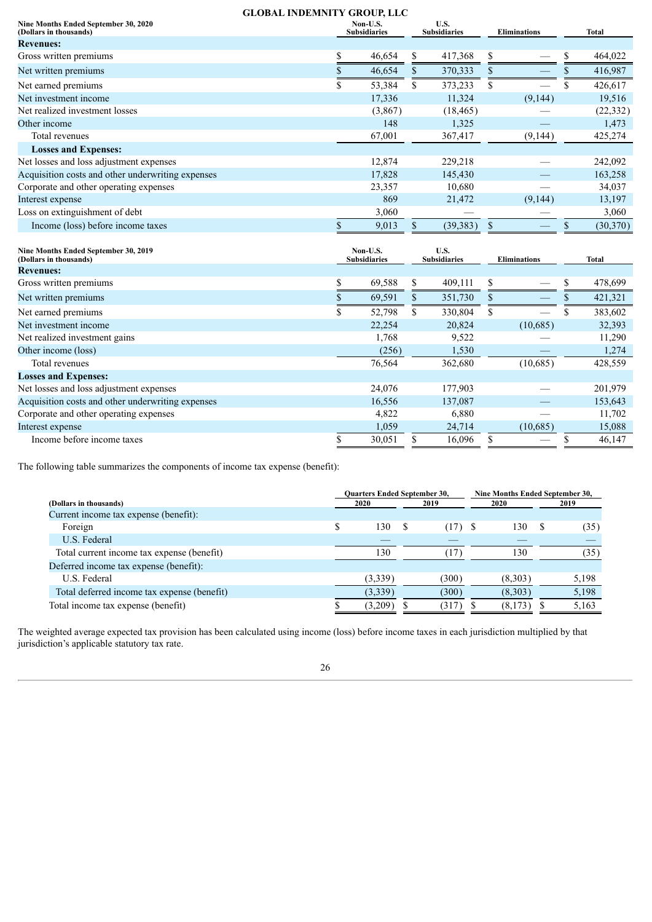| <b>Subsidiaries</b> |         | <b>Subsidiaries</b> |           | <b>Eliminations</b> |         | Total |           |
|---------------------|---------|---------------------|-----------|---------------------|---------|-------|-----------|
|                     |         |                     |           |                     |         |       |           |
|                     | 46,654  | S                   | 417,368   | \$                  |         | S     | 464,022   |
|                     | 46,654  |                     | 370,333   |                     |         |       | 416,987   |
|                     | 53,384  |                     | 373,233   | S                   |         |       | 426,617   |
|                     | 17,336  |                     | 11,324    |                     | (9,144) |       | 19,516    |
|                     | (3,867) |                     | (18, 465) |                     |         |       | (22, 332) |
|                     | 148     |                     | 1,325     |                     |         |       | 1,473     |
|                     | 67,001  |                     | 367,417   |                     | (9,144) |       | 425,274   |
|                     |         |                     |           |                     |         |       |           |
|                     | 12,874  |                     | 229,218   |                     |         |       | 242,092   |
|                     | 17,828  |                     | 145,430   |                     |         |       | 163,258   |
|                     | 23,357  |                     | 10,680    |                     |         |       | 34,037    |
|                     | 869     |                     | 21,472    |                     | (9,144) |       | 13,197    |
|                     | 3,060   |                     |           |                     |         |       | 3,060     |
|                     | 9,013   |                     | (39, 383) |                     |         |       | (30, 370) |
|                     |         | Non-U.S.            |           | U.S.                |         |       |           |

| Nine Months Ended September 30, 2019<br>(Dollars in thousands) | Non-U.S.<br><b>Subsidiaries</b> |        | U.S.<br><b>Subsidiaries</b> |         | <b>Eliminations</b> |          | Total |         |
|----------------------------------------------------------------|---------------------------------|--------|-----------------------------|---------|---------------------|----------|-------|---------|
| <b>Revenues:</b>                                               |                                 |        |                             |         |                     |          |       |         |
| Gross written premiums                                         | \$.                             | 69,588 | \$                          | 409,111 | \$                  |          |       | 478,699 |
| Net written premiums                                           |                                 | 69,591 |                             | 351,730 |                     |          |       | 421,321 |
| Net earned premiums                                            |                                 | 52.798 | D                           | 330,804 | S                   |          |       | 383,602 |
| Net investment income                                          |                                 | 22,254 |                             | 20,824  |                     | (10,685) |       | 32,393  |
| Net realized investment gains                                  |                                 | 1,768  |                             | 9,522   |                     |          |       | 11,290  |
| Other income (loss)                                            |                                 | (256)  |                             | 1,530   |                     |          |       | 1,274   |
| Total revenues                                                 |                                 | 76,564 |                             | 362,680 |                     | (10,685) |       | 428,559 |
| <b>Losses and Expenses:</b>                                    |                                 |        |                             |         |                     |          |       |         |
| Net losses and loss adjustment expenses                        |                                 | 24,076 |                             | 177,903 |                     |          |       | 201,979 |
| Acquisition costs and other underwriting expenses              |                                 | 16,556 |                             | 137,087 |                     |          |       | 153,643 |
| Corporate and other operating expenses                         |                                 | 4,822  |                             | 6,880   |                     |          |       | 11,702  |
| Interest expense                                               |                                 | 1,059  |                             | 24,714  |                     | (10,685) |       | 15,088  |
| Income before income taxes                                     |                                 | 30,051 |                             | 16,096  |                     |          |       | 46,147  |

The following table summarizes the components of income tax expense (benefit):

|                                             | <b>Ouarters Ended September 30,</b> |         |  |       |  | Nine Months Ended September 30, |  |       |  |
|---------------------------------------------|-------------------------------------|---------|--|-------|--|---------------------------------|--|-------|--|
| (Dollars in thousands)                      |                                     | 2020    |  | 2019  |  | 2020                            |  | 2019  |  |
| Current income tax expense (benefit):       |                                     |         |  |       |  |                                 |  |       |  |
| Foreign                                     | \$                                  | 130     |  |       |  | 130                             |  | (35)  |  |
| U.S. Federal                                |                                     |         |  |       |  |                                 |  |       |  |
| Total current income tax expense (benefit)  |                                     | 130     |  |       |  | 130                             |  | (35)  |  |
| Deferred income tax expense (benefit):      |                                     |         |  |       |  |                                 |  |       |  |
| U.S. Federal                                |                                     | (3,339) |  | (300) |  | (8,303)                         |  | 5,198 |  |
| Total deferred income tax expense (benefit) |                                     | (3,339) |  | (300) |  | (8,303)                         |  | 5,198 |  |
| Total income tax expense (benefit)          |                                     | (3.209) |  | (317) |  | (8,173)                         |  | 5.163 |  |

The weighted average expected tax provision has been calculated using income (loss) before income taxes in each jurisdiction multiplied by that jurisdiction's applicable statutory tax rate.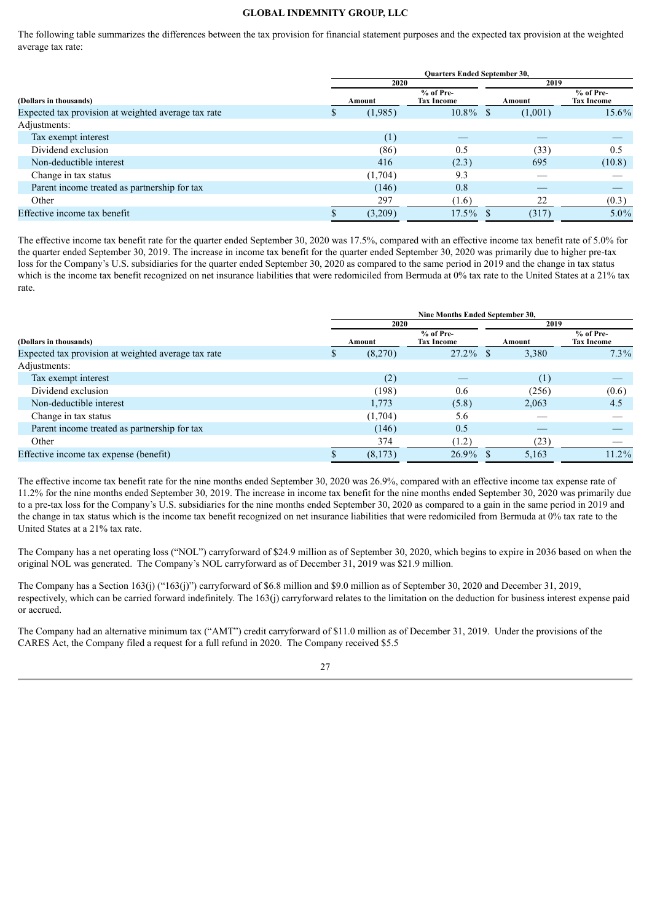The following table summarizes the differences between the tax provision for financial statement purposes and the expected tax provision at the weighted average tax rate:

|                                                     |   |         | <b>Ouarters Ended September 30,</b> |        |         |                                  |  |
|-----------------------------------------------------|---|---------|-------------------------------------|--------|---------|----------------------------------|--|
|                                                     |   | 2020    |                                     |        | 2019    |                                  |  |
| (Dollars in thousands)                              |   | Amount  | % of Pre-<br><b>Tax Income</b>      | Amount |         | $%$ of Pre-<br><b>Tax Income</b> |  |
| Expected tax provision at weighted average tax rate | ъ | (1,985) | $10.8\%$                            |        | (1,001) | 15.6%                            |  |
| Adjustments:                                        |   |         |                                     |        |         |                                  |  |
| Tax exempt interest                                 |   | (1)     |                                     |        |         |                                  |  |
| Dividend exclusion                                  |   | (86)    | 0.5                                 |        | (33)    | 0.5                              |  |
| Non-deductible interest                             |   | 416     | (2.3)                               |        | 695     | (10.8)                           |  |
| Change in tax status                                |   | (1,704) | 9.3                                 |        |         |                                  |  |
| Parent income treated as partnership for tax        |   | (146)   | 0.8                                 |        |         |                                  |  |
| Other                                               |   | 297     | (1.6)                               |        | 22      | (0.3)                            |  |
| Effective income tax benefit                        |   | (3,209) | $17.5\%$                            |        | (317)   | $5.0\%$                          |  |

The effective income tax benefit rate for the quarter ended September 30, 2020 was 17.5%, compared with an effective income tax benefit rate of 5.0% for the quarter ended September 30, 2019. The increase in income tax benefit for the quarter ended September 30, 2020 was primarily due to higher pre-tax loss for the Company's U.S. subsidiaries for the quarter ended September 30, 2020 as compared to the same period in 2019 and the change in tax status which is the income tax benefit recognized on net insurance liabilities that were redomiciled from Bermuda at 0% tax rate to the United States at a 21% tax rate.

|                                                     |   | Nine Months Ended September 30, |                                |  |        |                           |  |
|-----------------------------------------------------|---|---------------------------------|--------------------------------|--|--------|---------------------------|--|
|                                                     |   | 2020                            |                                |  | 2019   |                           |  |
| (Dollars in thousands)                              |   | Amount                          | % of Pre-<br><b>Tax Income</b> |  | Amount | $%$ of Pre-<br>Tax Income |  |
| Expected tax provision at weighted average tax rate | D | (8,270)                         | $27.2\%$                       |  | 3,380  | $7.3\%$                   |  |
| Adjustments:                                        |   |                                 |                                |  |        |                           |  |
| Tax exempt interest                                 |   | (2)                             |                                |  | (1)    |                           |  |
| Dividend exclusion                                  |   | (198)                           | 0.6                            |  | (256)  | (0.6)                     |  |
| Non-deductible interest                             |   | 1,773                           | (5.8)                          |  | 2,063  | 4.5                       |  |
| Change in tax status                                |   | (1,704)                         | 5.6                            |  |        |                           |  |
| Parent income treated as partnership for tax        |   | (146)                           | 0.5                            |  |        |                           |  |
| Other                                               |   | 374                             | (1.2)                          |  | (23)   |                           |  |
| Effective income tax expense (benefit)              |   | (8,173)                         | $26.9\%$                       |  | 5,163  | 11.2%                     |  |

The effective income tax benefit rate for the nine months ended September 30, 2020 was 26.9%, compared with an effective income tax expense rate of 11.2% for the nine months ended September 30, 2019. The increase in income tax benefit for the nine months ended September 30, 2020 was primarily due to a pre-tax loss for the Company's U.S. subsidiaries for the nine months ended September 30, 2020 as compared to a gain in the same period in 2019 and the change in tax status which is the income tax benefit recognized on net insurance liabilities that were redomiciled from Bermuda at 0% tax rate to the United States at a 21% tax rate.

The Company has a net operating loss ("NOL") carryforward of \$24.9 million as of September 30, 2020, which begins to expire in 2036 based on when the original NOL was generated. The Company's NOL carryforward as of December 31, 2019 was \$21.9 million.

The Company has a Section 163(j) ("163(j)") carryforward of \$6.8 million and \$9.0 million as of September 30, 2020 and December 31, 2019, respectively, which can be carried forward indefinitely. The 163(j) carryforward relates to the limitation on the deduction for business interest expense paid or accrued.

The Company had an alternative minimum tax ("AMT") credit carryforward of \$11.0 million as of December 31, 2019. Under the provisions of the CARES Act, the Company filed a request for a full refund in 2020. The Company received \$5.5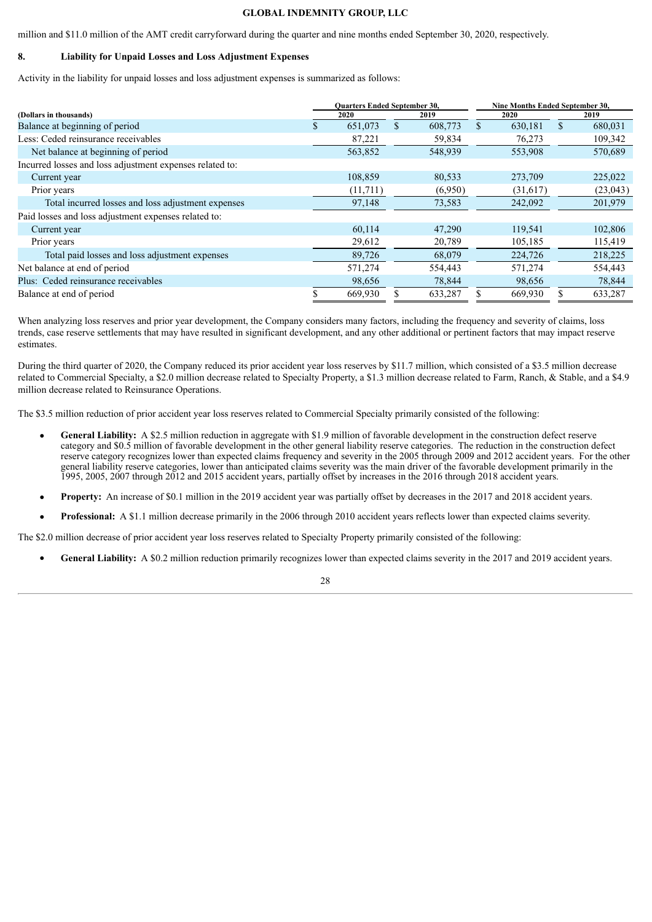million and \$11.0 million of the AMT credit carryforward during the quarter and nine months ended September 30, 2020, respectively.

#### **8. Liability for Unpaid Losses and Loss Adjustment Expenses**

Activity in the liability for unpaid losses and loss adjustment expenses is summarized as follows:

|                                                          | Quarters Ended September 30, |          |    |         |    | Nine Months Ended September 30, |    |           |  |
|----------------------------------------------------------|------------------------------|----------|----|---------|----|---------------------------------|----|-----------|--|
| (Dollars in thousands)                                   |                              | 2020     |    | 2019    |    | 2020                            |    | 2019      |  |
| Balance at beginning of period                           | ЭĐ.                          | 651,073  | \$ | 608,773 | \$ | 630,181                         | S. | 680,031   |  |
| Less: Ceded reinsurance receivables                      |                              | 87,221   |    | 59,834  |    | 76,273                          |    | 109,342   |  |
| Net balance at beginning of period                       |                              | 563,852  |    | 548,939 |    | 553,908                         |    | 570,689   |  |
| Incurred losses and loss adjustment expenses related to: |                              |          |    |         |    |                                 |    |           |  |
| Current year                                             |                              | 108,859  |    | 80,533  |    | 273,709                         |    | 225,022   |  |
| Prior years                                              |                              | (11,711) |    | (6,950) |    | (31,617)                        |    | (23, 043) |  |
| Total incurred losses and loss adjustment expenses       |                              | 97,148   |    | 73,583  |    | 242,092                         |    | 201,979   |  |
| Paid losses and loss adjustment expenses related to:     |                              |          |    |         |    |                                 |    |           |  |
| Current year                                             |                              | 60,114   |    | 47,290  |    | 119,541                         |    | 102,806   |  |
| Prior years                                              |                              | 29,612   |    | 20,789  |    | 105,185                         |    | 115,419   |  |
| Total paid losses and loss adjustment expenses           |                              | 89,726   |    | 68,079  |    | 224,726                         |    | 218,225   |  |
| Net balance at end of period                             |                              | 571,274  |    | 554,443 |    | 571,274                         |    | 554,443   |  |
| Plus: Ceded reinsurance receivables                      |                              | 98,656   |    | 78,844  |    | 98,656                          |    | 78,844    |  |
| Balance at end of period                                 |                              | 669,930  |    | 633,287 |    | 669,930                         |    | 633,287   |  |

When analyzing loss reserves and prior year development, the Company considers many factors, including the frequency and severity of claims, loss trends, case reserve settlements that may have resulted in significant development, and any other additional or pertinent factors that may impact reserve estimates.

During the third quarter of 2020, the Company reduced its prior accident year loss reserves by \$11.7 million, which consisted of a \$3.5 million decrease related to Commercial Specialty, a \$2.0 million decrease related to Specialty Property, a \$1.3 million decrease related to Farm, Ranch, & Stable, and a \$4.9 million decrease related to Reinsurance Operations.

The \$3.5 million reduction of prior accident year loss reserves related to Commercial Specialty primarily consisted of the following:

- **General Liability:** <sup>A</sup> \$2.5 million reduction in aggregate with \$1.9 million of favorable development in the construction defect reserve category and \$0.5 million of favorable development in the other general liability reserve categories. The reduction in the construction defect reserve category recognizes lower than expected claims frequency and severity in the 2005 through 2009 and 2012 accident years. For the other general liability reserve categories, lower than anticipated claims severity was the main driver of the favorable development primarily in the 1995, 2005, 2007 through 2012 and 2015 accident years, partially offset by increases in the 2016 through 2018 accident years.
- **Property:** An increase of \$0.1 million in the <sup>2019</sup> accident year was partially offset by decreases in the <sup>2017</sup> and <sup>2018</sup> accident years.
- **Professional:** <sup>A</sup> \$1.1 million decrease primarily in the <sup>2006</sup> through <sup>2010</sup> accident years reflects lower than expected claims severity.

The \$2.0 million decrease of prior accident year loss reserves related to Specialty Property primarily consisted of the following:

• **General Liability:** <sup>A</sup> \$0.2 million reduction primarily recognizes lower than expected claims severity in the <sup>2017</sup> and <sup>2019</sup> accident years.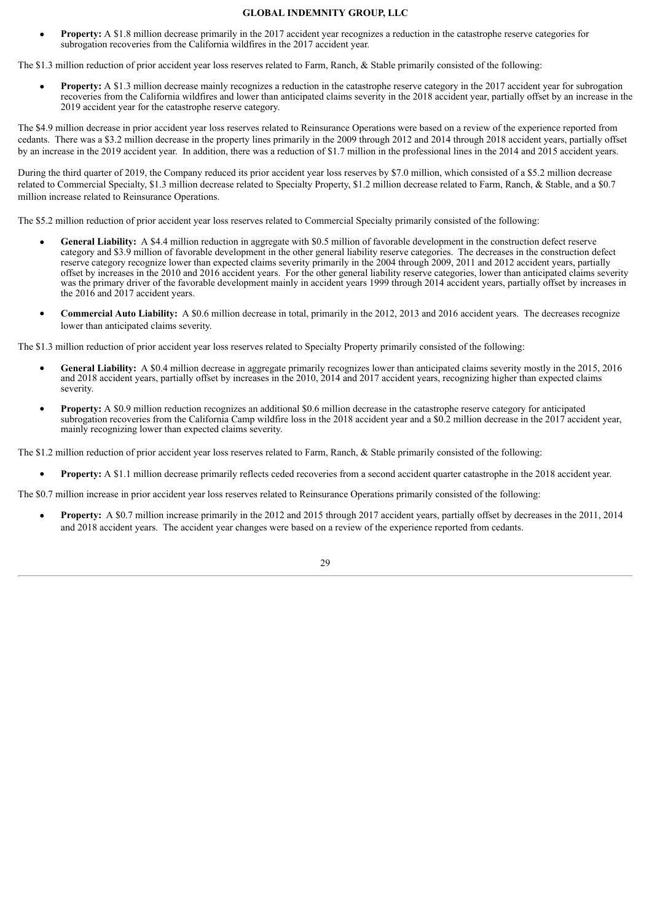• **Property:** <sup>A</sup> \$1.8 million decrease primarily in the <sup>2017</sup> accident year recognizes <sup>a</sup> reduction in the catastrophe reserve categories for subrogation recoveries from the California wildfires in the 2017 accident year.

The \$1.3 million reduction of prior accident year loss reserves related to Farm, Ranch, & Stable primarily consisted of the following:

**Property:** A \$1.3 million decrease mainly recognizes a reduction in the catastrophe reserve category in the 2017 accident year for subrogation recoveries from the California wildfires and lower than anticipated claims severity in the 2018 accident year, partially offset by an increase in the 2019 accident year for the catastrophe reserve category.

The \$4.9 million decrease in prior accident year loss reserves related to Reinsurance Operations were based on a review of the experience reported from cedants. There was a \$3.2 million decrease in the property lines primarily in the 2009 through 2012 and 2014 through 2018 accident years, partially offset by an increase in the 2019 accident year. In addition, there was a reduction of \$1.7 million in the professional lines in the 2014 and 2015 accident years.

During the third quarter of 2019, the Company reduced its prior accident year loss reserves by \$7.0 million, which consisted of a \$5.2 million decrease related to Commercial Specialty, \$1.3 million decrease related to Specialty Property, \$1.2 million decrease related to Farm, Ranch, & Stable, and a \$0.7 million increase related to Reinsurance Operations.

The \$5.2 million reduction of prior accident year loss reserves related to Commercial Specialty primarily consisted of the following:

- **General Liability:** <sup>A</sup> \$4.4 million reduction in aggregate with \$0.5 million of favorable development in the construction defect reserve category and \$3.9 million of favorable development in the other general liability reserve categories. The decreases in the construction defect reserve category recognize lower than expected claims severity primarily in the 2004 through 2009, 2011 and 2012 accident years, partially offset by increases in the 2010 and 2016 accident years. For the other general liability reserve categories, lower than anticipated claims severity was the primary driver of the favorable development mainly in accident years 1999 through 2014 accident years, partially offset by increases in the  $2016$  and  $2017$  accident years.
- **Commercial Auto Liability:** <sup>A</sup> \$0.6 million decrease in total, primarily in the 2012, <sup>2013</sup> and <sup>2016</sup> accident years. The decreases recognize lower than anticipated claims severity.

The \$1.3 million reduction of prior accident year loss reserves related to Specialty Property primarily consisted of the following:

- **General Liability:** <sup>A</sup> \$0.4 million decrease in aggregate primarily recognizes lower than anticipated claims severity mostly in the 2015, <sup>2016</sup> and 2018 accident years, partially offset by increases in the 2010, 2014 and 2017 accident years, recognizing higher than expected claims severity.
- **Property:** <sup>A</sup> \$0.9 million reduction recognizes an additional \$0.6 million decrease in the catastrophe reserve category for anticipated subrogation recoveries from the California Camp wildfire loss in the 2018 accident year and a \$0.2 million decrease in the 2017 accident year, mainly recognizing lower than expected claims severity.

The \$1.2 million reduction of prior accident year loss reserves related to Farm, Ranch, & Stable primarily consisted of the following:

• **Property:** <sup>A</sup> \$1.1 million decrease primarily reflects ceded recoveries from <sup>a</sup> second accident quarter catastrophe in the <sup>2018</sup> accident year.

The \$0.7 million increase in prior accident year loss reserves related to Reinsurance Operations primarily consisted of the following:

• **Property:** <sup>A</sup> \$0.7 million increase primarily in the <sup>2012</sup> and <sup>2015</sup> through <sup>2017</sup> accident years, partially offset by decreases in the 2011, <sup>2014</sup> and 2018 accident years. The accident year changes were based on a review of the experience reported from cedants.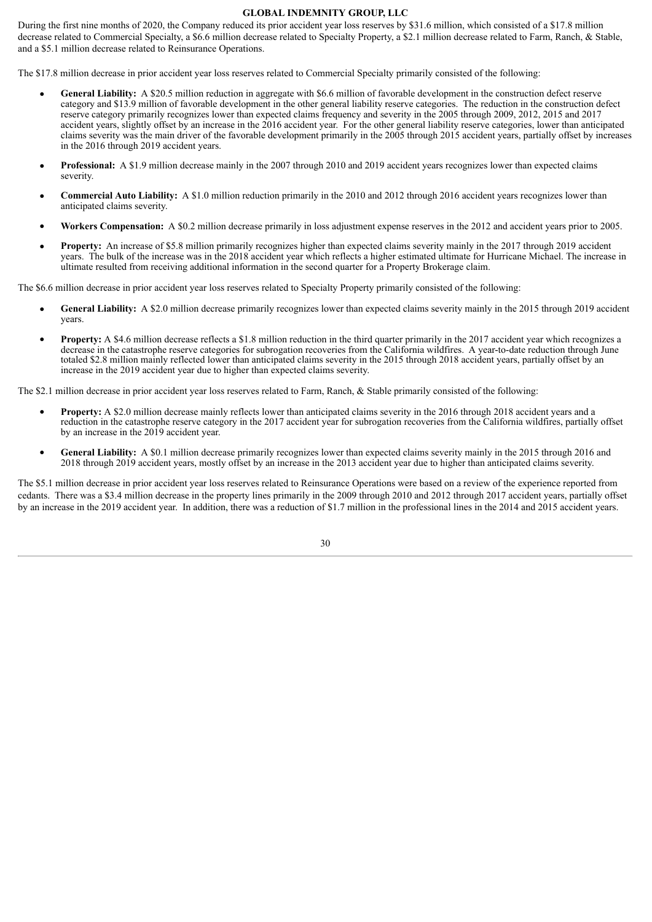During the first nine months of 2020, the Company reduced its prior accident year loss reserves by \$31.6 million, which consisted of a \$17.8 million decrease related to Commercial Specialty, a \$6.6 million decrease related to Specialty Property, a \$2.1 million decrease related to Farm, Ranch, & Stable, and a \$5.1 million decrease related to Reinsurance Operations.

The \$17.8 million decrease in prior accident year loss reserves related to Commercial Specialty primarily consisted of the following:

- **General Liability:** <sup>A</sup> \$20.5 million reduction in aggregate with \$6.6 million of favorable development in the construction defect reserve category and \$13.9 million of favorable development in the other general liability reserve categories. The reduction in the construction defect reserve category primarily recognizes lower than expected claims frequency and severity in the 2005 through 2009, 2012, 2015 and 2017 accident years, slightly offset by an increase in the 2016 accident year. For the other general liability reserve categories, lower than anticipated claims severity was the main driver of the favorable development primarily in the 2005 through 2015 accident years, partially offset by increases in the 2016 through 2019 accident years.
- **Professional:** <sup>A</sup> \$1.9 million decrease mainly in the <sup>2007</sup> through <sup>2010</sup> and <sup>2019</sup> accident years recognizes lower than expected claims severity.
- **Commercial Auto Liability:** <sup>A</sup> \$1.0 million reduction primarily in the <sup>2010</sup> and <sup>2012</sup> through <sup>2016</sup> accident years recognizes lower than anticipated claims severity.
- **Workers Compensation:** <sup>A</sup> \$0.2 million decrease primarily in loss adjustment expense reserves in the <sup>2012</sup> and accident years prior to 2005.
- **Property:** An increase of \$5.8 million primarily recognizes higher than expected claims severity mainly in the <sup>2017</sup> through <sup>2019</sup> accident years. The bulk of the increase was in the 2018 accident year which reflects a higher estimated ultimate for Hurricane Michael. The increase in ultimate resulted from receiving additional information in the second quarter for a Property Brokerage claim.

The \$6.6 million decrease in prior accident year loss reserves related to Specialty Property primarily consisted of the following:

- **General Liability:** <sup>A</sup> \$2.0 million decrease primarily recognizes lower than expected claims severity mainly in the <sup>2015</sup> through <sup>2019</sup> accident years.
- **Property:** <sup>A</sup> \$4.6 million decrease reflects <sup>a</sup> \$1.8 million reduction in the third quarter primarily in the <sup>2017</sup> accident year which recognizes <sup>a</sup> decrease in the catastrophe reserve categories for subrogation recoveries from the California wildfires. A year-to-date reduction through June totaled \$2.8 million mainly reflected lower than anticipated claims severity in the 2015 through 2018 accident years, partially offset by an increase in the 2019 accident year due to higher than expected claims severity.

The \$2.1 million decrease in prior accident year loss reserves related to Farm, Ranch, & Stable primarily consisted of the following:

- **Property:** <sup>A</sup> \$2.0 million decrease mainly reflects lower than anticipated claims severity in the <sup>2016</sup> through <sup>2018</sup> accident years and <sup>a</sup> reduction in the catastrophe reserve category in the 2017 accident year for subrogation recoveries from the California wildfires, partially offset by an increase in the 2019 accident year.
- **General Liability:** <sup>A</sup> \$0.1 million decrease primarily recognizes lower than expected claims severity mainly in the <sup>2015</sup> through <sup>2016</sup> and 2018 through 2019 accident years, mostly offset by an increase in the 2013 accident year due to higher than anticipated claims severity.

The \$5.1 million decrease in prior accident year loss reserves related to Reinsurance Operations were based on a review of the experience reported from cedants. There was a \$3.4 million decrease in the property lines primarily in the 2009 through 2010 and 2012 through 2017 accident years, partially offset by an increase in the 2019 accident year. In addition, there was a reduction of \$1.7 million in the professional lines in the 2014 and 2015 accident years.

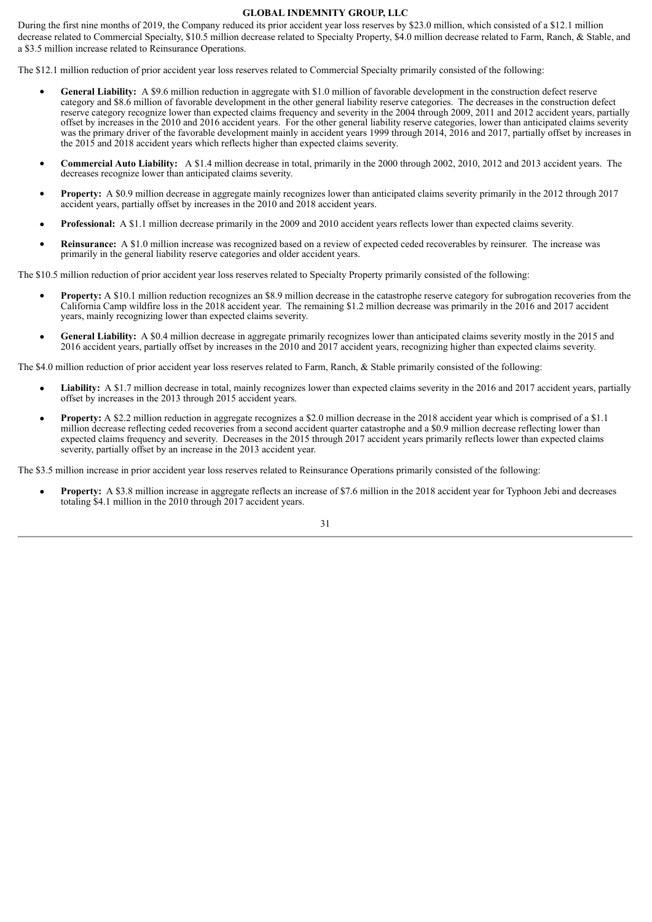During the first nine months of 2019, the Company reduced its prior accident year loss reserves by \$23.0 million, which consisted of a \$12.1 million decrease related to Commercial Specialty, \$10.5 million decrease related to Specialty Property, \$4.0 million decrease related to Farm, Ranch, & Stable, and a \$3.5 million increase related to Reinsurance Operations.

The \$12.1 million reduction of prior accident year loss reserves related to Commercial Specialty primarily consisted of the following:

- **General Liability:** <sup>A</sup> \$9.6 million reduction in aggregate with \$1.0 million of favorable development in the construction defect reserve category and \$8.6 million of favorable development in the other general liability reserve categories. The decreases in the construction defect reserve category recognize lower than expected claims frequency and severity in the 2004 through 2009, 2011 and 2012 accident years, partially offset by increases in the 2010 and 2016 accident years. For the other general liability reserve categories, lower than anticipated claims severity was the primary driver of the favorable development mainly in accident years 1999 through 2014, 2016 and 2017, partially offset by increases in the 2015 and 2018 accident years which reflects higher than expected claims severity.
- **Commercial Auto Liability:** <sup>A</sup> \$1.4 million decrease in total, primarily in the <sup>2000</sup> through 2002, 2010, <sup>2012</sup> and <sup>2013</sup> accident years. The decreases recognize lower than anticipated claims severity.
- **Property:** <sup>A</sup> \$0.9 million decrease in aggregate mainly recognizes lower than anticipated claims severity primarily in the <sup>2012</sup> through <sup>2017</sup> accident years, partially offset by increases in the 2010 and 2018 accident years.
- **Professional:** <sup>A</sup> \$1.1 million decrease primarily in the <sup>2009</sup> and <sup>2010</sup> accident years reflects lower than expected claims severity.
- **Reinsurance:** <sup>A</sup> \$1.0 million increase was recognized based on <sup>a</sup> review of expected ceded recoverables by reinsurer. The increase was primarily in the general liability reserve categories and older accident years.

The \$10.5 million reduction of prior accident year loss reserves related to Specialty Property primarily consisted of the following:

- **Property:** A \$10.1 million reduction recognizes an \$8.9 million decrease in the catastrophe reserve category for subrogation recoveries from the California Camp wildfire loss in the 2018 accident year. The remaining \$1.2 million decrease was primarily in the 2016 and 2017 accident years, mainly recognizing lower than expected claims severity.
- **General Liability:** <sup>A</sup> \$0.4 million decrease in aggregate primarily recognizes lower than anticipated claims severity mostly in the <sup>2015</sup> and 2016 accident years, partially offset by increases in the 2010 and 2017 accident years, recognizing higher than expected claims severity.

The \$4.0 million reduction of prior accident year loss reserves related to Farm, Ranch, & Stable primarily consisted of the following:

- **Liability:** <sup>A</sup> \$1.7 million decrease in total, mainly recognizes lower than expected claims severity in the <sup>2016</sup> and <sup>2017</sup> accident years, partially offset by increases in the 2013 through 2015 accident years.
- **Property:** <sup>A</sup> \$2.2 million reduction in aggregate recognizes <sup>a</sup> \$2.0 million decrease in the <sup>2018</sup> accident year which is comprised of <sup>a</sup> \$1.1 million decrease reflecting ceded recoveries from a second accident quarter catastrophe and a \$0.9 million decrease reflecting lower than expected claims frequency and severity. Decreases in the 2015 through 2017 accident years primarily reflects lower than expected claims severity, partially offset by an increase in the 2013 accident year.

The \$3.5 million increase in prior accident year loss reserves related to Reinsurance Operations primarily consisted of the following:

• **Property:** <sup>A</sup> \$3.8 million increase in aggregate reflects an increase of \$7.6 million in the <sup>2018</sup> accident year for Typhoon Jebi and decreases totaling \$4.1 million in the 2010 through 2017 accident years.

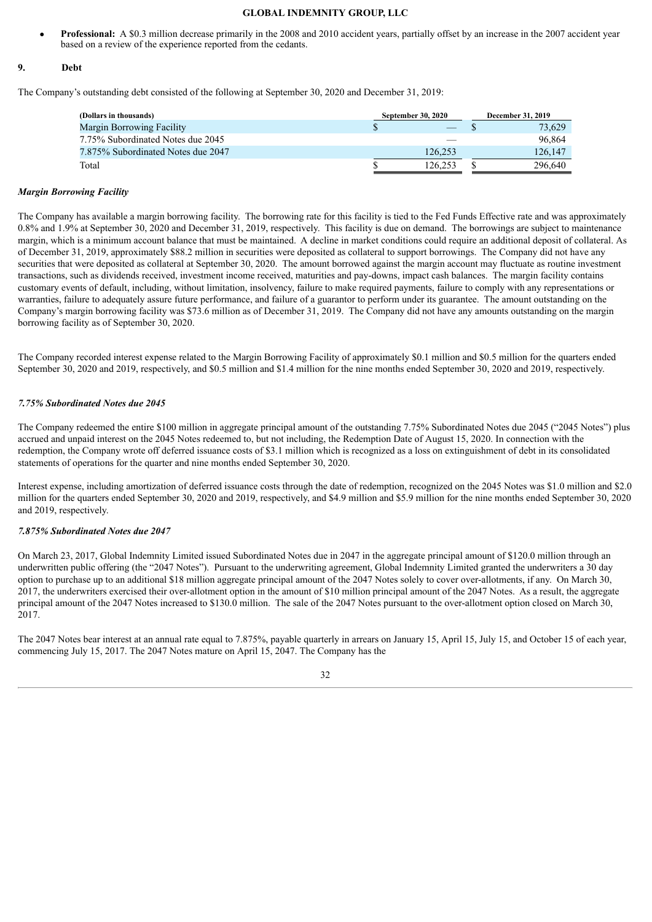**Professional:** A \$0.3 million decrease primarily in the 2008 and 2010 accident years, partially offset by an increase in the 2007 accident year based on a review of the experience reported from the cedants.

#### **9. Debt**

The Company's outstanding debt consisted of the following at September 30, 2020 and December 31, 2019:

| (Dollars in thousands)             | <b>September 30, 2020</b> |  | <b>December 31, 2019</b> |
|------------------------------------|---------------------------|--|--------------------------|
| Margin Borrowing Facility          |                           |  | 73,629                   |
| 7.75% Subordinated Notes due 2045  |                           |  | 96.864                   |
| 7.875% Subordinated Notes due 2047 | 126.253                   |  | 126.147                  |
| Total                              | 126.253                   |  | 296.640                  |

#### *Margin Borrowing Facility*

The Company has available a margin borrowing facility. The borrowing rate for this facility is tied to the Fed Funds Effective rate and was approximately 0.8% and 1.9% at September 30, 2020 and December 31, 2019, respectively. This facility is due on demand. The borrowings are subject to maintenance margin, which is a minimum account balance that must be maintained. A decline in market conditions could require an additional deposit of collateral. As of December 31, 2019, approximately \$88.2 million in securities were deposited as collateral to support borrowings. The Company did not have any securities that were deposited as collateral at September 30, 2020. The amount borrowed against the margin account may fluctuate as routine investment transactions, such as dividends received, investment income received, maturities and pay-downs, impact cash balances. The margin facility contains customary events of default, including, without limitation, insolvency, failure to make required payments, failure to comply with any representations or warranties, failure to adequately assure future performance, and failure of a guarantor to perform under its guarantee. The amount outstanding on the Company's margin borrowing facility was \$73.6 million as of December 31, 2019. The Company did not have any amounts outstanding on the margin borrowing facility as of September 30, 2020.

The Company recorded interest expense related to the Margin Borrowing Facility of approximately \$0.1 million and \$0.5 million for the quarters ended September 30, 2020 and 2019, respectively, and \$0.5 million and \$1.4 million for the nine months ended September 30, 2020 and 2019, respectively.

#### *7.75% Subordinated Notes due 2045*

The Company redeemed the entire \$100 million in aggregate principal amount of the outstanding 7.75% Subordinated Notes due 2045 ("2045 Notes") plus accrued and unpaid interest on the 2045 Notes redeemed to, but not including, the Redemption Date of August 15, 2020. In connection with the redemption, the Company wrote off deferred issuance costs of \$3.1 million which is recognized as a loss on extinguishment of debt in its consolidated statements of operations for the quarter and nine months ended September 30, 2020.

Interest expense, including amortization of deferred issuance costs through the date of redemption, recognized on the 2045 Notes was \$1.0 million and \$2.0 million for the quarters ended September 30, 2020 and 2019, respectively, and \$4.9 million and \$5.9 million for the nine months ended September 30, 2020 and 2019, respectively.

#### *7.875% Subordinated Notes due 2047*

On March 23, 2017, Global Indemnity Limited issued Subordinated Notes due in 2047 in the aggregate principal amount of \$120.0 million through an underwritten public offering (the "2047 Notes"). Pursuant to the underwriting agreement, Global Indemnity Limited granted the underwriters a 30 day option to purchase up to an additional \$18 million aggregate principal amount of the 2047 Notes solely to cover over-allotments, if any. On March 30, 2017, the underwriters exercised their over-allotment option in the amount of \$10 million principal amount of the 2047 Notes. As a result, the aggregate principal amount of the 2047 Notes increased to \$130.0 million. The sale of the 2047 Notes pursuant to the over-allotment option closed on March 30, 2017.

The 2047 Notes bear interest at an annual rate equal to 7.875%, payable quarterly in arrears on January 15, April 15, July 15, and October 15 of each year, commencing July 15, 2017. The 2047 Notes mature on April 15, 2047. The Company has the

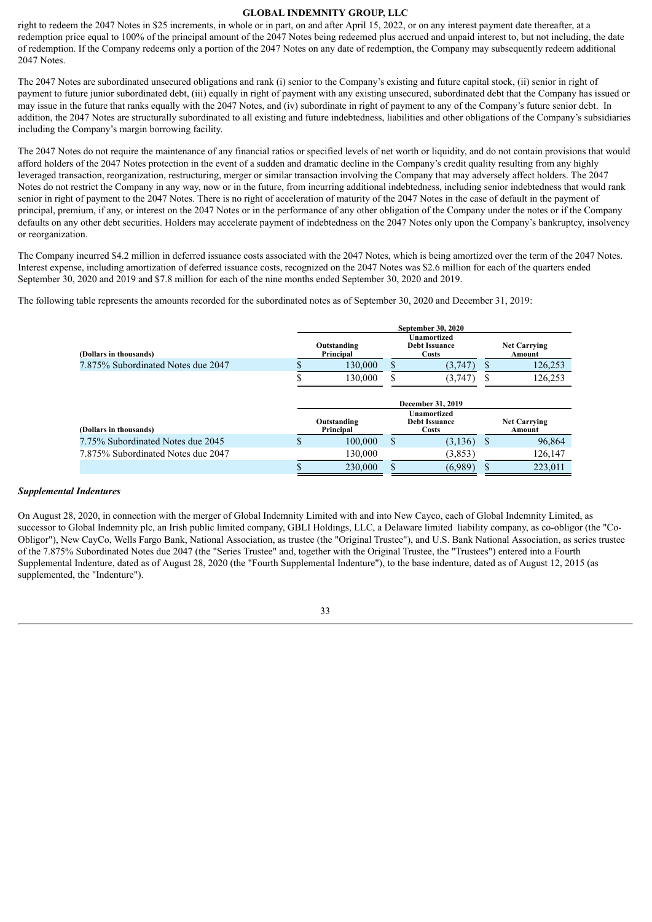right to redeem the 2047 Notes in \$25 increments, in whole or in part, on and after April 15, 2022, or on any interest payment date thereafter, at a redemption price equal to 100% of the principal amount of the 2047 Notes being redeemed plus accrued and unpaid interest to, but not including, the date of redemption. If the Company redeems only a portion of the 2047 Notes on any date of redemption, the Company may subsequently redeem additional 2047 Notes.

The 2047 Notes are subordinated unsecured obligations and rank (i) senior to the Company's existing and future capital stock, (ii) senior in right of payment to future junior subordinated debt, (iii) equally in right of payment with any existing unsecured, subordinated debt that the Company has issued or may issue in the future that ranks equally with the 2047 Notes, and (iv) subordinate in right of payment to any of the Company's future senior debt. In addition, the 2047 Notes are structurally subordinated to all existing and future indebtedness, liabilities and other obligations of the Company's subsidiaries including the Company's margin borrowing facility.

The 2047 Notes do not require the maintenance of any financial ratios or specified levels of net worth or liquidity, and do not contain provisions that would afford holders of the 2047 Notes protection in the event of a sudden and dramatic decline in the Company's credit quality resulting from any highly leveraged transaction, reorganization, restructuring, merger or similar transaction involving the Company that may adversely affect holders. The 2047 Notes do not restrict the Company in any way, now or in the future, from incurring additional indebtedness, including senior indebtedness that would rank senior in right of payment to the 2047 Notes. There is no right of acceleration of maturity of the 2047 Notes in the case of default in the payment of principal, premium, if any, or interest on the 2047 Notes or in the performance of any other obligation of the Company under the notes or if the Company defaults on any other debt securities. Holders may accelerate payment of indebtedness on the 2047 Notes only upon the Company's bankruptcy, insolvency or reorganization.

The Company incurred \$4.2 million in deferred issuance costs associated with the 2047 Notes, which is being amortized over the term of the 2047 Notes. Interest expense, including amortization of deferred issuance costs, recognized on the 2047 Notes was \$2.6 million for each of the quarters ended September 30, 2020 and 2019 and \$7.8 million for each of the nine months ended September 30, 2020 and 2019.

The following table represents the amounts recorded for the subordinated notes as of September 30, 2020 and December 31, 2019:

|                                    | <b>September 30, 2020</b> |                                                                                 |              |                                                     |    |                               |  |  |  |
|------------------------------------|---------------------------|---------------------------------------------------------------------------------|--------------|-----------------------------------------------------|----|-------------------------------|--|--|--|
| (Dollars in thousands)             |                           | Outstanding<br>Principal                                                        |              | <b>Unamortized</b><br><b>Debt Issuance</b><br>Costs |    | <b>Net Carrying</b><br>Amount |  |  |  |
| 7.875% Subordinated Notes due 2047 |                           | 130,000                                                                         | S            | (3,747)                                             | S  | 126,253                       |  |  |  |
|                                    |                           | 130,000                                                                         |              | (3,747)                                             | ה. | 126,253                       |  |  |  |
|                                    |                           |                                                                                 |              | December 31, 2019                                   |    |                               |  |  |  |
| (Dollars in thousands)             |                           | <b>Unamortized</b><br><b>Debt Issuance</b><br>Outstanding<br>Principal<br>Costs |              |                                                     |    | <b>Net Carrying</b><br>Amount |  |  |  |
| 7.75% Subordinated Notes due 2045  | ٠D                        | 100,000                                                                         | $\mathbf{s}$ | (3, 136)                                            | S  | 96,864                        |  |  |  |
| 7.875% Subordinated Notes due 2047 |                           | 130,000                                                                         |              | (3, 853)                                            |    | 126,147                       |  |  |  |
|                                    |                           | 230,000                                                                         | \$           | (6,989)                                             | S  | 223,011                       |  |  |  |

#### *Supplemental Indentures*

On August 28, 2020, in connection with the merger of Global Indemnity Limited with and into New Cayco, each of Global Indemnity Limited, as successor to Global Indemnity plc, an Irish public limited company, GBLI Holdings, LLC, a Delaware limited liability company, as co-obligor (the "Co-Obligor"), New CayCo, Wells Fargo Bank, National Association, as trustee (the "Original Trustee"), and U.S. Bank National Association, as series trustee of the 7.875% Subordinated Notes due 2047 (the "Series Trustee" and, together with the Original Trustee, the "Trustees") entered into a Fourth Supplemental Indenture, dated as of August 28, 2020 (the "Fourth Supplemental Indenture"), to the base indenture, dated as of August 12, 2015 (as supplemented, the "Indenture").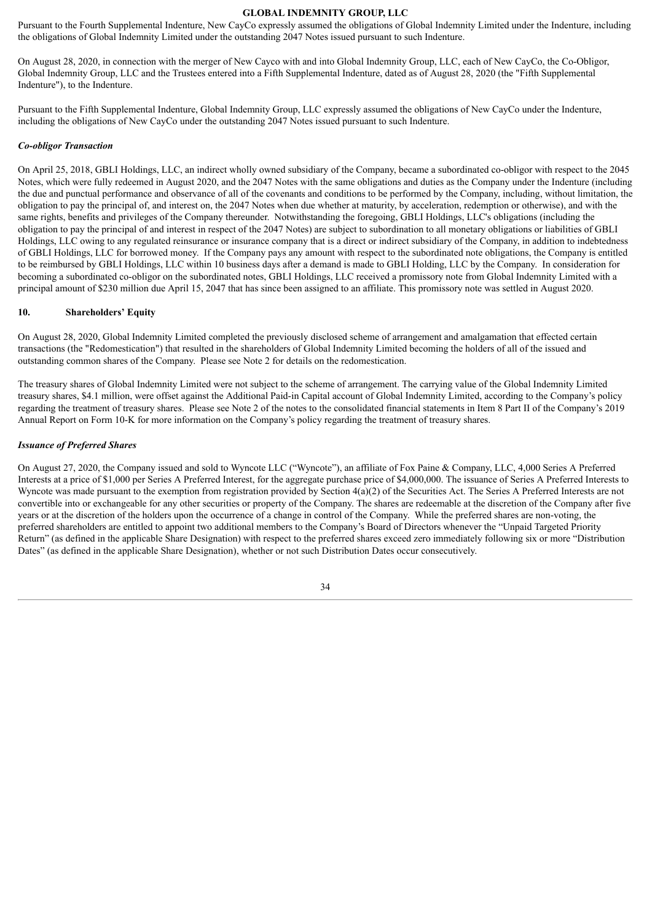Pursuant to the Fourth Supplemental Indenture, New CayCo expressly assumed the obligations of Global Indemnity Limited under the Indenture, including the obligations of Global Indemnity Limited under the outstanding 2047 Notes issued pursuant to such Indenture.

On August 28, 2020, in connection with the merger of New Cayco with and into Global Indemnity Group, LLC, each of New CayCo, the Co-Obligor, Global Indemnity Group, LLC and the Trustees entered into a Fifth Supplemental Indenture, dated as of August 28, 2020 (the "Fifth Supplemental Indenture"), to the Indenture.

Pursuant to the Fifth Supplemental Indenture, Global Indemnity Group, LLC expressly assumed the obligations of New CayCo under the Indenture, including the obligations of New CayCo under the outstanding 2047 Notes issued pursuant to such Indenture.

#### *Co-obligor Transaction*

On April 25, 2018, GBLI Holdings, LLC, an indirect wholly owned subsidiary of the Company, became a subordinated co-obligor with respect to the 2045 Notes, which were fully redeemed in August 2020, and the 2047 Notes with the same obligations and duties as the Company under the Indenture (including the due and punctual performance and observance of all of the covenants and conditions to be performed by the Company, including, without limitation, the obligation to pay the principal of, and interest on, the 2047 Notes when due whether at maturity, by acceleration, redemption or otherwise), and with the same rights, benefits and privileges of the Company thereunder. Notwithstanding the foregoing, GBLI Holdings, LLC's obligations (including the obligation to pay the principal of and interest in respect of the 2047 Notes) are subject to subordination to all monetary obligations or liabilities of GBLI Holdings, LLC owing to any regulated reinsurance or insurance company that is a direct or indirect subsidiary of the Company, in addition to indebtedness of GBLI Holdings, LLC for borrowed money. If the Company pays any amount with respect to the subordinated note obligations, the Company is entitled to be reimbursed by GBLI Holdings, LLC within 10 business days after a demand is made to GBLI Holding, LLC by the Company. In consideration for becoming a subordinated co-obligor on the subordinated notes, GBLI Holdings, LLC received a promissory note from Global Indemnity Limited with a principal amount of \$230 million due April 15, 2047 that has since been assigned to an affiliate. This promissory note was settled in August 2020.

#### **10. Shareholders' Equity**

On August 28, 2020, Global Indemnity Limited completed the previously disclosed scheme of arrangement and amalgamation that effected certain transactions (the "Redomestication") that resulted in the shareholders of Global Indemnity Limited becoming the holders of all of the issued and outstanding common shares of the Company. Please see Note 2 for details on the redomestication.

The treasury shares of Global Indemnity Limited were not subject to the scheme of arrangement. The carrying value of the Global Indemnity Limited treasury shares, \$4.1 million, were offset against the Additional Paid-in Capital account of Global Indemnity Limited, according to the Company's policy regarding the treatment of treasury shares. Please see Note 2 of the notes to the consolidated financial statements in Item 8 Part II of the Company's 2019 Annual Report on Form 10-K for more information on the Company's policy regarding the treatment of treasury shares.

#### *Issuance of Preferred Shares*

On August 27, 2020, the Company issued and sold to Wyncote LLC ("Wyncote"), an affiliate of Fox Paine & Company, LLC, 4,000 Series A Preferred Interests at a price of \$1,000 per Series A Preferred Interest, for the aggregate purchase price of \$4,000,000. The issuance of Series A Preferred Interests to Wyncote was made pursuant to the exemption from registration provided by Section  $4(a)(2)$  of the Securities Act. The Series A Preferred Interests are not convertible into or exchangeable for any other securities or property of the Company. The shares are redeemable at the discretion of the Company after five years or at the discretion of the holders upon the occurrence of a change in control of the Company. While the preferred shares are non-voting, the preferred shareholders are entitled to appoint two additional members to the Company's Board of Directors whenever the "Unpaid Targeted Priority Return" (as defined in the applicable Share Designation) with respect to the preferred shares exceed zero immediately following six or more "Distribution Dates" (as defined in the applicable Share Designation), whether or not such Distribution Dates occur consecutively.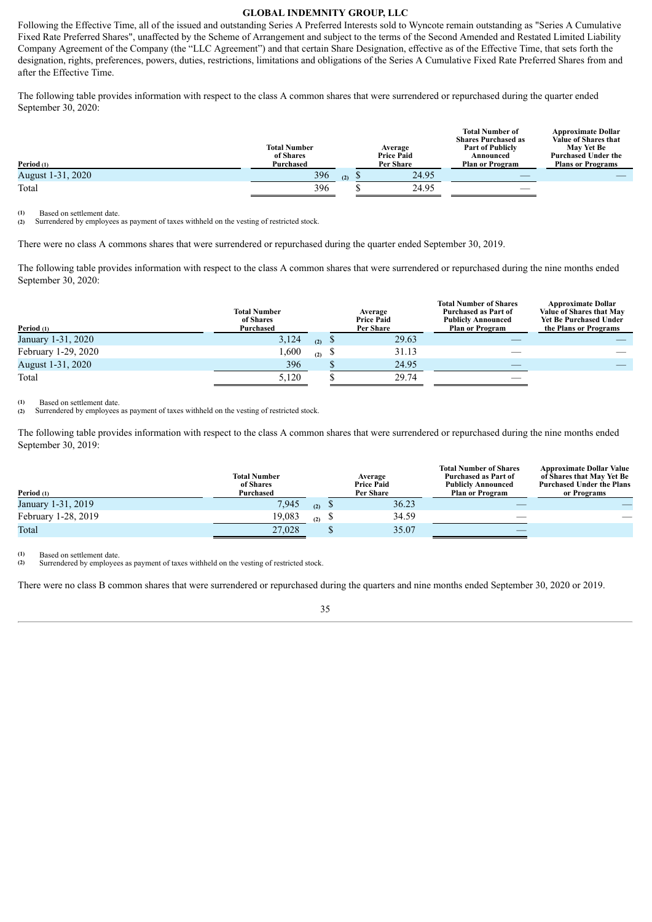Following the Effective Time, all of the issued and outstanding Series A Preferred Interests sold to Wyncote remain outstanding as "Series A Cumulative Fixed Rate Preferred Shares", unaffected by the Scheme of Arrangement and subject to the terms of the Second Amended and Restated Limited Liability Company Agreement of the Company (the "LLC Agreement") and that certain Share Designation, effective as of the Effective Time, that sets forth the designation, rights, preferences, powers, duties, restrictions, limitations and obligations of the Series A Cumulative Fixed Rate Preferred Shares from and after the Effective Time.

The following table provides information with respect to the class A common shares that were surrendered or repurchased during the quarter ended September 30, 2020:

| Period (1)        | <b>Total Number</b><br>of Shares<br>Purchased |     | Average<br><b>Price Paid</b><br>Per Share | <b>Total Number of</b><br><b>Shares Purchased as</b><br><b>Part of Publicly</b><br>Announced<br><b>Plan or Program</b> | <b>Approximate Dollar</b><br><b>Value of Shares that</b><br>May Yet Be<br><b>Purchased Under the</b><br><b>Plans or Programs</b> |
|-------------------|-----------------------------------------------|-----|-------------------------------------------|------------------------------------------------------------------------------------------------------------------------|----------------------------------------------------------------------------------------------------------------------------------|
|                   |                                               |     |                                           |                                                                                                                        |                                                                                                                                  |
| August 1-31, 2020 | 396                                           | (2) | 24.95                                     |                                                                                                                        |                                                                                                                                  |
| Total             | 396                                           |     | 24.95                                     | __                                                                                                                     |                                                                                                                                  |

**(1)** Based on settlement date.

Surrendered by employees as payment of taxes withheld on the vesting of restricted stock.

There were no class A commons shares that were surrendered or repurchased during the quarter ended September 30, 2019.

The following table provides information with respect to the class A common shares that were surrendered or repurchased during the nine months ended September 30, 2020:

| Period (1)          | <b>Total Number</b><br>of Shares<br>Purchased |     | Average<br><b>Price Paid</b><br>Per Share |       | <b>Total Number of Shares</b><br>Purchased as Part of<br><b>Publicly Announced</b><br><b>Plan or Program</b> | <b>Approximate Dollar</b><br>Value of Shares that May<br><b>Yet Be Purchased Under</b><br>the Plans or Programs |
|---------------------|-----------------------------------------------|-----|-------------------------------------------|-------|--------------------------------------------------------------------------------------------------------------|-----------------------------------------------------------------------------------------------------------------|
| January 1-31, 2020  | 3,124                                         | (2) |                                           | 29.63 |                                                                                                              |                                                                                                                 |
| February 1-29, 2020 | 1.600                                         | (2) |                                           | 31.13 |                                                                                                              |                                                                                                                 |
| August 1-31, 2020   | 396                                           |     |                                           | 24.95 |                                                                                                              |                                                                                                                 |
| Total               | 5,120                                         |     |                                           | 29.74 |                                                                                                              |                                                                                                                 |

**(1)** Based on settlement date.

Surrendered by employees as payment of taxes withheld on the vesting of restricted stock.

The following table provides information with respect to the class A common shares that were surrendered or repurchased during the nine months ended September 30, 2019:

| Period (1)          | Total Number<br>of Shares<br>Purchased |     | Average<br><b>Price Paid</b><br><b>Per Share</b> |       | <b>Total Number of Shares</b><br>Purchased as Part of<br><b>Publicly Announced</b><br>Plan or Program | <b>Approximate Dollar Value</b><br>of Shares that May Yet Be<br><b>Purchased Under the Plans</b><br>or Programs |
|---------------------|----------------------------------------|-----|--------------------------------------------------|-------|-------------------------------------------------------------------------------------------------------|-----------------------------------------------------------------------------------------------------------------|
| January 1-31, 2019  | 7,945                                  | (2) |                                                  | 36.23 |                                                                                                       |                                                                                                                 |
| February 1-28, 2019 | 19.083                                 | (2) |                                                  | 34.59 |                                                                                                       |                                                                                                                 |
| Total               | 27,028                                 |     |                                                  | 35.07 |                                                                                                       |                                                                                                                 |

**(1)** Based on settlement date.

**(2)** Surrendered by employees as payment of taxes withheld on the vesting of restricted stock.

There were no class B common shares that were surrendered or repurchased during the quarters and nine months ended September 30, 2020 or 2019.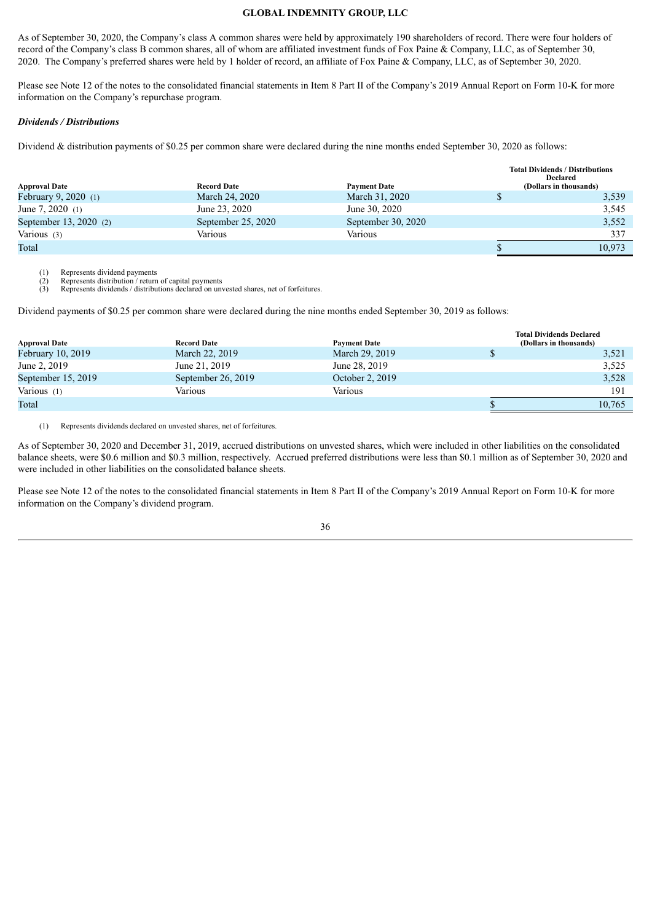As of September 30, 2020, the Company's class A common shares were held by approximately 190 shareholders of record. There were four holders of record of the Company's class B common shares, all of whom are affiliated investment funds of Fox Paine & Company, LLC, as of September 30, 2020. The Company's preferred shares were held by 1 holder of record, an affiliate of Fox Paine & Company, LLC, as of September 30, 2020.

Please see Note 12 of the notes to the consolidated financial statements in Item 8 Part II of the Company's 2019 Annual Report on Form 10-K for more information on the Company's repurchase program.

#### *Dividends / Distributions*

Dividend & distribution payments of \$0.25 per common share were declared during the nine months ended September 30, 2020 as follows:

|                        | <b>Record Date</b>   | <b>Payment Date</b> | <b>Total Dividends / Distributions</b><br><b>Declared</b><br>(Dollars in thousands) |
|------------------------|----------------------|---------------------|-------------------------------------------------------------------------------------|
| <b>Approval Date</b>   |                      |                     |                                                                                     |
| February 9, 2020 $(1)$ | March 24, 2020       | March 31, 2020      | 3.539                                                                               |
| June 7, 2020 $(1)$     | June 23, 2020        | June 30, 2020       | 3,545                                                                               |
| September 13, 2020 (2) | September $25, 2020$ | September 30, 2020  | 3,552                                                                               |
| Various (3)            | Various              | Various             | 337                                                                                 |
| Total                  |                      |                     | 10.973                                                                              |

(1) Represents dividend payments<br>
(2) Represents distribution / return<br>
(3) Represents dividends / distribu Represents distribution / return of capital payments Represents dividends / distributions declared on unvested shares, net of forfeitures.

Dividend payments of \$0.25 per common share were declared during the nine months ended September 30, 2019 as follows:

| <b>Approval Date</b>     | <b>Record Date</b> | <b>Payment Date</b> | <b>Total Dividends Declared</b><br>(Dollars in thousands) |        |
|--------------------------|--------------------|---------------------|-----------------------------------------------------------|--------|
| <b>February 10, 2019</b> | March 22, 2019     | March 29, 2019      |                                                           | 3,521  |
| June 2, 2019             | June 21, 2019      | June 28, 2019       |                                                           | 3,525  |
| September $15, 2019$     | September 26, 2019 | October 2, 2019     |                                                           | 3.528  |
| Various (1)              | Various            | Various             |                                                           | 191    |
| Total                    |                    |                     |                                                           | 10.765 |

(1) Represents dividends declared on unvested shares, net of forfeitures.

As of September 30, 2020 and December 31, 2019, accrued distributions on unvested shares, which were included in other liabilities on the consolidated balance sheets, were \$0.6 million and \$0.3 million, respectively. Accrued preferred distributions were less than \$0.1 million as of September 30, 2020 and were included in other liabilities on the consolidated balance sheets.

Please see Note 12 of the notes to the consolidated financial statements in Item 8 Part II of the Company's 2019 Annual Report on Form 10-K for more information on the Company's dividend program.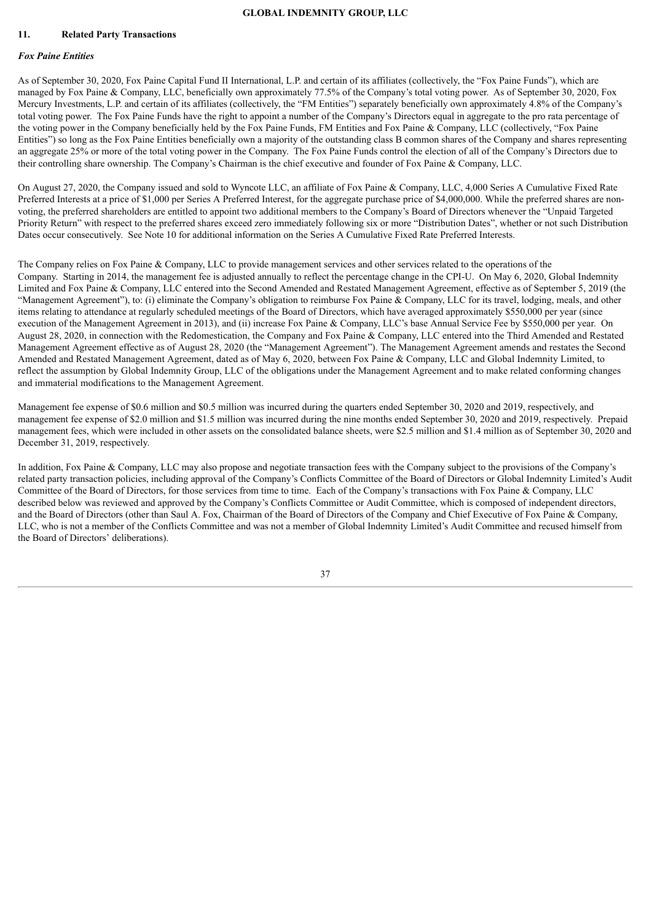### **11. Related Party Transactions**

#### *Fox Paine Entities*

As of September 30, 2020, Fox Paine Capital Fund II International, L.P. and certain of its affiliates (collectively, the "Fox Paine Funds"), which are managed by Fox Paine & Company, LLC, beneficially own approximately 77.5% of the Company's total voting power. As of September 30, 2020, Fox Mercury Investments, L.P. and certain of its affiliates (collectively, the "FM Entities") separately beneficially own approximately 4.8% of the Company's total voting power. The Fox Paine Funds have the right to appoint a number of the Company's Directors equal in aggregate to the pro rata percentage of the voting power in the Company beneficially held by the Fox Paine Funds, FM Entities and Fox Paine & Company, LLC (collectively, "Fox Paine Entities") so long as the Fox Paine Entities beneficially own a majority of the outstanding class B common shares of the Company and shares representing an aggregate 25% or more of the total voting power in the Company. The Fox Paine Funds control the election of all of the Company's Directors due to their controlling share ownership. The Company's Chairman is the chief executive and founder of Fox Paine & Company, LLC.

On August 27, 2020, the Company issued and sold to Wyncote LLC, an affiliate of Fox Paine & Company, LLC, 4,000 Series A Cumulative Fixed Rate Preferred Interests at a price of \$1,000 per Series A Preferred Interest, for the aggregate purchase price of \$4,000,000. While the preferred shares are nonvoting, the preferred shareholders are entitled to appoint two additional members to the Company's Board of Directors whenever the "Unpaid Targeted Priority Return" with respect to the preferred shares exceed zero immediately following six or more "Distribution Dates", whether or not such Distribution Dates occur consecutively. See Note 10 for additional information on the Series A Cumulative Fixed Rate Preferred Interests.

The Company relies on Fox Paine & Company, LLC to provide management services and other services related to the operations of the Company. Starting in 2014, the management fee is adjusted annually to reflect the percentage change in the CPI-U. On May 6, 2020, Global Indemnity Limited and Fox Paine & Company, LLC entered into the Second Amended and Restated Management Agreement, effective as of September 5, 2019 (the "Management Agreement"), to: (i) eliminate the Company's obligation to reimburse Fox Paine & Company, LLC for its travel, lodging, meals, and other items relating to attendance at regularly scheduled meetings of the Board of Directors, which have averaged approximately \$550,000 per year (since execution of the Management Agreement in 2013), and (ii) increase Fox Paine & Company, LLC's base Annual Service Fee by \$550,000 per year. On August 28, 2020, in connection with the Redomestication, the Company and Fox Paine & Company, LLC entered into the Third Amended and Restated Management Agreement effective as of August 28, 2020 (the "Management Agreement"). The Management Agreement amends and restates the Second Amended and Restated Management Agreement, dated as of May 6, 2020, between Fox Paine & Company, LLC and Global Indemnity Limited, to reflect the assumption by Global Indemnity Group, LLC of the obligations under the Management Agreement and to make related conforming changes and immaterial modifications to the Management Agreement.

Management fee expense of \$0.6 million and \$0.5 million was incurred during the quarters ended September 30, 2020 and 2019, respectively, and management fee expense of \$2.0 million and \$1.5 million was incurred during the nine months ended September 30, 2020 and 2019, respectively. Prepaid management fees, which were included in other assets on the consolidated balance sheets, were \$2.5 million and \$1.4 million as of September 30, 2020 and December 31, 2019, respectively.

In addition, Fox Paine & Company, LLC may also propose and negotiate transaction fees with the Company subject to the provisions of the Company's related party transaction policies, including approval of the Company's Conflicts Committee of the Board of Directors or Global Indemnity Limited's Audit Committee of the Board of Directors, for those services from time to time. Each of the Company's transactions with Fox Paine & Company, LLC described below was reviewed and approved by the Company's Conflicts Committee or Audit Committee, which is composed of independent directors, and the Board of Directors (other than Saul A. Fox, Chairman of the Board of Directors of the Company and Chief Executive of Fox Paine & Company, LLC, who is not a member of the Conflicts Committee and was not a member of Global Indemnity Limited's Audit Committee and recused himself from the Board of Directors' deliberations).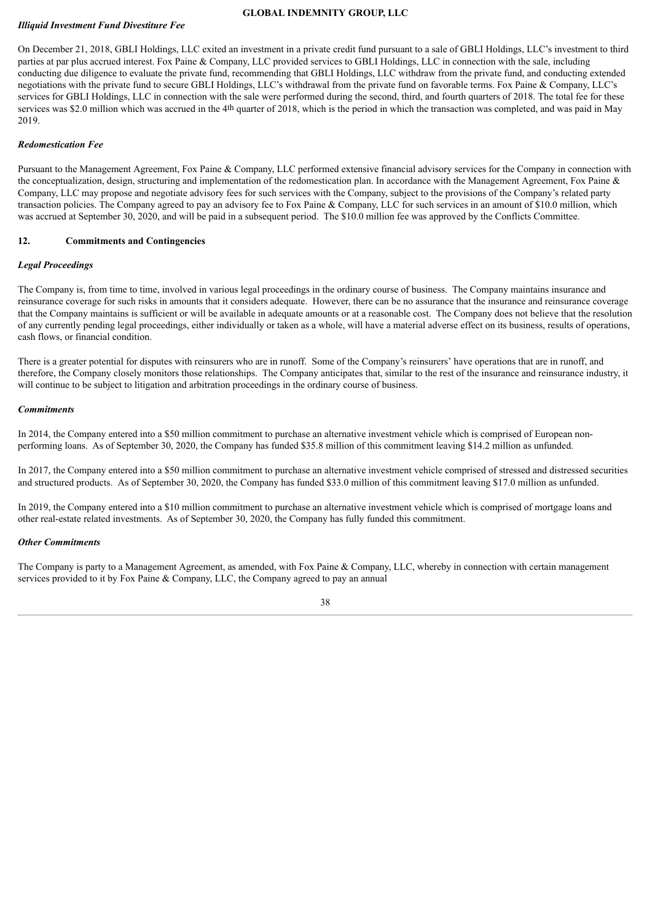## *Illiquid Investment Fund Divestiture Fee*

#### **GLOBAL INDEMNITY GROUP, LLC**

On December 21, 2018, GBLI Holdings, LLC exited an investment in a private credit fund pursuant to a sale of GBLI Holdings, LLC's investment to third parties at par plus accrued interest. Fox Paine & Company, LLC provided services to GBLI Holdings, LLC in connection with the sale, including conducting due diligence to evaluate the private fund, recommending that GBLI Holdings, LLC withdraw from the private fund, and conducting extended negotiations with the private fund to secure GBLI Holdings, LLC's withdrawal from the private fund on favorable terms. Fox Paine & Company, LLC's services for GBLI Holdings, LLC in connection with the sale were performed during the second, third, and fourth quarters of 2018. The total fee for these services was \$2.0 million which was accrued in the 4<sup>th</sup> quarter of 2018, which is the period in which the transaction was completed, and was paid in May 2019.

#### *Redomestication Fee*

Pursuant to the Management Agreement, Fox Paine & Company, LLC performed extensive financial advisory services for the Company in connection with the conceptualization, design, structuring and implementation of the redomestication plan. In accordance with the Management Agreement, Fox Paine & Company, LLC may propose and negotiate advisory fees for such services with the Company, subject to the provisions of the Company's related party transaction policies. The Company agreed to pay an advisory fee to Fox Paine & Company, LLC for such services in an amount of \$10.0 million, which was accrued at September 30, 2020, and will be paid in a subsequent period. The \$10.0 million fee was approved by the Conflicts Committee.

#### **12. Commitments and Contingencies**

### *Legal Proceedings*

The Company is, from time to time, involved in various legal proceedings in the ordinary course of business. The Company maintains insurance and reinsurance coverage for such risks in amounts that it considers adequate. However, there can be no assurance that the insurance and reinsurance coverage that the Company maintains is sufficient or will be available in adequate amounts or at a reasonable cost. The Company does not believe that the resolution of any currently pending legal proceedings, either individually or taken as a whole, will have a material adverse effect on its business, results of operations, cash flows, or financial condition.

There is a greater potential for disputes with reinsurers who are in runoff. Some of the Company's reinsurers' have operations that are in runoff, and therefore, the Company closely monitors those relationships. The Company anticipates that, similar to the rest of the insurance and reinsurance industry, it will continue to be subject to litigation and arbitration proceedings in the ordinary course of business.

#### *Commitments*

In 2014, the Company entered into a \$50 million commitment to purchase an alternative investment vehicle which is comprised of European nonperforming loans. As of September 30, 2020, the Company has funded \$35.8 million of this commitment leaving \$14.2 million as unfunded.

In 2017, the Company entered into a \$50 million commitment to purchase an alternative investment vehicle comprised of stressed and distressed securities and structured products. As of September 30, 2020, the Company has funded \$33.0 million of this commitment leaving \$17.0 million as unfunded.

In 2019, the Company entered into a \$10 million commitment to purchase an alternative investment vehicle which is comprised of mortgage loans and other real-estate related investments. As of September 30, 2020, the Company has fully funded this commitment.

#### *Other Commitments*

The Company is party to a Management Agreement, as amended, with Fox Paine & Company, LLC, whereby in connection with certain management services provided to it by Fox Paine & Company, LLC, the Company agreed to pay an annual

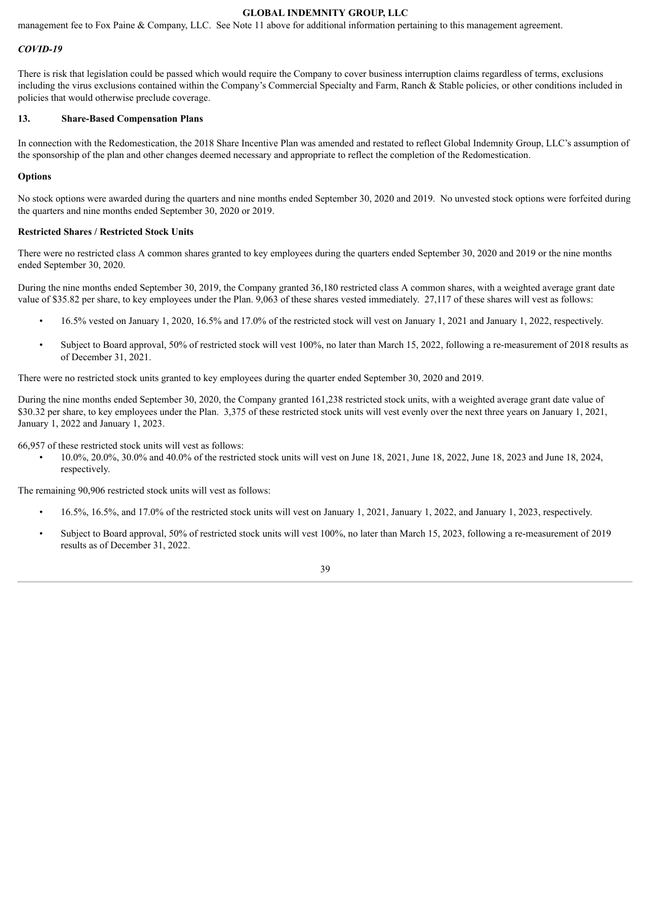management fee to Fox Paine & Company, LLC. See Note 11 above for additional information pertaining to this management agreement.

#### *COVID-19*

There is risk that legislation could be passed which would require the Company to cover business interruption claims regardless of terms, exclusions including the virus exclusions contained within the Company's Commercial Specialty and Farm, Ranch & Stable policies, or other conditions included in policies that would otherwise preclude coverage.

## **13. Share-Based Compensation Plans**

In connection with the Redomestication, the 2018 Share Incentive Plan was amended and restated to reflect Global Indemnity Group, LLC's assumption of the sponsorship of the plan and other changes deemed necessary and appropriate to reflect the completion of the Redomestication.

### **Options**

No stock options were awarded during the quarters and nine months ended September 30, 2020 and 2019. No unvested stock options were forfeited during the quarters and nine months ended September 30, 2020 or 2019.

#### **Restricted Shares / Restricted Stock Units**

There were no restricted class A common shares granted to key employees during the quarters ended September 30, 2020 and 2019 or the nine months ended September 30, 2020.

During the nine months ended September 30, 2019, the Company granted 36,180 restricted class A common shares, with a weighted average grant date value of \$35.82 per share, to key employees under the Plan. 9,063 of these shares vested immediately. 27,117 of these shares will vest as follows:

- $\bullet$  16.5% vested on January 1, 2020, 16.5% and 17.0% of the restricted stock will vest on January 1, 2021 and January 1, 2022, respectively.
- Subject to Board approval, 50% of restricted stock will vest 100%, no later than March 15, 2022, following a re-measurement of 2018 results as of December 31, 2021.

There were no restricted stock units granted to key employees during the quarter ended September 30, 2020 and 2019.

During the nine months ended September 30, 2020, the Company granted 161,238 restricted stock units, with a weighted average grant date value of \$30.32 per share, to key employees under the Plan. 3,375 of these restricted stock units will vest evenly over the next three years on January 1, 2021, January 1, 2022 and January 1, 2023.

66,957 of these restricted stock units will vest as follows:

• 10.0%, 20.0%, 30.0% and 40.0% of the restricted stock units will vest on June 18, 2021, June 18, 2022, June 18, 2023 and June 18, 2024, respectively.

The remaining 90,906 restricted stock units will vest as follows:

- 16.5%, 16.5%, and 17.0% of the restricted stock units will vest on January 1, 2021, January 1, 2022, and January 1, 2023, respectively.
- Subject to Board approval, 50% of restricted stock units will vest 100%, no later than March 15, 2023, following a re-measurement of 2019 results as of December 31, 2022.

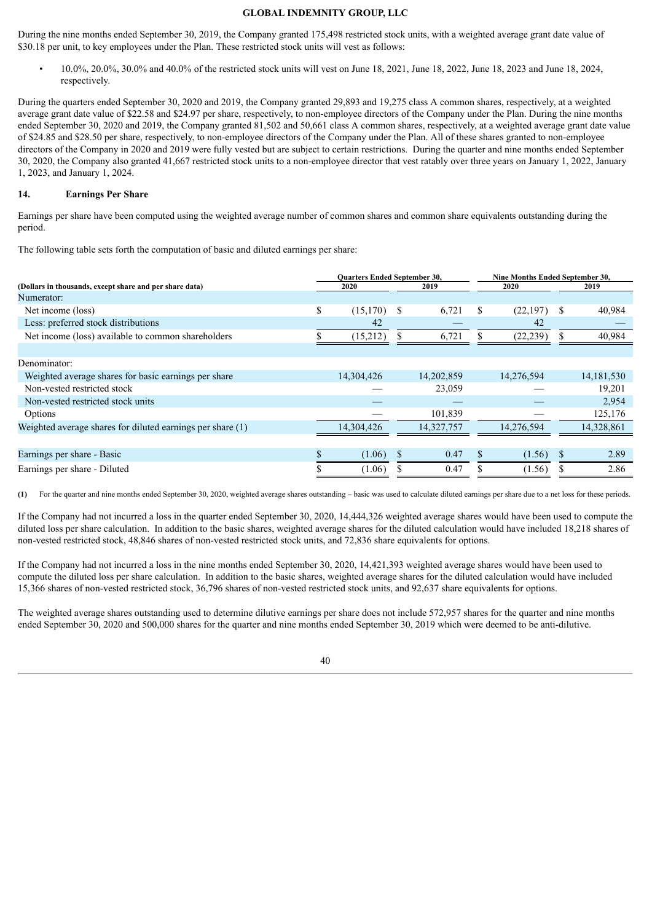During the nine months ended September 30, 2019, the Company granted 175,498 restricted stock units, with a weighted average grant date value of \$30.18 per unit, to key employees under the Plan. These restricted stock units will vest as follows:

• 10.0%, 20.0%, 30.0% and 40.0% of the restricted stock units will vest on June 18, 2021, June 18, 2022, June 18, 2023 and June 18, 2024, respectively.

During the quarters ended September 30, 2020 and 2019, the Company granted 29,893 and 19,275 class A common shares, respectively, at a weighted average grant date value of \$22.58 and \$24.97 per share, respectively, to non-employee directors of the Company under the Plan. During the nine months ended September 30, 2020 and 2019, the Company granted 81,502 and 50,661 class A common shares, respectively, at a weighted average grant date value of \$24.85 and \$28.50 per share, respectively, to non-employee directors of the Company under the Plan. All of these shares granted to non-employee directors of the Company in 2020 and 2019 were fully vested but are subject to certain restrictions. During the quarter and nine months ended September 30, 2020, the Company also granted 41,667 restricted stock units to a non-employee director that vest ratably over three years on January 1, 2022, January 1, 2023, and January 1, 2024.

### **14. Earnings Per Share**

Earnings per share have been computed using the weighted average number of common shares and common share equivalents outstanding during the period.

The following table sets forth the computation of basic and diluted earnings per share:

|                                                            | <b>Ouarters Ended September 30,</b> |            |   |            | Nine Months Ended September 30, |             |    |              |
|------------------------------------------------------------|-------------------------------------|------------|---|------------|---------------------------------|-------------|----|--------------|
| (Dollars in thousands, except share and per share data)    |                                     | 2020       |   | 2019       |                                 | <b>2020</b> |    | 2019         |
| Numerator:                                                 |                                     |            |   |            |                                 |             |    |              |
| Net income (loss)                                          | \$                                  | (15, 170)  | S | 6,721      | S                               | (22, 197)   | S  | 40,984       |
| Less: preferred stock distributions                        |                                     | 42         |   |            |                                 | 42          |    |              |
| Net income (loss) available to common shareholders         |                                     | (15,212)   |   | 6,721      |                                 | (22, 239)   | P. | 40,984       |
|                                                            |                                     |            |   |            |                                 |             |    |              |
| Denominator:                                               |                                     |            |   |            |                                 |             |    |              |
| Weighted average shares for basic earnings per share       |                                     | 14,304,426 |   | 14,202,859 |                                 | 14,276,594  |    | 14, 181, 530 |
| Non-vested restricted stock                                |                                     |            |   | 23,059     |                                 |             |    | 19,201       |
| Non-vested restricted stock units                          |                                     |            |   |            |                                 |             |    | 2,954        |
| Options                                                    |                                     |            |   | 101,839    |                                 |             |    | 125,176      |
| Weighted average shares for diluted earnings per share (1) |                                     | 14,304,426 |   | 14,327,757 |                                 | 14,276,594  |    | 14,328,861   |
|                                                            |                                     |            |   |            |                                 |             |    |              |
| Earnings per share - Basic                                 |                                     | (1.06)     |   | 0.47       |                                 | (1.56)      | S  | 2.89         |
| Earnings per share - Diluted                               |                                     | (1.06)     |   | 0.47       |                                 | (1.56)      |    | 2.86         |

**(1)** For the quarter and nine months ended September 30, 2020, weighted average shares outstanding – basic was used to calculate diluted earnings per share due to a net loss for these periods.

If the Company had not incurred a loss in the quarter ended September 30, 2020, 14,444,326 weighted average shares would have been used to compute the diluted loss per share calculation. In addition to the basic shares, weighted average shares for the diluted calculation would have included 18,218 shares of non-vested restricted stock, 48,846 shares of non-vested restricted stock units, and 72,836 share equivalents for options.

If the Company had not incurred a loss in the nine months ended September 30, 2020, 14,421,393 weighted average shares would have been used to compute the diluted loss per share calculation. In addition to the basic shares, weighted average shares for the diluted calculation would have included 15,366 shares of non-vested restricted stock, 36,796 shares of non-vested restricted stock units, and 92,637 share equivalents for options.

The weighted average shares outstanding used to determine dilutive earnings per share does not include 572,957 shares for the quarter and nine months ended September 30, 2020 and 500,000 shares for the quarter and nine months ended September 30, 2019 which were deemed to be anti-dilutive.

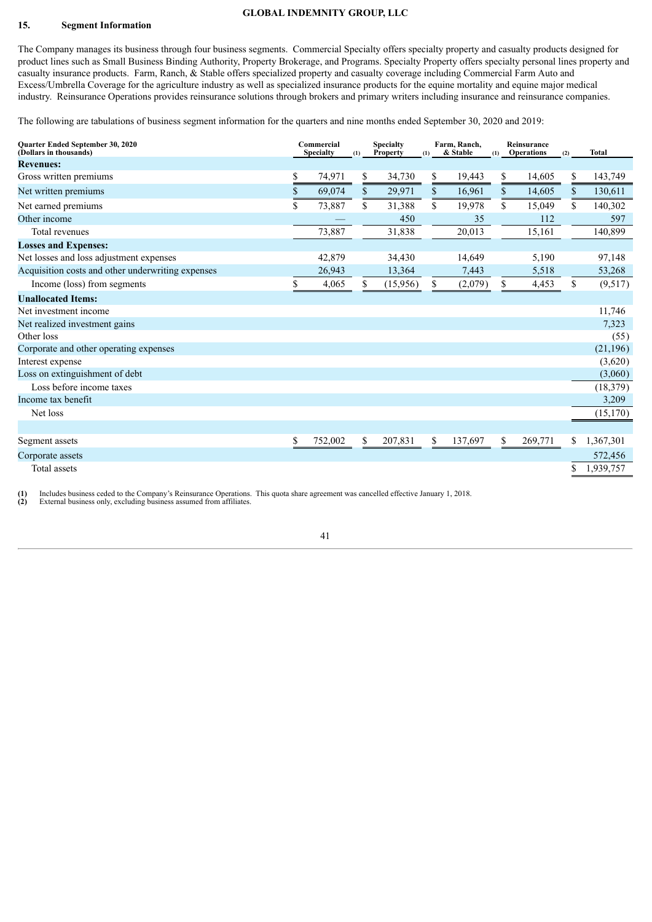### **15. Segment Information**

### **GLOBAL INDEMNITY GROUP, LLC**

The Company manages its business through four business segments. Commercial Specialty offers specialty property and casualty products designed for product lines such as Small Business Binding Authority, Property Brokerage, and Programs. Specialty Property offers specialty personal lines property and casualty insurance products. Farm, Ranch, & Stable offers specialized property and casualty coverage including Commercial Farm Auto and Excess/Umbrella Coverage for the agriculture industry as well as specialized insurance products for the equine mortality and equine major medical industry. Reinsurance Operations provides reinsurance solutions through brokers and primary writers including insurance and reinsurance companies.

The following are tabulations of business segment information for the quarters and nine months ended September 30, 2020 and 2019:

| <b>Ouarter Ended September 30, 2020</b><br>(Dollars in thousands) |    | Commercial<br><b>Specialty</b> | (1) | <b>Specialty</b><br><b>Property</b> | (1) | Farm, Ranch,<br>& Stable |    | Reinsurance<br>$(1)$ Operations | (2) | <b>Total</b> |
|-------------------------------------------------------------------|----|--------------------------------|-----|-------------------------------------|-----|--------------------------|----|---------------------------------|-----|--------------|
| <b>Revenues:</b>                                                  |    |                                |     |                                     |     |                          |    |                                 |     |              |
| Gross written premiums                                            | \$ | 74,971                         | \$  | 34,730                              | \$  | 19,443                   |    | 14,605<br>\$                    | \$  | 143,749      |
| Net written premiums                                              | S. | 69,074                         | \$  | 29,971                              | \$  | 16,961                   |    | \$<br>14,605                    | \$  | 130,611      |
| Net earned premiums                                               | \$ | 73,887                         | \$  | 31,388                              | \$  | 19,978                   |    | \$<br>15,049                    | \$  | 140,302      |
| Other income                                                      |    |                                |     | 450                                 |     | 35                       |    | 112                             |     | 597          |
| Total revenues                                                    |    | 73,887                         |     | 31,838                              |     | 20,013                   |    | 15,161                          |     | 140,899      |
| <b>Losses and Expenses:</b>                                       |    |                                |     |                                     |     |                          |    |                                 |     |              |
| Net losses and loss adjustment expenses                           |    | 42,879                         |     | 34,430                              |     | 14,649                   |    | 5,190                           |     | 97,148       |
| Acquisition costs and other underwriting expenses                 |    | 26,943                         |     | 13,364                              |     | 7,443                    |    | 5,518                           |     | 53,268       |
| Income (loss) from segments                                       | S  | 4,065                          | \$  | (15,956)                            | \$  | (2,079)                  | S. | 4,453                           | \$  | (9,517)      |
| <b>Unallocated Items:</b>                                         |    |                                |     |                                     |     |                          |    |                                 |     |              |
| Net investment income                                             |    |                                |     |                                     |     |                          |    |                                 |     | 11,746       |
| Net realized investment gains                                     |    |                                |     |                                     |     |                          |    |                                 |     | 7.323        |
| Other loss                                                        |    |                                |     |                                     |     |                          |    |                                 |     | (55)         |
| Corporate and other operating expenses                            |    |                                |     |                                     |     |                          |    |                                 |     | (21, 196)    |
| Interest expense                                                  |    |                                |     |                                     |     |                          |    |                                 |     | (3,620)      |
| Loss on extinguishment of debt                                    |    |                                |     |                                     |     |                          |    |                                 |     | (3,060)      |
| Loss before income taxes                                          |    |                                |     |                                     |     |                          |    |                                 |     | (18, 379)    |
| Income tax benefit                                                |    |                                |     |                                     |     |                          |    |                                 |     | 3,209        |
| Net loss                                                          |    |                                |     |                                     |     |                          |    |                                 |     | (15, 170)    |
|                                                                   |    |                                |     |                                     |     |                          |    |                                 |     |              |
| Segment assets                                                    | \$ | 752,002                        | \$  | 207,831                             | \$  | 137,697                  | \$ | 269,771                         | \$  | 1,367,301    |
| Corporate assets                                                  |    |                                |     |                                     |     |                          |    |                                 |     | 572,456      |
| Total assets                                                      |    |                                |     |                                     |     |                          |    |                                 | \$  | 1,939,757    |

**(1)** Includes business ceded to the Company's Reinsurance Operations. This quota share agreement was cancelled effective January 1, 2018. **(2)** External business only, excluding business assumed from affiliates.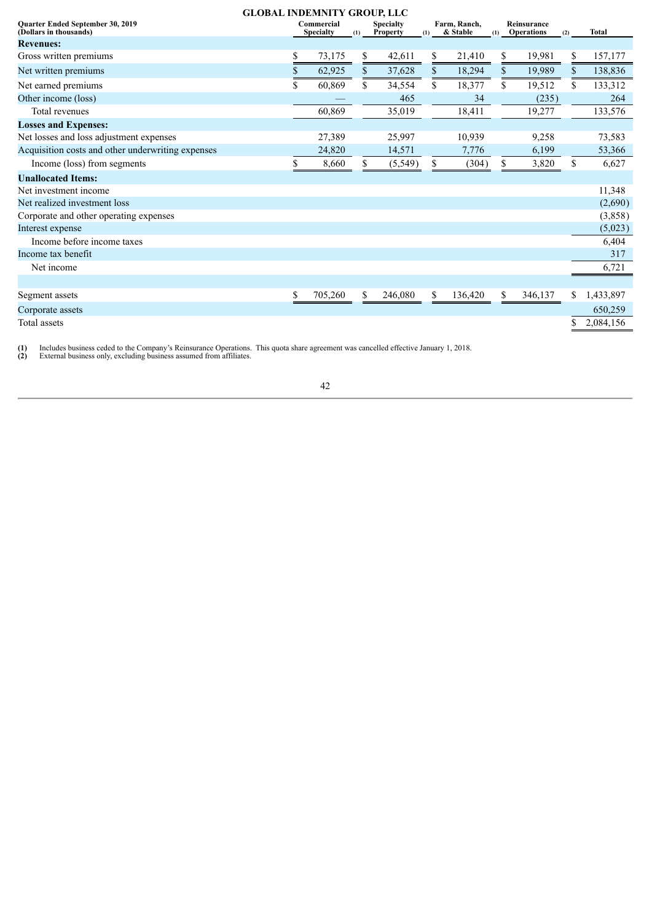| <b>GLOBAL INDEMNITY GROUP, LLC</b>                                |    |                                |     |                                     |     |                          |  |                                 |     |              |  |
|-------------------------------------------------------------------|----|--------------------------------|-----|-------------------------------------|-----|--------------------------|--|---------------------------------|-----|--------------|--|
| <b>Ouarter Ended September 30, 2019</b><br>(Dollars in thousands) |    | Commercial<br><b>Specialty</b> | (1) | <b>Specialty</b><br><b>Property</b> | (1) | Farm, Ranch,<br>& Stable |  | Reinsurance<br>$(1)$ Operations | (2) | <b>Total</b> |  |
| <b>Revenues:</b>                                                  |    |                                |     |                                     |     |                          |  |                                 |     |              |  |
| Gross written premiums                                            | S  | 73,175                         | \$  | 42,611                              | \$  | 21,410                   |  | \$<br>19,981                    | \$  | 157,177      |  |
| Net written premiums                                              |    | 62,925                         | \$  | 37,628                              | \$  | 18,294                   |  | 19,989<br>S.                    |     | 138,836      |  |
| Net earned premiums                                               | \$ | 60,869                         | \$  | 34,554                              | \$  | 18,377                   |  | 19,512<br>S.                    | S   | 133,312      |  |
| Other income (loss)                                               |    |                                |     | 465                                 |     | 34                       |  | (235)                           |     | 264          |  |
| Total revenues                                                    |    | 60,869                         |     | 35,019                              |     | 18,411                   |  | 19,277                          |     | 133,576      |  |
| <b>Losses and Expenses:</b>                                       |    |                                |     |                                     |     |                          |  |                                 |     |              |  |
| Net losses and loss adjustment expenses                           |    | 27,389                         |     | 25,997                              |     | 10,939                   |  | 9,258                           |     | 73,583       |  |
| Acquisition costs and other underwriting expenses                 |    | 24,820                         |     | 14,571                              |     | 7,776                    |  | 6,199                           |     | 53,366       |  |
| Income (loss) from segments                                       |    | 8,660                          | \$  | (5, 549)                            | \$  | (304)                    |  | 3,820<br>S.                     | \$  | 6,627        |  |
| <b>Unallocated Items:</b>                                         |    |                                |     |                                     |     |                          |  |                                 |     |              |  |
| Net investment income                                             |    |                                |     |                                     |     |                          |  |                                 |     | 11,348       |  |
| Net realized investment loss                                      |    |                                |     |                                     |     |                          |  |                                 |     | (2,690)      |  |
| Corporate and other operating expenses                            |    |                                |     |                                     |     |                          |  |                                 |     | (3,858)      |  |
| Interest expense                                                  |    |                                |     |                                     |     |                          |  |                                 |     | (5,023)      |  |
| Income before income taxes                                        |    |                                |     |                                     |     |                          |  |                                 |     | 6,404        |  |
| Income tax benefit                                                |    |                                |     |                                     |     |                          |  |                                 |     | 317          |  |
| Net income                                                        |    |                                |     |                                     |     |                          |  |                                 |     | 6,721        |  |
|                                                                   |    |                                |     |                                     |     |                          |  |                                 |     |              |  |
| Segment assets                                                    | S  | 705,260                        | \$  | 246,080                             | \$  | 136,420                  |  | 346,137<br>S                    | \$  | 1,433,897    |  |
| Corporate assets                                                  |    |                                |     |                                     |     |                          |  |                                 |     | 650,259      |  |
| Total assets                                                      |    |                                |     |                                     |     |                          |  |                                 | \$  | 2,084,156    |  |

**(1)** Includes business ceded to the Company's Reinsurance Operations. This quota share agreement was cancelled effective January 1, 2018. **(2)** External business only, excluding business assumed from affiliates.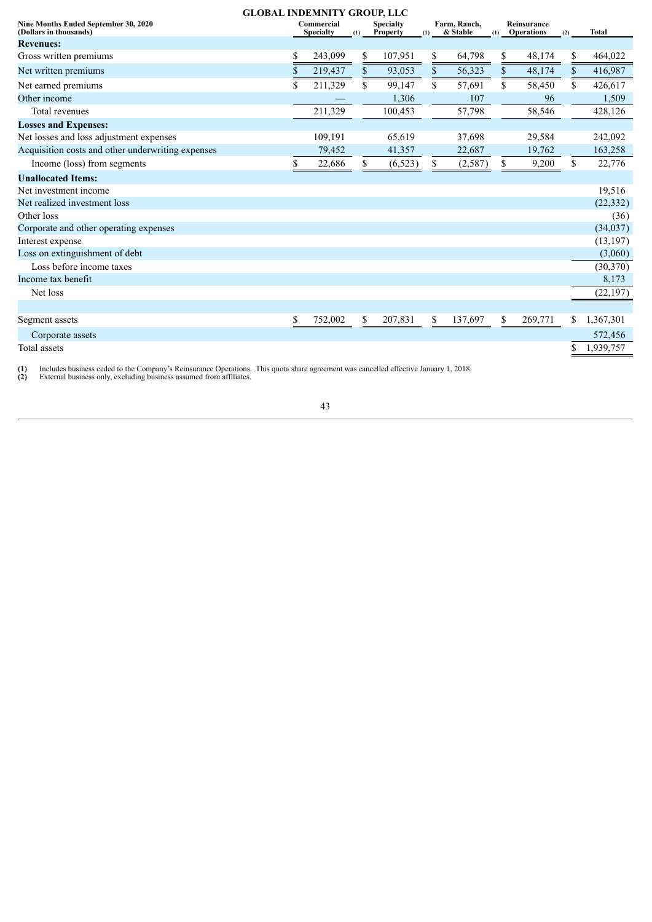| <b>GLOBAL INDEMNITY GROUP, LLC</b>                                    |  |    |                         |     |                              |     |                          |     |                                  |     |              |
|-----------------------------------------------------------------------|--|----|-------------------------|-----|------------------------------|-----|--------------------------|-----|----------------------------------|-----|--------------|
| <b>Nine Months Ended September 30, 2020</b><br>(Dollars in thousands) |  |    | Commercial<br>Specialty | (1) | <b>Specialty</b><br>Property | (1) | Farm, Ranch,<br>& Stable | (1) | Reinsurance<br><b>Operations</b> | (2) | <b>Total</b> |
| <b>Revenues:</b>                                                      |  |    |                         |     |                              |     |                          |     |                                  |     |              |
| Gross written premiums                                                |  | S  | 243,099                 | \$  | 107,951                      | \$  | 64,798                   |     | \$<br>48,174                     | S   | 464,022      |
| Net written premiums                                                  |  |    | 219,437                 | \$  | 93,053                       | \$  | 56,323                   |     | \$<br>48,174                     | \$  | 416,987      |
| Net earned premiums                                                   |  | \$ | 211,329                 | \$  | 99,147                       | \$  | 57,691                   |     | \$<br>58,450                     | S   | 426,617      |
| Other income                                                          |  |    |                         |     | 1,306                        |     | 107                      |     | 96                               |     | 1,509        |
| Total revenues                                                        |  |    | 211,329                 |     | 100,453                      |     | 57,798                   |     | 58,546                           |     | 428,126      |
| <b>Losses and Expenses:</b>                                           |  |    |                         |     |                              |     |                          |     |                                  |     |              |
| Net losses and loss adjustment expenses                               |  |    | 109,191                 |     | 65,619                       |     | 37,698                   |     | 29,584                           |     | 242,092      |
| Acquisition costs and other underwriting expenses                     |  |    | 79,452                  |     | 41,357                       |     | 22,687                   |     | 19,762                           |     | 163,258      |
| Income (loss) from segments                                           |  |    | 22,686                  | \$  | (6, 523)                     | \$  | (2,587)                  |     | 9,200<br>\$                      | \$  | 22,776       |
| <b>Unallocated Items:</b>                                             |  |    |                         |     |                              |     |                          |     |                                  |     |              |
| Net investment income                                                 |  |    |                         |     |                              |     |                          |     |                                  |     | 19,516       |
| Net realized investment loss                                          |  |    |                         |     |                              |     |                          |     |                                  |     | (22, 332)    |
| Other loss                                                            |  |    |                         |     |                              |     |                          |     |                                  |     | (36)         |
| Corporate and other operating expenses                                |  |    |                         |     |                              |     |                          |     |                                  |     | (34,037)     |
| Interest expense                                                      |  |    |                         |     |                              |     |                          |     |                                  |     | (13, 197)    |
| Loss on extinguishment of debt                                        |  |    |                         |     |                              |     |                          |     |                                  |     | (3,060)      |
| Loss before income taxes                                              |  |    |                         |     |                              |     |                          |     |                                  |     | (30, 370)    |
| Income tax benefit                                                    |  |    |                         |     |                              |     |                          |     |                                  |     | 8,173        |
| Net loss                                                              |  |    |                         |     |                              |     |                          |     |                                  |     | (22, 197)    |
|                                                                       |  |    |                         |     |                              |     |                          |     |                                  |     |              |
| Segment assets                                                        |  |    | 752,002                 | \$  | 207,831                      | \$  | 137,697                  |     | \$<br>269,771                    | \$  | 1,367,301    |
| Corporate assets                                                      |  |    |                         |     |                              |     |                          |     |                                  |     | 572,456      |
| Total assets                                                          |  |    |                         |     |                              |     |                          |     |                                  | S   | 1,939,757    |
|                                                                       |  |    |                         |     |                              |     |                          |     |                                  |     |              |

**(1)** Includes business ceded to the Company's Reinsurance Operations. This quota share agreement was cancelled effective January 1, 2018. **(2)** External business only, excluding business assumed from affiliates.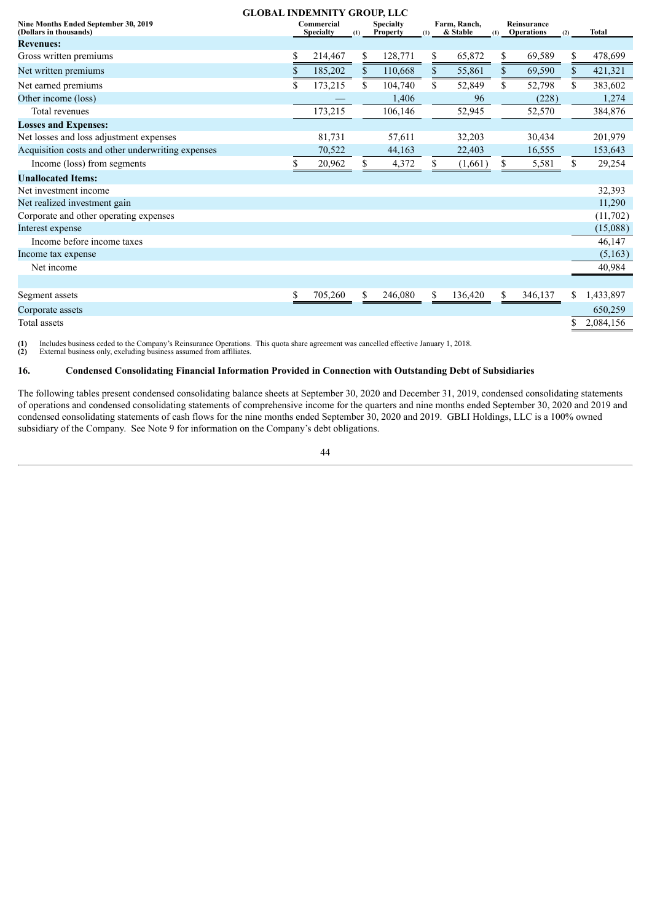| <b>GLOBAL INDEMNITY GROUP, LLC</b>                             |    |                                |     |                                     |     |                          |     |                                  |     |              |  |
|----------------------------------------------------------------|----|--------------------------------|-----|-------------------------------------|-----|--------------------------|-----|----------------------------------|-----|--------------|--|
| Nine Months Ended September 30, 2019<br>(Dollars in thousands) |    | Commercial<br><b>Specialty</b> | (1) | <b>Specialty</b><br><b>Property</b> | (1) | Farm, Ranch,<br>& Stable | (1) | Reinsurance<br><b>Operations</b> | (2) | <b>Total</b> |  |
| <b>Revenues:</b>                                               |    |                                |     |                                     |     |                          |     |                                  |     |              |  |
| Gross written premiums                                         |    | 214,467                        | \$  | 128,771                             | \$  | 65,872                   |     | \$<br>69,589                     | \$  | 478,699      |  |
| Net written premiums                                           |    | 185,202                        | \$  | 110,668                             | \$  | 55,861                   |     | \$<br>69,590                     | \$  | 421,321      |  |
| Net earned premiums                                            | \$ | 173,215                        | \$  | 104,740                             | \$  | 52,849                   |     | 52,798<br>S                      | \$  | 383,602      |  |
| Other income (loss)                                            |    |                                |     | 1,406                               |     | 96                       |     | (228)                            |     | 1,274        |  |
| Total revenues                                                 |    | 173,215                        |     | 106,146                             |     | 52,945                   |     | 52,570                           |     | 384,876      |  |
| <b>Losses and Expenses:</b>                                    |    |                                |     |                                     |     |                          |     |                                  |     |              |  |
| Net losses and loss adjustment expenses                        |    | 81,731                         |     | 57,611                              |     | 32,203                   |     | 30,434                           |     | 201,979      |  |
| Acquisition costs and other underwriting expenses              |    | 70,522                         |     | 44,163                              |     | 22,403                   |     | 16,555                           |     | 153,643      |  |
| Income (loss) from segments                                    |    | 20,962                         | S   | 4,372                               | \$  | (1,661)                  |     | 5,581<br>S.                      | \$  | 29,254       |  |
| <b>Unallocated Items:</b>                                      |    |                                |     |                                     |     |                          |     |                                  |     |              |  |
| Net investment income                                          |    |                                |     |                                     |     |                          |     |                                  |     | 32,393       |  |
| Net realized investment gain                                   |    |                                |     |                                     |     |                          |     |                                  |     | 11,290       |  |
| Corporate and other operating expenses                         |    |                                |     |                                     |     |                          |     |                                  |     | (11,702)     |  |
| Interest expense                                               |    |                                |     |                                     |     |                          |     |                                  |     | (15,088)     |  |
| Income before income taxes                                     |    |                                |     |                                     |     |                          |     |                                  |     | 46,147       |  |
| Income tax expense                                             |    |                                |     |                                     |     |                          |     |                                  |     | (5,163)      |  |
| Net income                                                     |    |                                |     |                                     |     |                          |     |                                  |     | 40,984       |  |
| Segment assets                                                 |    | 705,260                        | \$  | 246,080                             | \$  | 136,420                  |     | \$<br>346,137                    | \$  | 1,433,897    |  |
| Corporate assets                                               |    |                                |     |                                     |     |                          |     |                                  |     | 650,259      |  |
| <b>Total</b> assets                                            |    |                                |     |                                     |     |                          |     |                                  | S   | 2,084,156    |  |

**(1)** Includes business ceded to the Company's Reinsurance Operations. This quota share agreement was cancelled effective January 1, 2018.

**(2)** External business only, excluding business assumed from affiliates.

#### **16. Condensed Consolidating Financial Information Provided in Connection with Outstanding Debt of Subsidiaries**

The following tables present condensed consolidating balance sheets at September 30, 2020 and December 31, 2019, condensed consolidating statements of operations and condensed consolidating statements of comprehensive income for the quarters and nine months ended September 30, 2020 and 2019 and condensed consolidating statements of cash flows for the nine months ended September 30, 2020 and 2019. GBLI Holdings, LLC is a 100% owned subsidiary of the Company. See Note 9 for information on the Company's debt obligations.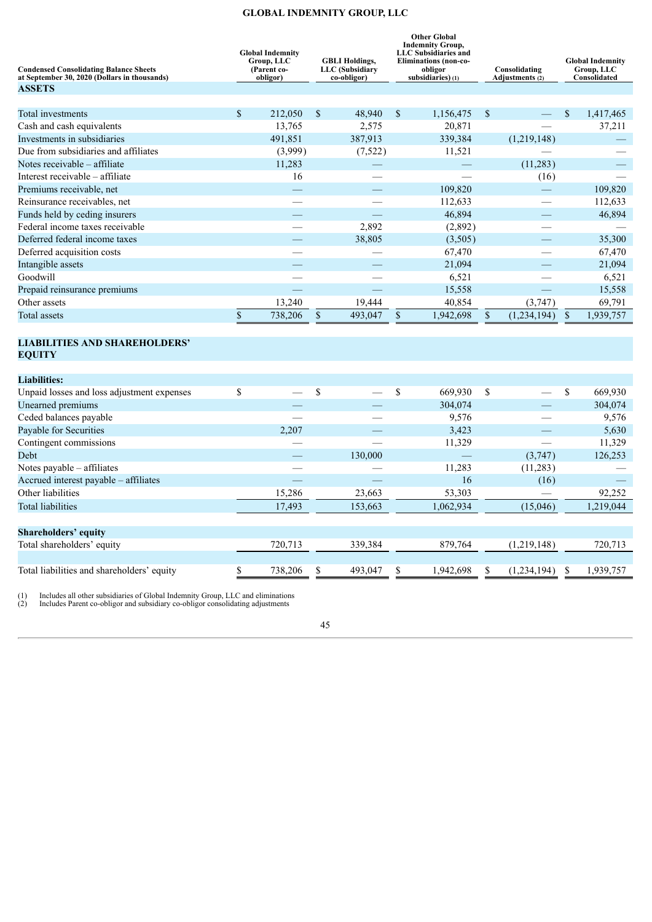| <b>Condensed Consolidating Balance Sheets</b><br>at September 30, 2020 (Dollars in thousands)<br><b>ASSETS</b> |              | <b>Other Global</b><br><b>Indemnity Group,</b><br><b>LLC</b> Subsidiaries and<br><b>GBLI Holdings,</b><br><b>Eliminations</b> (non-co-<br><b>LLC</b> (Subsidiary<br>Consolidating<br>obligor<br>subsidiaries) (1)<br>obligor)<br>co-obligor)<br>Adjustments (2) |               | Group, LLC<br>(Parent co- |              | <b>Global Indemnity</b> |    |             |               |           |  |  |  |  |  | <b>Global Indemnity</b><br>Group, LLC<br>Consolidated |
|----------------------------------------------------------------------------------------------------------------|--------------|-----------------------------------------------------------------------------------------------------------------------------------------------------------------------------------------------------------------------------------------------------------------|---------------|---------------------------|--------------|-------------------------|----|-------------|---------------|-----------|--|--|--|--|--|-------------------------------------------------------|
|                                                                                                                |              |                                                                                                                                                                                                                                                                 |               |                           |              |                         |    |             |               |           |  |  |  |  |  |                                                       |
| Total investments                                                                                              | $\mathbb{S}$ | 212,050                                                                                                                                                                                                                                                         | <sup>\$</sup> | 48.940                    | $\mathbb{S}$ | 1,156,475               | \$ |             | $\mathbb{S}$  | 1,417,465 |  |  |  |  |  |                                                       |
| Cash and cash equivalents                                                                                      |              | 13,765                                                                                                                                                                                                                                                          |               | 2,575                     |              | 20,871                  |    |             |               | 37,211    |  |  |  |  |  |                                                       |
| Investments in subsidiaries                                                                                    |              | 491,851                                                                                                                                                                                                                                                         |               | 387,913                   |              | 339,384                 |    | (1,219,148) |               |           |  |  |  |  |  |                                                       |
| Due from subsidiaries and affiliates                                                                           |              | (3,999)                                                                                                                                                                                                                                                         |               | (7,522)                   |              | 11,521                  |    |             |               |           |  |  |  |  |  |                                                       |
| Notes receivable - affiliate                                                                                   |              | 11,283                                                                                                                                                                                                                                                          |               |                           |              |                         |    | (11,283)    |               |           |  |  |  |  |  |                                                       |
| Interest receivable – affiliate                                                                                |              | 16                                                                                                                                                                                                                                                              |               |                           |              |                         |    | (16)        |               |           |  |  |  |  |  |                                                       |
| Premiums receivable, net                                                                                       |              |                                                                                                                                                                                                                                                                 |               |                           |              | 109,820                 |    |             |               | 109,820   |  |  |  |  |  |                                                       |
| Reinsurance receivables, net                                                                                   |              |                                                                                                                                                                                                                                                                 |               |                           |              | 112,633                 |    |             |               | 112,633   |  |  |  |  |  |                                                       |
| Funds held by ceding insurers                                                                                  |              |                                                                                                                                                                                                                                                                 |               |                           |              | 46,894                  |    |             |               | 46,894    |  |  |  |  |  |                                                       |
| Federal income taxes receivable                                                                                |              |                                                                                                                                                                                                                                                                 |               | 2,892                     |              | (2,892)                 |    |             |               |           |  |  |  |  |  |                                                       |
| Deferred federal income taxes                                                                                  |              |                                                                                                                                                                                                                                                                 |               | 38,805                    |              | (3,505)                 |    |             |               | 35,300    |  |  |  |  |  |                                                       |
| Deferred acquisition costs                                                                                     |              |                                                                                                                                                                                                                                                                 |               |                           |              | 67,470                  |    |             |               | 67,470    |  |  |  |  |  |                                                       |
| Intangible assets                                                                                              |              |                                                                                                                                                                                                                                                                 |               |                           |              | 21,094                  |    |             |               | 21,094    |  |  |  |  |  |                                                       |
| Goodwill                                                                                                       |              |                                                                                                                                                                                                                                                                 |               |                           |              | 6,521                   |    |             |               | 6,521     |  |  |  |  |  |                                                       |
| Prepaid reinsurance premiums                                                                                   |              |                                                                                                                                                                                                                                                                 |               |                           |              | 15,558                  |    |             |               | 15,558    |  |  |  |  |  |                                                       |
| Other assets                                                                                                   |              | 13,240                                                                                                                                                                                                                                                          |               | 19,444                    |              | 40,854                  |    | (3,747)     |               | 69,791    |  |  |  |  |  |                                                       |
| Total assets                                                                                                   |              | 738,206                                                                                                                                                                                                                                                         | \$            | 493,047                   | \$           | 1,942,698               | \$ | (1,234,194) | <sup>\$</sup> | 1,939,757 |  |  |  |  |  |                                                       |
| <b>LIABILITIES AND SHAREHOLDERS'</b>                                                                           |              |                                                                                                                                                                                                                                                                 |               |                           |              |                         |    |             |               |           |  |  |  |  |  |                                                       |

# **EQUITY**

| <b>Liabilities:</b>                        |                                |         |   |           |             |   |           |
|--------------------------------------------|--------------------------------|---------|---|-----------|-------------|---|-----------|
| Unpaid losses and loss adjustment expenses | \$<br>$\overline{\phantom{0}}$ | \$      | S | 669,930   | \$          | S | 669,930   |
| Unearned premiums                          |                                |         |   | 304,074   |             |   | 304,074   |
| Ceded balances payable                     |                                |         |   | 9,576     |             |   | 9,576     |
| Payable for Securities                     | 2,207                          |         |   | 3,423     |             |   | 5,630     |
| Contingent commissions                     |                                |         |   | 11,329    |             |   | 11,329    |
| Debt                                       |                                | 130,000 |   |           | (3,747)     |   | 126,253   |
| Notes payable – affiliates                 |                                |         |   | 11,283    | (11,283)    |   |           |
| Accrued interest payable - affiliates      |                                |         |   | 16        | (16)        |   |           |
| Other liabilities                          | 15,286                         | 23,663  |   | 53,303    |             |   | 92,252    |
| <b>Total liabilities</b>                   | 17,493                         | 153,663 |   | 1,062,934 | (15,046)    |   | 1,219,044 |
|                                            |                                |         |   |           |             |   |           |
| <b>Shareholders' equity</b>                |                                |         |   |           |             |   |           |
| Total shareholders' equity                 | 720,713                        | 339,384 |   | 879,764   | (1,219,148) |   | 720,713   |
|                                            |                                |         |   |           |             |   |           |
| Total liabilities and shareholders' equity | 738,206                        | 493,047 |   | 1,942,698 | (1,234,194) |   | 1,939,757 |

(1) Includes all other subsidiaries of Global Indemnity Group, LLC and eliminations (2) Includes Parent co-obligor and subsidiary co-obligor consolidating adjustments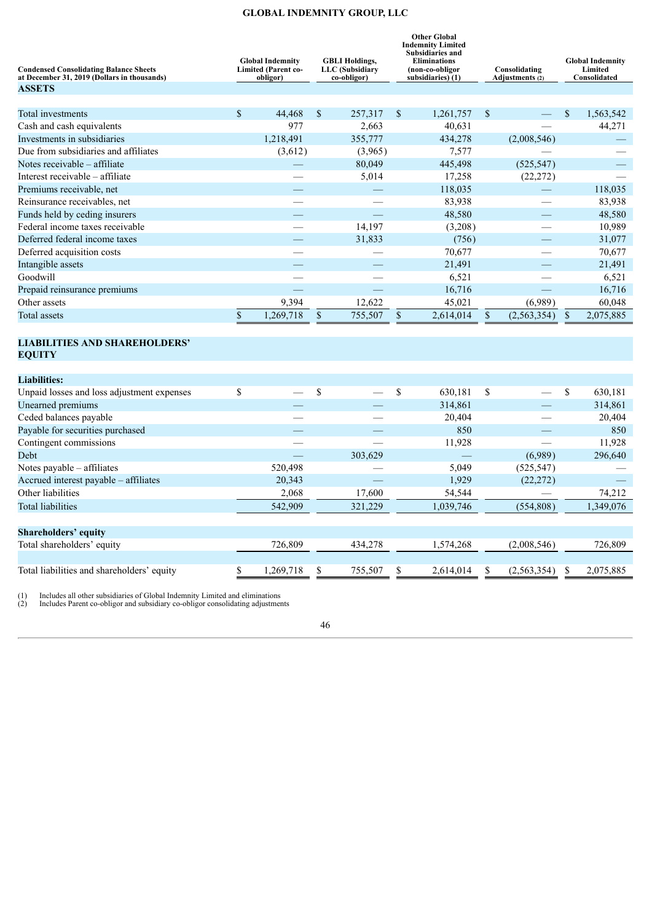| <b>Condensed Consolidating Balance Sheets</b><br>at December 31, 2019 (Dollars in thousands)<br><b>ASSETS</b> | <b>Other Global</b><br><b>Indemnity Limited</b><br><b>Subsidiaries and</b><br><b>GBLI Holdings,</b><br><b>Eliminations</b><br><b>Global Indemnity</b><br><b>Limited</b> (Parent co-<br><b>LLC</b> (Subsidiary<br>(non-co-obligor<br>Consolidating<br>co-obligor)<br>subsidiaries) (1)<br>Adjustments (2)<br>obligor) |           |               |         |    |           |    |             |               |           |  | <b>Global Indemnity</b><br>Limited<br>Consolidated |
|---------------------------------------------------------------------------------------------------------------|----------------------------------------------------------------------------------------------------------------------------------------------------------------------------------------------------------------------------------------------------------------------------------------------------------------------|-----------|---------------|---------|----|-----------|----|-------------|---------------|-----------|--|----------------------------------------------------|
| Total investments                                                                                             | $\mathbb{S}$                                                                                                                                                                                                                                                                                                         | 44.468    | <sup>\$</sup> | 257,317 | \$ | 1,261,757 | \$ |             | $\mathbb{S}$  | 1,563,542 |  |                                                    |
| Cash and cash equivalents                                                                                     |                                                                                                                                                                                                                                                                                                                      | 977       |               | 2,663   |    | 40,631    |    |             |               | 44,271    |  |                                                    |
| Investments in subsidiaries                                                                                   |                                                                                                                                                                                                                                                                                                                      | 1,218,491 |               | 355,777 |    | 434,278   |    | (2,008,546) |               |           |  |                                                    |
| Due from subsidiaries and affiliates                                                                          |                                                                                                                                                                                                                                                                                                                      | (3,612)   |               | (3,965) |    | 7,577     |    |             |               |           |  |                                                    |
| Notes receivable – affiliate                                                                                  |                                                                                                                                                                                                                                                                                                                      |           |               | 80,049  |    | 445,498   |    | (525, 547)  |               |           |  |                                                    |
| Interest receivable – affiliate                                                                               |                                                                                                                                                                                                                                                                                                                      |           |               | 5,014   |    | 17,258    |    | (22, 272)   |               |           |  |                                                    |
| Premiums receivable, net                                                                                      |                                                                                                                                                                                                                                                                                                                      |           |               |         |    | 118,035   |    |             |               | 118,035   |  |                                                    |
| Reinsurance receivables, net                                                                                  |                                                                                                                                                                                                                                                                                                                      |           |               |         |    | 83,938    |    |             |               | 83,938    |  |                                                    |
| Funds held by ceding insurers                                                                                 |                                                                                                                                                                                                                                                                                                                      |           |               |         |    | 48,580    |    |             |               | 48,580    |  |                                                    |
| Federal income taxes receivable                                                                               |                                                                                                                                                                                                                                                                                                                      |           |               | 14,197  |    | (3,208)   |    |             |               | 10,989    |  |                                                    |
| Deferred federal income taxes                                                                                 |                                                                                                                                                                                                                                                                                                                      |           |               | 31,833  |    | (756)     |    |             |               | 31,077    |  |                                                    |
| Deferred acquisition costs                                                                                    |                                                                                                                                                                                                                                                                                                                      |           |               |         |    | 70,677    |    |             |               | 70,677    |  |                                                    |
| Intangible assets                                                                                             |                                                                                                                                                                                                                                                                                                                      |           |               |         |    | 21,491    |    |             |               | 21,491    |  |                                                    |
| Goodwill                                                                                                      |                                                                                                                                                                                                                                                                                                                      |           |               |         |    | 6,521     |    |             |               | 6,521     |  |                                                    |
| Prepaid reinsurance premiums                                                                                  |                                                                                                                                                                                                                                                                                                                      |           |               |         |    | 16,716    |    |             |               | 16,716    |  |                                                    |
| Other assets                                                                                                  |                                                                                                                                                                                                                                                                                                                      | 9,394     |               | 12,622  |    | 45,021    |    | (6,989)     |               | 60,048    |  |                                                    |
| Total assets                                                                                                  |                                                                                                                                                                                                                                                                                                                      | 1,269,718 | \$            | 755,507 | \$ | 2,614,014 | S. | (2,563,354) | <sup>\$</sup> | 2,075,885 |  |                                                    |
| <b>LIABILITIES AND SHAREHOLDERS'</b>                                                                          |                                                                                                                                                                                                                                                                                                                      |           |               |         |    |           |    |             |               |           |  |                                                    |

**EQUITY**

| <b>Liabilities:</b>                        |           |               |         |               |             |   |           |
|--------------------------------------------|-----------|---------------|---------|---------------|-------------|---|-----------|
| Unpaid losses and loss adjustment expenses | \$        | <sup>\$</sup> |         | \$<br>630.181 | \$          | S | 630,181   |
| Unearned premiums                          |           |               |         | 314,861       |             |   | 314,861   |
| Ceded balances payable                     |           |               |         | 20,404        |             |   | 20,404    |
| Payable for securities purchased           |           |               |         | 850           |             |   | 850       |
| Contingent commissions                     |           |               |         | 11,928        |             |   | 11,928    |
| Debt                                       |           |               | 303,629 |               | (6,989)     |   | 296,640   |
| Notes payable – affiliates                 | 520,498   |               |         | 5,049         | (525, 547)  |   |           |
| Accrued interest payable - affiliates      | 20,343    |               |         | 1,929         | (22, 272)   |   |           |
| Other liabilities                          | 2,068     |               | 17,600  | 54,544        |             |   | 74,212    |
| <b>Total liabilities</b>                   | 542,909   |               | 321,229 | 1,039,746     | (554, 808)  |   | 1,349,076 |
|                                            |           |               |         |               |             |   |           |
| Shareholders' equity                       |           |               |         |               |             |   |           |
| Total shareholders' equity                 | 726,809   |               | 434,278 | 1,574,268     | (2,008,546) |   | 726,809   |
|                                            |           |               |         |               |             |   |           |
| Total liabilities and shareholders' equity | 1,269,718 |               | 755,507 | 2,614,014     | (2,563,354) |   | 2,075,885 |

(1) Includes all other subsidiaries of Global Indemnity Limited and eliminations (2) Includes Parent co-obligor and subsidiary co-obligor consolidating adjustments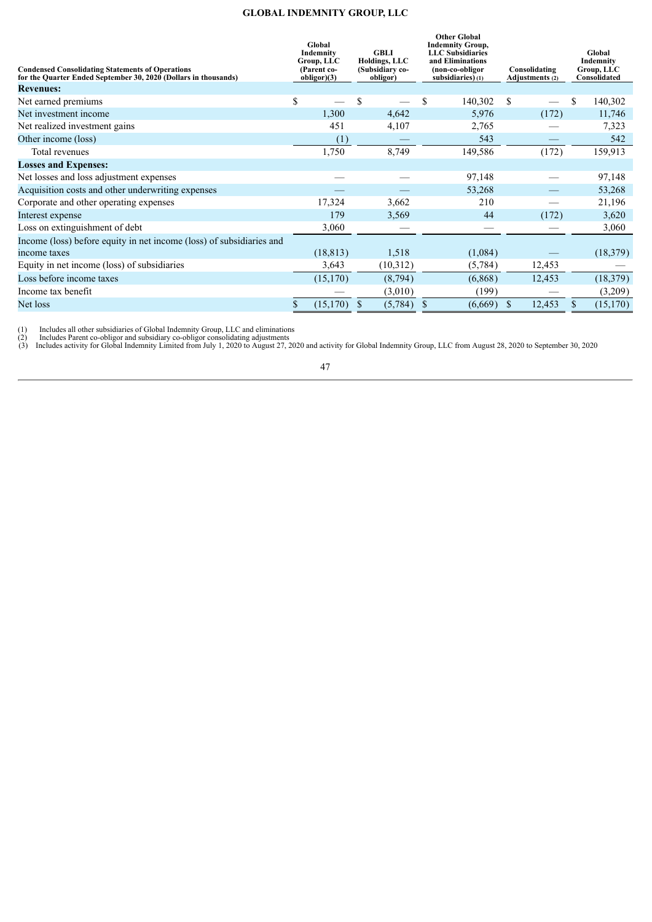| <b>Condensed Consolidating Statements of Operations</b><br>for the Quarter Ended September 30, 2020 (Dollars in thousands) | Global<br>Indemnity<br>Group, LLC<br>(Parent co-<br>obligor)(3) | <b>GBLI</b><br><b>Holdings, LLC</b><br>(Subsidiary co-<br>obligor) | <b>Other Global</b><br><b>Indemnity Group,</b><br><b>LLC</b> Subsidiaries<br>and Eliminations<br>(non-co-obligor<br>subsidiaries) (1) | Consolidating<br>Adjustments (2) | Global<br>Indemnity<br>Group, LLC<br>Consolidated |
|----------------------------------------------------------------------------------------------------------------------------|-----------------------------------------------------------------|--------------------------------------------------------------------|---------------------------------------------------------------------------------------------------------------------------------------|----------------------------------|---------------------------------------------------|
| <b>Revenues:</b>                                                                                                           |                                                                 |                                                                    |                                                                                                                                       |                                  |                                                   |
| Net earned premiums                                                                                                        | \$                                                              | \$                                                                 | \$<br>140,302                                                                                                                         | <sup>\$</sup>                    | \$<br>140,302                                     |
| Net investment income                                                                                                      | 1,300                                                           | 4,642                                                              | 5,976                                                                                                                                 | (172)                            | 11,746                                            |
| Net realized investment gains                                                                                              | 451                                                             | 4,107                                                              | 2,765                                                                                                                                 |                                  | 7,323                                             |
| Other income (loss)                                                                                                        | (1)                                                             |                                                                    | 543                                                                                                                                   |                                  | 542                                               |
| Total revenues                                                                                                             | 1,750                                                           | 8,749                                                              | 149,586                                                                                                                               | (172)                            | 159,913                                           |
| <b>Losses and Expenses:</b>                                                                                                |                                                                 |                                                                    |                                                                                                                                       |                                  |                                                   |
| Net losses and loss adjustment expenses                                                                                    |                                                                 |                                                                    | 97,148                                                                                                                                |                                  | 97,148                                            |
| Acquisition costs and other underwriting expenses                                                                          |                                                                 |                                                                    | 53,268                                                                                                                                |                                  | 53,268                                            |
| Corporate and other operating expenses                                                                                     | 17,324                                                          | 3,662                                                              | 210                                                                                                                                   |                                  | 21,196                                            |
| Interest expense                                                                                                           | 179                                                             | 3,569                                                              | 44                                                                                                                                    | (172)                            | 3,620                                             |
| Loss on extinguishment of debt                                                                                             | 3,060                                                           |                                                                    |                                                                                                                                       |                                  | 3,060                                             |
| Income (loss) before equity in net income (loss) of subsidiaries and                                                       |                                                                 |                                                                    |                                                                                                                                       |                                  |                                                   |
| income taxes                                                                                                               | (18, 813)                                                       | 1,518                                                              | (1,084)                                                                                                                               |                                  | (18, 379)                                         |
| Equity in net income (loss) of subsidiaries                                                                                | 3,643                                                           | (10,312)                                                           | (5,784)                                                                                                                               | 12,453                           |                                                   |
| Loss before income taxes                                                                                                   | (15, 170)                                                       | (8,794)                                                            | (6,868)                                                                                                                               | 12,453                           | (18, 379)                                         |
| Income tax benefit                                                                                                         |                                                                 | (3,010)                                                            | (199)                                                                                                                                 |                                  | (3,209)                                           |
| Net loss                                                                                                                   | (15, 170)                                                       | (5,784)<br>S.                                                      | <sup>\$</sup><br>(6,669)                                                                                                              | <sup>\$</sup><br>12,453          | \$<br>(15, 170)                                   |
|                                                                                                                            |                                                                 |                                                                    |                                                                                                                                       |                                  |                                                   |

(1) Includes all other subsidiaries of Global Indemnity Group, LLC and eliminations<br>(2) Includes Parent co-obligor and subsidiary co-obligor consolidating adjustments<br>(3) Includes activity for Global Indemnity Limited from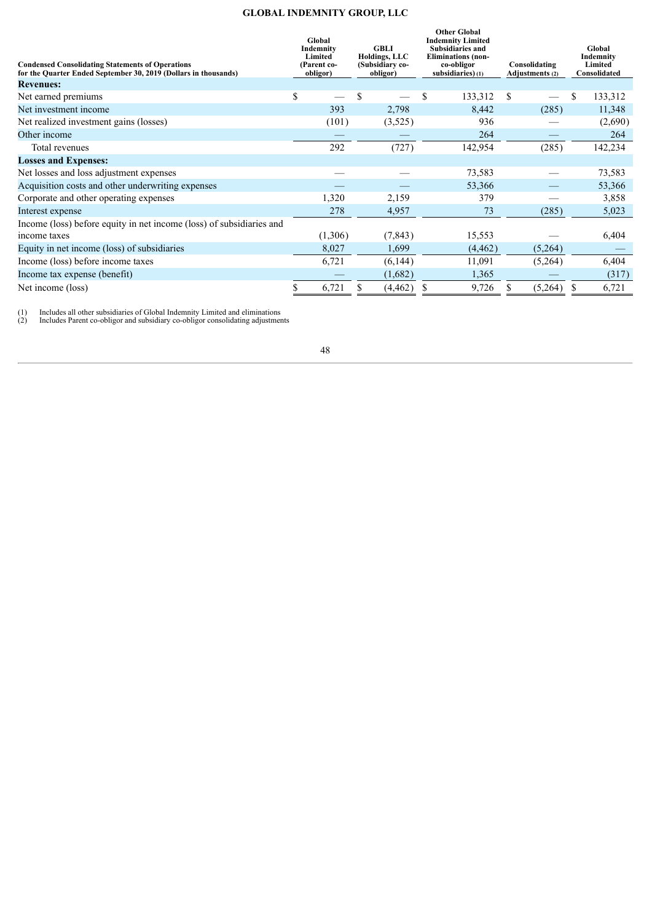| <b>Condensed Consolidating Statements of Operations</b><br>for the Quarter Ended September 30, 2019 (Dollars in thousands) | Global<br>Indemnity<br>Limited<br>(Parent co-<br>obligor) | <b>GBLI</b><br>Holdings, LLC<br>(Subsidiary co-<br>obligor) | <b>Other Global</b><br><b>Indemnity Limited</b><br><b>Subsidiaries and</b><br><b>Eliminations</b> (non-<br>co-obligor<br>subsidiaries $(1)$ | Consolidating<br>Adjustments (2) | Global<br>Indemnity<br>Limited<br>Consolidated |
|----------------------------------------------------------------------------------------------------------------------------|-----------------------------------------------------------|-------------------------------------------------------------|---------------------------------------------------------------------------------------------------------------------------------------------|----------------------------------|------------------------------------------------|
| <b>Revenues:</b>                                                                                                           |                                                           |                                                             |                                                                                                                                             |                                  |                                                |
| Net earned premiums                                                                                                        | \$                                                        | S                                                           | \$<br>133,312                                                                                                                               | -S                               | 133,312<br>\$                                  |
| Net investment income                                                                                                      | 393                                                       | 2,798                                                       | 8,442                                                                                                                                       | (285)                            | 11,348                                         |
| Net realized investment gains (losses)                                                                                     | (101)                                                     | (3,525)                                                     | 936                                                                                                                                         |                                  | (2,690)                                        |
| Other income                                                                                                               |                                                           |                                                             | 264                                                                                                                                         |                                  | 264                                            |
| Total revenues                                                                                                             | 292                                                       | (727)                                                       | 142,954                                                                                                                                     | (285)                            | 142,234                                        |
| <b>Losses and Expenses:</b>                                                                                                |                                                           |                                                             |                                                                                                                                             |                                  |                                                |
| Net losses and loss adjustment expenses                                                                                    |                                                           |                                                             | 73,583                                                                                                                                      |                                  | 73,583                                         |
| Acquisition costs and other underwriting expenses                                                                          |                                                           |                                                             | 53,366                                                                                                                                      |                                  | 53,366                                         |
| Corporate and other operating expenses                                                                                     | 1,320                                                     | 2,159                                                       | 379                                                                                                                                         |                                  | 3,858                                          |
| Interest expense                                                                                                           | 278                                                       | 4,957                                                       | 73                                                                                                                                          | (285)                            | 5,023                                          |
| Income (loss) before equity in net income (loss) of subsidiaries and                                                       |                                                           |                                                             |                                                                                                                                             |                                  |                                                |
| income taxes                                                                                                               | (1,306)                                                   | (7, 843)                                                    | 15,553                                                                                                                                      |                                  | 6,404                                          |
| Equity in net income (loss) of subsidiaries                                                                                | 8,027                                                     | 1,699                                                       | (4, 462)                                                                                                                                    | (5,264)                          |                                                |
| Income (loss) before income taxes                                                                                          | 6,721                                                     | (6,144)                                                     | 11,091                                                                                                                                      | (5,264)                          | 6,404                                          |
| Income tax expense (benefit)                                                                                               |                                                           | (1,682)                                                     | 1,365                                                                                                                                       |                                  | (317)                                          |
| Net income (loss)                                                                                                          | 6,721                                                     | (4, 462)                                                    | 9,726<br>S                                                                                                                                  | (5,264)                          | 6,721                                          |

(1) Includes all other subsidiaries of Global Indemnity Limited and eliminations (2) Includes Parent co-obligor and subsidiary co-obligor consolidating adjustments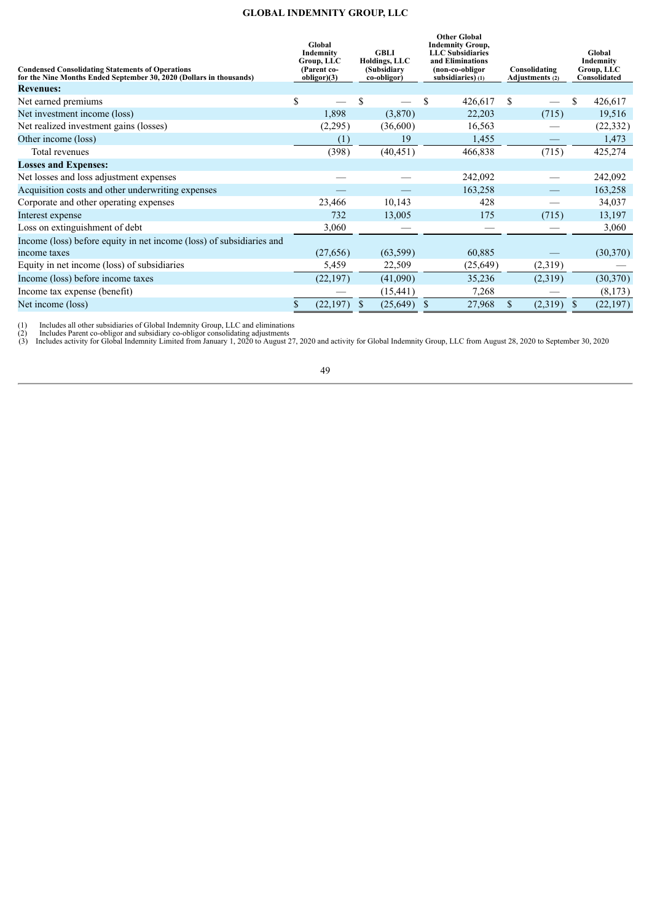| <b>Condensed Consolidating Statements of Operations</b><br>for the Nine Months Ended September 30, 2020 (Dollars in thousands) | Global<br>Indemnity<br>Group, LLC<br>(Parent co-<br>obligor)(3) | <b>GBLI</b><br><b>Holdings, LLC</b><br>(Subsidiary<br>co-obligor) | <b>Other Global</b><br><b>Indemnity Group,</b><br><b>LLC</b> Subsidiaries<br>and Eliminations<br>(non-co-obligor<br>subsidiaries) (1) | Consolidating<br>Adjustments (2) | Global<br>Indemnity<br>Group, LLC<br>Consolidated |
|--------------------------------------------------------------------------------------------------------------------------------|-----------------------------------------------------------------|-------------------------------------------------------------------|---------------------------------------------------------------------------------------------------------------------------------------|----------------------------------|---------------------------------------------------|
| <b>Revenues:</b>                                                                                                               |                                                                 |                                                                   |                                                                                                                                       |                                  |                                                   |
| Net earned premiums                                                                                                            | \$                                                              | \$                                                                | \$<br>426,617                                                                                                                         | \$                               | \$<br>426,617                                     |
| Net investment income (loss)                                                                                                   | 1,898                                                           | (3,870)                                                           | 22,203                                                                                                                                | (715)                            | 19,516                                            |
| Net realized investment gains (losses)                                                                                         | (2,295)                                                         | (36,600)                                                          | 16,563                                                                                                                                |                                  | (22, 332)                                         |
| Other income (loss)                                                                                                            | (1)                                                             | 19                                                                | 1,455                                                                                                                                 |                                  | 1,473                                             |
| Total revenues                                                                                                                 | (398)                                                           | (40, 451)                                                         | 466,838                                                                                                                               | (715)                            | 425,274                                           |
| <b>Losses and Expenses:</b>                                                                                                    |                                                                 |                                                                   |                                                                                                                                       |                                  |                                                   |
| Net losses and loss adjustment expenses                                                                                        |                                                                 |                                                                   | 242,092                                                                                                                               |                                  | 242,092                                           |
| Acquisition costs and other underwriting expenses                                                                              |                                                                 |                                                                   | 163,258                                                                                                                               |                                  | 163,258                                           |
| Corporate and other operating expenses                                                                                         | 23,466                                                          | 10,143                                                            | 428                                                                                                                                   |                                  | 34,037                                            |
| Interest expense                                                                                                               | 732                                                             | 13,005                                                            | 175                                                                                                                                   | (715)                            | 13,197                                            |
| Loss on extinguishment of debt                                                                                                 | 3,060                                                           |                                                                   | –                                                                                                                                     |                                  | 3,060                                             |
| Income (loss) before equity in net income (loss) of subsidiaries and                                                           |                                                                 |                                                                   |                                                                                                                                       |                                  |                                                   |
| income taxes                                                                                                                   | (27,656)                                                        | (63, 599)                                                         | 60,885                                                                                                                                |                                  | (30, 370)                                         |
| Equity in net income (loss) of subsidiaries                                                                                    | 5,459                                                           | 22,509                                                            | (25, 649)                                                                                                                             | (2,319)                          |                                                   |
| Income (loss) before income taxes                                                                                              | (22, 197)                                                       | (41,090)                                                          | 35,236                                                                                                                                | (2,319)                          | (30, 370)                                         |
| Income tax expense (benefit)                                                                                                   |                                                                 | (15, 441)                                                         | 7,268                                                                                                                                 |                                  | (8,173)                                           |
| Net income (loss)                                                                                                              | (22, 197)<br>\$                                                 | (25, 649)                                                         | 27,968                                                                                                                                | (2,319)<br>\$                    | (22, 197)                                         |
|                                                                                                                                |                                                                 |                                                                   |                                                                                                                                       |                                  |                                                   |

(1) Includes all other subsidiaries of Global Indemnity Group, LLC and eliminations<br>(2) Includes Parent co-obligor and subsidiary co-obligor consolidating adjustments<br>(3) Includes activity for Global Indemnity Limited from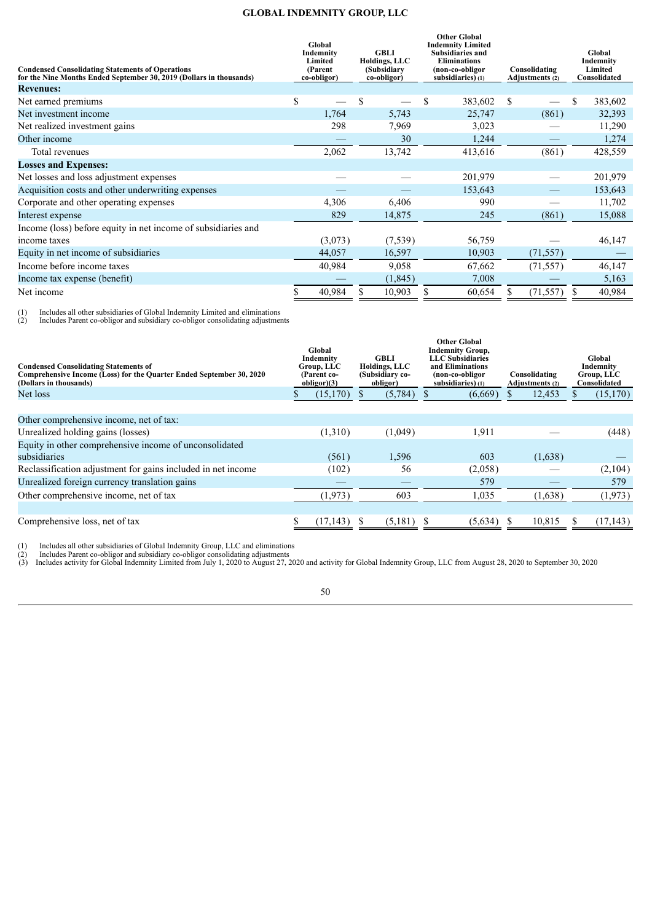| <b>Condensed Consolidating Statements of Operations</b><br>for the Nine Months Ended September 30, 2019 (Dollars in thousands) | Global<br>Indemnity<br>Limited<br>(Parent<br>co-obligor) | <b>GBLI</b><br><b>Holdings, LLC</b><br>(Subsidiary<br>co-obligor) | <b>Other Global</b><br><b>Indemnity Limited</b><br><b>Subsidiaries and</b><br><b>Eliminations</b><br>(non-co-obligor<br>subsidiaries) (1) | Consolidating<br>Adjustments (2) | Global<br>Indemnity<br>Limited<br>Consolidated |
|--------------------------------------------------------------------------------------------------------------------------------|----------------------------------------------------------|-------------------------------------------------------------------|-------------------------------------------------------------------------------------------------------------------------------------------|----------------------------------|------------------------------------------------|
| <b>Revenues:</b>                                                                                                               |                                                          |                                                                   |                                                                                                                                           |                                  |                                                |
| Net earned premiums                                                                                                            | \$                                                       | S                                                                 | \$<br>383,602                                                                                                                             | S.                               | S<br>383,602                                   |
| Net investment income                                                                                                          | 1,764                                                    | 5,743                                                             | 25,747                                                                                                                                    | (861)                            | 32,393                                         |
| Net realized investment gains                                                                                                  | 298                                                      | 7,969                                                             | 3,023                                                                                                                                     |                                  | 11,290                                         |
| Other income                                                                                                                   |                                                          | 30                                                                | 1,244                                                                                                                                     |                                  | 1,274                                          |
| Total revenues                                                                                                                 | 2,062                                                    | 13,742                                                            | 413,616                                                                                                                                   | (861)                            | 428,559                                        |
| <b>Losses and Expenses:</b>                                                                                                    |                                                          |                                                                   |                                                                                                                                           |                                  |                                                |
| Net losses and loss adjustment expenses                                                                                        |                                                          |                                                                   | 201,979                                                                                                                                   |                                  | 201,979                                        |
| Acquisition costs and other underwriting expenses                                                                              |                                                          |                                                                   | 153,643                                                                                                                                   |                                  | 153,643                                        |
| Corporate and other operating expenses                                                                                         | 4,306                                                    | 6,406                                                             | 990                                                                                                                                       |                                  | 11,702                                         |
| Interest expense                                                                                                               | 829                                                      | 14,875                                                            | 245                                                                                                                                       | (861)                            | 15,088                                         |
| Income (loss) before equity in net income of subsidiaries and                                                                  |                                                          |                                                                   |                                                                                                                                           |                                  |                                                |
| income taxes                                                                                                                   | (3,073)                                                  | (7,539)                                                           | 56,759                                                                                                                                    |                                  | 46,147                                         |
| Equity in net income of subsidiaries                                                                                           | 44,057                                                   | 16,597                                                            | 10,903                                                                                                                                    | (71, 557)                        |                                                |
| Income before income taxes                                                                                                     | 40,984                                                   | 9,058                                                             | 67,662                                                                                                                                    | (71, 557)                        | 46,147                                         |
| Income tax expense (benefit)                                                                                                   |                                                          | (1,845)                                                           | 7,008                                                                                                                                     |                                  | 5,163                                          |
| Net income                                                                                                                     | 40,984                                                   | 10,903                                                            | 60,654                                                                                                                                    | (71, 557)                        | 40,984                                         |

(1) Includes all other subsidiaries of Global Indemnity Limited and eliminations (2) Includes Parent co-obligor and subsidiary co-obligor consolidating adjustments

| <b>Condensed Consolidating Statements of</b><br>Comprehensive Income (Loss) for the Quarter Ended September 30, 2020<br>(Dollars in thousands) | Global<br>Indemnity<br>Group, LLC<br>(Parent co-<br>obligor)(3) | <b>GBLI</b><br><b>Holdings, LLC</b><br>(Subsidiary co-<br>obligor) | <b>Other Global</b><br><b>Indemnity Group,</b><br><b>LLC</b> Subsidiaries<br>and Eliminations<br>(non-co-obligor<br>subsidiaries $(1)$ | Consolidating<br>Adjustments (2) | Global<br>Indemnity<br>Group, LLC<br>Consolidated |
|------------------------------------------------------------------------------------------------------------------------------------------------|-----------------------------------------------------------------|--------------------------------------------------------------------|----------------------------------------------------------------------------------------------------------------------------------------|----------------------------------|---------------------------------------------------|
| Net loss                                                                                                                                       | (15,170)                                                        | (5,784)                                                            | (6,669)                                                                                                                                | 12,453                           | (15,170)                                          |
|                                                                                                                                                |                                                                 |                                                                    |                                                                                                                                        |                                  |                                                   |
| Other comprehensive income, net of tax:                                                                                                        |                                                                 |                                                                    |                                                                                                                                        |                                  |                                                   |
| Unrealized holding gains (losses)                                                                                                              | (1,310)                                                         | (1,049)                                                            | 1,911                                                                                                                                  |                                  | (448)                                             |
| Equity in other comprehensive income of unconsolidated                                                                                         |                                                                 |                                                                    |                                                                                                                                        |                                  |                                                   |
| subsidiaries                                                                                                                                   | (561)                                                           | 1,596                                                              | 603                                                                                                                                    | (1,638)                          |                                                   |
| Reclassification adjustment for gains included in net income                                                                                   | (102)                                                           | 56                                                                 | (2,058)                                                                                                                                |                                  | (2,104)                                           |
| Unrealized foreign currency translation gains                                                                                                  |                                                                 |                                                                    | 579                                                                                                                                    |                                  | 579                                               |
| Other comprehensive income, net of tax                                                                                                         | (1,973)                                                         | 603                                                                | 1,035                                                                                                                                  | (1,638)                          | (1,973)                                           |
|                                                                                                                                                |                                                                 |                                                                    |                                                                                                                                        |                                  |                                                   |
| Comprehensive loss, net of tax                                                                                                                 | (17, 143)                                                       | $(5,181)$ \$                                                       | (5,634)                                                                                                                                | 10,815                           | (17, 143)                                         |
|                                                                                                                                                |                                                                 |                                                                    |                                                                                                                                        |                                  |                                                   |

(1) Includes all other subsidiaries of Global Indemnity Group, LLC and eliminations<br>(2) Includes Parent co-obligor and subsidiary co-obligor consolidating adjustments<br>(3) Includes activity for Global Indemnity Limited from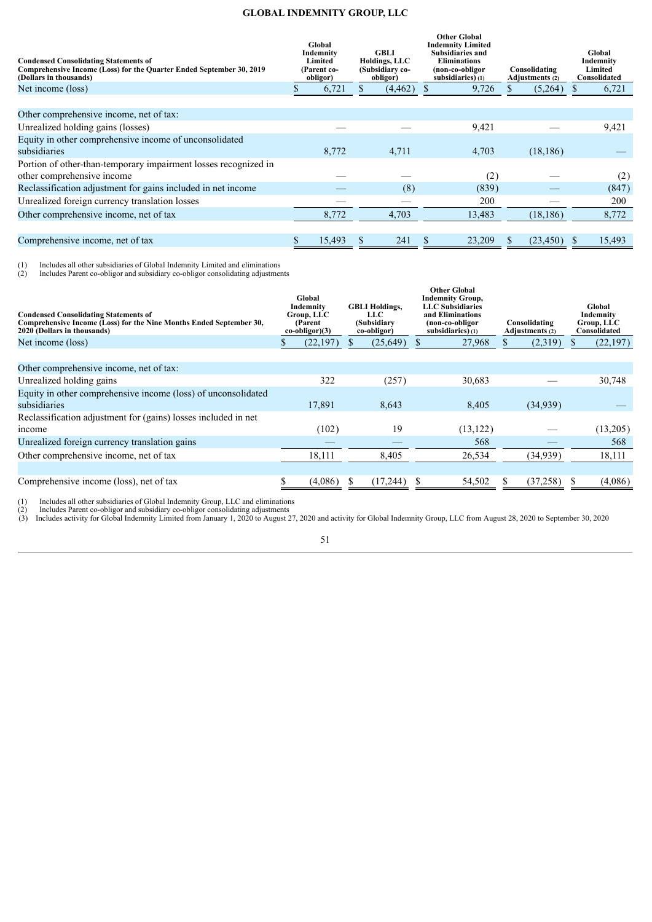| <b>Condensed Consolidating Statements of</b><br>Comprehensive Income (Loss) for the Quarter Ended September 30, 2019<br>(Dollars in thousands) |  | Global<br>Indemnity<br>Limited<br>(Parent co-<br>obligor) |  | <b>GBLI</b><br><b>Holdings, LLC</b><br>(Subsidiary co-<br>obligor) |  | <b>Other Global</b><br><b>Indemnity Limited</b><br><b>Subsidiaries and</b><br><b>Eliminations</b><br>(non-co-obligor<br>subsidiaries $(1)$ | Consolidating<br>Adjustments (2) |           | Global<br>Indemnity<br>Limited<br>Consolidated |        |
|------------------------------------------------------------------------------------------------------------------------------------------------|--|-----------------------------------------------------------|--|--------------------------------------------------------------------|--|--------------------------------------------------------------------------------------------------------------------------------------------|----------------------------------|-----------|------------------------------------------------|--------|
| Net income (loss)                                                                                                                              |  | 6,721                                                     |  | (4, 462)                                                           |  | 9,726                                                                                                                                      |                                  | (5,264)   |                                                | 6,721  |
|                                                                                                                                                |  |                                                           |  |                                                                    |  |                                                                                                                                            |                                  |           |                                                |        |
| Other comprehensive income, net of tax:                                                                                                        |  |                                                           |  |                                                                    |  |                                                                                                                                            |                                  |           |                                                |        |
| Unrealized holding gains (losses)                                                                                                              |  |                                                           |  |                                                                    |  | 9,421                                                                                                                                      |                                  |           |                                                | 9,421  |
| Equity in other comprehensive income of unconsolidated                                                                                         |  |                                                           |  |                                                                    |  |                                                                                                                                            |                                  |           |                                                |        |
| subsidiaries                                                                                                                                   |  | 8,772                                                     |  | 4,711                                                              |  | 4,703                                                                                                                                      |                                  | (18, 186) |                                                |        |
| Portion of other-than-temporary impairment losses recognized in<br>other comprehensive income                                                  |  |                                                           |  |                                                                    |  | (2)                                                                                                                                        |                                  |           |                                                | (2)    |
| Reclassification adjustment for gains included in net income                                                                                   |  |                                                           |  | (8)                                                                |  | (839)                                                                                                                                      |                                  |           |                                                | (847)  |
| Unrealized foreign currency translation losses                                                                                                 |  |                                                           |  |                                                                    |  | 200                                                                                                                                        |                                  |           |                                                | 200    |
| Other comprehensive income, net of tax                                                                                                         |  | 8,772                                                     |  | 4,703                                                              |  | 13,483                                                                                                                                     |                                  | (18, 186) |                                                | 8,772  |
|                                                                                                                                                |  |                                                           |  |                                                                    |  |                                                                                                                                            |                                  |           |                                                |        |
| Comprehensive income, net of tax                                                                                                               |  | 15,493                                                    |  | 241                                                                |  | 23,209                                                                                                                                     |                                  | (23, 450) |                                                | 15,493 |

(1) Includes all other subsidiaries of Global Indemnity Limited and eliminations (2) Includes Parent co-obligor and subsidiary co-obligor consolidating adjustments

| Global<br>Indemnity<br>Group, LLC<br>(Parent<br>$co-obligor)(3)$ | <b>GBLI Holdings,</b><br>LLC<br>(Subsidiary<br>co-obligor) | <b>Other Global</b><br><b>Indemnity Group,</b><br><b>LLC</b> Subsidiaries<br>and Eliminations<br>(non-co-obligor<br>subsidiaries $(1)$ | Consolidating<br>Adjustments (2) | Global<br>Indemnity<br>Group, LLC<br>Consolidated |
|------------------------------------------------------------------|------------------------------------------------------------|----------------------------------------------------------------------------------------------------------------------------------------|----------------------------------|---------------------------------------------------|
| (22, 197)                                                        | (25,649)                                                   | 27,968                                                                                                                                 | (2,319)                          | (22, 197)<br>ъ                                    |
|                                                                  |                                                            |                                                                                                                                        |                                  |                                                   |
| 322                                                              | (257)                                                      | 30,683                                                                                                                                 |                                  | 30,748                                            |
| 17,891                                                           | 8,643                                                      | 8,405                                                                                                                                  | (34,939)                         |                                                   |
| (102)                                                            | 19                                                         | (13, 122)                                                                                                                              |                                  | (13,205)                                          |
|                                                                  |                                                            | 568                                                                                                                                    |                                  | 568                                               |
| 18,111                                                           | 8,405                                                      | 26,534                                                                                                                                 | (34,939)                         | 18,111                                            |
| (4,086)                                                          | (17,244)<br>S                                              | 54,502                                                                                                                                 | (37,258)                         | (4,086)                                           |
|                                                                  |                                                            |                                                                                                                                        |                                  |                                                   |

(1) Includes all other subsidiaries of Global Indemnity Group, LLC and eliminations<br>(2) Includes Parent co-obligor and subsidiary co-obligor consolidating adjustments<br>(3) Includes activity for Global Indemnity Limited from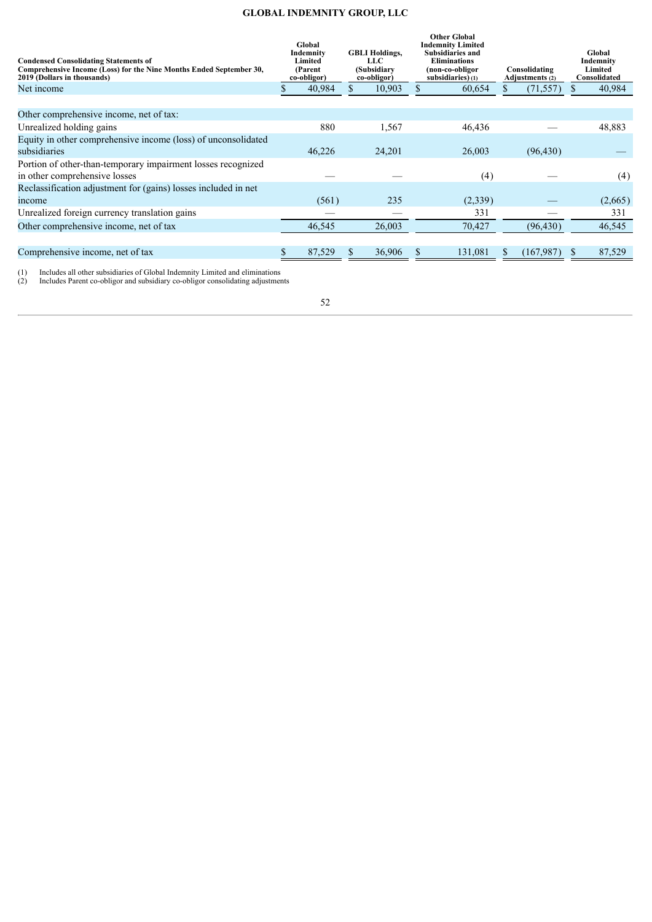| <b>Condensed Consolidating Statements of</b><br>Comprehensive Income (Loss) for the Nine Months Ended September 30,<br>2019 (Dollars in thousands)                                                                                 | Global<br>Indemnitv<br>Limited<br>(Parent<br>co-obligor) | <b>GBLI Holdings,</b><br><b>LLC</b><br>(Subsidiary<br>co-obligor) | <b>Other Global</b><br><b>Indemnity Limited</b><br>Subsidiaries and<br><b>Eliminations</b><br>(non-co-obligor<br>subsidiaries) (1) | Consolidating<br>Adjustments (2) | Global<br>Indemnity<br><b>Limited</b><br>Consolidated |
|------------------------------------------------------------------------------------------------------------------------------------------------------------------------------------------------------------------------------------|----------------------------------------------------------|-------------------------------------------------------------------|------------------------------------------------------------------------------------------------------------------------------------|----------------------------------|-------------------------------------------------------|
| Net income                                                                                                                                                                                                                         | 40,984                                                   | 10,903                                                            | 60,654                                                                                                                             | (71, 557)                        | 40,984                                                |
| Other comprehensive income, net of tax:                                                                                                                                                                                            |                                                          |                                                                   |                                                                                                                                    |                                  |                                                       |
| Unrealized holding gains                                                                                                                                                                                                           | 880                                                      | 1,567                                                             | 46,436                                                                                                                             |                                  | 48,883                                                |
| Equity in other comprehensive income (loss) of unconsolidated<br>subsidiaries                                                                                                                                                      | 46,226                                                   | 24,201                                                            | 26,003                                                                                                                             | (96, 430)                        |                                                       |
| Portion of other-than-temporary impairment losses recognized<br>in other comprehensive losses                                                                                                                                      |                                                          |                                                                   | (4)                                                                                                                                |                                  | (4)                                                   |
| Reclassification adjustment for (gains) losses included in net<br>income                                                                                                                                                           | (561)                                                    | 235                                                               | (2,339)                                                                                                                            |                                  | (2,665)                                               |
| Unrealized foreign currency translation gains                                                                                                                                                                                      |                                                          |                                                                   | 331                                                                                                                                |                                  | 331                                                   |
| Other comprehensive income, net of tax                                                                                                                                                                                             | 46,545                                                   | 26,003                                                            | 70,427                                                                                                                             | (96, 430)                        | 46,545                                                |
| Comprehensive income, net of tax                                                                                                                                                                                                   | 87,529                                                   | 36,906<br>S                                                       | 131,081                                                                                                                            | (167,987)                        | 87,529                                                |
| $\mathcal{L}$ and a set of the set of the set of the set of the set of the set of the set of the set of the set of the set of the set of the set of the set of the set of the set of the set of the set of the set of the set of t |                                                          |                                                                   |                                                                                                                                    |                                  |                                                       |

(1) Includes all other subsidiaries of Global Indemnity Limited and eliminations (2) Includes Parent co-obligor and subsidiary co-obligor consolidating adjustments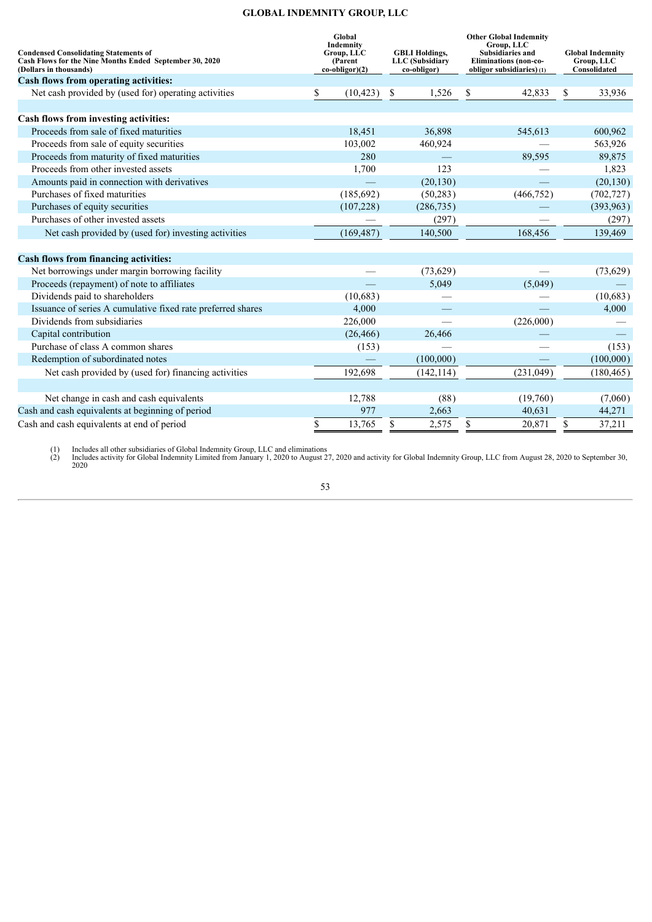| <b>Condensed Consolidating Statements of</b><br>Cash Flows for the Nine Months Ended September 30, 2020<br>(Dollars in thousands) | Global<br>Indemnity<br>Group, LLC<br>(Parent<br>$co-obligor)(2)$ |               | <b>GBLI Holdings,</b><br><b>LLC</b> (Subsidiary<br>co-obligor) | <b>Other Global Indemnity</b><br>Group, LLC<br>Subsidiaries and<br><b>Eliminations</b> (non-co-<br>obligor subsidiaries) (1) |            |    | <b>Global Indemnity</b><br>Group, LLC<br>Consolidated |
|-----------------------------------------------------------------------------------------------------------------------------------|------------------------------------------------------------------|---------------|----------------------------------------------------------------|------------------------------------------------------------------------------------------------------------------------------|------------|----|-------------------------------------------------------|
| <b>Cash flows from operating activities:</b>                                                                                      |                                                                  |               |                                                                |                                                                                                                              |            |    |                                                       |
| Net cash provided by (used for) operating activities                                                                              | \$<br>(10, 423)                                                  | <sup>\$</sup> | 1,526                                                          | \$                                                                                                                           | 42,833     | S  | 33,936                                                |
| Cash flows from investing activities:                                                                                             |                                                                  |               |                                                                |                                                                                                                              |            |    |                                                       |
| Proceeds from sale of fixed maturities                                                                                            | 18,451                                                           |               | 36,898                                                         |                                                                                                                              | 545,613    |    | 600,962                                               |
| Proceeds from sale of equity securities                                                                                           | 103,002                                                          |               | 460,924                                                        |                                                                                                                              |            |    | 563,926                                               |
| Proceeds from maturity of fixed maturities                                                                                        | 280                                                              |               |                                                                |                                                                                                                              | 89,595     |    | 89,875                                                |
| Proceeds from other invested assets                                                                                               | 1,700                                                            |               | 123                                                            |                                                                                                                              |            |    | 1,823                                                 |
| Amounts paid in connection with derivatives                                                                                       |                                                                  |               | (20, 130)                                                      |                                                                                                                              |            |    | (20, 130)                                             |
| Purchases of fixed maturities                                                                                                     | (185, 692)                                                       |               | (50, 283)                                                      |                                                                                                                              | (466, 752) |    | (702, 727)                                            |
| Purchases of equity securities                                                                                                    | (107, 228)                                                       |               | (286, 735)                                                     |                                                                                                                              |            |    | (393, 963)                                            |
| Purchases of other invested assets                                                                                                |                                                                  |               | (297)                                                          |                                                                                                                              |            |    | (297)                                                 |
| Net cash provided by (used for) investing activities                                                                              | (169, 487)                                                       |               | 140,500                                                        |                                                                                                                              | 168,456    |    | 139,469                                               |
| <b>Cash flows from financing activities:</b>                                                                                      |                                                                  |               |                                                                |                                                                                                                              |            |    |                                                       |
| Net borrowings under margin borrowing facility                                                                                    |                                                                  |               | (73,629)                                                       |                                                                                                                              |            |    | (73,629)                                              |
| Proceeds (repayment) of note to affiliates                                                                                        |                                                                  |               | 5,049                                                          |                                                                                                                              | (5,049)    |    |                                                       |
| Dividends paid to shareholders                                                                                                    | (10,683)                                                         |               |                                                                |                                                                                                                              |            |    | (10,683)                                              |
| Issuance of series A cumulative fixed rate preferred shares                                                                       | 4,000                                                            |               |                                                                |                                                                                                                              |            |    | 4,000                                                 |
| Dividends from subsidiaries                                                                                                       | 226,000                                                          |               |                                                                |                                                                                                                              | (226,000)  |    |                                                       |
| Capital contribution                                                                                                              | (26, 466)                                                        |               | 26,466                                                         |                                                                                                                              |            |    |                                                       |
| Purchase of class A common shares                                                                                                 | (153)                                                            |               |                                                                |                                                                                                                              |            |    | (153)                                                 |
| Redemption of subordinated notes                                                                                                  |                                                                  |               | (100,000)                                                      |                                                                                                                              |            |    | (100,000)                                             |
| Net cash provided by (used for) financing activities                                                                              | 192,698                                                          |               | (142, 114)                                                     |                                                                                                                              | (231, 049) |    | (180, 465)                                            |
| Net change in cash and cash equivalents                                                                                           | 12,788                                                           |               | (88)                                                           |                                                                                                                              | (19,760)   |    | (7,060)                                               |
| Cash and cash equivalents at beginning of period                                                                                  | 977                                                              |               | 2,663                                                          |                                                                                                                              | 40,631     |    | 44,271                                                |
| Cash and cash equivalents at end of period                                                                                        | \$<br>13,765                                                     | \$            | 2,575                                                          | \$                                                                                                                           | 20,871     | \$ | 37,211                                                |

(1) Includes all other subsidiaries of Global Indemnity Group, LLC and eliminations<br>(2) Includes activity for Global Indemnity Limited from January 1, 2020 to August 27, 2020 and activity for Global Indemnity Group, LLC fr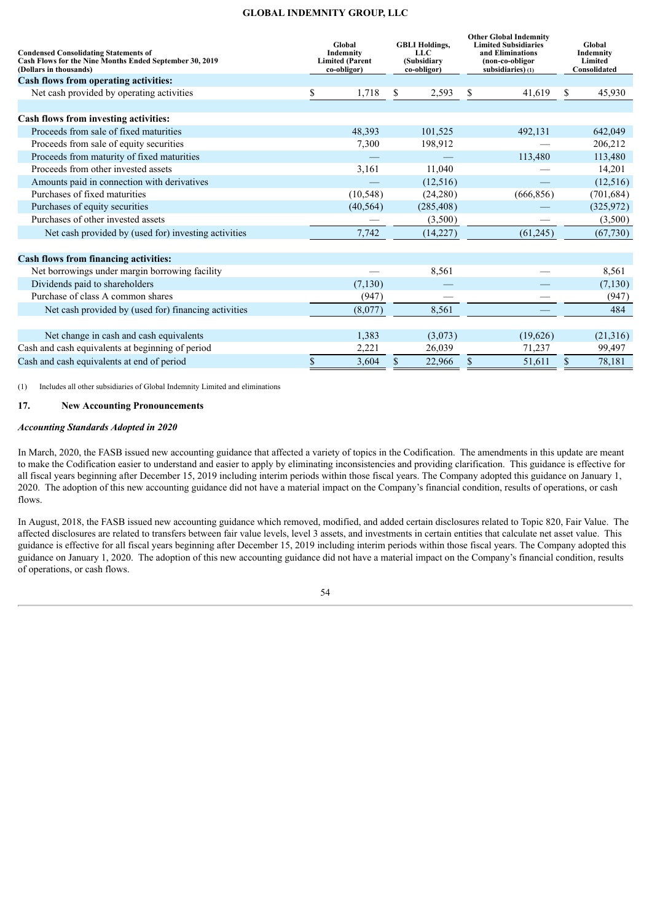| <b>Condensed Consolidating Statements of</b><br>Cash Flows for the Nine Months Ended September 30, 2019<br>(Dollars in thousands) |    | Global<br>Indemnity<br><b>Limited (Parent</b><br>co-obligor) | <b>GBLI Holdings,</b><br><b>LLC</b><br>(Subsidiary<br>co-obligor) |    | <b>Other Global Indemnity</b><br><b>Limited Subsidiaries</b><br>and Eliminations<br>(non-co-obligor<br>subsidiaries) $(1)$ | Global<br>Indemnity<br>Limited<br>Consolidated |            |
|-----------------------------------------------------------------------------------------------------------------------------------|----|--------------------------------------------------------------|-------------------------------------------------------------------|----|----------------------------------------------------------------------------------------------------------------------------|------------------------------------------------|------------|
| Cash flows from operating activities:                                                                                             |    |                                                              |                                                                   |    |                                                                                                                            |                                                |            |
| Net cash provided by operating activities                                                                                         | \$ | 1,718                                                        | \$<br>2,593                                                       | \$ | 41,619                                                                                                                     | S.                                             | 45,930     |
|                                                                                                                                   |    |                                                              |                                                                   |    |                                                                                                                            |                                                |            |
| Cash flows from investing activities:                                                                                             |    |                                                              |                                                                   |    |                                                                                                                            |                                                |            |
| Proceeds from sale of fixed maturities                                                                                            |    | 48,393                                                       | 101,525                                                           |    | 492,131                                                                                                                    |                                                | 642,049    |
| Proceeds from sale of equity securities                                                                                           |    | 7,300                                                        | 198,912                                                           |    |                                                                                                                            |                                                | 206,212    |
| Proceeds from maturity of fixed maturities                                                                                        |    |                                                              |                                                                   |    | 113,480                                                                                                                    |                                                | 113,480    |
| Proceeds from other invested assets                                                                                               |    | 3,161                                                        | 11,040                                                            |    |                                                                                                                            |                                                | 14,201     |
| Amounts paid in connection with derivatives                                                                                       |    |                                                              | (12,516)                                                          |    |                                                                                                                            |                                                | (12, 516)  |
| Purchases of fixed maturities                                                                                                     |    | (10, 548)                                                    | (24, 280)                                                         |    | (666, 856)                                                                                                                 |                                                | (701, 684) |
| Purchases of equity securities                                                                                                    |    | (40, 564)                                                    | (285, 408)                                                        |    |                                                                                                                            |                                                | (325, 972) |
| Purchases of other invested assets                                                                                                |    |                                                              | (3,500)                                                           |    |                                                                                                                            |                                                | (3,500)    |
| Net cash provided by (used for) investing activities                                                                              |    | 7,742                                                        | (14,227)                                                          |    | (61,245)                                                                                                                   |                                                | (67, 730)  |
| <b>Cash flows from financing activities:</b>                                                                                      |    |                                                              |                                                                   |    |                                                                                                                            |                                                |            |
| Net borrowings under margin borrowing facility                                                                                    |    |                                                              | 8,561                                                             |    |                                                                                                                            |                                                | 8,561      |
| Dividends paid to shareholders                                                                                                    |    | (7, 130)                                                     |                                                                   |    |                                                                                                                            |                                                | (7, 130)   |
| Purchase of class A common shares                                                                                                 |    | (947)                                                        |                                                                   |    |                                                                                                                            |                                                | (947)      |
| Net cash provided by (used for) financing activities                                                                              |    | (8,077)                                                      | 8,561                                                             |    |                                                                                                                            |                                                | 484        |
|                                                                                                                                   |    |                                                              |                                                                   |    |                                                                                                                            |                                                |            |
| Net change in cash and cash equivalents                                                                                           |    | 1,383                                                        | (3,073)                                                           |    | (19,626)                                                                                                                   |                                                | (21,316)   |
| Cash and cash equivalents at beginning of period                                                                                  |    | 2,221                                                        | 26,039                                                            |    | 71,237                                                                                                                     |                                                | 99,497     |
| Cash and cash equivalents at end of period                                                                                        | \$ | 3,604                                                        | \$<br>22,966                                                      | \$ | 51,611                                                                                                                     | $\mathcal{S}$                                  | 78,181     |

(1) Includes all other subsidiaries of Global Indemnity Limited and eliminations

#### **17. New Accounting Pronouncements**

### *Accounting Standards Adopted in 2020*

In March, 2020, the FASB issued new accounting guidance that affected a variety of topics in the Codification. The amendments in this update are meant to make the Codification easier to understand and easier to apply by eliminating inconsistencies and providing clarification. This guidance is effective for all fiscal years beginning after December 15, 2019 including interim periods within those fiscal years. The Company adopted this guidance on January 1, 2020. The adoption of this new accounting guidance did not have a material impact on the Company's financial condition, results of operations, or cash flows.

In August, 2018, the FASB issued new accounting guidance which removed, modified, and added certain disclosures related to Topic 820, Fair Value. The affected disclosures are related to transfers between fair value levels, level 3 assets, and investments in certain entities that calculate net asset value. This guidance is effective for all fiscal years beginning after December 15, 2019 including interim periods within those fiscal years. The Company adopted this guidance on January 1, 2020. The adoption of this new accounting guidance did not have a material impact on the Company's financial condition, results of operations, or cash flows.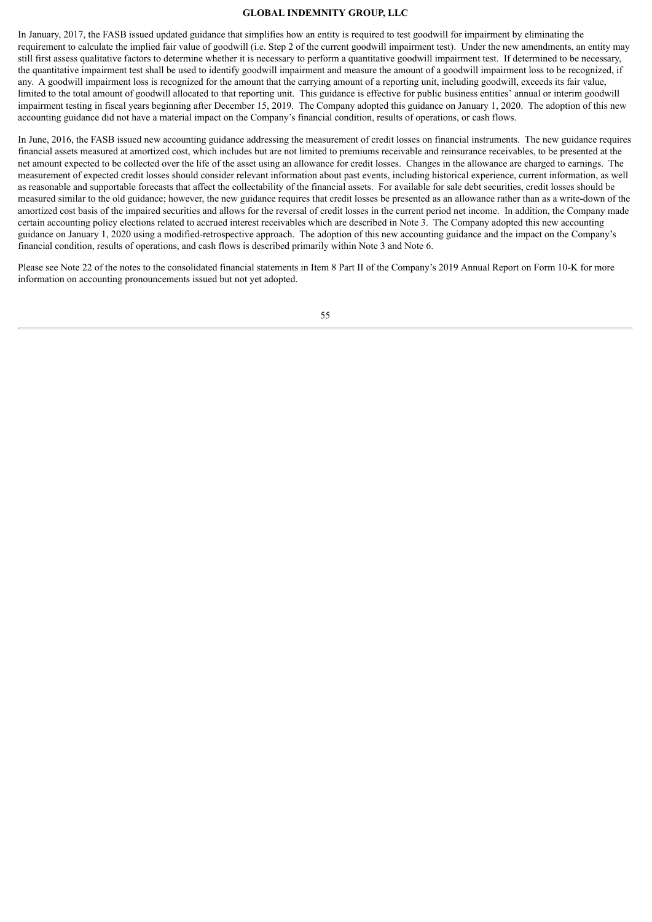In January, 2017, the FASB issued updated guidance that simplifies how an entity is required to test goodwill for impairment by eliminating the requirement to calculate the implied fair value of goodwill (i.e. Step 2 of the current goodwill impairment test). Under the new amendments, an entity may still first assess qualitative factors to determine whether it is necessary to perform a quantitative goodwill impairment test. If determined to be necessary, the quantitative impairment test shall be used to identify goodwill impairment and measure the amount of a goodwill impairment loss to be recognized, if any. A goodwill impairment loss is recognized for the amount that the carrying amount of a reporting unit, including goodwill, exceeds its fair value, limited to the total amount of goodwill allocated to that reporting unit. This guidance is effective for public business entities' annual or interim goodwill impairment testing in fiscal years beginning after December 15, 2019. The Company adopted this guidance on January 1, 2020. The adoption of this new accounting guidance did not have a material impact on the Company's financial condition, results of operations, or cash flows.

In June, 2016, the FASB issued new accounting guidance addressing the measurement of credit losses on financial instruments. The new guidance requires financial assets measured at amortized cost, which includes but are not limited to premiums receivable and reinsurance receivables, to be presented at the net amount expected to be collected over the life of the asset using an allowance for credit losses. Changes in the allowance are charged to earnings. The measurement of expected credit losses should consider relevant information about past events, including historical experience, current information, as well as reasonable and supportable forecasts that affect the collectability of the financial assets. For available for sale debt securities, credit losses should be measured similar to the old guidance; however, the new guidance requires that credit losses be presented as an allowance rather than as a write-down of the amortized cost basis of the impaired securities and allows for the reversal of credit losses in the current period net income. In addition, the Company made certain accounting policy elections related to accrued interest receivables which are described in Note 3. The Company adopted this new accounting guidance on January 1, 2020 using a modified-retrospective approach. The adoption of this new accounting guidance and the impact on the Company's financial condition, results of operations, and cash flows is described primarily within Note 3 and Note 6.

Please see Note 22 of the notes to the consolidated financial statements in Item 8 Part II of the Company's 2019 Annual Report on Form 10-K for more information on accounting pronouncements issued but not yet adopted.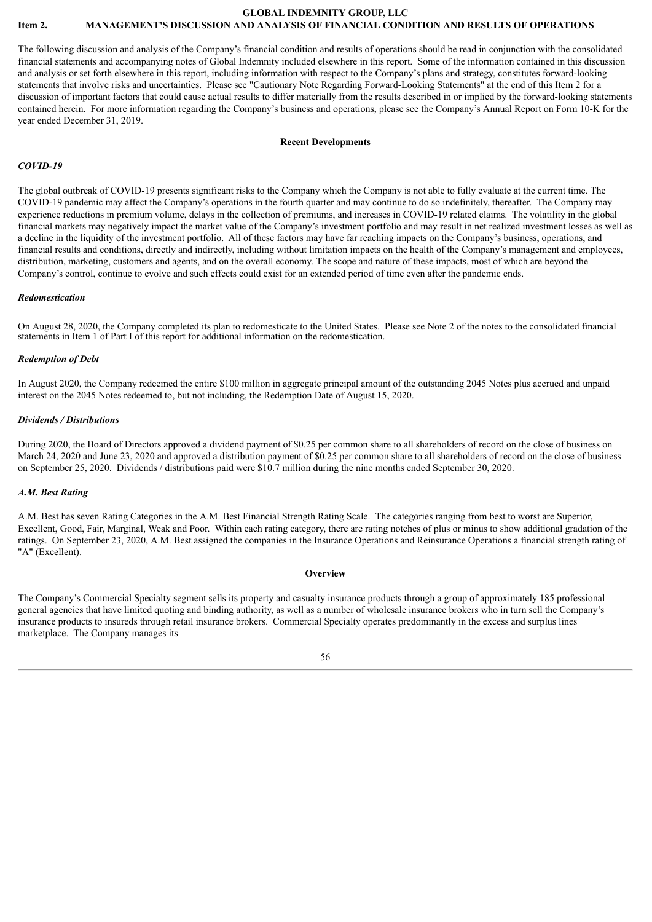## **GLOBAL INDEMNITY GROUP, LLC Item 2. MANAGEMENT'S DISCUSSION AND ANALYSIS OF FINANCIAL CONDITION AND RESULTS OF OPERATIONS**

The following discussion and analysis of the Company's financial condition and results of operations should be read in conjunction with the consolidated financial statements and accompanying notes of Global Indemnity included elsewhere in this report. Some of the information contained in this discussion and analysis or set forth elsewhere in this report, including information with respect to the Company's plans and strategy, constitutes forward-looking statements that involve risks and uncertainties. Please see "Cautionary Note Regarding Forward-Looking Statements" at the end of this Item 2 for a discussion of important factors that could cause actual results to differ materially from the results described in or implied by the forward-looking statements contained herein. For more information regarding the Company's business and operations, please see the Company's Annual Report on Form 10-K for the year ended December 31, 2019.

#### **Recent Developments**

#### *COVID-19*

The global outbreak of COVID-19 presents significant risks to the Company which the Company is not able to fully evaluate at the current time. The COVID-19 pandemic may affect the Company's operations in the fourth quarter and may continue to do so indefinitely, thereafter. The Company may experience reductions in premium volume, delays in the collection of premiums, and increases in COVID-19 related claims. The volatility in the global financial markets may negatively impact the market value of the Company's investment portfolio and may result in net realized investment losses as well as a decline in the liquidity of the investment portfolio. All of these factors may have far reaching impacts on the Company's business, operations, and financial results and conditions, directly and indirectly, including without limitation impacts on the health of the Company's management and employees, distribution, marketing, customers and agents, and on the overall economy. The scope and nature of these impacts, most of which are beyond the Company's control, continue to evolve and such effects could exist for an extended period of time even after the pandemic ends.

#### *Redomestication*

On August 28, 2020, the Company completed its plan to redomesticate to the United States. Please see Note 2 of the notes to the consolidated financial statements in Item 1 of Part I of this report for additional information on the redomestication.

#### *Redemption of Debt*

In August 2020, the Company redeemed the entire \$100 million in aggregate principal amount of the outstanding 2045 Notes plus accrued and unpaid interest on the 2045 Notes redeemed to, but not including, the Redemption Date of August 15, 2020.

#### *Dividends / Distributions*

During 2020, the Board of Directors approved a dividend payment of \$0.25 per common share to all shareholders of record on the close of business on March 24, 2020 and June 23, 2020 and approved a distribution payment of \$0.25 per common share to all shareholders of record on the close of business on September 25, 2020. Dividends / distributions paid were \$10.7 million during the nine months ended September 30, 2020.

#### *A.M. Best Rating*

A.M. Best has seven Rating Categories in the A.M. Best Financial Strength Rating Scale. The categories ranging from best to worst are Superior, Excellent, Good, Fair, Marginal, Weak and Poor. Within each rating category, there are rating notches of plus or minus to show additional gradation of the ratings. On September 23, 2020, A.M. Best assigned the companies in the Insurance Operations and Reinsurance Operations a financial strength rating of "A" (Excellent).

#### **Overview**

The Company's Commercial Specialty segment sells its property and casualty insurance products through a group of approximately 185 professional general agencies that have limited quoting and binding authority, as well as a number of wholesale insurance brokers who in turn sell the Company's insurance products to insureds through retail insurance brokers. Commercial Specialty operates predominantly in the excess and surplus lines marketplace. The Company manages its

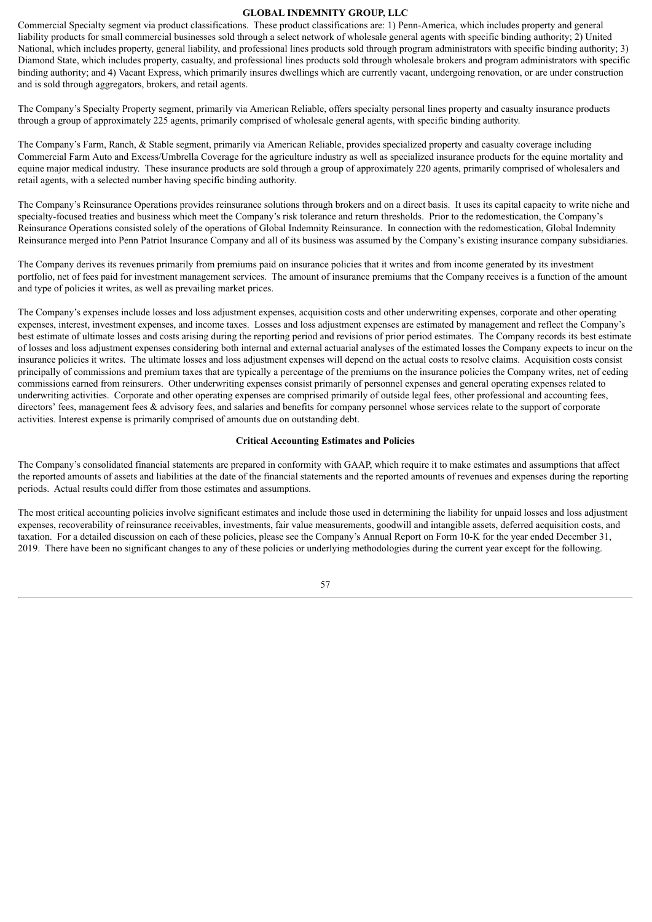Commercial Specialty segment via product classifications. These product classifications are: 1) Penn-America, which includes property and general liability products for small commercial businesses sold through a select network of wholesale general agents with specific binding authority; 2) United National, which includes property, general liability, and professional lines products sold through program administrators with specific binding authority; 3) Diamond State, which includes property, casualty, and professional lines products sold through wholesale brokers and program administrators with specific binding authority; and 4) Vacant Express, which primarily insures dwellings which are currently vacant, undergoing renovation, or are under construction and is sold through aggregators, brokers, and retail agents.

The Company's Specialty Property segment, primarily via American Reliable, offers specialty personal lines property and casualty insurance products through a group of approximately 225 agents, primarily comprised of wholesale general agents, with specific binding authority.

The Company's Farm, Ranch, & Stable segment, primarily via American Reliable, provides specialized property and casualty coverage including Commercial Farm Auto and Excess/Umbrella Coverage for the agriculture industry as well as specialized insurance products for the equine mortality and equine major medical industry. These insurance products are sold through a group of approximately 220 agents, primarily comprised of wholesalers and retail agents, with a selected number having specific binding authority.

The Company's Reinsurance Operations provides reinsurance solutions through brokers and on a direct basis. It uses its capital capacity to write niche and specialty-focused treaties and business which meet the Company's risk tolerance and return thresholds. Prior to the redomestication, the Company's Reinsurance Operations consisted solely of the operations of Global Indemnity Reinsurance. In connection with the redomestication, Global Indemnity Reinsurance merged into Penn Patriot Insurance Company and all of its business was assumed by the Company's existing insurance company subsidiaries.

The Company derives its revenues primarily from premiums paid on insurance policies that it writes and from income generated by its investment portfolio, net of fees paid for investment management services. The amount of insurance premiums that the Company receives is a function of the amount and type of policies it writes, as well as prevailing market prices.

The Company's expenses include losses and loss adjustment expenses, acquisition costs and other underwriting expenses, corporate and other operating expenses, interest, investment expenses, and income taxes. Losses and loss adjustment expenses are estimated by management and reflect the Company's best estimate of ultimate losses and costs arising during the reporting period and revisions of prior period estimates. The Company records its best estimate of losses and loss adjustment expenses considering both internal and external actuarial analyses of the estimated losses the Company expects to incur on the insurance policies it writes. The ultimate losses and loss adjustment expenses will depend on the actual costs to resolve claims. Acquisition costs consist principally of commissions and premium taxes that are typically a percentage of the premiums on the insurance policies the Company writes, net of ceding commissions earned from reinsurers. Other underwriting expenses consist primarily of personnel expenses and general operating expenses related to underwriting activities. Corporate and other operating expenses are comprised primarily of outside legal fees, other professional and accounting fees, directors' fees, management fees & advisory fees, and salaries and benefits for company personnel whose services relate to the support of corporate activities. Interest expense is primarily comprised of amounts due on outstanding debt.

#### **Critical Accounting Estimates and Policies**

The Company's consolidated financial statements are prepared in conformity with GAAP, which require it to make estimates and assumptions that affect the reported amounts of assets and liabilities at the date of the financial statements and the reported amounts of revenues and expenses during the reporting periods. Actual results could differ from those estimates and assumptions.

The most critical accounting policies involve significant estimates and include those used in determining the liability for unpaid losses and loss adjustment expenses, recoverability of reinsurance receivables, investments, fair value measurements, goodwill and intangible assets, deferred acquisition costs, and taxation. For a detailed discussion on each of these policies, please see the Company's Annual Report on Form 10-K for the year ended December 31, 2019. There have been no significant changes to any of these policies or underlying methodologies during the current year except for the following.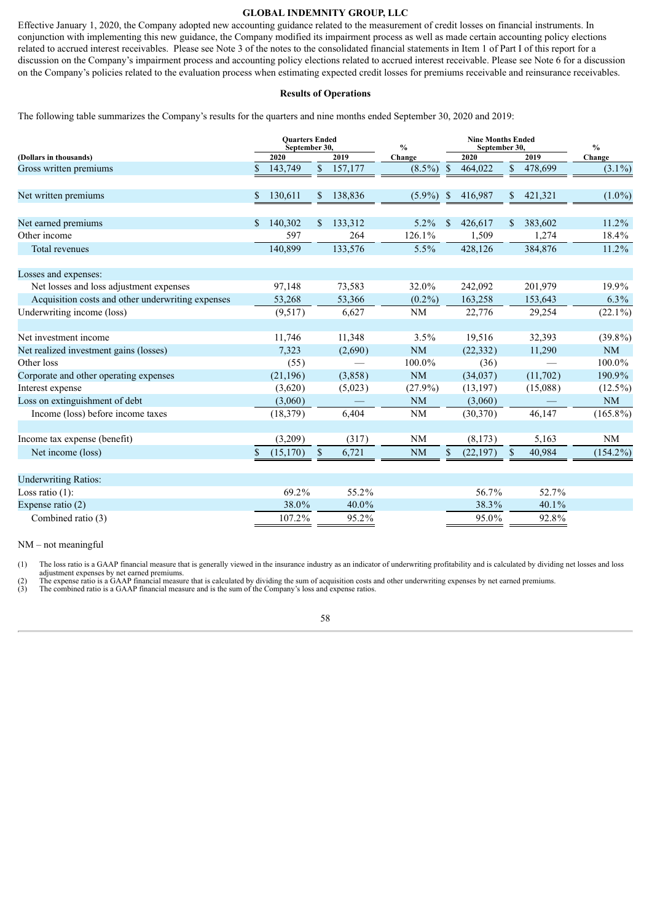Effective January 1, 2020, the Company adopted new accounting guidance related to the measurement of credit losses on financial instruments. In conjunction with implementing this new guidance, the Company modified its impairment process as well as made certain accounting policy elections related to accrued interest receivables. Please see Note 3 of the notes to the consolidated financial statements in Item 1 of Part I of this report for a discussion on the Company's impairment process and accounting policy elections related to accrued interest receivable. Please see Note 6 for a discussion on the Company's policies related to the evaluation process when estimating expected credit losses for premiums receivable and reinsurance receivables.

#### **Results of Operations**

The following table summarizes the Company's results for the quarters and nine months ended September 30, 2020 and 2019:

|                                                   |                | <b>Ouarters Ended</b><br>September 30, |    |         | $\frac{0}{0}$ | <b>Nine Months Ended</b><br>September 30, |           |    |          | $\frac{0}{0}$ |  |
|---------------------------------------------------|----------------|----------------------------------------|----|---------|---------------|-------------------------------------------|-----------|----|----------|---------------|--|
| (Dollars in thousands)                            |                | 2020                                   |    | 2019    | Change        |                                           | 2020      |    | 2019     | Change        |  |
| Gross written premiums                            |                | 143,749                                | \$ | 157,177 | $(8.5\%)$     | \$.                                       | 464,022   | \$ | 478,699  | $(3.1\%)$     |  |
| Net written premiums                              | \$             | 130,611                                | S  | 138,836 | $(5.9\%)$     |                                           | 416,987   | \$ | 421,321  | $(1.0\%)$     |  |
| Net earned premiums                               | $\mathbb{S}^-$ | 140,302                                | S. | 133,312 | $5.2\%$       | S                                         | 426,617   | S. | 383,602  | 11.2%         |  |
| Other income                                      |                | 597                                    |    | 264     | 126.1%        |                                           | 1,509     |    | 1,274    | 18.4%         |  |
| Total revenues                                    |                | 140,899                                |    | 133,576 | 5.5%          |                                           | 428,126   |    | 384,876  | 11.2%         |  |
| Losses and expenses:                              |                |                                        |    |         |               |                                           |           |    |          |               |  |
| Net losses and loss adjustment expenses           |                | 97,148                                 |    | 73,583  | 32.0%         |                                           | 242,092   |    | 201,979  | 19.9%         |  |
| Acquisition costs and other underwriting expenses |                | 53,268                                 |    | 53,366  | $(0.2\%)$     |                                           | 163,258   |    | 153,643  | $6.3\%$       |  |
| Underwriting income (loss)                        |                | (9,517)                                |    | 6,627   | NM            |                                           | 22,776    |    | 29,254   | $(22.1\%)$    |  |
| Net investment income                             |                | 11,746                                 |    | 11,348  | 3.5%          |                                           | 19,516    |    | 32,393   | $(39.8\%)$    |  |
| Net realized investment gains (losses)            |                | 7,323                                  |    | (2,690) | NM            |                                           | (22, 332) |    | 11,290   | NM            |  |
| Other loss                                        |                | (55)                                   |    |         | 100.0%        |                                           | (36)      |    |          | 100.0%        |  |
| Corporate and other operating expenses            |                | (21, 196)                              |    | (3,858) | NM            |                                           | (34,037)  |    | (11,702) | 190.9%        |  |
| Interest expense                                  |                | (3,620)                                |    | (5,023) | $(27.9\%)$    |                                           | (13, 197) |    | (15,088) | $(12.5\%)$    |  |
| Loss on extinguishment of debt                    |                | (3,060)                                |    |         | NM            |                                           | (3,060)   |    |          | NM            |  |
| Income (loss) before income taxes                 |                | (18, 379)                              |    | 6,404   | NM            |                                           | (30,370)  |    | 46,147   | $(165.8\%)$   |  |
| Income tax expense (benefit)                      |                | (3,209)                                |    | (317)   | NM            |                                           | (8,173)   |    | 5,163    | NM            |  |
| Net income (loss)                                 | \$             | (15, 170)                              | \$ | 6,721   | <b>NM</b>     | \$                                        | (22, 197) | \$ | 40,984   | $(154.2\%)$   |  |
|                                                   |                |                                        |    |         |               |                                           |           |    |          |               |  |
| <b>Underwriting Ratios:</b>                       |                |                                        |    |         |               |                                           |           |    |          |               |  |
| Loss ratio $(1)$ :                                |                | 69.2%                                  |    | 55.2%   |               |                                           | 56.7%     |    | 52.7%    |               |  |

| Underwriting Ratios: |           |          |          |          |  |
|----------------------|-----------|----------|----------|----------|--|
| Loss ratio $(1)$ :   | 69.2%     | 55.2%    | 56.7%    | 52.7%    |  |
| Expense ratio (2)    | 38.0%     | $40.0\%$ | 38.3%    | $40.1\%$ |  |
| Combined ratio (3)   | $107.2\%$ | 95.2%    | $95.0\%$ | 92.8%    |  |

NM – not meaningful

(1) The loss ratio is a GAAP financial measure that is generally viewed in the insurance industry as an indicator of underwriting profitability and is calculated by dividing net losses and loss

adjustment expenses by net earned premiums.<br>(2) The expense ratio is a GAAP financial measure that is calculated by dividing the sum of acquisition costs and other underwriting expenses by net earned premiums.

(2) The expense ratio is a GAAP financial measure that is calculated by dividing the sum of acquisition costs a (3) The combined ratio is a GAAP financial measure and is the sum of the Company's loss and expense ratios.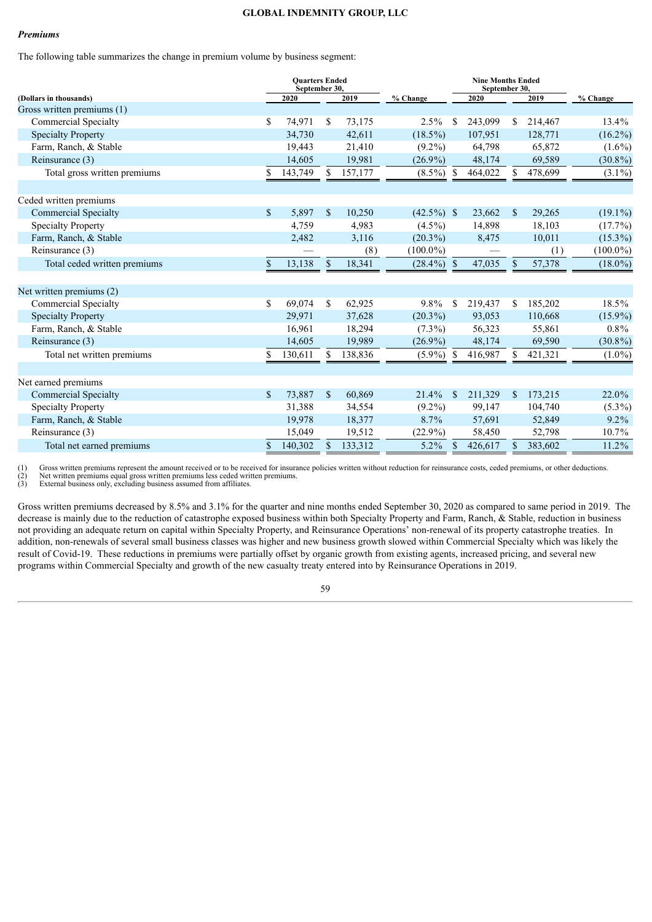### *Premiums*

The following table summarizes the change in premium volume by business segment:

|                              |               | <b>Ouarters Ended</b><br>September 30, |               |         |               | <b>Nine Months Ended</b><br>September 30, |         |               |         |             |  |
|------------------------------|---------------|----------------------------------------|---------------|---------|---------------|-------------------------------------------|---------|---------------|---------|-------------|--|
| (Dollars in thousands)       |               | 2020                                   |               | 2019    | % Change      |                                           | 2020    |               | 2019    | % Change    |  |
| Gross written premiums (1)   |               |                                        |               |         |               |                                           |         |               |         |             |  |
| <b>Commercial Specialty</b>  | \$            | 74,971                                 | S.            | 73,175  | $2.5\%$       | <sup>\$</sup>                             | 243,099 | S.            | 214,467 | 13.4%       |  |
| <b>Specialty Property</b>    |               | 34,730                                 |               | 42,611  | $(18.5\%)$    |                                           | 107,951 |               | 128,771 | $(16.2\%)$  |  |
| Farm, Ranch, & Stable        |               | 19,443                                 |               | 21,410  | $(9.2\%)$     |                                           | 64,798  |               | 65,872  | $(1.6\%)$   |  |
| Reinsurance (3)              |               | 14,605                                 |               | 19,981  | $(26.9\%)$    |                                           | 48,174  |               | 69,589  | $(30.8\%)$  |  |
| Total gross written premiums | \$            | 143,749                                | S.            | 157,177 | $(8.5\%)$     | $\mathbf{\hat{S}}$                        | 464,022 | \$            | 478,699 | $(3.1\%)$   |  |
| Ceded written premiums       |               |                                        |               |         |               |                                           |         |               |         |             |  |
| <b>Commercial Specialty</b>  | $\mathcal{S}$ | 5.897                                  | $\mathbb{S}$  | 10,250  | $(42.5\%)$ \$ |                                           | 23,662  | $\mathbb{S}$  | 29,265  | $(19.1\%)$  |  |
| <b>Specialty Property</b>    |               | 4,759                                  |               | 4,983   | $(4.5\%)$     |                                           | 14,898  |               | 18,103  | (17.7%)     |  |
| Farm, Ranch, & Stable        |               | 2,482                                  |               | 3,116   | $(20.3\%)$    |                                           | 8,475   |               | 10,011  | $(15.3\%)$  |  |
| Reinsurance (3)              |               |                                        |               | (8)     | $(100.0\%)$   |                                           |         |               | (1)     | $(100.0\%)$ |  |
| Total ceded written premiums | $\mathbf S$   | 13,138                                 | <sup>\$</sup> | 18,341  | $(28.4\%)$ \$ |                                           | 47,035  | <sup>\$</sup> | 57,378  | $(18.0\%)$  |  |
| Net written premiums (2)     |               |                                        |               |         |               |                                           |         |               |         |             |  |
| <b>Commercial Specialty</b>  | \$            | 69,074                                 | \$            | 62,925  | 9.8%          | <sup>\$</sup>                             | 219,437 | \$            | 185,202 | 18.5%       |  |
| <b>Specialty Property</b>    |               | 29,971                                 |               | 37,628  | $(20.3\%)$    |                                           | 93,053  |               | 110,668 | $(15.9\%)$  |  |
| Farm, Ranch, & Stable        |               | 16,961                                 |               | 18,294  | $(7.3\%)$     |                                           | 56,323  |               | 55,861  | $0.8\%$     |  |
| Reinsurance (3)              |               | 14,605                                 |               | 19,989  | $(26.9\%)$    |                                           | 48,174  |               | 69,590  | $(30.8\%)$  |  |
| Total net written premiums   | \$            | 130,611                                | <sup>S</sup>  | 138,836 | $(5.9\%)$ \$  |                                           | 416,987 | S.            | 421,321 | $(1.0\%)$   |  |
| Net earned premiums          |               |                                        |               |         |               |                                           |         |               |         |             |  |
| <b>Commercial Specialty</b>  | $\mathbf S$   | 73,887                                 | $\mathbb{S}$  | 60,869  | 21.4%         | <sup>S</sup>                              | 211,329 | $\mathbb{S}$  | 173,215 | 22.0%       |  |
| <b>Specialty Property</b>    |               | 31,388                                 |               | 34,554  | $(9.2\%)$     |                                           | 99,147  |               | 104,740 | $(5.3\%)$   |  |
| Farm, Ranch, & Stable        |               | 19,978                                 |               | 18,377  | 8.7%          |                                           | 57,691  |               | 52,849  | 9.2%        |  |
| Reinsurance (3)              |               | 15,049                                 |               | 19,512  | $(22.9\%)$    |                                           | 58,450  |               | 52,798  | 10.7%       |  |
| Total net earned premiums    | \$            | 140,302                                |               | 133,312 | $5.2\%$       | \$                                        | 426,617 | \$            | 383,602 | 11.2%       |  |

(1) Gross written premiums represent the amount received or to be received for insurance policies written without reduction for reinsurance costs, ceded premiums, or other deductions.<br>
(2) Net written premiums equal gross

(2) Net written premiums equal gross written premiums less ceded written premiums.

External business only, excluding business assumed from affiliates.

Gross written premiums decreased by 8.5% and 3.1% for the quarter and nine months ended September 30, 2020 as compared to same period in 2019. The decrease is mainly due to the reduction of catastrophe exposed business within both Specialty Property and Farm, Ranch, & Stable, reduction in business not providing an adequate return on capital within Specialty Property, and Reinsurance Operations' non-renewal of its property catastrophe treaties. In addition, non-renewals of several small business classes was higher and new business growth slowed within Commercial Specialty which was likely the result of Covid-19. These reductions in premiums were partially offset by organic growth from existing agents, increased pricing, and several new programs within Commercial Specialty and growth of the new casualty treaty entered into by Reinsurance Operations in 2019.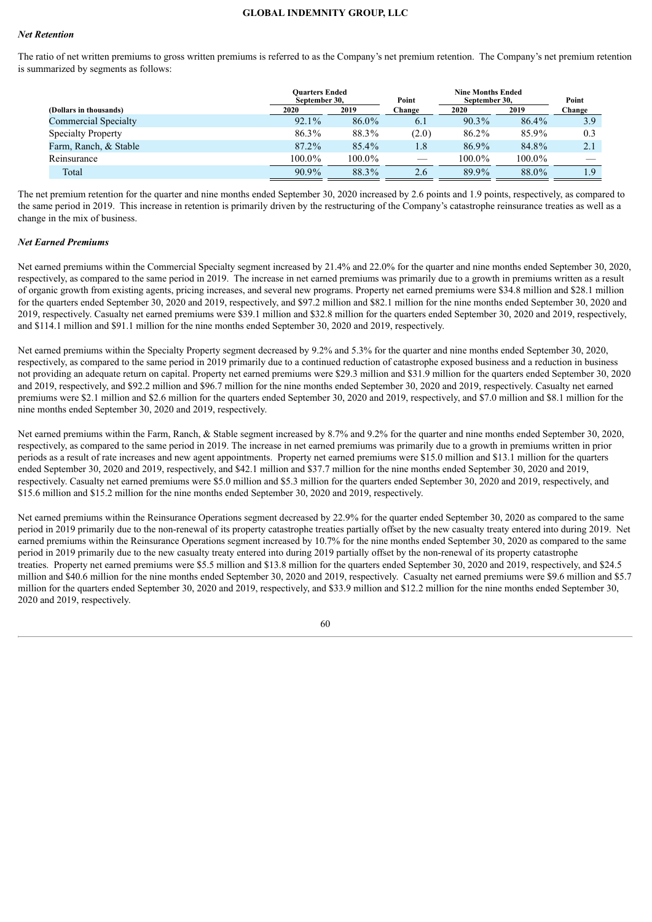### *Net Retention*

The ratio of net written premiums to gross written premiums is referred to as the Company's net premium retention. The Company's net premium retention is summarized by segments as follows:

|                             | <b>Ouarters Ended</b><br>September 30. |           | Point  | <b>Nine Months Ended</b><br>September 30, |        | Point  |
|-----------------------------|----------------------------------------|-----------|--------|-------------------------------------------|--------|--------|
| (Dollars in thousands)      | 2020                                   | 2019      | Change | 2020                                      | 2019   | Change |
| <b>Commercial Specialty</b> | $92.1\%$                               | 86.0%     | 6.1    | $90.3\%$                                  | 86.4%  | 3.9    |
| <b>Specialty Property</b>   | 86.3%                                  | 88.3%     | (2.0)  | 86.2%                                     | 85.9%  | 0.3    |
| Farm, Ranch, & Stable       | 87.2%                                  | 85.4%     | 1.8    | 86.9%                                     | 84.8%  | 2.1    |
| Reinsurance                 | $100.0\%$                              | $100.0\%$ |        | 100.0%                                    | 100.0% |        |
| Total                       | $90.9\%$                               | 88.3%     | 2.6    | 89.9%                                     | 88.0%  | 1.9    |

The net premium retention for the quarter and nine months ended September 30, 2020 increased by 2.6 points and 1.9 points, respectively, as compared to the same period in 2019. This increase in retention is primarily driven by the restructuring of the Company's catastrophe reinsurance treaties as well as a change in the mix of business.

#### *Net Earned Premiums*

Net earned premiums within the Commercial Specialty segment increased by 21.4% and 22.0% for the quarter and nine months ended September 30, 2020, respectively, as compared to the same period in 2019. The increase in net earned premiums was primarily due to a growth in premiums written as a result of organic growth from existing agents, pricing increases, and several new programs. Property net earned premiums were \$34.8 million and \$28.1 million for the quarters ended September 30, 2020 and 2019, respectively, and \$97.2 million and \$82.1 million for the nine months ended September 30, 2020 and 2019, respectively. Casualty net earned premiums were \$39.1 million and \$32.8 million for the quarters ended September 30, 2020 and 2019, respectively, and \$114.1 million and \$91.1 million for the nine months ended September 30, 2020 and 2019, respectively.

Net earned premiums within the Specialty Property segment decreased by 9.2% and 5.3% for the quarter and nine months ended September 30, 2020, respectively, as compared to the same period in 2019 primarily due to a continued reduction of catastrophe exposed business and a reduction in business not providing an adequate return on capital. Property net earned premiums were \$29.3 million and \$31.9 million for the quarters ended September 30, 2020 and 2019, respectively, and \$92.2 million and \$96.7 million for the nine months ended September 30, 2020 and 2019, respectively. Casualty net earned premiums were \$2.1 million and \$2.6 million for the quarters ended September 30, 2020 and 2019, respectively, and \$7.0 million and \$8.1 million for the nine months ended September 30, 2020 and 2019, respectively.

Net earned premiums within the Farm, Ranch, & Stable segment increased by 8.7% and 9.2% for the quarter and nine months ended September 30, 2020, respectively, as compared to the same period in 2019. The increase in net earned premiums was primarily due to a growth in premiums written in prior periods as a result of rate increases and new agent appointments. Property net earned premiums were \$15.0 million and \$13.1 million for the quarters ended September 30, 2020 and 2019, respectively, and \$42.1 million and \$37.7 million for the nine months ended September 30, 2020 and 2019, respectively. Casualty net earned premiums were \$5.0 million and \$5.3 million for the quarters ended September 30, 2020 and 2019, respectively, and \$15.6 million and \$15.2 million for the nine months ended September 30, 2020 and 2019, respectively.

Net earned premiums within the Reinsurance Operations segment decreased by 22.9% for the quarter ended September 30, 2020 as compared to the same period in 2019 primarily due to the non-renewal of its property catastrophe treaties partially offset by the new casualty treaty entered into during 2019. Net earned premiums within the Reinsurance Operations segment increased by 10.7% for the nine months ended September 30, 2020 as compared to the same period in 2019 primarily due to the new casualty treaty entered into during 2019 partially offset by the non-renewal of its property catastrophe treaties. Property net earned premiums were \$5.5 million and \$13.8 million for the quarters ended September 30, 2020 and 2019, respectively, and \$24.5 million and \$40.6 million for the nine months ended September 30, 2020 and 2019, respectively. Casualty net earned premiums were \$9.6 million and \$5.7 million for the quarters ended September 30, 2020 and 2019, respectively, and \$33.9 million and \$12.2 million for the nine months ended September 30, 2020 and 2019, respectively.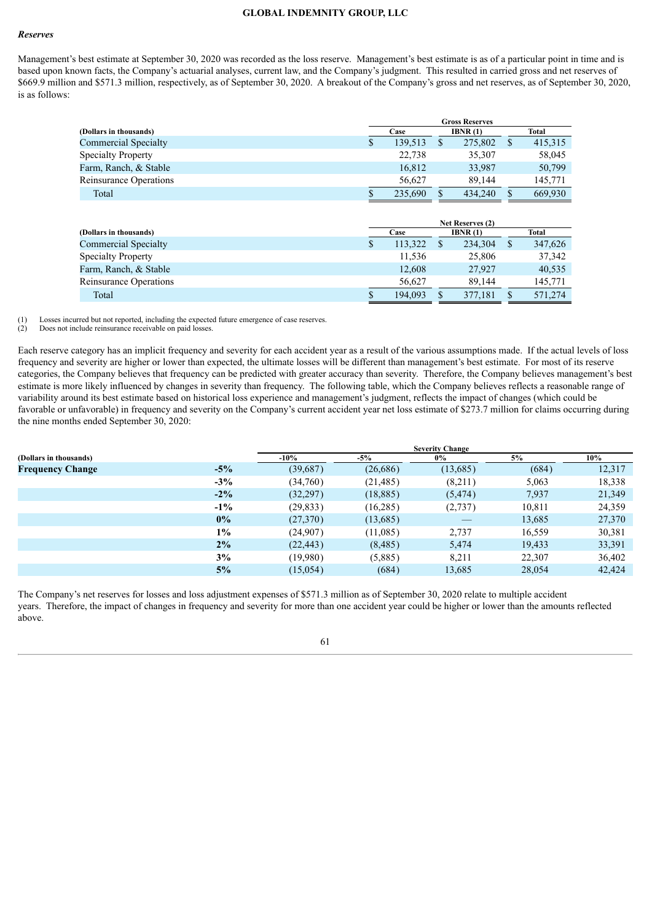### *Reserves*

Management's best estimate at September 30, 2020 was recorded as the loss reserve. Management's best estimate is as of a particular point in time and is based upon known facts, the Company's actuarial analyses, current law, and the Company's judgment. This resulted in carried gross and net reserves of \$669.9 million and \$571.3 million, respectively, as of September 30, 2020. A breakout of the Company's gross and net reserves, as of September 30, 2020, is as follows:

|                               | <b>Gross Reserves</b> |         |    |                  |    |         |  |
|-------------------------------|-----------------------|---------|----|------------------|----|---------|--|
| (Dollars in thousands)        |                       | Case    |    | IBNR(1)          |    | Total   |  |
| <b>Commercial Specialty</b>   | S                     | 139,513 | \$ | 275,802          | \$ | 415,315 |  |
| <b>Specialty Property</b>     |                       | 22,738  |    | 35,307           |    | 58,045  |  |
| Farm, Ranch, & Stable         |                       | 16,812  |    | 33,987           |    | 50,799  |  |
| <b>Reinsurance Operations</b> |                       | 56,627  |    | 89,144           |    | 145,771 |  |
| Total                         | \$                    | 235,690 |    | 434,240          | \$ | 669,930 |  |
|                               |                       |         |    |                  |    |         |  |
|                               |                       |         |    | Net Reserves (2) |    |         |  |
| (Dollars in thousands)        |                       | Case    |    | IBNR(1)          |    | Total   |  |
| Commercial Specialty          | \$                    | 113,322 | S. | 234,304          | \$ | 347,626 |  |
| <b>Specialty Property</b>     |                       | 11,536  |    | 25,806           |    | 37,342  |  |
| Farm, Ranch, & Stable         |                       | 12,608  |    | 27,927           |    | 40,535  |  |
| <b>Reinsurance Operations</b> |                       | 56,627  |    | 89,144           |    | 145,771 |  |
| Total                         | \$                    | 194.093 |    | 377,181          | \$ | 571,274 |  |

(1) Losses incurred but not reported, including the expected future emergence of case reserves.

Does not include reinsurance receivable on paid losses.

Each reserve category has an implicit frequency and severity for each accident year as a result of the various assumptions made. If the actual levels of loss frequency and severity are higher or lower than expected, the ultimate losses will be different than management's best estimate. For most of its reserve categories, the Company believes that frequency can be predicted with greater accuracy than severity. Therefore, the Company believes management's best estimate is more likely influenced by changes in severity than frequency. The following table, which the Company believes reflects a reasonable range of variability around its best estimate based on historical loss experience and management's judgment, reflects the impact of changes (which could be favorable or unfavorable) in frequency and severity on the Company's current accident year net loss estimate of \$273.7 million for claims occurring during the nine months ended September 30, 2020:

|                         |        | <b>Severity Change</b> |           |          |        |        |  |  |  |  |  |  |
|-------------------------|--------|------------------------|-----------|----------|--------|--------|--|--|--|--|--|--|
| (Dollars in thousands)  |        | $-10%$                 | $-5%$     | $0\%$    | 5%     | $10\%$ |  |  |  |  |  |  |
| <b>Frequency Change</b> | $-5%$  | (39,687)               | (26,686)  | (13,685) | (684)  | 12,317 |  |  |  |  |  |  |
|                         | $-3\%$ | (34,760)               | (21, 485) | (8,211)  | 5,063  | 18,338 |  |  |  |  |  |  |
|                         | $-2\%$ | (32,297)               | (18, 885) | (5, 474) | 7,937  | 21,349 |  |  |  |  |  |  |
|                         | $-1\%$ | (29, 833)              | (16, 285) | (2,737)  | 10,811 | 24,359 |  |  |  |  |  |  |
|                         | $0\%$  | (27,370)               | (13,685)  |          | 13,685 | 27,370 |  |  |  |  |  |  |
|                         | $1\%$  | (24,907)               | (11,085)  | 2,737    | 16,559 | 30,381 |  |  |  |  |  |  |
|                         | 2%     | (22, 443)              | (8,485)   | 5,474    | 19,433 | 33,391 |  |  |  |  |  |  |
|                         | 3%     | (19,980)               | (5,885)   | 8,211    | 22,307 | 36,402 |  |  |  |  |  |  |
|                         | 5%     | (15,054)               | (684)     | 13,685   | 28,054 | 42,424 |  |  |  |  |  |  |

The Company's net reserves for losses and loss adjustment expenses of \$571.3 million as of September 30, 2020 relate to multiple accident years. Therefore, the impact of changes in frequency and severity for more than one accident year could be higher or lower than the amounts reflected above.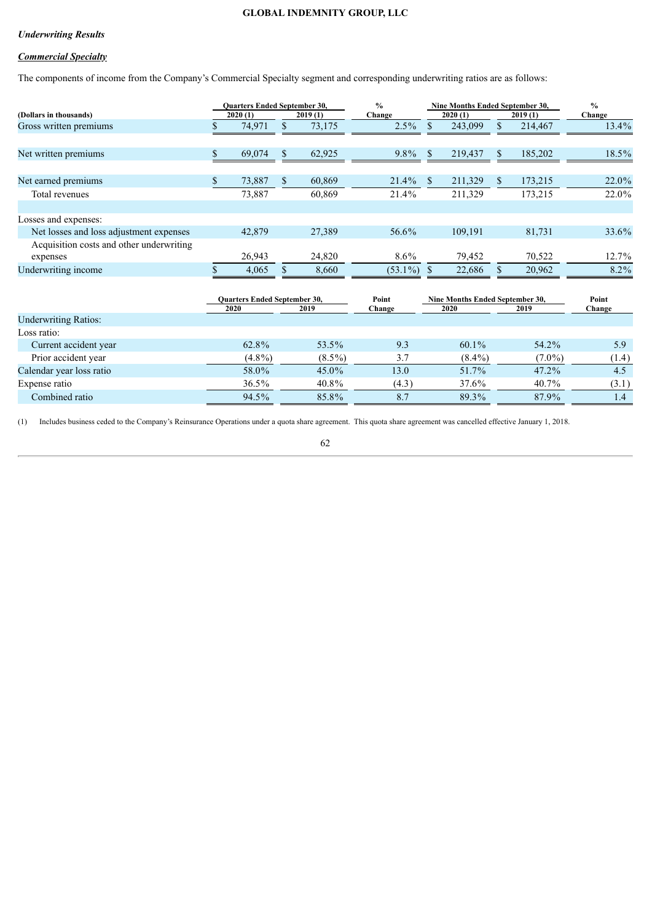## *Underwriting Results*

## *Commercial Specialty*

The components of income from the Company's Commercial Specialty segment and corresponding underwriting ratios are as follows:

|                                                      |                                      | Quarters Ended September 30, |              | $\frac{0}{0}$   |                                         | Nine Months Ended September 30, | $\frac{0}{0}$ |         |                 |
|------------------------------------------------------|--------------------------------------|------------------------------|--------------|-----------------|-----------------------------------------|---------------------------------|---------------|---------|-----------------|
| (Dollars in thousands)                               |                                      | 2020(1)                      | 2019(1)      | Change          |                                         | 2020(1)                         |               | 2019(1) | Change          |
| Gross written premiums                               |                                      | 74,971                       | 73,175       | 2.5%            |                                         | 243,099                         |               | 214,467 | 13.4%           |
| Net written premiums                                 |                                      | 69,074                       | \$<br>62,925 | $9.8\%$         | <sup>\$</sup>                           | 219,437                         | <sup>\$</sup> | 185,202 | 18.5%           |
| Net earned premiums                                  | \$                                   | 73,887                       | \$<br>60,869 | 21.4%           | <sup>\$</sup>                           | 211,329                         | \$            | 173,215 | 22.0%           |
| Total revenues                                       |                                      | 73,887                       | 60,869       | 21.4%           |                                         | 211,329                         |               | 173,215 | 22.0%           |
| Losses and expenses:                                 |                                      |                              |              |                 |                                         |                                 |               |         |                 |
| Net losses and loss adjustment expenses              |                                      | 42,879                       | 27,389       | 56.6%           |                                         | 109,191                         |               | 81,731  | 33.6%           |
| Acquisition costs and other underwriting<br>expenses |                                      | 26,943                       | 24,820       | $8.6\%$         |                                         | 79,452                          |               | 70,522  | 12.7%           |
| Underwriting income                                  |                                      | 4,065                        | \$<br>8,660  | $(53.1\%)$      | S.                                      | 22,686                          | \$.           | 20,962  | 8.2%            |
|                                                      | Quarters Ended September 30,<br>2020 |                              | 2019         | Point<br>Change | Nine Months Ended September 30,<br>2020 |                                 |               | 2019    | Point<br>Change |
| <b>Underwriting Ratios:</b>                          |                                      |                              |              |                 |                                         |                                 |               |         |                 |
| Loss ratio:                                          |                                      |                              |              |                 |                                         |                                 |               |         |                 |

| Current accident year    | 62.8%     | 53.5%     | ر .            | $60.1\%$  | 54.2%     | 5.9              |
|--------------------------|-----------|-----------|----------------|-----------|-----------|------------------|
| Prior accident year      | $(4.8\%)$ | $(8.5\%)$ |                | $(8.4\%)$ | $(7.0\%)$ | (1.4)            |
| Calendar year loss ratio | 58.0%     | 45.0%     | 13.0           | 51.7%     | $47.2\%$  | 4.5              |
| Expense ratio            | $36.5\%$  | 40.8%     | (4.3)          | 37.6%     | 40.7%     | (3.1)            |
| Combined ratio           | 94.5%     | 85.8%     | $\mathbf{O}$ . | 89.3%     | 87.9%     | $\overline{1.4}$ |

(1) Includes business ceded to the Company's Reinsurance Operations under a quota share agreement. This quota share agreement was cancelled effective January 1, 2018.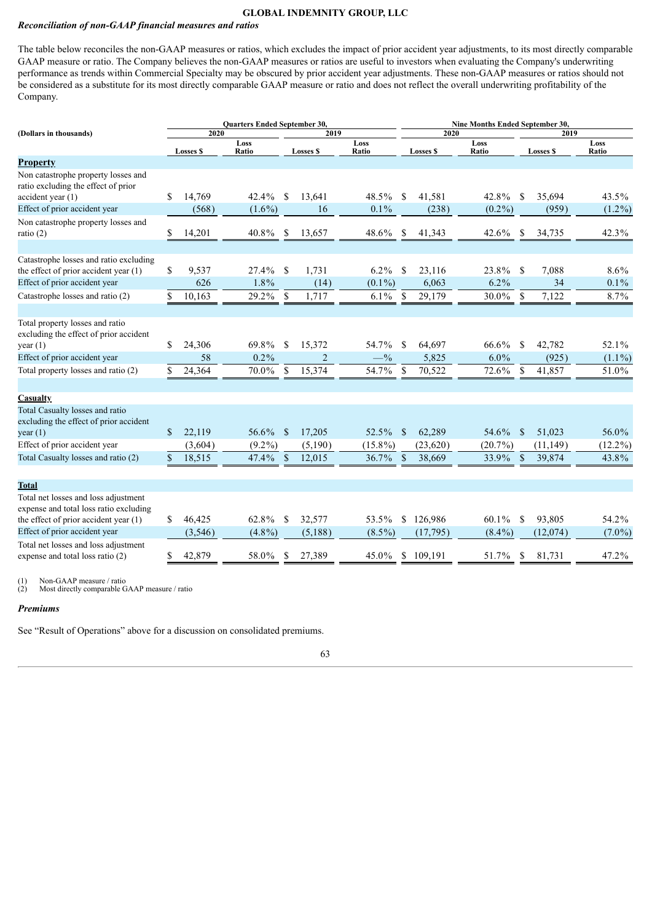#### *Reconciliation of non-GAAP financial measures and ratios*

The table below reconciles the non-GAAP measures or ratios, which excludes the impact of prior accident year adjustments, to its most directly comparable GAAP measure or ratio. The Company believes the non-GAAP measures or ratios are useful to investors when evaluating the Company's underwriting performance as trends within Commercial Specialty may be obscured by prior accident year adjustments. These non-GAAP measures or ratios should not be considered as a substitute for its most directly comparable GAAP measure or ratio and does not reflect the overall underwriting profitability of the Company.

|                                                                                                                         |             | Quarters Ended September 30, |                  |               |                  | <b>Nine Months Ended September 30.</b> |              |                  |               |    |                  |               |  |
|-------------------------------------------------------------------------------------------------------------------------|-------------|------------------------------|------------------|---------------|------------------|----------------------------------------|--------------|------------------|---------------|----|------------------|---------------|--|
| (Dollars in thousands)                                                                                                  |             | 2020                         |                  |               | 2019             |                                        |              | 2020             |               |    | 2019             |               |  |
|                                                                                                                         |             | <b>Losses \$</b>             | Loss<br>Ratio    |               | <b>Losses \$</b> | Loss<br>Ratio                          |              | <b>Losses \$</b> | Loss<br>Ratio |    | <b>Losses \$</b> | Loss<br>Ratio |  |
| <b>Property</b>                                                                                                         |             |                              |                  |               |                  |                                        |              |                  |               |    |                  |               |  |
| Non catastrophe property losses and<br>ratio excluding the effect of prior<br>accident year (1)                         | \$          | 14,769                       | 42.4%            | <sup>\$</sup> | 13,641           | 48.5%                                  | \$           | 41,581           | 42.8%         | S  | 35,694           | 43.5%         |  |
| Effect of prior accident year                                                                                           |             | (568)                        | $(1.6\%)$        |               | 16               | 0.1%                                   |              | (238)            | $(0.2\%)$     |    | (959)            | $(1.2\%)$     |  |
| Non catastrophe property losses and<br>ratio $(2)$                                                                      | \$          | 14,201                       | 40.8%            | \$            | 13,657           | 48.6%                                  | \$           | 41,343           | 42.6%         | \$ | 34,735           | 42.3%         |  |
| Catastrophe losses and ratio excluding<br>the effect of prior accident year (1)                                         | \$          | 9,537                        | 27.4%            | <sup>\$</sup> | 1,731            | $6.2\%$                                | \$           | 23,116           | 23.8%         | \$ | 7,088            | 8.6%          |  |
| Effect of prior accident year                                                                                           |             | 626                          | 1.8%             |               | (14)             | $(0.1\%)$                              |              | 6,063            | 6.2%          |    | 34               | 0.1%          |  |
| Catastrophe losses and ratio (2)                                                                                        | \$          | 10,163                       | 29.2%            | $\mathbb{S}$  | 1,717            | $6.1\%$                                | $\mathbb S$  | 29,179           | 30.0%         | \$ | 7,122            | 8.7%          |  |
|                                                                                                                         |             |                              |                  |               |                  |                                        |              |                  |               |    |                  |               |  |
| Total property losses and ratio<br>excluding the effect of prior accident                                               |             |                              |                  |               |                  |                                        |              |                  | 66.6%         |    |                  |               |  |
| year(1)                                                                                                                 | \$          | 24,306<br>58                 | 69.8%<br>$0.2\%$ | <sup>\$</sup> | 15,372           | 54.7%<br>$-$ %                         | \$           | 64,697           | $6.0\%$       | S  | 42,782           | 52.1%         |  |
| Effect of prior accident year<br>Total property losses and ratio (2)                                                    |             |                              |                  |               | $\overline{c}$   |                                        |              | 5,825            |               |    | (925)            | $(1.1\%)$     |  |
|                                                                                                                         | S           | 24,364                       | 70.0%            | \$            | 15,374           | 54.7%                                  | \$           | 70,522           | 72.6%         | \$ | 41,857           | 51.0%         |  |
| <b>Casualty</b>                                                                                                         |             |                              |                  |               |                  |                                        |              |                  |               |    |                  |               |  |
| Total Casualty losses and ratio<br>excluding the effect of prior accident                                               |             |                              |                  |               |                  |                                        |              |                  |               |    |                  |               |  |
| year $(1)$                                                                                                              | $\mathbf S$ | 22,119                       | 56.6%            | <sup>\$</sup> | 17,205           | 52.5%                                  | $\mathbb{S}$ | 62,289           | 54.6%         | \$ | 51,023           | 56.0%         |  |
| Effect of prior accident year                                                                                           |             | (3,604)                      | $(9.2\%)$        |               | (5,190)          | $(15.8\%)$                             |              | (23,620)         | $(20.7\%)$    |    | (11, 149)        | $(12.2\%)$    |  |
| Total Casualty losses and ratio (2)                                                                                     | \$          | 18,515                       | 47.4%            | <sup>\$</sup> | 12,015           | 36.7%                                  | \$           | 38,669           | 33.9%         | \$ | 39,874           | 43.8%         |  |
| <b>Total</b>                                                                                                            |             |                              |                  |               |                  |                                        |              |                  |               |    |                  |               |  |
| Total net losses and loss adjustment<br>expense and total loss ratio excluding<br>the effect of prior accident year (1) | \$          | 46,425                       | 62.8%            | S             | 32,577           | 53.5%                                  | \$           | 126,986          | 60.1%         | \$ | 93,805           | 54.2%         |  |
| Effect of prior accident year                                                                                           |             | (3,546)                      | $(4.8\%)$        |               | (5,188)          | $(8.5\%)$                              |              | (17,795)         | $(8.4\%)$     |    | (12,074)         | $(7.0\%)$     |  |
| Total net losses and loss adjustment<br>expense and total loss ratio (2)                                                | \$          | 42,879                       | 58.0%            | \$            | 27,389           | 45.0%                                  |              | \$109,191        | 51.7%         | \$ | 81,731           | 47.2%         |  |

(1) Non-GAAP measure / ratio<br>(2) Most directly comparable G

Most directly comparable GAAP measure / ratio

#### *Premiums*

See "Result of Operations" above for a discussion on consolidated premiums.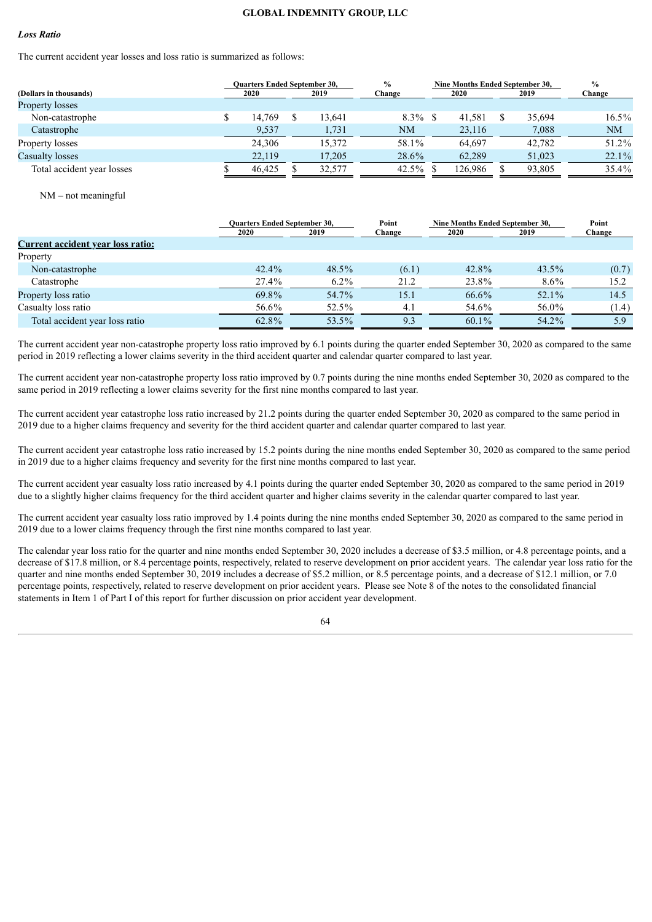### *Loss Ratio*

The current accident year losses and loss ratio is summarized as follows:

|                            |  | <b>Ouarters Ended September 30,</b> |  |        | $\frac{0}{0}$ |             | Nine Months Ended September 30. | $\frac{0}{0}$ |        |           |
|----------------------------|--|-------------------------------------|--|--------|---------------|-------------|---------------------------------|---------------|--------|-----------|
| (Dollars in thousands)     |  | 2020                                |  | 2019   | Change        | <b>2020</b> |                                 | 2019          |        | Change    |
| Property losses            |  |                                     |  |        |               |             |                                 |               |        |           |
| Non-catastrophe            |  | 14.769                              |  | 13.641 | $8.3\%$ \$    |             | 41.581                          |               | 35.694 | $16.5\%$  |
| Catastrophe                |  | 9,537                               |  | 1,731  | NM            |             | 23,116                          |               | 7,088  | <b>NM</b> |
| Property losses            |  | 24,306                              |  | 15.372 | 58.1%         |             | 64.697                          |               | 42.782 | 51.2%     |
| Casualty losses            |  | 22.119                              |  | 17.205 | 28.6%         |             | 62.289                          |               | 51,023 | 22.1%     |
| Total accident year losses |  | 46.425                              |  | 32,577 | $42.5\%$ \$   |             | 126.986                         |               | 93,805 | 35.4%     |

NM – not meaningful

|                                   | <b>Ouarters Ended September 30,</b><br>2020 | 2019    | Point<br>Change | Nine Months Ended September 30,<br>2020 | 2019     | Point<br>Change |  |
|-----------------------------------|---------------------------------------------|---------|-----------------|-----------------------------------------|----------|-----------------|--|
| Current accident year loss ratio: |                                             |         |                 |                                         |          |                 |  |
| Property                          |                                             |         |                 |                                         |          |                 |  |
| Non-catastrophe                   | $42.4\%$                                    | 48.5%   | (6.1)           | 42.8%                                   | $43.5\%$ | (0.7)           |  |
| Catastrophe                       | $27.4\%$                                    | $6.2\%$ | 21.2            | 23.8%                                   | $8.6\%$  | 15.2            |  |
| Property loss ratio               | 69.8%                                       | 54.7%   | 15.1            | 66.6%                                   | 52.1%    | 14.5            |  |
| Casualty loss ratio               | 56.6%                                       | 52.5%   | 4.1             | 54.6%                                   | 56.0%    | (1.4)           |  |
| Total accident year loss ratio    | 62.8%                                       | 53.5%   | 9.3             | $60.1\%$                                | 54.2%    | 5.9             |  |

The current accident year non-catastrophe property loss ratio improved by 6.1 points during the quarter ended September 30, 2020 as compared to the same period in 2019 reflecting a lower claims severity in the third accident quarter and calendar quarter compared to last year.

The current accident year non-catastrophe property loss ratio improved by 0.7 points during the nine months ended September 30, 2020 as compared to the same period in 2019 reflecting a lower claims severity for the first nine months compared to last year.

The current accident year catastrophe loss ratio increased by 21.2 points during the quarter ended September 30, 2020 as compared to the same period in 2019 due to a higher claims frequency and severity for the third accident quarter and calendar quarter compared to last year.

The current accident year catastrophe loss ratio increased by 15.2 points during the nine months ended September 30, 2020 as compared to the same period in 2019 due to a higher claims frequency and severity for the first nine months compared to last year.

The current accident year casualty loss ratio increased by 4.1 points during the quarter ended September 30, 2020 as compared to the same period in 2019 due to a slightly higher claims frequency for the third accident quarter and higher claims severity in the calendar quarter compared to last year.

The current accident year casualty loss ratio improved by 1.4 points during the nine months ended September 30, 2020 as compared to the same period in 2019 due to a lower claims frequency through the first nine months compared to last year.

The calendar year loss ratio for the quarter and nine months ended September 30, 2020 includes a decrease of \$3.5 million, or 4.8 percentage points, and a decrease of \$17.8 million, or 8.4 percentage points, respectively, related to reserve development on prior accident years. The calendar year loss ratio for the quarter and nine months ended September 30, 2019 includes a decrease of \$5.2 million, or 8.5 percentage points, and a decrease of \$12.1 million, or 7.0 percentage points, respectively, related to reserve development on prior accident years. Please see Note 8 of the notes to the consolidated financial statements in Item 1 of Part I of this report for further discussion on prior accident year development.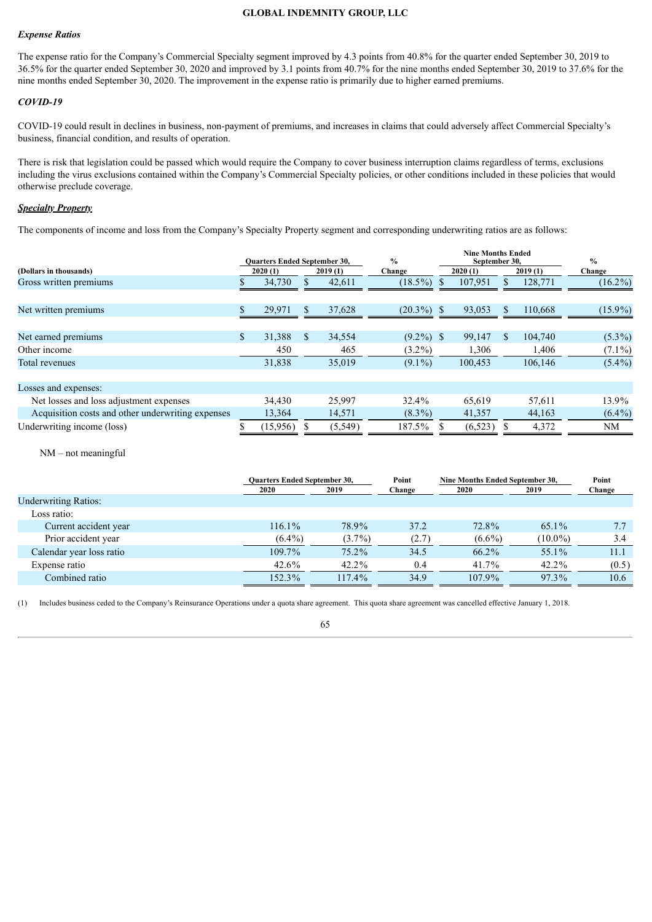#### *Expense Ratios*

The expense ratio for the Company's Commercial Specialty segment improved by 4.3 points from 40.8% for the quarter ended September 30, 2019 to 36.5% for the quarter ended September 30, 2020 and improved by 3.1 points from 40.7% for the nine months ended September 30, 2019 to 37.6% for the nine months ended September 30, 2020. The improvement in the expense ratio is primarily due to higher earned premiums.

#### *COVID-19*

COVID-19 could result in declines in business, non-payment of premiums, and increases in claims that could adversely affect Commercial Specialty's business, financial condition, and results of operation.

There is risk that legislation could be passed which would require the Company to cover business interruption claims regardless of terms, exclusions including the virus exclusions contained within the Company's Commercial Specialty policies, or other conditions included in these policies that would otherwise preclude coverage.

### *Specialty Property*

The components of income and loss from the Company's Specialty Property segment and corresponding underwriting ratios are as follows:

|                                                   | <b>Quarters Ended September 30,</b> |          | $\frac{0}{0}$ | <b>Nine Months Ended</b><br>September 30, | $\frac{0}{0}$ |         |            |
|---------------------------------------------------|-------------------------------------|----------|---------------|-------------------------------------------|---------------|---------|------------|
| (Dollars in thousands)                            | 2020(1)                             | 2019(1)  | Change        | 2020(1)                                   |               | 2019(1) | Change     |
| Gross written premiums                            | 34,730                              | 42,611   | $(18.5\%)$ \$ | 107.951                                   | S             | 128,771 | $(16.2\%)$ |
|                                                   |                                     |          |               |                                           | S             |         |            |
| Net written premiums                              | 29,971                              | 37,628   | $(20.3\%)$ \$ | 93,053                                    |               | 110,668 | $(15.9\%)$ |
| Net earned premiums                               | \$<br>31,388                        | 34,554   | $(9.2\%)$ \$  | 99,147                                    | S             | 104,740 | $(5.3\%)$  |
| Other income                                      | 450                                 | 465      | $(3.2\%)$     | 1,306                                     |               | 1,406   | $(7.1\%)$  |
| Total revenues                                    | 31,838                              | 35,019   | $(9.1\%)$     | 100,453                                   |               | 106,146 | $(5.4\%)$  |
| Losses and expenses:                              |                                     |          |               |                                           |               |         |            |
| Net losses and loss adjustment expenses           | 34,430                              | 25,997   | 32.4%         | 65,619                                    |               | 57,611  | 13.9%      |
| Acquisition costs and other underwriting expenses | 13,364                              | 14,571   | $(8.3\%)$     | 41,357                                    |               | 44,163  | $(6.4\%)$  |
| Underwriting income (loss)                        | (15,956)                            | (5, 549) | 187.5%        | (6, 523)                                  |               | 4,372   | NM         |

NM – not meaningful

|                             | <b>Ouarters Ended September 30,</b> |           | Point  | Nine Months Ended September 30, |            | Point  |
|-----------------------------|-------------------------------------|-----------|--------|---------------------------------|------------|--------|
|                             | <b>2020</b>                         | 2019      | Change | 2020                            | 2019       | Change |
| <b>Underwriting Ratios:</b> |                                     |           |        |                                 |            |        |
| Loss ratio:                 |                                     |           |        |                                 |            |        |
| Current accident year       | $116.1\%$                           | 78.9%     | 37.2   | 72.8%                           | 65.1%      |        |
| Prior accident year         | $(6.4\%)$                           | $(3.7\%)$ | (2.7)  | $(6.6\%)$                       | $(10.0\%)$ | 3.4    |
| Calendar year loss ratio    | 109.7%                              | $75.2\%$  | 34.5   | 66.2%                           | 55.1%      | 11.1   |
| Expense ratio               | 42.6%                               | $42.2\%$  | 0.4    | 41.7%                           | $42.2\%$   | (0.5)  |
| Combined ratio              | 152.3%                              | 117.4%    | 34.9   | $107.9\%$                       | 97.3%      | 10.6   |

(1) Includes business ceded to the Company's Reinsurance Operations under a quota share agreement. This quota share agreement was cancelled effective January 1, 2018.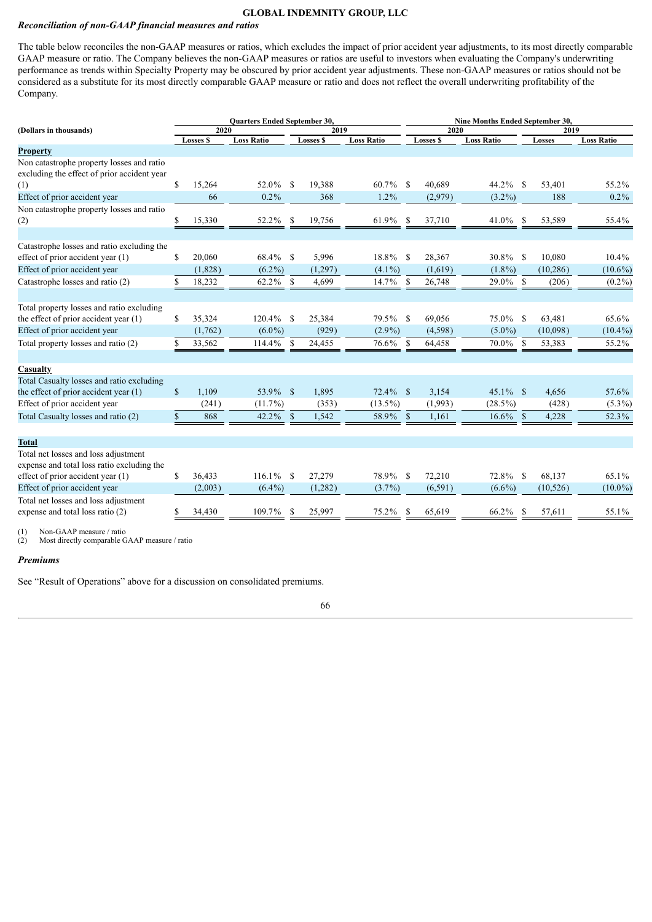## *Reconciliation of non-GAAP financial measures and ratios*

The table below reconciles the non-GAAP measures or ratios, which excludes the impact of prior accident year adjustments, to its most directly comparable GAAP measure or ratio. The Company believes the non-GAAP measures or ratios are useful to investors when evaluating the Company's underwriting performance as trends within Specialty Property may be obscured by prior accident year adjustments. These non-GAAP measures or ratios should not be considered as a substitute for its most directly comparable GAAP measure or ratio and does not reflect the overall underwriting profitability of the Company.

|                                                                                          |              |                  | Quarters Ended September 30, |               |                  |                   | Nine Months Ended September 30, |                  |                   |               |           |                   |  |
|------------------------------------------------------------------------------------------|--------------|------------------|------------------------------|---------------|------------------|-------------------|---------------------------------|------------------|-------------------|---------------|-----------|-------------------|--|
| (Dollars in thousands)                                                                   |              | 2020             |                              |               | 2019             |                   |                                 | 2020             |                   |               | 2019      |                   |  |
|                                                                                          |              | <b>Losses \$</b> | <b>Loss Ratio</b>            |               | <b>Losses \$</b> | <b>Loss Ratio</b> |                                 | <b>Losses \$</b> | <b>Loss Ratio</b> |               | Losses    | <b>Loss Ratio</b> |  |
| <b>Property</b>                                                                          |              |                  |                              |               |                  |                   |                                 |                  |                   |               |           |                   |  |
| Non catastrophe property losses and ratio<br>excluding the effect of prior accident year |              |                  |                              |               |                  |                   |                                 |                  |                   |               |           |                   |  |
| (1)                                                                                      | \$           | 15,264           | 52.0%                        | <sup>\$</sup> | 19,388           | 60.7%             | <sup>\$</sup>                   | 40,689           | 44.2%             | <sup>\$</sup> | 53,401    | 55.2%             |  |
| Effect of prior accident year                                                            |              | 66               | $0.2\%$                      |               | 368              | 1.2%              |                                 | (2,979)          | $(3.2\%)$         |               | 188       | $0.2\%$           |  |
| Non catastrophe property losses and ratio                                                |              |                  |                              |               |                  |                   |                                 |                  |                   |               |           |                   |  |
| (2)                                                                                      | \$           | 15,330           | 52.2%                        | S             | 19,756           | 61.9%             | S                               | 37,710           | 41.0%             | S             | 53,589    | 55.4%             |  |
|                                                                                          |              |                  |                              |               |                  |                   |                                 |                  |                   |               |           |                   |  |
| Catastrophe losses and ratio excluding the                                               |              |                  |                              |               |                  |                   |                                 |                  |                   |               |           |                   |  |
| effect of prior accident year (1)                                                        | \$           | 20,060           | 68.4%                        | <sup>S</sup>  | 5,996            | 18.8%             | $\mathbf S$                     | 28,367           | 30.8%             | $\mathbf S$   | 10,080    | 10.4%             |  |
| Effect of prior accident year                                                            |              | (1,828)          | $(6.2\%)$                    |               | (1,297)          | $(4.1\%)$         |                                 | (1,619)          | $(1.8\%)$         |               | (10, 286) | $(10.6\%)$        |  |
| Catastrophe losses and ratio (2)                                                         | \$           | 18,232           | 62.2%                        | <sup>\$</sup> | 4,699            | 14.7%             | <sup>\$</sup>                   | 26,748           | 29.0%             | <sup>\$</sup> | (206)     | $(0.2\%)$         |  |
|                                                                                          |              |                  |                              |               |                  |                   |                                 |                  |                   |               |           |                   |  |
| Total property losses and ratio excluding                                                |              |                  |                              |               |                  |                   |                                 |                  |                   |               |           |                   |  |
| the effect of prior accident year (1)                                                    | \$           | 35,324           | 120.4%                       | <sup>\$</sup> | 25,384           | 79.5%             | <sup>S</sup>                    | 69,056           | 75.0%             | <sup>\$</sup> | 63,481    | 65.6%             |  |
| Effect of prior accident year                                                            |              | (1,762)          | $(6.0\%)$                    |               | (929)            | $(2.9\%)$         |                                 | (4,598)          | $(5.0\%)$         |               | (10,098)  | $(10.4\%)$        |  |
| Total property losses and ratio (2)                                                      | \$.          | 33,562           | 114.4%                       | \$            | 24,455           | 76.6%             | <sup>\$</sup>                   | 64,458           | 70.0%             | $\mathbf S$   | 53,383    | 55.2%             |  |
|                                                                                          |              |                  |                              |               |                  |                   |                                 |                  |                   |               |           |                   |  |
| Casualty                                                                                 |              |                  |                              |               |                  |                   |                                 |                  |                   |               |           |                   |  |
| Total Casualty losses and ratio excluding                                                |              |                  |                              |               |                  |                   |                                 |                  |                   |               |           |                   |  |
| the effect of prior accident year (1)                                                    | $\mathbb{S}$ | 1,109            | 53.9% \$                     |               | 1,895            | $72.4\%$ \$       |                                 | 3,154            | $45.1\%$ \$       |               | 4,656     | 57.6%             |  |
| Effect of prior accident year                                                            |              | (241)            | (11.7%)                      |               | (353)            | $(13.5\%)$        |                                 | (1,993)          | $(28.5\%)$        |               | (428)     | $(5.3\%)$         |  |
| Total Casualty losses and ratio (2)                                                      | $\mathbb{S}$ | 868              | 42.2%                        | $\mathbb{S}$  | 1,542            | 58.9% \$          |                                 | 1,161            | $16.6\%$          | $\mathbb{S}$  | 4,228     | 52.3%             |  |
|                                                                                          |              |                  |                              |               |                  |                   |                                 |                  |                   |               |           |                   |  |
| <b>Total</b>                                                                             |              |                  |                              |               |                  |                   |                                 |                  |                   |               |           |                   |  |
| Total net losses and loss adjustment                                                     |              |                  |                              |               |                  |                   |                                 |                  |                   |               |           |                   |  |
| expense and total loss ratio excluding the                                               |              |                  |                              |               |                  |                   |                                 |                  |                   |               |           |                   |  |
| effect of prior accident year (1)                                                        | \$           | 36,433           | $116.1\%$                    | -S            | 27,279           | 78.9% \$          |                                 | 72,210           | 72.8%             | $\mathbb{S}$  | 68,137    | 65.1%             |  |
| Effect of prior accident year                                                            |              | (2,003)          | $(6.4\%)$                    |               | (1,282)          | $(3.7\%)$         |                                 | (6, 591)         | $(6.6\%)$         |               | (10, 526) | $(10.0\%)$        |  |
| Total net losses and loss adjustment                                                     |              |                  |                              |               |                  |                   |                                 |                  |                   |               |           |                   |  |
| expense and total loss ratio (2)                                                         |              | 34,430           | 109.7%                       |               | 25,997           | 75.2%             | S                               | 65,619           | 66.2%             | -S            | 57,611    | 55.1%             |  |
| $(1)$ Non-GAAP measure / ratio                                                           |              |                  |                              |               |                  |                   |                                 |                  |                   |               |           |                   |  |

(1) Non-GAAP measure / ratio (2) Most directly comparable GAAP measure / ratio

#### *Premiums*

See "Result of Operations" above for a discussion on consolidated premiums.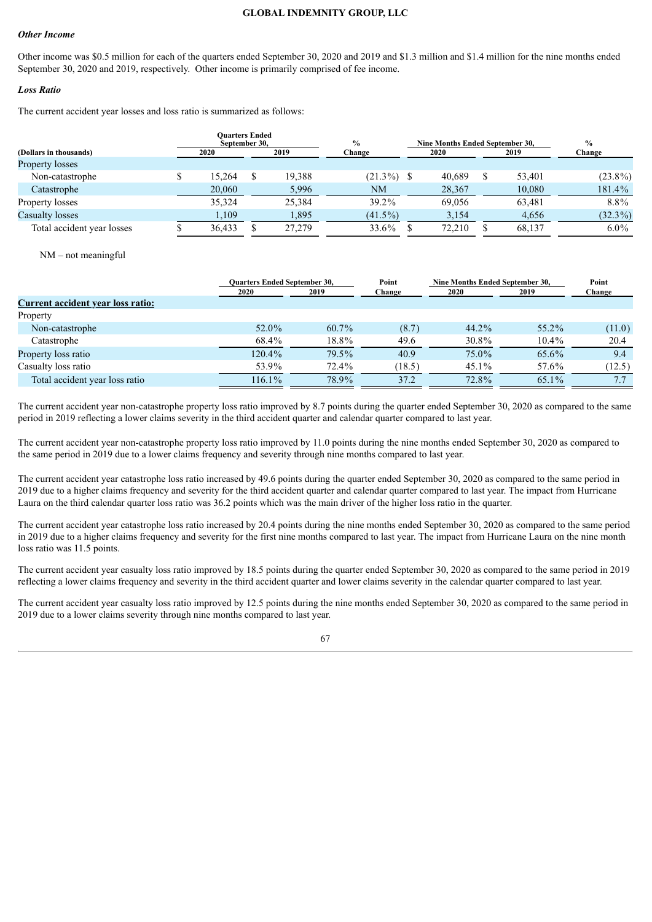#### *Other Income*

Other income was \$0.5 million for each of the quarters ended September 30, 2020 and 2019 and \$1.3 million and \$1.4 million for the nine months ended September 30, 2020 and 2019, respectively. Other income is primarily comprised of fee income.

### *Loss Ratio*

The current accident year losses and loss ratio is summarized as follows:

|                            | <b>Ouarters Ended</b><br>September 30, |        | $\frac{0}{0}$ | Nine Months Ended September 30, | $\frac{0}{0}$ |            |
|----------------------------|----------------------------------------|--------|---------------|---------------------------------|---------------|------------|
| (Dollars in thousands)     | 2020                                   | 2019   | hange.        | 2020                            | 2019          | Change     |
| <b>Property losses</b>     |                                        |        |               |                                 |               |            |
| Non-catastrophe            | 15.264                                 | 19.388 | $(21.3\%)$ \$ | 40.689                          | 53.401        | $(23.8\%)$ |
| Catastrophe                | 20,060                                 | 5,996  | NM            | 28,367                          | 10,080        | 181.4%     |
| Property losses            | 35,324                                 | 25,384 | 39.2%         | 69,056                          | 63,481        | 8.8%       |
| Casualty losses            | 1,109                                  | 1,895  | $(41.5\%)$    | 3,154                           | 4,656         | $(32.3\%)$ |
| Total accident year losses | 36,433                                 | 27,279 | 33.6%         | 72.210                          | 68,137        | $6.0\%$    |

NM – not meaningful

|                                          | <b>Ouarters Ended September 30.</b> |       | Point  | <b>Nine Months Ended September 30.</b> | Point    |        |  |
|------------------------------------------|-------------------------------------|-------|--------|----------------------------------------|----------|--------|--|
|                                          | 2020                                | 2019  | Change | 2020                                   | 2019     | Change |  |
| <b>Current accident year loss ratio:</b> |                                     |       |        |                                        |          |        |  |
| Property                                 |                                     |       |        |                                        |          |        |  |
| Non-catastrophe                          | 52.0%                               | 60.7% | (8.7)  | $44.2\%$                               | 55.2%    | (11.0) |  |
| Catastrophe                              | 68.4%                               | 18.8% | 49.6   | 30.8%                                  | $10.4\%$ | 20.4   |  |
| Property loss ratio                      | $120.4\%$                           | 79.5% | 40.9   | 75.0%                                  | $65.6\%$ | 9.4    |  |
| Casualty loss ratio                      | 53.9%                               | 72.4% | (18.5) | $45.1\%$                               | 57.6%    | (12.5) |  |
| Total accident year loss ratio           | $116.1\%$                           | 78.9% | 37.2   | 72.8%                                  | 65.1%    | 7.7    |  |

The current accident year non-catastrophe property loss ratio improved by 8.7 points during the quarter ended September 30, 2020 as compared to the same period in 2019 reflecting a lower claims severity in the third accident quarter and calendar quarter compared to last year.

The current accident year non-catastrophe property loss ratio improved by 11.0 points during the nine months ended September 30, 2020 as compared to the same period in 2019 due to a lower claims frequency and severity through nine months compared to last year.

The current accident year catastrophe loss ratio increased by 49.6 points during the quarter ended September 30, 2020 as compared to the same period in 2019 due to a higher claims frequency and severity for the third accident quarter and calendar quarter compared to last year. The impact from Hurricane Laura on the third calendar quarter loss ratio was 36.2 points which was the main driver of the higher loss ratio in the quarter.

The current accident year catastrophe loss ratio increased by 20.4 points during the nine months ended September 30, 2020 as compared to the same period in 2019 due to a higher claims frequency and severity for the first nine months compared to last year. The impact from Hurricane Laura on the nine month loss ratio was 11.5 points.

The current accident year casualty loss ratio improved by 18.5 points during the quarter ended September 30, 2020 as compared to the same period in 2019 reflecting a lower claims frequency and severity in the third accident quarter and lower claims severity in the calendar quarter compared to last year.

The current accident year casualty loss ratio improved by 12.5 points during the nine months ended September 30, 2020 as compared to the same period in 2019 due to a lower claims severity through nine months compared to last year.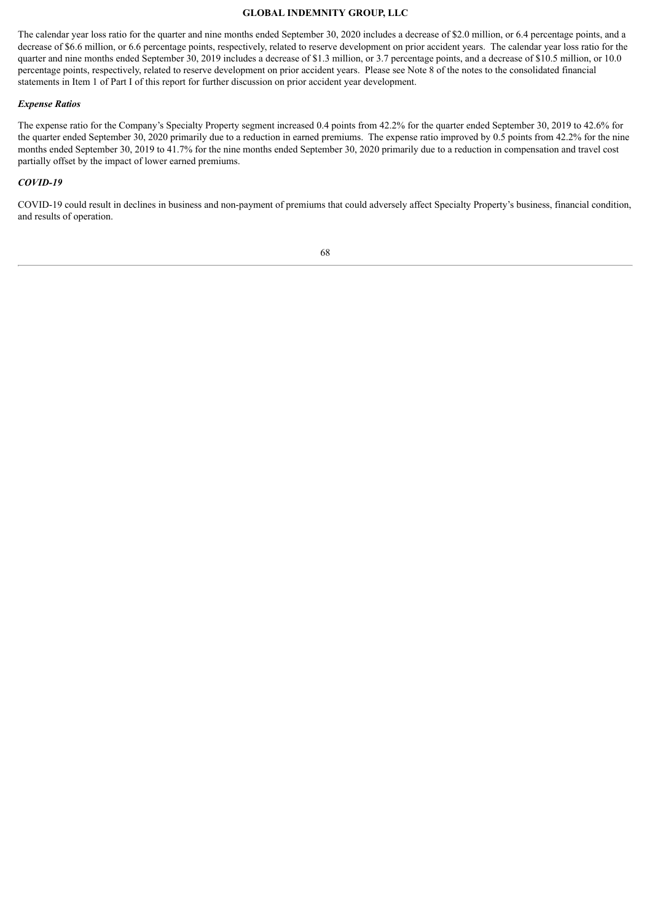The calendar year loss ratio for the quarter and nine months ended September 30, 2020 includes a decrease of \$2.0 million, or 6.4 percentage points, and a decrease of \$6.6 million, or 6.6 percentage points, respectively, related to reserve development on prior accident years. The calendar year loss ratio for the quarter and nine months ended September 30, 2019 includes a decrease of \$1.3 million, or 3.7 percentage points, and a decrease of \$10.5 million, or 10.0 percentage points, respectively, related to reserve development on prior accident years. Please see Note 8 of the notes to the consolidated financial statements in Item 1 of Part I of this report for further discussion on prior accident year development.

#### *Expense Ratios*

The expense ratio for the Company's Specialty Property segment increased 0.4 points from 42.2% for the quarter ended September 30, 2019 to 42.6% for the quarter ended September 30, 2020 primarily due to a reduction in earned premiums. The expense ratio improved by 0.5 points from 42.2% for the nine months ended September 30, 2019 to 41.7% for the nine months ended September 30, 2020 primarily due to a reduction in compensation and travel cost partially offset by the impact of lower earned premiums.

#### *COVID-19*

COVID-19 could result in declines in business and non-payment of premiums that could adversely affect Specialty Property's business, financial condition, and results of operation.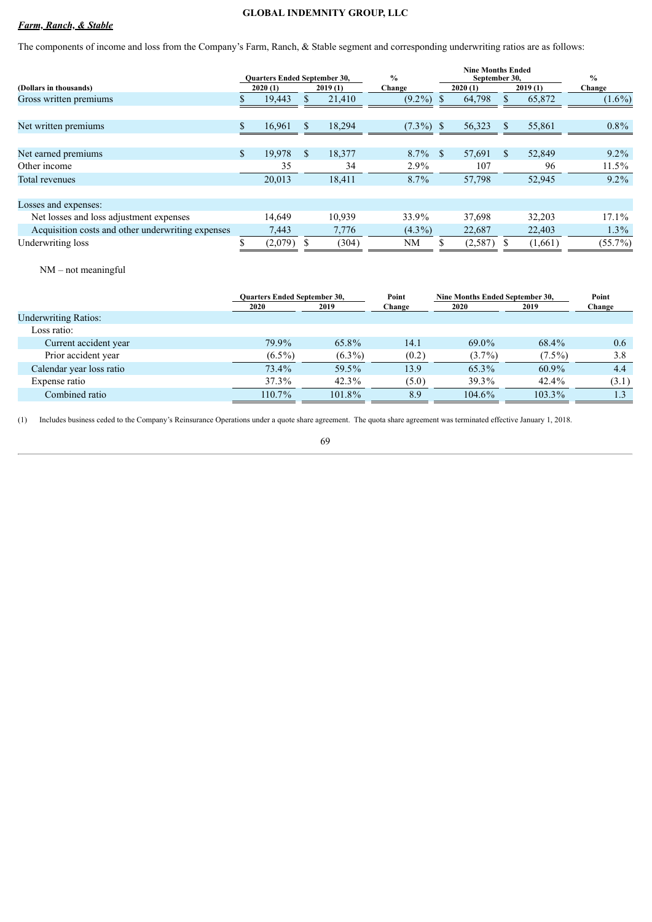## *Farm, Ranch, & Stable*

## **GLOBAL INDEMNITY GROUP, LLC**

The components of income and loss from the Company's Farm, Ranch, & Stable segment and corresponding underwriting ratios are as follows:

|                                                   |               | <b>Ouarters Ended September 30,</b> |     |         | $\frac{0}{0}$ |    | <b>Nine Months Ended</b><br>September 30, | $\frac{0}{0}$ |            |
|---------------------------------------------------|---------------|-------------------------------------|-----|---------|---------------|----|-------------------------------------------|---------------|------------|
| (Dollars in thousands)                            |               | 2020(1)                             |     | 2019(1) | Change        |    | 2020(1)                                   | 2019(1)       | Change     |
| Gross written premiums                            |               | 19,443                              | S.  | 21,410  | $(9.2\%)$     |    | 64,798                                    | 65,872        | $(1.6\%)$  |
|                                                   |               |                                     |     |         |               |    |                                           |               |            |
| Net written premiums                              |               | 16,961                              | \$. | 18,294  | $(7.3\%)$ \$  |    | 56,323                                    | 55,861        | $0.8\%$    |
|                                                   |               |                                     |     |         |               |    |                                           |               |            |
| Net earned premiums                               | $\mathcal{S}$ | 19.978                              | \$. | 18,377  | $8.7\%$       | -S | 57,691                                    | 52,849        | $9.2\%$    |
| Other income                                      |               | 35                                  |     | 34      | 2.9%          |    | 107                                       | 96            | 11.5%      |
| Total revenues                                    |               | 20,013                              |     | 18,411  | 8.7%          |    | 57,798                                    | 52,945        | $9.2\%$    |
|                                                   |               |                                     |     |         |               |    |                                           |               |            |
| Losses and expenses:                              |               |                                     |     |         |               |    |                                           |               |            |
| Net losses and loss adjustment expenses           |               | 14.649                              |     | 10.939  | 33.9%         |    | 37,698                                    | 32,203        | 17.1%      |
| Acquisition costs and other underwriting expenses |               | 7,443                               |     | 7,776   | $(4.3\%)$     |    | 22,687                                    | 22,403        | $1.3\%$    |
| Underwriting loss                                 |               | (2,079)                             |     | (304)   | NΜ            |    | (2,587)                                   | (1,661)       | $(55.7\%)$ |

### NM – not meaningful

|                             | <b>Ouarters Ended September 30,</b> |           | Point<br>Nine Months Ended September 30, |           |           | Point  |
|-----------------------------|-------------------------------------|-----------|------------------------------------------|-----------|-----------|--------|
|                             | 2020                                | 2019      | Change                                   | 2020      | 2019      | Change |
| <b>Underwriting Ratios:</b> |                                     |           |                                          |           |           |        |
| Loss ratio:                 |                                     |           |                                          |           |           |        |
| Current accident year       | 79.9%                               | 65.8%     | 14.1                                     | $69.0\%$  | 68.4%     | 0.6    |
| Prior accident year         | $(6.5\%)$                           | $(6.3\%)$ | (0.2)                                    | $(3.7\%)$ | $(7.5\%)$ | 3.8    |
| Calendar year loss ratio    | 73.4%                               | 59.5%     | 13.9                                     | 65.3%     | 60.9%     | 4.4    |
| Expense ratio               | 37.3%                               | 42.3%     | (5.0)                                    | 39.3%     | 42.4%     | (3.1)  |
| Combined ratio              | 110.7%                              | 101.8%    | 8.9                                      | 104.6%    | 103.3%    |        |

(1) Includes business ceded to the Company's Reinsurance Operations under a quote share agreement. The quota share agreement was terminated effective January 1, 2018.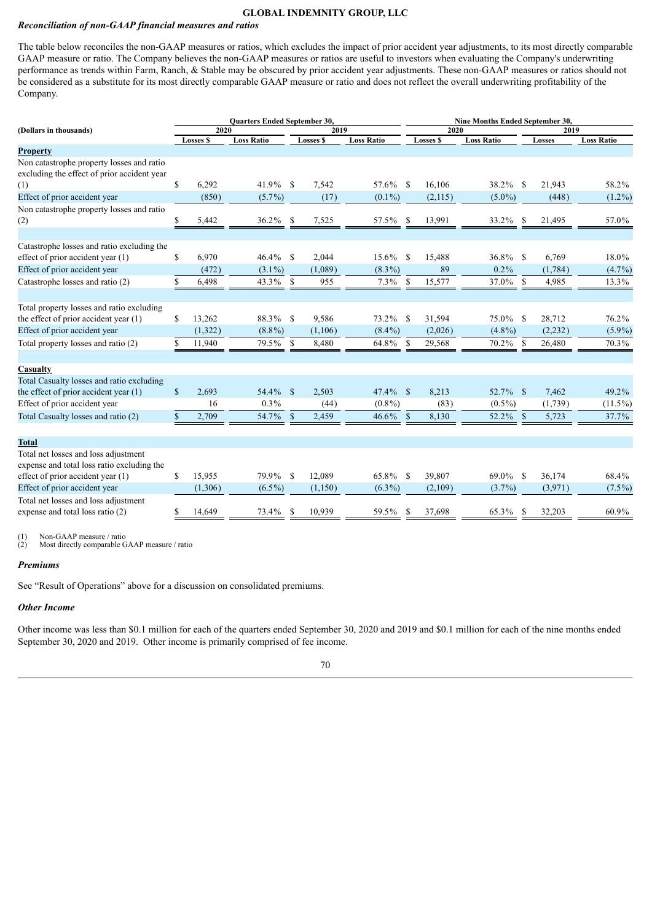#### *Reconciliation of non-GAAP financial measures and ratios*

The table below reconciles the non-GAAP measures or ratios, which excludes the impact of prior accident year adjustments, to its most directly comparable GAAP measure or ratio. The Company believes the non-GAAP measures or ratios are useful to investors when evaluating the Company's underwriting performance as trends within Farm, Ranch, & Stable may be obscured by prior accident year adjustments. These non-GAAP measures or ratios should not be considered as a substitute for its most directly comparable GAAP measure or ratio and does not reflect the overall underwriting profitability of the Company.

|                                                                                          |              |                  |                   |               |                  |                   | Nine Months Ended September 30, |                  |                   |               |         |                   |  |
|------------------------------------------------------------------------------------------|--------------|------------------|-------------------|---------------|------------------|-------------------|---------------------------------|------------------|-------------------|---------------|---------|-------------------|--|
| (Dollars in thousands)                                                                   |              | 2020             |                   |               | 2019             |                   | 2020                            |                  |                   | 2019          |         |                   |  |
|                                                                                          |              | <b>Losses \$</b> | <b>Loss Ratio</b> |               | <b>Losses \$</b> | <b>Loss Ratio</b> |                                 | <b>Losses \$</b> | <b>Loss Ratio</b> |               | Losses  | <b>Loss Ratio</b> |  |
| <b>Property</b>                                                                          |              |                  |                   |               |                  |                   |                                 |                  |                   |               |         |                   |  |
| Non catastrophe property losses and ratio<br>excluding the effect of prior accident year |              |                  |                   |               |                  |                   |                                 |                  |                   |               |         |                   |  |
| (1)                                                                                      | \$           | 6,292            | 41.9%             | <sup>\$</sup> | 7,542            | 57.6%             | S                               | 16,106           | 38.2%             | <sup>\$</sup> | 21,943  | 58.2%             |  |
| Effect of prior accident year                                                            |              | (850)            | $(5.7\%)$         |               | (17)             | $(0.1\%)$         |                                 | (2,115)          | $(5.0\%)$         |               | (448)   | $(1.2\%)$         |  |
| Non catastrophe property losses and ratio                                                |              |                  |                   |               |                  |                   |                                 |                  |                   |               |         |                   |  |
| (2)                                                                                      | \$           | 5,442            | $36.2\%$          | S             | 7,525            | 57.5%             | S.                              | 13,991           | 33.2%             | S             | 21,495  | 57.0%             |  |
| Catastrophe losses and ratio excluding the                                               |              |                  |                   |               |                  |                   |                                 |                  |                   |               |         |                   |  |
| effect of prior accident year (1)                                                        | \$           | 6,970            | 46.4%             | -S            | 2,044            | 15.6%             | <sup>\$</sup>                   | 15,488           | $36.8\%$ \$       |               | 6,769   | 18.0%             |  |
| Effect of prior accident year                                                            |              | (472)            | $(3.1\%)$         |               | (1,089)          | $(8.3\%)$         |                                 | 89               | $0.2\%$           |               | (1,784) | $(4.7\%)$         |  |
| Catastrophe losses and ratio (2)                                                         | \$           | 6,498            | 43.3%             | <sup>\$</sup> | 955              | $7.3\%$           | <sup>\$</sup>                   | 15,577           | 37.0%             | <sup>\$</sup> | 4,985   | 13.3%             |  |
|                                                                                          |              |                  |                   |               |                  |                   |                                 |                  |                   |               |         |                   |  |
| Total property losses and ratio excluding<br>the effect of prior accident year (1)       | \$           | 13,262           | 88.3%             | -S            | 9,586            | 73.2%             | S                               | 31,594           | 75.0%             | <sup>\$</sup> | 28,712  | 76.2%             |  |
| Effect of prior accident year                                                            |              | (1,322)          | $(8.8\%)$         |               | (1,106)          | $(8.4\%)$         |                                 | (2,026)          | $(4.8\%)$         |               | (2,232) | $(5.9\%)$         |  |
| Total property losses and ratio (2)                                                      | \$.          | 11,940           | 79.5% \$          |               | 8,480            | 64.8% \$          |                                 | 29,568           | 70.2%             | <sup>\$</sup> | 26,480  | 70.3%             |  |
| <b>Casualty</b>                                                                          |              |                  |                   |               |                  |                   |                                 |                  |                   |               |         |                   |  |
| Total Casualty losses and ratio excluding                                                |              |                  |                   |               |                  |                   |                                 |                  |                   |               |         |                   |  |
| the effect of prior accident year (1)                                                    | $\mathbb{S}$ | 2,693            | 54.4% \$          |               | 2,503            | $47.4\%$ \$       |                                 | 8,213            | 52.7% \$          |               | 7,462   | 49.2%             |  |
| Effect of prior accident year                                                            |              | 16               | $0.3\%$           |               | (44)             | $(0.8\%)$         |                                 | (83)             | $(0.5\%)$         |               | (1,739) | $(11.5\%)$        |  |
| Total Casualty losses and ratio (2)                                                      | \$           | 2,709            | 54.7%             | <sup>S</sup>  | 2,459            | $46.6\%$          | <sup>S</sup>                    | 8,130            | 52.2%             | <sup>S</sup>  | 5,723   | 37.7%             |  |
|                                                                                          |              |                  |                   |               |                  |                   |                                 |                  |                   |               |         |                   |  |
| <b>Total</b>                                                                             |              |                  |                   |               |                  |                   |                                 |                  |                   |               |         |                   |  |
| Total net losses and loss adjustment<br>expense and total loss ratio excluding the       |              |                  |                   |               |                  |                   |                                 |                  |                   |               |         |                   |  |
| effect of prior accident year (1)                                                        | \$           | 15,955           | 79.9%             | -S            | 12,089           | $65.8\%$ \$       |                                 | 39,807           | $69.0\%$ \$       |               | 36,174  | 68.4%             |  |
| Effect of prior accident year                                                            |              | (1,306)          | $(6.5\%)$         |               | (1,150)          | $(6.3\%)$         |                                 | (2,109)          | $(3.7\%)$         |               | (3,971) | $(7.5\%)$         |  |
| Total net losses and loss adjustment                                                     |              |                  |                   |               |                  |                   |                                 |                  |                   |               |         |                   |  |
| expense and total loss ratio (2)                                                         |              | 14,649           | 73.4%             | S             | 10,939           | 59.5%             | <b>S</b>                        | 37,698           | 65.3%             | S             | 32,203  | 60.9%             |  |

(1) Non-GAAP measure / ratio (2) Most directly comparable GAAP measure / ratio

#### *Premiums*

See "Result of Operations" above for a discussion on consolidated premiums.

#### *Other Income*

Other income was less than \$0.1 million for each of the quarters ended September 30, 2020 and 2019 and \$0.1 million for each of the nine months ended September 30, 2020 and 2019. Other income is primarily comprised of fee income.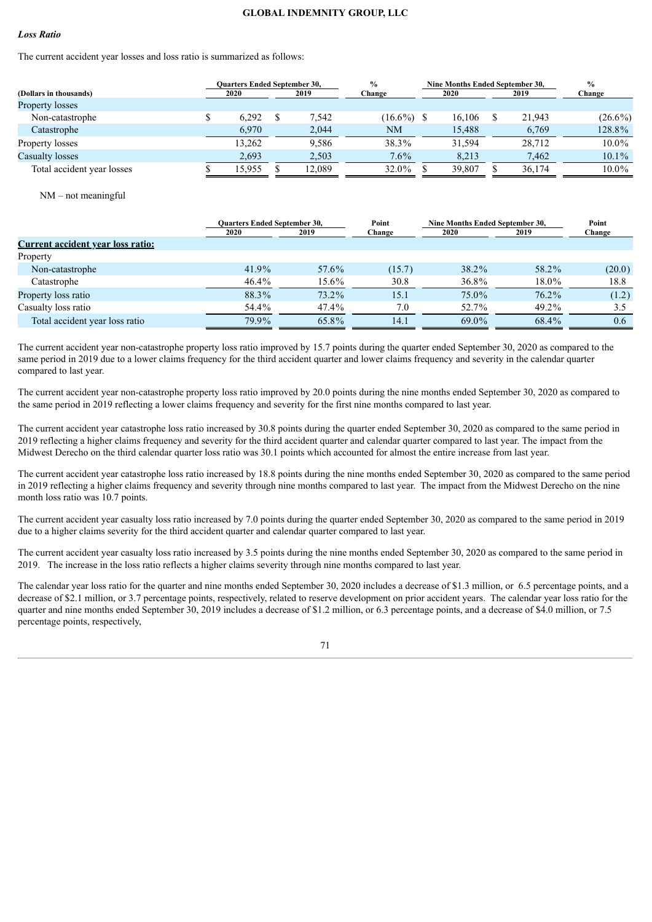### *Loss Ratio*

The current accident year losses and loss ratio is summarized as follows:

|                            |  | <b>Ouarters Ended September 30,</b> |  |        | $\frac{0}{0}$ |      | Nine Months Ended September 30. | $\frac{0}{0}$ |        |               |
|----------------------------|--|-------------------------------------|--|--------|---------------|------|---------------------------------|---------------|--------|---------------|
| (Dollars in thousands)     |  | 2020                                |  | 2019   | Change        | 2020 |                                 | 2019          |        | <b>Change</b> |
| <b>Property losses</b>     |  |                                     |  |        |               |      |                                 |               |        |               |
| Non-catastrophe            |  | 6.292                               |  | 7,542  | $(16.6\%)$ \$ |      | 16,106                          |               | 21.943 | $(26.6\%)$    |
| Catastrophe                |  | 6,970                               |  | 2,044  | NM            |      | 15,488                          |               | 6,769  | 128.8%        |
| Property losses            |  | 13.262                              |  | 9.586  | 38.3%         |      | 31,594                          |               | 28,712 | $10.0\%$      |
| Casualty losses            |  | 2,693                               |  | 2,503  | $7.6\%$       |      | 8.213                           |               | 7.462  | $10.1\%$      |
| Total accident year losses |  | 15.955                              |  | 12.089 | 32.0%         |      | 39.807                          |               | 36,174 | $10.0\%$      |

NM – not meaningful

|                                          |          | <b>Ouarters Ended September 30,</b> |        | Nine Months Ended September 30. | Point    |        |  |
|------------------------------------------|----------|-------------------------------------|--------|---------------------------------|----------|--------|--|
|                                          | 2020     | 2019                                | Change | 2020                            | 2019     | Change |  |
| <b>Current accident year loss ratio:</b> |          |                                     |        |                                 |          |        |  |
| Property                                 |          |                                     |        |                                 |          |        |  |
| Non-catastrophe                          | $41.9\%$ | 57.6%                               | (15.7) | 38.2%                           | 58.2%    | (20.0) |  |
| Catastrophe                              | $46.4\%$ | 15.6%                               | 30.8   | 36.8%                           | 18.0%    | 18.8   |  |
| Property loss ratio                      | 88.3%    | 73.2%                               | 15.1   | 75.0%                           | $76.2\%$ | (1.2)  |  |
| Casualty loss ratio                      | 54.4%    | 47.4%                               | 7.0    | 52.7%                           | 49.2%    | 3.5    |  |
| Total accident year loss ratio           | 79.9%    | 65.8%                               | 14.1   | 69.0%                           | 68.4%    | 0.6    |  |

The current accident year non-catastrophe property loss ratio improved by 15.7 points during the quarter ended September 30, 2020 as compared to the same period in 2019 due to a lower claims frequency for the third accident quarter and lower claims frequency and severity in the calendar quarter compared to last year.

The current accident year non-catastrophe property loss ratio improved by 20.0 points during the nine months ended September 30, 2020 as compared to the same period in 2019 reflecting a lower claims frequency and severity for the first nine months compared to last year.

The current accident year catastrophe loss ratio increased by 30.8 points during the quarter ended September 30, 2020 as compared to the same period in 2019 reflecting a higher claims frequency and severity for the third accident quarter and calendar quarter compared to last year. The impact from the Midwest Derecho on the third calendar quarter loss ratio was 30.1 points which accounted for almost the entire increase from last year.

The current accident year catastrophe loss ratio increased by 18.8 points during the nine months ended September 30, 2020 as compared to the same period in 2019 reflecting a higher claims frequency and severity through nine months compared to last year. The impact from the Midwest Derecho on the nine month loss ratio was 10.7 points.

The current accident year casualty loss ratio increased by 7.0 points during the quarter ended September 30, 2020 as compared to the same period in 2019 due to a higher claims severity for the third accident quarter and calendar quarter compared to last year.

The current accident year casualty loss ratio increased by 3.5 points during the nine months ended September 30, 2020 as compared to the same period in 2019. The increase in the loss ratio reflects a higher claims severity through nine months compared to last year.

The calendar year loss ratio for the quarter and nine months ended September 30, 2020 includes a decrease of \$1.3 million, or 6.5 percentage points, and a decrease of \$2.1 million, or 3.7 percentage points, respectively, related to reserve development on prior accident years. The calendar year loss ratio for the quarter and nine months ended September 30, 2019 includes a decrease of \$1.2 million, or 6.3 percentage points, and a decrease of \$4.0 million, or 7.5 percentage points, respectively,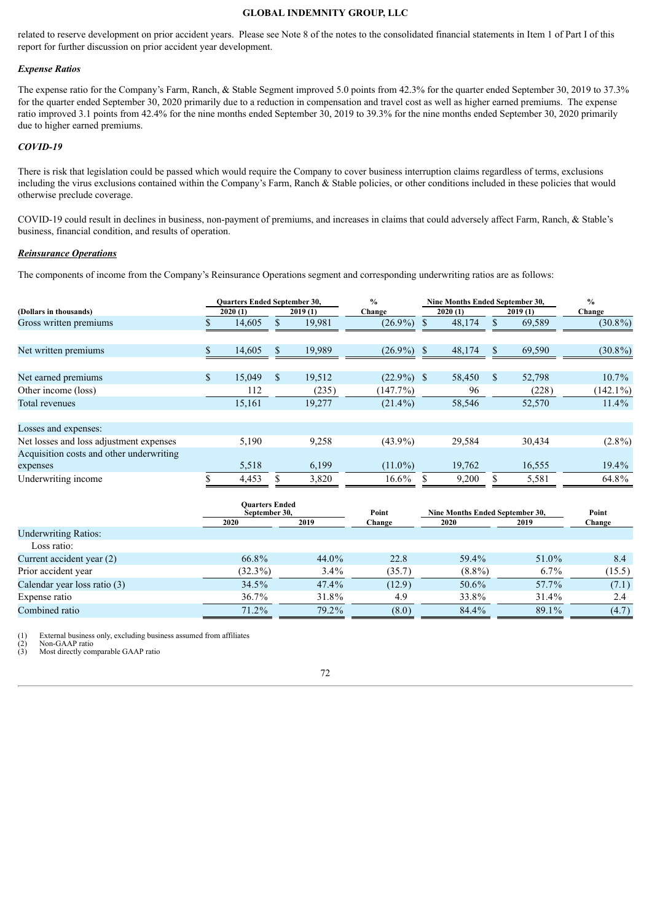related to reserve development on prior accident years. Please see Note 8 of the notes to the consolidated financial statements in Item 1 of Part I of this report for further discussion on prior accident year development.

#### *Expense Ratios*

The expense ratio for the Company's Farm, Ranch, & Stable Segment improved 5.0 points from 42.3% for the quarter ended September 30, 2019 to 37.3% for the quarter ended September 30, 2020 primarily due to a reduction in compensation and travel cost as well as higher earned premiums. The expense ratio improved 3.1 points from 42.4% for the nine months ended September 30, 2019 to 39.3% for the nine months ended September 30, 2020 primarily due to higher earned premiums.

### *COVID-19*

There is risk that legislation could be passed which would require the Company to cover business interruption claims regardless of terms, exclusions including the virus exclusions contained within the Company's Farm, Ranch & Stable policies, or other conditions included in these policies that would otherwise preclude coverage.

COVID-19 could result in declines in business, non-payment of premiums, and increases in claims that could adversely affect Farm, Ranch, & Stable's business, financial condition, and results of operation.

### *Reinsurance Operations*

The components of income from the Company's Reinsurance Operations segment and corresponding underwriting ratios are as follows:

|                                          |   | <b>Ouarters Ended September 30,</b> |         |        | $\frac{0}{0}$ |               | Nine Months Ended September 30, | $\frac{0}{0}$ |        |             |
|------------------------------------------|---|-------------------------------------|---------|--------|---------------|---------------|---------------------------------|---------------|--------|-------------|
| (Dollars in thousands)                   |   | 2020(1)                             | 2019(1) |        | Change        |               | 2020(1)                         | 2019(1)       |        | Change      |
| Gross written premiums                   |   | 14,605                              |         | 19,981 | $(26.9\%)$    | $\mathcal{S}$ | 48,174                          | \$            | 69,589 | $(30.8\%)$  |
|                                          |   |                                     |         |        |               |               |                                 |               |        |             |
| Net written premiums                     |   | 14,605                              |         | 19,989 | $(26.9\%)$ \$ |               | 48,174                          | \$            | 69,590 | $(30.8\%)$  |
|                                          |   |                                     |         |        |               |               |                                 |               |        |             |
| Net earned premiums                      | S | 15,049                              | \$      | 19,512 | $(22.9\%)$ \$ |               | 58,450                          | \$.           | 52,798 | $10.7\%$    |
| Other income (loss)                      |   | 112                                 |         | (235)  | (147.7%)      |               | 96                              |               | (228)  | $(142.1\%)$ |
| Total revenues                           |   | 15,161                              |         | 19,277 | $(21.4\%)$    |               | 58,546                          |               | 52,570 | $11.4\%$    |
|                                          |   |                                     |         |        |               |               |                                 |               |        |             |
| Losses and expenses:                     |   |                                     |         |        |               |               |                                 |               |        |             |
| Net losses and loss adjustment expenses  |   | 5,190                               |         | 9,258  | $(43.9\%)$    |               | 29,584                          |               | 30,434 | $(2.8\%)$   |
| Acquisition costs and other underwriting |   |                                     |         |        |               |               |                                 |               |        |             |
| expenses                                 |   | 5,518                               |         | 6,199  | $(11.0\%)$    |               | 19,762                          |               | 16,555 | 19.4%       |
| Underwriting income                      |   | 4,453                               |         | 3,820  | $16.6\%$      |               | 9,200                           |               | 5,581  | 64.8%       |

|                              | <b>Ouarters Ended</b><br>September 30, |         | Point  | Nine Months Ended September 30, | Point   |        |  |
|------------------------------|----------------------------------------|---------|--------|---------------------------------|---------|--------|--|
|                              | 2019<br>2020                           |         | Change | 2020                            | 2019    | Change |  |
| <b>Underwriting Ratios:</b>  |                                        |         |        |                                 |         |        |  |
| Loss ratio:                  |                                        |         |        |                                 |         |        |  |
| Current accident year (2)    | 66.8%                                  | 44.0%   | 22.8   | 59.4%                           | 51.0%   | 8.4    |  |
| Prior accident year          | $(32.3\%)$                             | $3.4\%$ | (35.7) | $(8.8\%)$                       | $6.7\%$ | (15.5) |  |
| Calendar year loss ratio (3) | 34.5%                                  | 47.4%   | (12.9) | 50.6%                           | 57.7%   | (7.1)  |  |
| Expense ratio                | 36.7%                                  | 31.8%   | 4.9    | 33.8%                           | 31.4%   | 2.4    |  |
| Combined ratio               | 71.2%                                  | 79.2%   | (8.0)  | 84.4%                           | 89.1%   | (4.7)  |  |
|                              |                                        |         |        |                                 |         |        |  |

(1) External business only, excluding business assumed from affiliates  $(2)$  Non-GAAP ratio

 $\begin{array}{ll}\n\text{(2)} & \text{Non-GAAP ratio} \\
\text{(3)} & \text{Most directly con}\n\end{array}$ 

Most directly comparable GAAP ratio

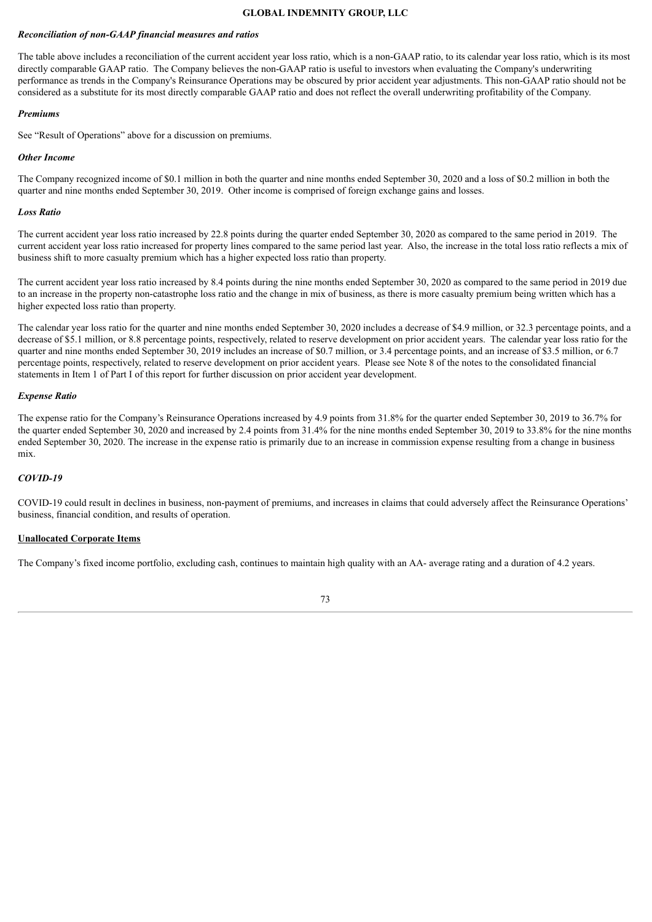## *Reconciliation of non-GAAP financial measures and ratios*

The table above includes a reconciliation of the current accident year loss ratio, which is a non-GAAP ratio, to its calendar year loss ratio, which is its most directly comparable GAAP ratio. The Company believes the non-GAAP ratio is useful to investors when evaluating the Company's underwriting performance as trends in the Company's Reinsurance Operations may be obscured by prior accident year adjustments. This non-GAAP ratio should not be considered as a substitute for its most directly comparable GAAP ratio and does not reflect the overall underwriting profitability of the Company.

#### *Premiums*

See "Result of Operations" above for a discussion on premiums.

#### *Other Income*

The Company recognized income of \$0.1 million in both the quarter and nine months ended September 30, 2020 and a loss of \$0.2 million in both the quarter and nine months ended September 30, 2019. Other income is comprised of foreign exchange gains and losses.

#### *Loss Ratio*

The current accident year loss ratio increased by 22.8 points during the quarter ended September 30, 2020 as compared to the same period in 2019. The current accident year loss ratio increased for property lines compared to the same period last year. Also, the increase in the total loss ratio reflects a mix of business shift to more casualty premium which has a higher expected loss ratio than property.

The current accident year loss ratio increased by 8.4 points during the nine months ended September 30, 2020 as compared to the same period in 2019 due to an increase in the property non-catastrophe loss ratio and the change in mix of business, as there is more casualty premium being written which has a higher expected loss ratio than property.

The calendar year loss ratio for the quarter and nine months ended September 30, 2020 includes a decrease of \$4.9 million, or 32.3 percentage points, and a decrease of \$5.1 million, or 8.8 percentage points, respectively, related to reserve development on prior accident years. The calendar year loss ratio for the quarter and nine months ended September 30, 2019 includes an increase of \$0.7 million, or 3.4 percentage points, and an increase of \$3.5 million, or 6.7 percentage points, respectively, related to reserve development on prior accident years. Please see Note 8 of the notes to the consolidated financial statements in Item 1 of Part I of this report for further discussion on prior accident year development.

#### *Expense Ratio*

The expense ratio for the Company's Reinsurance Operations increased by 4.9 points from 31.8% for the quarter ended September 30, 2019 to 36.7% for the quarter ended September 30, 2020 and increased by 2.4 points from 31.4% for the nine months ended September 30, 2019 to 33.8% for the nine months ended September 30, 2020. The increase in the expense ratio is primarily due to an increase in commission expense resulting from a change in business mix.

# *COVID-19*

COVID-19 could result in declines in business, non-payment of premiums, and increases in claims that could adversely affect the Reinsurance Operations' business, financial condition, and results of operation.

#### **Unallocated Corporate Items**

The Company's fixed income portfolio, excluding cash, continues to maintain high quality with an AA- average rating and a duration of 4.2 years.

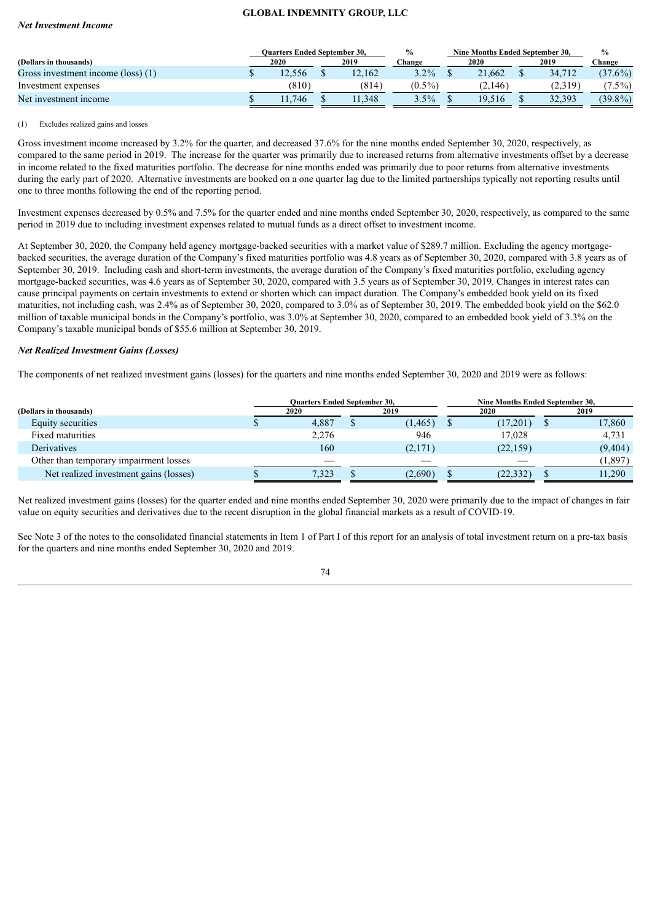## *Net Investment Income*

|                                             | <b>Ouarters Ended September 30.</b> |        |      |        | $\frac{0}{0}$ | Nine Months Ended September 30, |        |  |         | %             |
|---------------------------------------------|-------------------------------------|--------|------|--------|---------------|---------------------------------|--------|--|---------|---------------|
| (Dollars in thousands)                      | 2020                                |        | 2019 |        | `hange        |                                 | 2020   |  | 2019    | <b>Change</b> |
| Gross investment income $(\text{loss})$ (1) |                                     | 12,556 |      | 12.162 | $3.2\%$       |                                 | 21,662 |  | 34.712  | $(37.6\%)$    |
| Investment expenses                         |                                     | (810)  |      | (814   | $(0.5\%)$     |                                 | 2,146  |  | (2.319) | $.5\%$        |
| Net investment income                       |                                     | 746    |      | 1.348  | $3.5\%$       |                                 | 19.516 |  | 32.393  | $(39.8\%)$    |

#### (1) Excludes realized gains and losses

Gross investment income increased by 3.2% for the quarter, and decreased 37.6% for the nine months ended September 30, 2020, respectively, as compared to the same period in 2019. The increase for the quarter was primarily due to increased returns from alternative investments offset by a decrease in income related to the fixed maturities portfolio. The decrease for nine months ended was primarily due to poor returns from alternative investments during the early part of 2020. Alternative investments are booked on a one quarter lag due to the limited partnerships typically not reporting results until one to three months following the end of the reporting period.

Investment expenses decreased by 0.5% and 7.5% for the quarter ended and nine months ended September 30, 2020, respectively, as compared to the same period in 2019 due to including investment expenses related to mutual funds as a direct offset to investment income.

At September 30, 2020, the Company held agency mortgage-backed securities with a market value of \$289.7 million. Excluding the agency mortgagebacked securities, the average duration of the Company's fixed maturities portfolio was 4.8 years as of September 30, 2020, compared with 3.8 years as of September 30, 2019. Including cash and short-term investments, the average duration of the Company's fixed maturities portfolio, excluding agency mortgage-backed securities, was 4.6 years as of September 30, 2020, compared with 3.5 years as of September 30, 2019. Changes in interest rates can cause principal payments on certain investments to extend or shorten which can impact duration. The Company's embedded book yield on its fixed maturities, not including cash, was 2.4% as of September 30, 2020, compared to 3.0% as of September 30, 2019. The embedded book yield on the \$62.0 million of taxable municipal bonds in the Company's portfolio, was 3.0% at September 30, 2020, compared to an embedded book yield of 3.3% on the Company's taxable municipal bonds of \$55.6 million at September 30, 2019.

## *Net Realized Investment Gains (Losses)*

The components of net realized investment gains (losses) for the quarters and nine months ended September 30, 2020 and 2019 were as follows:

|                                        | <b>Ouarters Ended September 30,</b> |       |  |          |  | Nine Months Ended September 30, |  |          |  |  |
|----------------------------------------|-------------------------------------|-------|--|----------|--|---------------------------------|--|----------|--|--|
| (Dollars in thousands)                 | 2020                                |       |  | 2019     |  | 2020                            |  | 2019     |  |  |
| Equity securities                      |                                     | 4,887 |  | (1, 465) |  | (17,201)                        |  | 17,860   |  |  |
| Fixed maturities                       |                                     | 2,276 |  | 946      |  | 17.028                          |  | 4,731    |  |  |
| Derivatives                            |                                     | 160   |  | (2,171)  |  | (22, 159)                       |  | (9, 404) |  |  |
| Other than temporary impairment losses |                                     |       |  |          |  |                                 |  | (1,897)  |  |  |
| Net realized investment gains (losses) |                                     | 7.323 |  | (2,690)  |  | (22, 332)                       |  | 11,290   |  |  |

Net realized investment gains (losses) for the quarter ended and nine months ended September 30, 2020 were primarily due to the impact of changes in fair value on equity securities and derivatives due to the recent disruption in the global financial markets as a result of COVID-19.

See Note 3 of the notes to the consolidated financial statements in Item 1 of Part I of this report for an analysis of total investment return on a pre-tax basis for the quarters and nine months ended September 30, 2020 and 2019.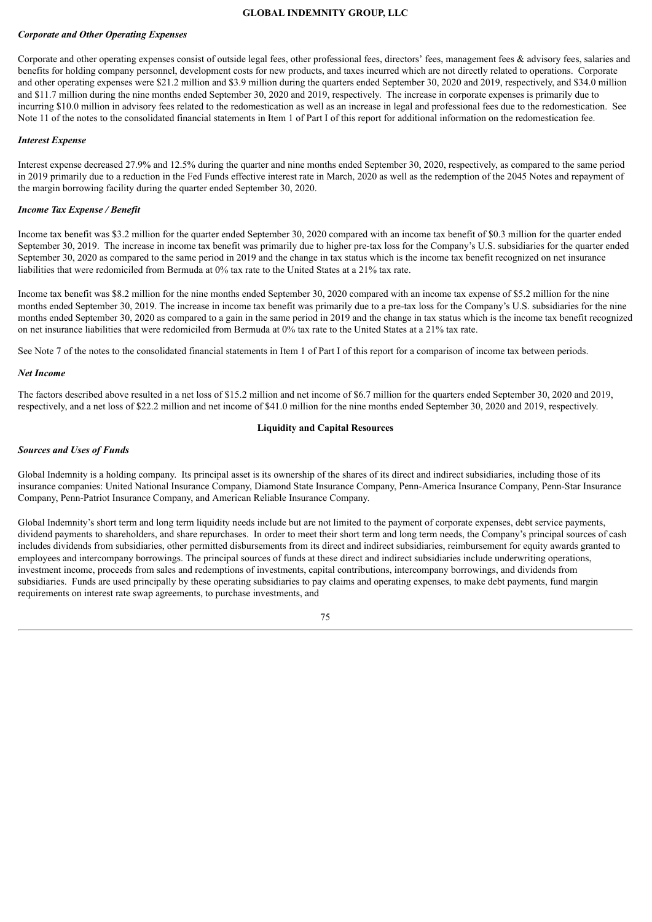#### *Corporate and Other Operating Expenses*

Corporate and other operating expenses consist of outside legal fees, other professional fees, directors' fees, management fees & advisory fees, salaries and benefits for holding company personnel, development costs for new products, and taxes incurred which are not directly related to operations. Corporate and other operating expenses were \$21.2 million and \$3.9 million during the quarters ended September 30, 2020 and 2019, respectively, and \$34.0 million and \$11.7 million during the nine months ended September 30, 2020 and 2019, respectively. The increase in corporate expenses is primarily due to incurring \$10.0 million in advisory fees related to the redomestication as well as an increase in legal and professional fees due to the redomestication. See Note 11 of the notes to the consolidated financial statements in Item 1 of Part I of this report for additional information on the redomestication fee.

#### *Interest Expense*

Interest expense decreased 27.9% and 12.5% during the quarter and nine months ended September 30, 2020, respectively, as compared to the same period in 2019 primarily due to a reduction in the Fed Funds effective interest rate in March, 2020 as well as the redemption of the 2045 Notes and repayment of the margin borrowing facility during the quarter ended September 30, 2020.

## *Income Tax Expense / Benefit*

Income tax benefit was \$3.2 million for the quarter ended September 30, 2020 compared with an income tax benefit of \$0.3 million for the quarter ended September 30, 2019. The increase in income tax benefit was primarily due to higher pre-tax loss for the Company's U.S. subsidiaries for the quarter ended September 30, 2020 as compared to the same period in 2019 and the change in tax status which is the income tax benefit recognized on net insurance liabilities that were redomiciled from Bermuda at 0% tax rate to the United States at a 21% tax rate.

Income tax benefit was \$8.2 million for the nine months ended September 30, 2020 compared with an income tax expense of \$5.2 million for the nine months ended September 30, 2019. The increase in income tax benefit was primarily due to a pre-tax loss for the Company's U.S. subsidiaries for the nine months ended September 30, 2020 as compared to a gain in the same period in 2019 and the change in tax status which is the income tax benefit recognized on net insurance liabilities that were redomiciled from Bermuda at 0% tax rate to the United States at a 21% tax rate.

See Note 7 of the notes to the consolidated financial statements in Item 1 of Part I of this report for a comparison of income tax between periods.

#### *Net Income*

The factors described above resulted in a net loss of \$15.2 million and net income of \$6.7 million for the quarters ended September 30, 2020 and 2019, respectively, and a net loss of \$22.2 million and net income of \$41.0 million for the nine months ended September 30, 2020 and 2019, respectively.

## **Liquidity and Capital Resources**

## *Sources and Uses of Funds*

Global Indemnity is a holding company. Its principal asset is its ownership of the shares of its direct and indirect subsidiaries, including those of its insurance companies: United National Insurance Company, Diamond State Insurance Company, Penn-America Insurance Company, Penn-Star Insurance Company, Penn-Patriot Insurance Company, and American Reliable Insurance Company.

Global Indemnity's short term and long term liquidity needs include but are not limited to the payment of corporate expenses, debt service payments, dividend payments to shareholders, and share repurchases. In order to meet their short term and long term needs, the Company's principal sources of cash includes dividends from subsidiaries, other permitted disbursements from its direct and indirect subsidiaries, reimbursement for equity awards granted to employees and intercompany borrowings. The principal sources of funds at these direct and indirect subsidiaries include underwriting operations, investment income, proceeds from sales and redemptions of investments, capital contributions, intercompany borrowings, and dividends from subsidiaries. Funds are used principally by these operating subsidiaries to pay claims and operating expenses, to make debt payments, fund margin requirements on interest rate swap agreements, to purchase investments, and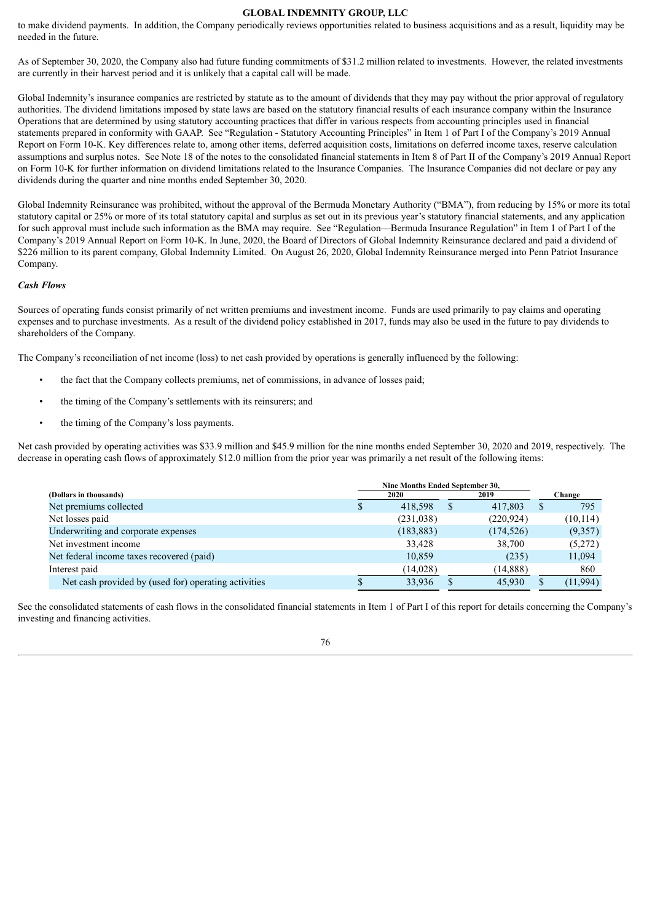to make dividend payments. In addition, the Company periodically reviews opportunities related to business acquisitions and as a result, liquidity may be needed in the future.

As of September 30, 2020, the Company also had future funding commitments of \$31.2 million related to investments. However, the related investments are currently in their harvest period and it is unlikely that a capital call will be made.

Global Indemnity's insurance companies are restricted by statute as to the amount of dividends that they may pay without the prior approval of regulatory authorities. The dividend limitations imposed by state laws are based on the statutory financial results of each insurance company within the Insurance Operations that are determined by using statutory accounting practices that differ in various respects from accounting principles used in financial statements prepared in conformity with GAAP. See "Regulation - Statutory Accounting Principles" in Item 1 of Part I of the Company's 2019 Annual Report on Form 10-K. Key differences relate to, among other items, deferred acquisition costs, limitations on deferred income taxes, reserve calculation assumptions and surplus notes. See Note 18 of the notes to the consolidated financial statements in Item 8 of Part II of the Company's 2019 Annual Report on Form 10-K for further information on dividend limitations related to the Insurance Companies. The Insurance Companies did not declare or pay any dividends during the quarter and nine months ended September 30, 2020.

Global Indemnity Reinsurance was prohibited, without the approval of the Bermuda Monetary Authority ("BMA"), from reducing by 15% or more its total statutory capital or 25% or more of its total statutory capital and surplus as set out in its previous year's statutory financial statements, and any application for such approval must include such information as the BMA may require. See "Regulation—Bermuda Insurance Regulation" in Item 1 of Part I of the Company's 2019 Annual Report on Form 10-K. In June, 2020, the Board of Directors of Global Indemnity Reinsurance declared and paid a dividend of \$226 million to its parent company, Global Indemnity Limited. On August 26, 2020, Global Indemnity Reinsurance merged into Penn Patriot Insurance Company.

#### *Cash Flows*

Sources of operating funds consist primarily of net written premiums and investment income. Funds are used primarily to pay claims and operating expenses and to purchase investments. As a result of the dividend policy established in 2017, funds may also be used in the future to pay dividends to shareholders of the Company.

The Company's reconciliation of net income (loss) to net cash provided by operations is generally influenced by the following:

- the fact that the Company collects premiums, net of commissions, in advance of losses paid;
- the timing of the Company's settlements with its reinsurers; and
- the timing of the Company's loss payments.

Net cash provided by operating activities was \$33.9 million and \$45.9 million for the nine months ended September 30, 2020 and 2019, respectively. The decrease in operating cash flows of approximately \$12.0 million from the prior year was primarily a net result of the following items:

|                                                      | Nine Months Ended September 30, |            |   |            |  |           |
|------------------------------------------------------|---------------------------------|------------|---|------------|--|-----------|
| (Dollars in thousands)                               | 2019<br>2020                    |            |   | Change     |  |           |
| Net premiums collected                               | S                               | 418.598    | S | 417.803    |  | 795       |
| Net losses paid                                      |                                 | (231,038)  |   | (220, 924) |  | (10, 114) |
| Underwriting and corporate expenses                  |                                 | (183, 883) |   | (174, 526) |  | (9,357)   |
| Net investment income                                |                                 | 33,428     |   | 38,700     |  | (5,272)   |
| Net federal income taxes recovered (paid)            |                                 | 10,859     |   | (235)      |  | 11,094    |
| Interest paid                                        |                                 | (14,028)   |   | (14,888)   |  | 860       |
| Net cash provided by (used for) operating activities |                                 | 33,936     |   | 45.930     |  | (11,994)  |

See the consolidated statements of cash flows in the consolidated financial statements in Item 1 of Part I of this report for details concerning the Company's investing and financing activities.

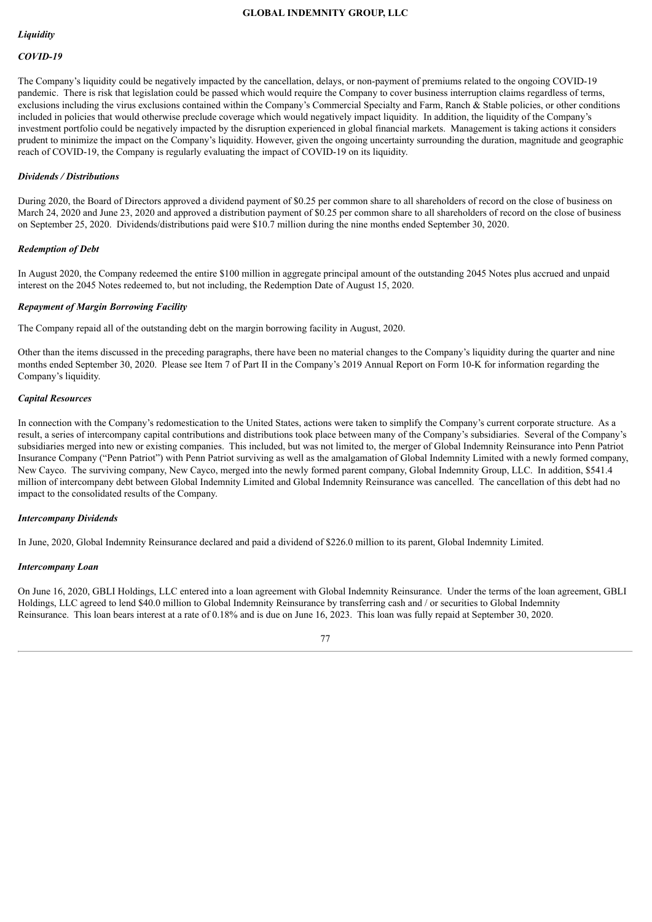#### *Liquidity*

#### *COVID-19*

The Company's liquidity could be negatively impacted by the cancellation, delays, or non-payment of premiums related to the ongoing COVID-19 pandemic. There is risk that legislation could be passed which would require the Company to cover business interruption claims regardless of terms, exclusions including the virus exclusions contained within the Company's Commercial Specialty and Farm, Ranch & Stable policies, or other conditions included in policies that would otherwise preclude coverage which would negatively impact liquidity. In addition, the liquidity of the Company's investment portfolio could be negatively impacted by the disruption experienced in global financial markets. Management is taking actions it considers prudent to minimize the impact on the Company's liquidity. However, given the ongoing uncertainty surrounding the duration, magnitude and geographic reach of COVID-19, the Company is regularly evaluating the impact of COVID-19 on its liquidity.

#### *Dividends / Distributions*

During 2020, the Board of Directors approved a dividend payment of \$0.25 per common share to all shareholders of record on the close of business on March 24, 2020 and June 23, 2020 and approved a distribution payment of \$0.25 per common share to all shareholders of record on the close of business on September 25, 2020. Dividends/distributions paid were \$10.7 million during the nine months ended September 30, 2020.

#### *Redemption of Debt*

In August 2020, the Company redeemed the entire \$100 million in aggregate principal amount of the outstanding 2045 Notes plus accrued and unpaid interest on the 2045 Notes redeemed to, but not including, the Redemption Date of August 15, 2020.

## *Repayment of Margin Borrowing Facility*

The Company repaid all of the outstanding debt on the margin borrowing facility in August, 2020.

Other than the items discussed in the preceding paragraphs, there have been no material changes to the Company's liquidity during the quarter and nine months ended September 30, 2020. Please see Item 7 of Part II in the Company's 2019 Annual Report on Form 10-K for information regarding the Company's liquidity.

#### *Capital Resources*

In connection with the Company's redomestication to the United States, actions were taken to simplify the Company's current corporate structure. As a result, a series of intercompany capital contributions and distributions took place between many of the Company's subsidiaries. Several of the Company's subsidiaries merged into new or existing companies. This included, but was not limited to, the merger of Global Indemnity Reinsurance into Penn Patriot Insurance Company ("Penn Patriot") with Penn Patriot surviving as well as the amalgamation of Global Indemnity Limited with a newly formed company, New Cayco. The surviving company, New Cayco, merged into the newly formed parent company, Global Indemnity Group, LLC. In addition, \$541.4 million of intercompany debt between Global Indemnity Limited and Global Indemnity Reinsurance was cancelled. The cancellation of this debt had no impact to the consolidated results of the Company.

#### *Intercompany Dividends*

In June, 2020, Global Indemnity Reinsurance declared and paid a dividend of \$226.0 million to its parent, Global Indemnity Limited.

#### *Intercompany Loan*

On June 16, 2020, GBLI Holdings, LLC entered into a loan agreement with Global Indemnity Reinsurance. Under the terms of the loan agreement, GBLI Holdings, LLC agreed to lend \$40.0 million to Global Indemnity Reinsurance by transferring cash and / or securities to Global Indemnity Reinsurance. This loan bears interest at a rate of 0.18% and is due on June 16, 2023. This loan was fully repaid at September 30, 2020.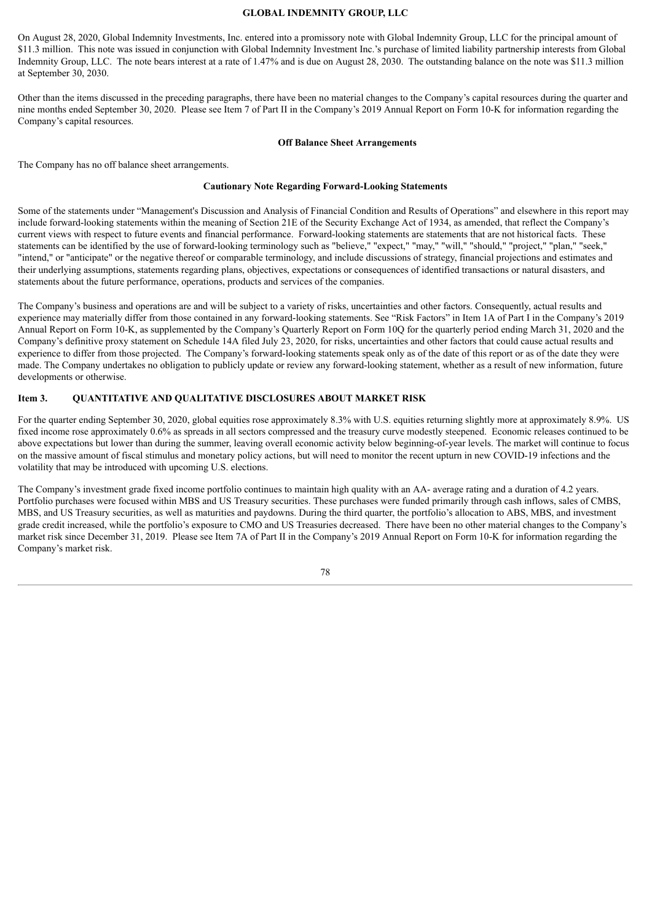On August 28, 2020, Global Indemnity Investments, Inc. entered into a promissory note with Global Indemnity Group, LLC for the principal amount of \$11.3 million. This note was issued in conjunction with Global Indemnity Investment Inc.'s purchase of limited liability partnership interests from Global Indemnity Group, LLC. The note bears interest at a rate of 1.47% and is due on August 28, 2030. The outstanding balance on the note was \$11.3 million at September 30, 2030.

Other than the items discussed in the preceding paragraphs, there have been no material changes to the Company's capital resources during the quarter and nine months ended September 30, 2020. Please see Item 7 of Part II in the Company's 2019 Annual Report on Form 10-K for information regarding the Company's capital resources.

#### **Off Balance Sheet Arrangements**

The Company has no off balance sheet arrangements.

#### **Cautionary Note Regarding Forward-Looking Statements**

Some of the statements under "Management's Discussion and Analysis of Financial Condition and Results of Operations" and elsewhere in this report may include forward-looking statements within the meaning of Section 21E of the Security Exchange Act of 1934, as amended, that reflect the Company's current views with respect to future events and financial performance. Forward-looking statements are statements that are not historical facts. These statements can be identified by the use of forward-looking terminology such as "believe," "expect," "may," "will," "should," "project," "plan," "seek," "intend," or "anticipate" or the negative thereof or comparable terminology, and include discussions of strategy, financial projections and estimates and their underlying assumptions, statements regarding plans, objectives, expectations or consequences of identified transactions or natural disasters, and statements about the future performance, operations, products and services of the companies.

The Company's business and operations are and will be subject to a variety of risks, uncertainties and other factors. Consequently, actual results and experience may materially differ from those contained in any forward-looking statements. See "Risk Factors" in Item 1A of Part I in the Company's 2019 Annual Report on Form 10-K, as supplemented by the Company's Quarterly Report on Form 10Q for the quarterly period ending March 31, 2020 and the Company's definitive proxy statement on Schedule 14A filed July 23, 2020, for risks, uncertainties and other factors that could cause actual results and experience to differ from those projected. The Company's forward-looking statements speak only as of the date of this report or as of the date they were made. The Company undertakes no obligation to publicly update or review any forward-looking statement, whether as a result of new information, future developments or otherwise.

## **Item 3. QUANTITATIVE AND QUALITATIVE DISCLOSURES ABOUT MARKET RISK**

For the quarter ending September 30, 2020, global equities rose approximately 8.3% with U.S. equities returning slightly more at approximately 8.9%. US fixed income rose approximately 0.6% as spreads in all sectors compressed and the treasury curve modestly steepened. Economic releases continued to be above expectations but lower than during the summer, leaving overall economic activity below beginning-of-year levels. The market will continue to focus on the massive amount of fiscal stimulus and monetary policy actions, but will need to monitor the recent upturn in new COVID-19 infections and the volatility that may be introduced with upcoming U.S. elections.

The Company's investment grade fixed income portfolio continues to maintain high quality with an AA- average rating and a duration of 4.2 years. Portfolio purchases were focused within MBS and US Treasury securities. These purchases were funded primarily through cash inflows, sales of CMBS, MBS, and US Treasury securities, as well as maturities and paydowns. During the third quarter, the portfolio's allocation to ABS, MBS, and investment grade credit increased, while the portfolio's exposure to CMO and US Treasuries decreased. There have been no other material changes to the Company's market risk since December 31, 2019. Please see Item 7A of Part II in the Company's 2019 Annual Report on Form 10-K for information regarding the Company's market risk.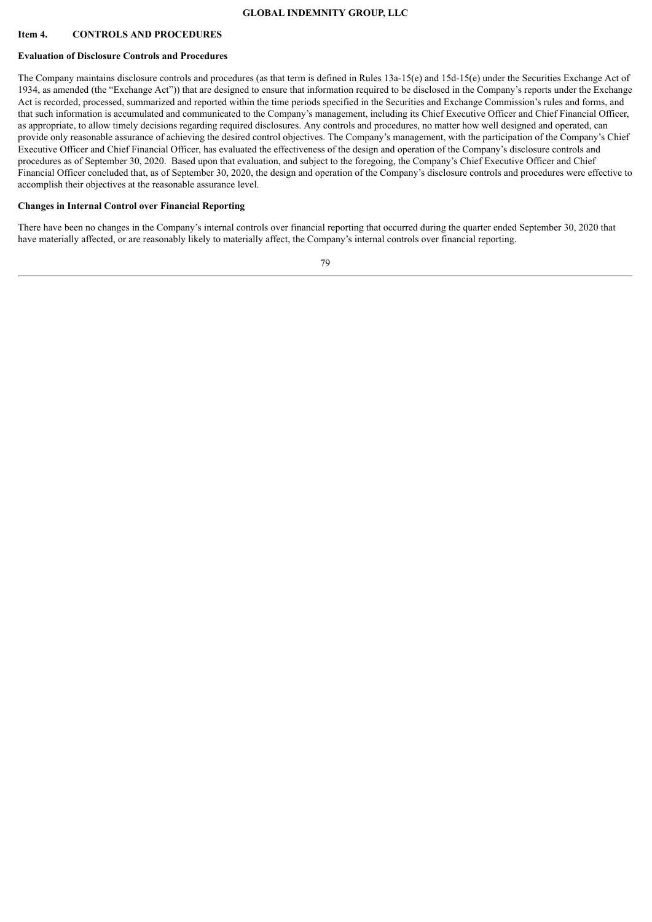## **Item 4. CONTROLS AND PROCEDURES**

#### **Evaluation of Disclosure Controls and Procedures**

The Company maintains disclosure controls and procedures (as that term is defined in Rules 13a-15(e) and 15d-15(e) under the Securities Exchange Act of 1934, as amended (the "Exchange Act")) that are designed to ensure that information required to be disclosed in the Company's reports under the Exchange Act is recorded, processed, summarized and reported within the time periods specified in the Securities and Exchange Commission's rules and forms, and that such information is accumulated and communicated to the Company's management, including its Chief Executive Officer and Chief Financial Officer, as appropriate, to allow timely decisions regarding required disclosures. Any controls and procedures, no matter how well designed and operated, can provide only reasonable assurance of achieving the desired control objectives. The Company's management, with the participation of the Company's Chief Executive Officer and Chief Financial Officer, has evaluated the effectiveness of the design and operation of the Company's disclosure controls and procedures as of September 30, 2020. Based upon that evaluation, and subject to the foregoing, the Company's Chief Executive Officer and Chief Financial Officer concluded that, as of September 30, 2020, the design and operation of the Company's disclosure controls and procedures were effective to accomplish their objectives at the reasonable assurance level.

#### **Changes in Internal Control over Financial Reporting**

There have been no changes in the Company's internal controls over financial reporting that occurred during the quarter ended September 30, 2020 that have materially affected, or are reasonably likely to materially affect, the Company's internal controls over financial reporting.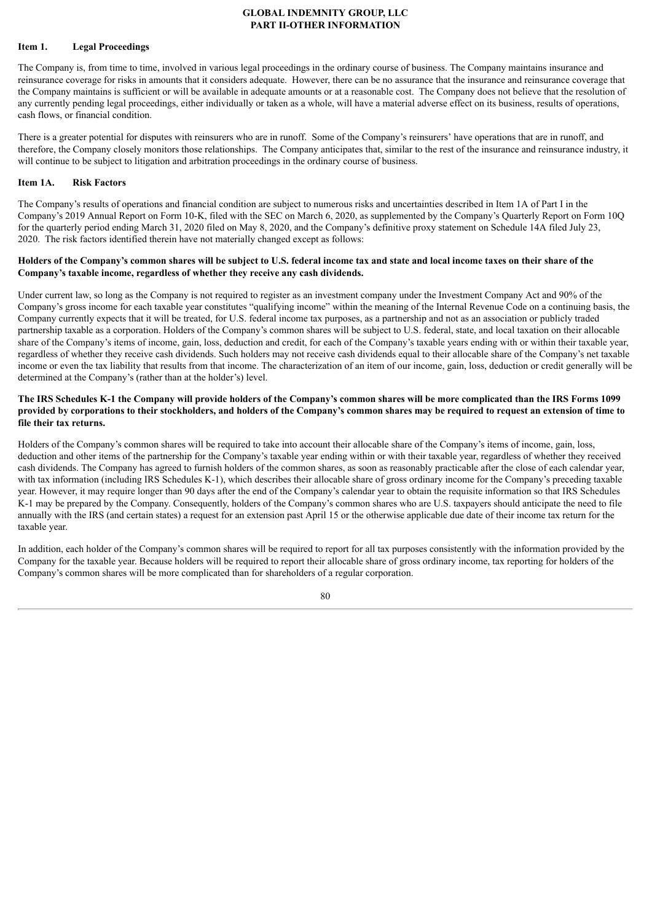## **GLOBAL INDEMNITY GROUP, LLC PART II-OTHER INFORMATION**

## **Item 1. Legal Proceedings**

The Company is, from time to time, involved in various legal proceedings in the ordinary course of business. The Company maintains insurance and reinsurance coverage for risks in amounts that it considers adequate. However, there can be no assurance that the insurance and reinsurance coverage that the Company maintains is sufficient or will be available in adequate amounts or at a reasonable cost. The Company does not believe that the resolution of any currently pending legal proceedings, either individually or taken as a whole, will have a material adverse effect on its business, results of operations, cash flows, or financial condition.

There is a greater potential for disputes with reinsurers who are in runoff. Some of the Company's reinsurers' have operations that are in runoff, and therefore, the Company closely monitors those relationships. The Company anticipates that, similar to the rest of the insurance and reinsurance industry, it will continue to be subject to litigation and arbitration proceedings in the ordinary course of business.

## **Item 1A. Risk Factors**

The Company's results of operations and financial condition are subject to numerous risks and uncertainties described in Item 1A of Part I in the Company's 2019 Annual Report on Form 10-K, filed with the SEC on March 6, 2020, as supplemented by the Company's Quarterly Report on Form 10Q for the quarterly period ending March 31, 2020 filed on May 8, 2020, and the Company's definitive proxy statement on Schedule 14A filed July 23, 2020. The risk factors identified therein have not materially changed except as follows:

#### Holders of the Company's common shares will be subject to U.S. federal income tax and state and local income taxes on their share of the **Company's taxable income, regardless of whether they receive any cash dividends.**

Under current law, so long as the Company is not required to register as an investment company under the Investment Company Act and 90% of the Company's gross income for each taxable year constitutes "qualifying income" within the meaning of the Internal Revenue Code on a continuing basis, the Company currently expects that it will be treated, for U.S. federal income tax purposes, as a partnership and not as an association or publicly traded partnership taxable as a corporation. Holders of the Company's common shares will be subject to U.S. federal, state, and local taxation on their allocable share of the Company's items of income, gain, loss, deduction and credit, for each of the Company's taxable years ending with or within their taxable year, regardless of whether they receive cash dividends. Such holders may not receive cash dividends equal to their allocable share of the Company's net taxable income or even the tax liability that results from that income. The characterization of an item of our income, gain, loss, deduction or credit generally will be determined at the Company's (rather than at the holder's) level.

## The IRS Schedules K-1 the Company will provide holders of the Company's common shares will be more complicated than the IRS Forms 1099 provided by corporations to their stockholders, and holders of the Company's common shares may be required to request an extension of time to **file their tax returns.**

Holders of the Company's common shares will be required to take into account their allocable share of the Company's items of income, gain, loss, deduction and other items of the partnership for the Company's taxable year ending within or with their taxable year, regardless of whether they received cash dividends. The Company has agreed to furnish holders of the common shares, as soon as reasonably practicable after the close of each calendar year, with tax information (including IRS Schedules K-1), which describes their allocable share of gross ordinary income for the Company's preceding taxable year. However, it may require longer than 90 days after the end of the Company's calendar year to obtain the requisite information so that IRS Schedules K-1 may be prepared by the Company. Consequently, holders of the Company's common shares who are U.S. taxpayers should anticipate the need to file annually with the IRS (and certain states) a request for an extension past April 15 or the otherwise applicable due date of their income tax return for the taxable year.

In addition, each holder of the Company's common shares will be required to report for all tax purposes consistently with the information provided by the Company for the taxable year. Because holders will be required to report their allocable share of gross ordinary income, tax reporting for holders of the Company's common shares will be more complicated than for shareholders of a regular corporation.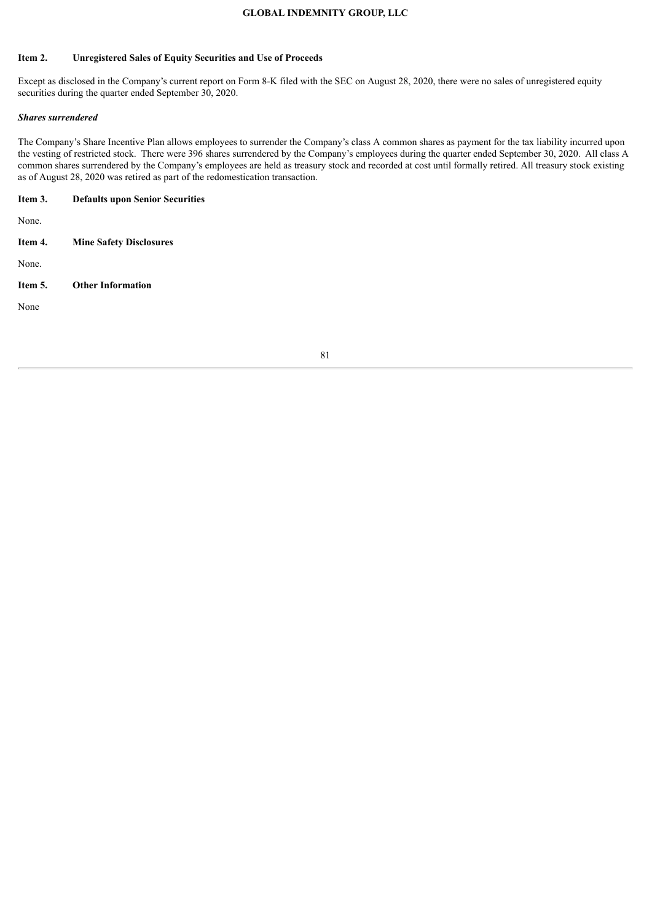#### **Item 2. Unregistered Sales of Equity Securities and Use of Proceeds**

Except as disclosed in the Company's current report on Form 8-K filed with the SEC on August 28, 2020, there were no sales of unregistered equity securities during the quarter ended September 30, 2020.

## *Shares surrendered*

The Company's Share Incentive Plan allows employees to surrender the Company's class A common shares as payment for the tax liability incurred upon the vesting of restricted stock. There were 396 shares surrendered by the Company's employees during the quarter ended September 30, 2020. All class A common shares surrendered by the Company's employees are held as treasury stock and recorded at cost until formally retired. All treasury stock existing as of August 28, 2020 was retired as part of the redomestication transaction.

#### **Item 3. Defaults upon Senior Securities**

None.

None.

```
Item 5. Other Information
```
None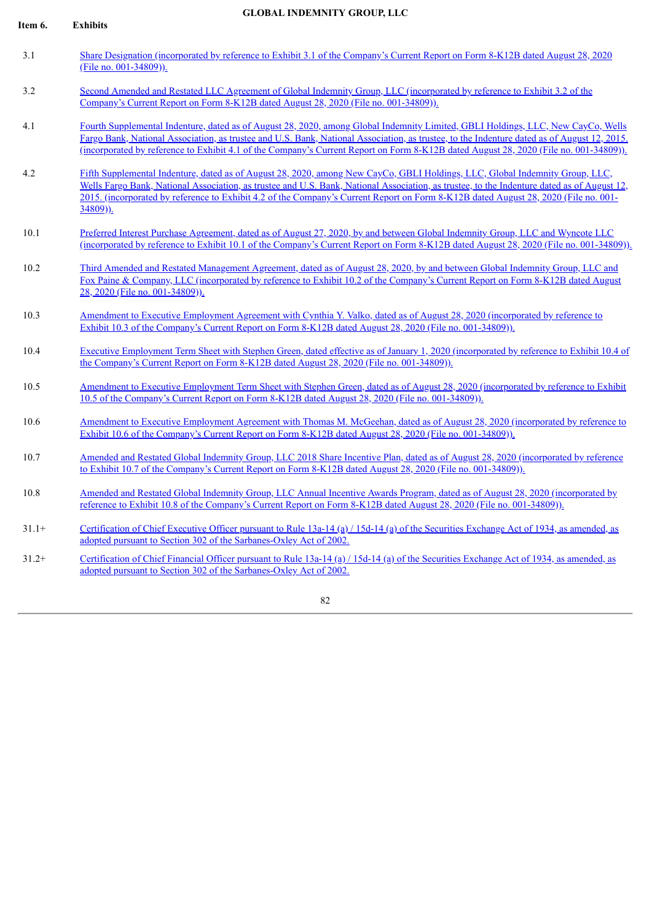# **Item 6. Exhibits**

## **GLOBAL INDEMNITY GROUP, LLC**

| Share Designation (incorporated by reference to Exhibit 3.1 of the Company's Current Report on Form 8-K12B dated August 28, 2020 |
|----------------------------------------------------------------------------------------------------------------------------------|
| (File no. $001-34809$ ).                                                                                                         |

- 3.2 Second Amended and Restated LLC Agreement of Global Indemnity Group, LLC [\(incorporated](http://www.sec.gov/Archives/edgar/data/1494904/000119312520233610/d942878dex32.htm) by reference to Exhibit 3.2 of the Company's Current Report on Form 8-K12B dated August 28, 2020 (File no. 001-34809)).
- 4.1 Fourth [Supplemental](http://www.sec.gov/Archives/edgar/data/1494904/000119312520233610/d942878dex41.htm) Indenture, dated as of August 28, 2020, among Global Indemnity Limited, GBLI Holdings, LLC, New CayCo, Wells Fargo Bank, National Association, as trustee and U.S. Bank, National Association, as trustee, to the Indenture dated as of August 12, 2015. (incorporated by reference to Exhibit 4.1 of the Company's Current Report on Form 8-K12B dated August 28, 2020 (File no. 001-34809)).
- 4.2 Fifth [Supplemental](http://www.sec.gov/Archives/edgar/data/1494904/000119312520233610/d942878dex42.htm) Indenture, dated as of August 28, 2020, among New CayCo, GBLI Holdings, LLC, Global Indemnity Group, LLC, Wells Fargo Bank, National Association, as trustee and U.S. Bank, National Association, as trustee, to the Indenture dated as of August 12, 2015. (incorporated by reference to Exhibit 4.2 of the Company's Current Report on Form 8-K12B dated August 28, 2020 (File no. 001- 34809)).
- 10.1 Preferred Interest Purchase Agreement, dated as of August 27, 2020, by and between Global Indemnity Group, LLC and Wyncote LLC [\(incorporated](http://www.sec.gov/Archives/edgar/data/1494904/000119312520233610/d942878dex101.htm) by reference to Exhibit 10.1 of the Company's Current Report on Form 8-K12B dated August 28, 2020 (File no. 001-34809)).
- 10.2 Third Amended and Restated Management Agreement, dated as of August 28, 2020, by and between Global Indemnity Group, LLC and Fox Paine & Company, LLC [\(incorporated](http://www.sec.gov/Archives/edgar/data/1494904/000119312520233610/d942878dex102.htm) by reference to Exhibit 10.2 of the Company's Current Report on Form 8-K12B dated August 28, 2020 (File no. 001-34809)).
- 10.3 Amendment to Executive Employment Agreement with Cynthia Y. Valko, dated as of August 28, 2020 [\(incorporated](http://www.sec.gov/Archives/edgar/data/1494904/000119312520233610/d942878dex103.htm) by reference to Exhibit 10.3 of the Company's Current Report on Form 8-K12B dated August 28, 2020 (File no. 001-34809)).
- 10.4 Executive Employment Term Sheet with Stephen Green, dated effective as of January 1, 2020 [\(incorporated](http://www.sec.gov/Archives/edgar/data/1494904/000119312520233610/d942878dex104.htm) by reference to Exhibit 10.4 of the Company's Current Report on Form 8-K12B dated August 28, 2020 (File no. 001-34809)).
- 10.5 Amendment to Executive Employment Term Sheet with Stephen Green, dated as of August 28, 2020 [\(incorporated](http://www.sec.gov/Archives/edgar/data/1494904/000119312520233610/d942878dex105.htm) by reference to Exhibit 10.5 of the Company's Current Report on Form 8-K12B dated August 28, 2020 (File no. 001-34809)).
- 10.6 Amendment to Executive Employment Agreement with Thomas M. McGeehan, dated as of August 28, 2020 [\(incorporated](http://www.sec.gov/Archives/edgar/data/1494904/000119312520233610/d942878dex106.htm) by reference to Exhibit 10.6 of the Company's Current Report on Form 8-K12B dated August 28, 2020 (File no. 001-34809)).
- 10.7 Amended and Restated Global Indemnity Group, LLC 2018 Share Incentive Plan, dated as of August 28, 2020 [\(incorporated](http://www.sec.gov/Archives/edgar/data/1494904/000119312520233610/d942878dex107.htm) by reference to Exhibit 10.7 of the Company's Current Report on Form 8-K12B dated August 28, 2020 (File no. 001-34809)).
- 10.8 Amended and Restated Global Indemnity Group, LLC Annual Incentive Awards Program, dated as of August 28, 2020 [\(incorporated](http://www.sec.gov/Archives/edgar/data/1494904/000119312520233610/d942878dex108.htm) by reference to Exhibit 10.8 of the Company's Current Report on Form 8-K12B dated August 28, 2020 (File no. 001-34809)).
- 31.1+ Certification of Chief Executive Officer pursuant to Rule 13a-14 (a) / 15d-14 (a) of the Securities Exchange Act of 1934, as amended, as adopted pursuant to Section 302 of the [Sarbanes-Oxley](#page-84-0) Act of 2002.
- 31.2+ Certification of Chief Financial Officer pursuant to Rule 13a-14 (a) / 15d-14 (a) of the Securities Exchange Act of 1934, as amended, as adopted pursuant to Section 302 of the [Sarbanes-Oxley](#page-85-0) Act of 2002.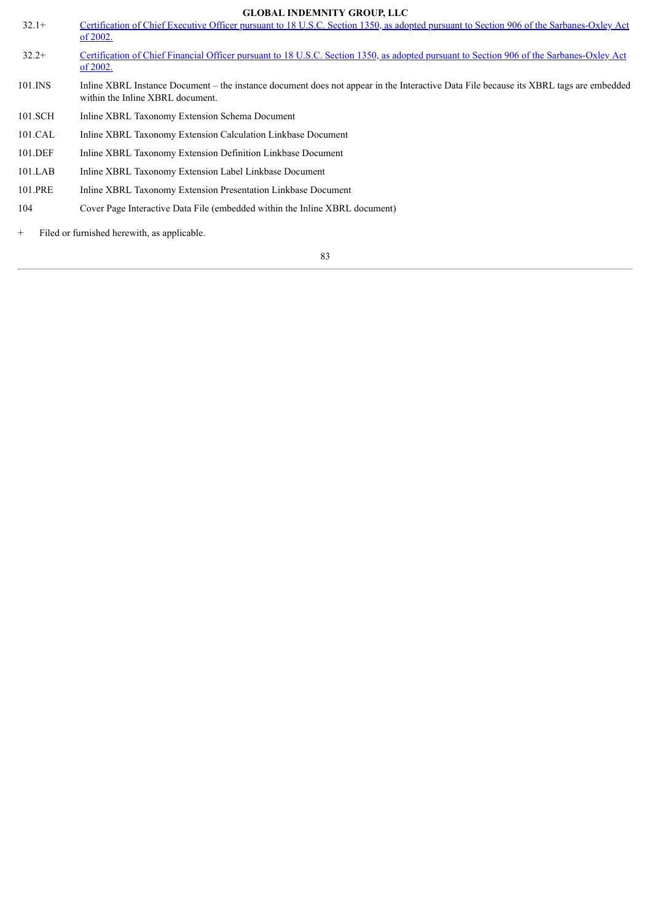| $32.1+$     | Certification of Chief Executive Officer pursuant to 18 U.S.C. Section 1350, as adopted pursuant to Section 906 of the Sarbanes-Oxley Act<br>of $2002$ .                  |
|-------------|---------------------------------------------------------------------------------------------------------------------------------------------------------------------------|
| $32.2+$     | Certification of Chief Financial Officer pursuant to 18 U.S.C. Section 1350, as adopted pursuant to Section 906 of the Sarbanes-Oxley Act<br>of $2002$ .                  |
| $101$ . INS | Inline XBRL Instance Document – the instance document does not appear in the Interactive Data File because its XBRL tags are embedded<br>within the Inline XBRL document. |
| 101.SCH     | Inline XBRL Taxonomy Extension Schema Document                                                                                                                            |
| 101.CAL     | Inline XBRL Taxonomy Extension Calculation Linkbase Document                                                                                                              |
| 101.DEF     | Inline XBRL Taxonomy Extension Definition Linkbase Document                                                                                                               |
| $101$ .LAB  | Inline XBRL Taxonomy Extension Label Linkbase Document                                                                                                                    |
| 101.PRE     | Inline XBRL Taxonomy Extension Presentation Linkbase Document                                                                                                             |
| 104         | Cover Page Interactive Data File (embedded within the Inline XBRL document)                                                                                               |
| $+$         | Filed or furnished herewith, as applicable.                                                                                                                               |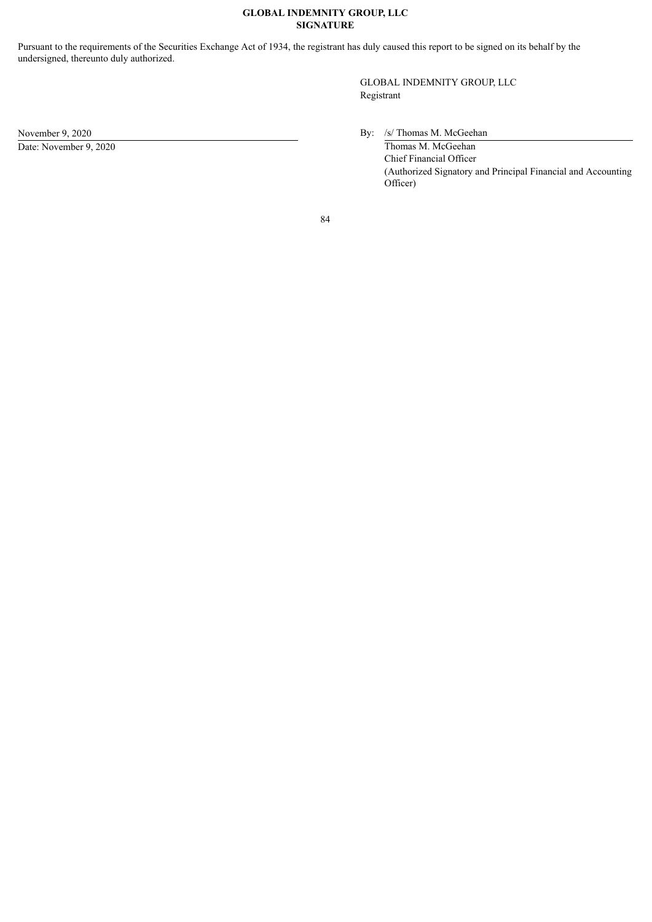## **GLOBAL INDEMNITY GROUP, LLC SIGNATURE**

Pursuant to the requirements of the Securities Exchange Act of 1934, the registrant has duly caused this report to be signed on its behalf by the undersigned, thereunto duly authorized.

> GLOBAL INDEMNITY GROUP, LLC Registrant

Date: November 9, 2020

November 9, 2020<br>Date: November 9, 2020<br>Date: November 9, 2020<br>By: /s/ Thomas M. McGeehan<br>Thomas M. McGeehan

Chief Financial Officer (Authorized Signatory and Principal Financial and Accounting Officer)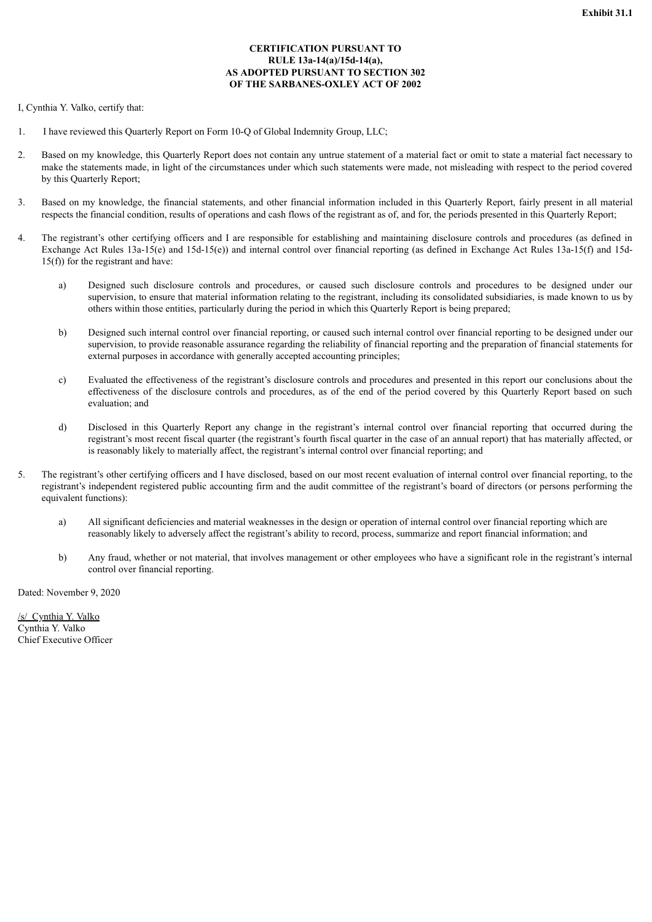# **CERTIFICATION PURSUANT TO RULE 13a-14(a)/15d-14(a), AS ADOPTED PURSUANT TO SECTION 302 OF THE SARBANES-OXLEY ACT OF 2002**

<span id="page-84-0"></span>I, Cynthia Y. Valko, certify that:

- 1. I have reviewed this Quarterly Report on Form 10-Q of Global Indemnity Group, LLC;
- 2. Based on my knowledge, this Quarterly Report does not contain any untrue statement of a material fact or omit to state a material fact necessary to make the statements made, in light of the circumstances under which such statements were made, not misleading with respect to the period covered by this Quarterly Report;
- 3. Based on my knowledge, the financial statements, and other financial information included in this Quarterly Report, fairly present in all material respects the financial condition, results of operations and cash flows of the registrant as of, and for, the periods presented in this Quarterly Report;
- 4. The registrant's other certifying officers and I are responsible for establishing and maintaining disclosure controls and procedures (as defined in Exchange Act Rules 13a-15(e) and 15d-15(e)) and internal control over financial reporting (as defined in Exchange Act Rules 13a-15(f) and 15d-15(f)) for the registrant and have:
	- a) Designed such disclosure controls and procedures, or caused such disclosure controls and procedures to be designed under our supervision, to ensure that material information relating to the registrant, including its consolidated subsidiaries, is made known to us by others within those entities, particularly during the period in which this Quarterly Report is being prepared;
	- b) Designed such internal control over financial reporting, or caused such internal control over financial reporting to be designed under our supervision, to provide reasonable assurance regarding the reliability of financial reporting and the preparation of financial statements for external purposes in accordance with generally accepted accounting principles;
	- c) Evaluated the effectiveness of the registrant's disclosure controls and procedures and presented in this report our conclusions about the effectiveness of the disclosure controls and procedures, as of the end of the period covered by this Quarterly Report based on such evaluation; and
	- d) Disclosed in this Quarterly Report any change in the registrant's internal control over financial reporting that occurred during the registrant's most recent fiscal quarter (the registrant's fourth fiscal quarter in the case of an annual report) that has materially affected, or is reasonably likely to materially affect, the registrant's internal control over financial reporting; and
- 5. The registrant's other certifying officers and I have disclosed, based on our most recent evaluation of internal control over financial reporting, to the registrant's independent registered public accounting firm and the audit committee of the registrant's board of directors (or persons performing the equivalent functions):
	- a) All significant deficiencies and material weaknesses in the design or operation of internal control over financial reporting which are reasonably likely to adversely affect the registrant's ability to record, process, summarize and report financial information; and
	- b) Any fraud, whether or not material, that involves management or other employees who have a significant role in the registrant's internal control over financial reporting.

Dated: November 9, 2020

/s/ Cynthia Y. Valko Cynthia Y. Valko Chief Executive Officer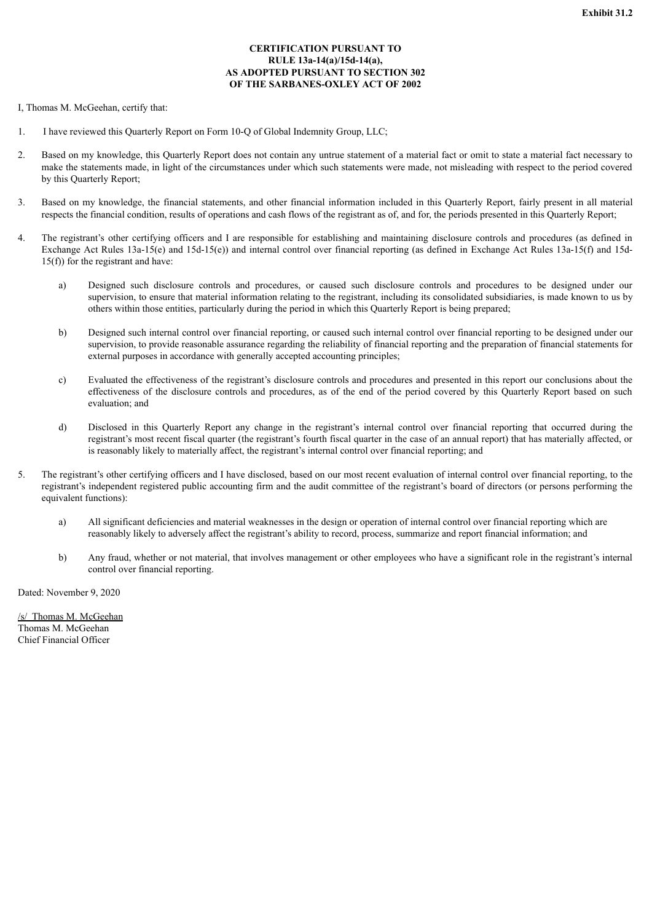# **CERTIFICATION PURSUANT TO RULE 13a-14(a)/15d-14(a), AS ADOPTED PURSUANT TO SECTION 302 OF THE SARBANES-OXLEY ACT OF 2002**

<span id="page-85-0"></span>I, Thomas M. McGeehan, certify that:

- 1. I have reviewed this Quarterly Report on Form 10-Q of Global Indemnity Group, LLC;
- 2. Based on my knowledge, this Quarterly Report does not contain any untrue statement of a material fact or omit to state a material fact necessary to make the statements made, in light of the circumstances under which such statements were made, not misleading with respect to the period covered by this Quarterly Report;
- 3. Based on my knowledge, the financial statements, and other financial information included in this Quarterly Report, fairly present in all material respects the financial condition, results of operations and cash flows of the registrant as of, and for, the periods presented in this Quarterly Report;
- 4. The registrant's other certifying officers and I are responsible for establishing and maintaining disclosure controls and procedures (as defined in Exchange Act Rules 13a-15(e) and 15d-15(e)) and internal control over financial reporting (as defined in Exchange Act Rules 13a-15(f) and 15d-15(f)) for the registrant and have:
	- a) Designed such disclosure controls and procedures, or caused such disclosure controls and procedures to be designed under our supervision, to ensure that material information relating to the registrant, including its consolidated subsidiaries, is made known to us by others within those entities, particularly during the period in which this Quarterly Report is being prepared;
	- b) Designed such internal control over financial reporting, or caused such internal control over financial reporting to be designed under our supervision, to provide reasonable assurance regarding the reliability of financial reporting and the preparation of financial statements for external purposes in accordance with generally accepted accounting principles;
	- c) Evaluated the effectiveness of the registrant's disclosure controls and procedures and presented in this report our conclusions about the effectiveness of the disclosure controls and procedures, as of the end of the period covered by this Quarterly Report based on such evaluation; and
	- d) Disclosed in this Quarterly Report any change in the registrant's internal control over financial reporting that occurred during the registrant's most recent fiscal quarter (the registrant's fourth fiscal quarter in the case of an annual report) that has materially affected, or is reasonably likely to materially affect, the registrant's internal control over financial reporting; and
- 5. The registrant's other certifying officers and I have disclosed, based on our most recent evaluation of internal control over financial reporting, to the registrant's independent registered public accounting firm and the audit committee of the registrant's board of directors (or persons performing the equivalent functions):
	- a) All significant deficiencies and material weaknesses in the design or operation of internal control over financial reporting which are reasonably likely to adversely affect the registrant's ability to record, process, summarize and report financial information; and
	- b) Any fraud, whether or not material, that involves management or other employees who have a significant role in the registrant's internal control over financial reporting.

Dated: November 9, 2020

/s/ Thomas M. McGeehan Thomas M. McGeehan Chief Financial Officer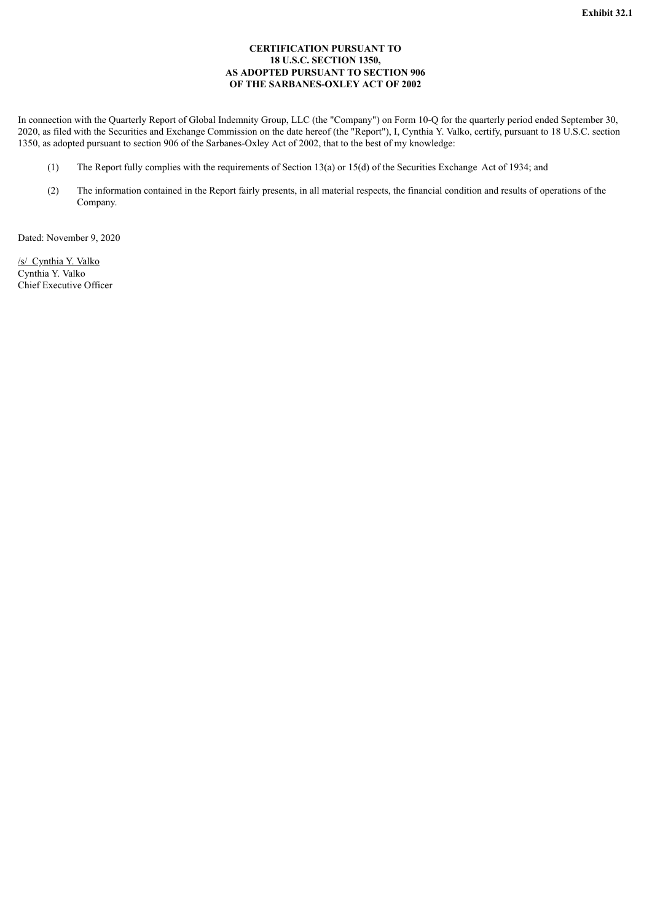# **CERTIFICATION PURSUANT TO 18 U.S.C. SECTION 1350, AS ADOPTED PURSUANT TO SECTION 906 OF THE SARBANES-OXLEY ACT OF 2002**

<span id="page-86-0"></span>In connection with the Quarterly Report of Global Indemnity Group, LLC (the "Company") on Form 10-Q for the quarterly period ended September 30, 2020, as filed with the Securities and Exchange Commission on the date hereof (the "Report"), I, Cynthia Y. Valko, certify, pursuant to 18 U.S.C. section 1350, as adopted pursuant to section 906 of the Sarbanes-Oxley Act of 2002, that to the best of my knowledge:

- (1) The Report fully complies with the requirements of Section 13(a) or 15(d) of the Securities Exchange Act of 1934; and
- (2) The information contained in the Report fairly presents, in all material respects, the financial condition and results of operations of the Company.

Dated: November 9, 2020

/s/ Cynthia Y. Valko Cynthia Y. Valko Chief Executive Officer